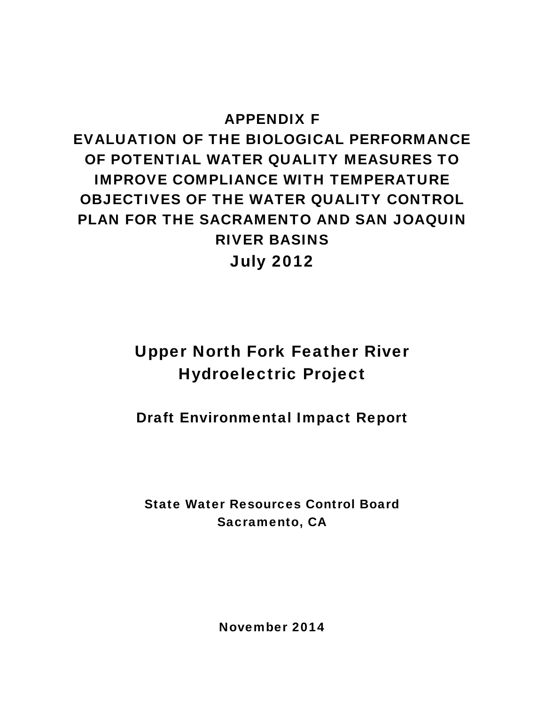### APPENDIX F

# EVALUATION OF THE BIOLOGICAL PERFORMANCE OF POTENTIAL WATER QUALITY MEASURES TO IMPROVE COMPLIANCE WITH TEMPERATURE OBJECTIVES OF THE WATER QUALITY CONTROL PLAN FOR THE SACRAMENTO AND SAN JOAQUIN RIVER BASINS July 2012

# Upper North Fork Feather River Hydroelectric Project

Draft Environmental Impact Report

State Water Resources Control Board Sacramento, CA

November 2014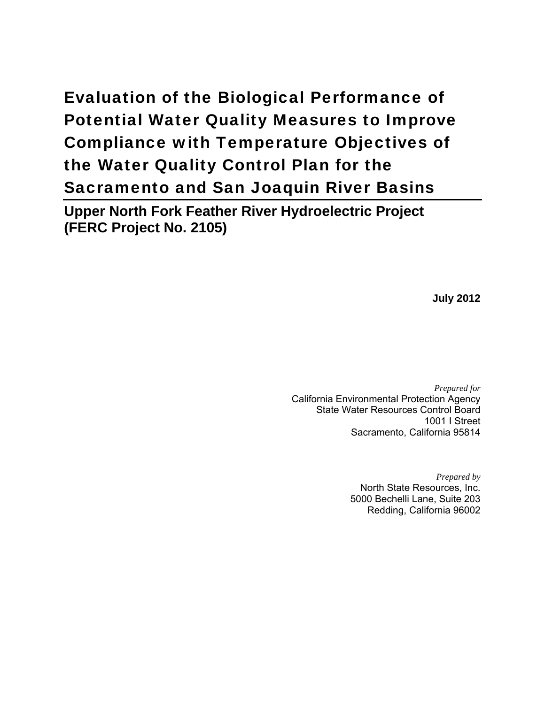# Evaluation of the Biological Performance of Potential Water Quality Measures to Improve Compliance with Temperature Objectives of the Water Quality Control Plan for the Sacramento and San Joaquin River Basins

**Upper North Fork Feather River Hydroelectric Project (FERC Project No. 2105)** 

**July 2012** 

*Prepared for*  California Environmental Protection Agency State Water Resources Control Board 1001 I Street Sacramento, California 95814

> *Prepared by*  North State Resources, Inc. 5000 Bechelli Lane, Suite 203 Redding, California 96002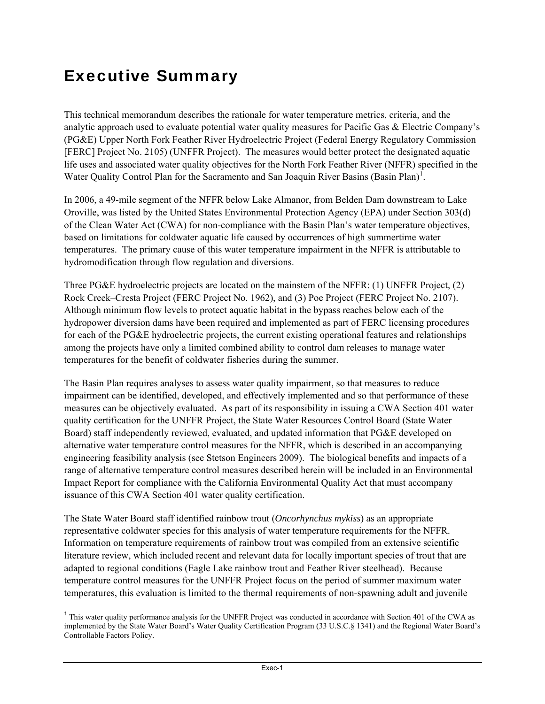## <span id="page-3-2"></span><span id="page-3-1"></span>Executive Summary

 $\overline{a}$ 

This technical memorandum describes the rationale for water temperature metrics, criteria, and the analytic approach used to evaluate potential water quality measures for Pacific Gas & Electric Company's (PG&E) Upper North Fork Feather River Hydroelectric Project (Federal Energy Regulatory Commission [FERC] Project No. 2105) (UNFFR Project). The measures would better protect the designated aquatic life uses and associated water quality objectives for the North Fork Feather River (NFFR) specified in the Water Quality Control Plan for the Sacramento and San Joaquin River Basins (Basin Plan)<sup>[1](#page-3-0)</sup>.

In 2006, a 49-mile segment of the NFFR below Lake Almanor, from Belden Dam downstream to Lake Oroville, was listed by the United States Environmental Protection Agency (EPA) under Section 303(d) of the Clean Water Act (CWA) for non-compliance with the Basin Plan's water temperature objectives, based on limitations for coldwater aquatic life caused by occurrences of high summertime water temperatures. The primary cause of this water temperature impairment in the NFFR is attributable to hydromodification through flow regulation and diversions.

Three PG&E hydroelectric projects are located on the mainstem of the NFFR: (1) UNFFR Project, (2) Rock Creek–Cresta Project (FERC Project No. 1962), and (3) Poe Project (FERC Project No. 2107). Although minimum flow levels to protect aquatic habitat in the bypass reaches below each of the hydropower diversion dams have been required and implemented as part of FERC licensing procedures for each of the PG&E hydroelectric projects, the current existing operational features and relationships among the projects have only a limited combined ability to control dam releases to manage water temperatures for the benefit of coldwater fisheries during the summer.

The Basin Plan requires analyses to assess water quality impairment, so that measures to reduce impairment can be identified, developed, and effectively implemented and so that performance of these measures can be objectively evaluated. As part of its responsibility in issuing a CWA Section 401 water quality certification for the UNFFR Project, the State Water Resources Control Board (State Water Board) staff independently reviewed, evaluated, and updated information that PG&E developed on alternative water temperature control measures for the NFFR, which is described in an accompanying engineering feasibility analysis (see Stetson Engineers 2009). The biological benefits and impacts of a range of alternative temperature control measures described herein will be included in an Environmental Impact Report for compliance with the California Environmental Quality Act that must accompany issuance of this CWA Section 401 water quality certification.

The State Water Board staff identified rainbow trout (*Oncorhynchus mykiss*) as an appropriate representative coldwater species for this analysis of water temperature requirements for the NFFR. Information on temperature requirements of rainbow trout was compiled from an extensive scientific literature review, which included recent and relevant data for locally important species of trout that are adapted to regional conditions (Eagle Lake rainbow trout and Feather River steelhead). Because temperature control measures for the UNFFR Project focus on the period of summer maximum water temperatures, this evaluation is limited to the thermal requirements of non-spawning adult and juvenile

<span id="page-3-0"></span><sup>&</sup>lt;sup>1</sup> This water quality performance analysis for the UNFFR Project was conducted in accordance with Section 401 of the CWA as implemented by the State Water Board's Water Quality Certification Program (33 U.S.C.§ 1341) and the Regional Water Board's Controllable Factors Policy.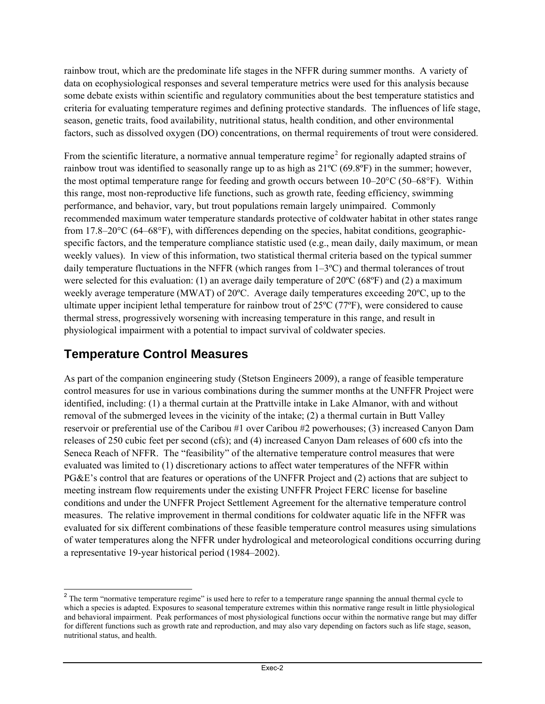rainbow trout, which are the predominate life stages in the NFFR during summer months. A variety of data on ecophysiological responses and several temperature metrics were used for this analysis because some debate exists within scientific and regulatory communities about the best temperature statistics and criteria for evaluating temperature regimes and defining protective standards. The influences of life stage, season, genetic traits, food availability, nutritional status, health condition, and other environmental factors, such as dissolved oxygen (DO) concentrations, on thermal requirements of trout were considered.

From the scientific literature, a normative annual temperature regime<sup>[2](#page-4-0)</sup> for regionally adapted strains of rainbow trout was identified to seasonally range up to as high as 21ºC (69.8ºF) in the summer; however, the most optimal temperature range for feeding and growth occurs between 10–20°C (50–68°F). Within this range, most non-reproductive life functions, such as growth rate, feeding efficiency, swimming performance, and behavior, vary, but trout populations remain largely unimpaired. Commonly recommended maximum water temperature standards protective of coldwater habitat in other states range from 17.8–20°C (64–68°F), with differences depending on the species, habitat conditions, geographicspecific factors, and the temperature compliance statistic used (e.g., mean daily, daily maximum, or mean weekly values). In view of this information, two statistical thermal criteria based on the typical summer daily temperature fluctuations in the NFFR (which ranges from 1–3ºC) and thermal tolerances of trout were selected for this evaluation: (1) an average daily temperature of 20 °C (68 °F) and (2) a maximum weekly average temperature (MWAT) of 20ºC. Average daily temperatures exceeding 20ºC, up to the ultimate upper incipient lethal temperature for rainbow trout of 25ºC (77ºF), were considered to cause thermal stress, progressively worsening with increasing temperature in this range, and result in physiological impairment with a potential to impact survival of coldwater species.

#### **Temperature Control Measures**

As part of the companion engineering study (Stetson Engineers 2009), a range of feasible temperature control measures for use in various combinations during the summer months at the UNFFR Project were identified, including: (1) a thermal curtain at the Prattville intake in Lake Almanor, with and without removal of the submerged levees in the vicinity of the intake; (2) a thermal curtain in Butt Valley reservoir or preferential use of the Caribou #1 over Caribou #2 powerhouses; (3) increased Canyon Dam releases of 250 cubic feet per second (cfs); and (4) increased Canyon Dam releases of 600 cfs into the Seneca Reach of NFFR. The "feasibility" of the alternative temperature control measures that were evaluated was limited to (1) discretionary actions to affect water temperatures of the NFFR within PG&E's control that are features or operations of the UNFFR Project and (2) actions that are subject to meeting instream flow requirements under the existing UNFFR Project FERC license for baseline conditions and under the UNFFR Project Settlement Agreement for the alternative temperature control measures. The relative improvement in thermal conditions for coldwater aquatic life in the NFFR was evaluated for six different combinations of these feasible temperature control measures using simulations of water temperatures along the NFFR under hydrological and meteorological conditions occurring during a representative 19-year historical period (1984–2002).

<span id="page-4-0"></span><sup>&</sup>lt;sup>2</sup> The term "normative temperature regime" is used here to refer to a temperature range spanning the annual thermal cycle to which a species is adapted. Exposures to seasonal temperature extremes within this normative range result in little physiological and behavioral impairment. Peak performances of most physiological functions occur within the normative range but may differ for different functions such as growth rate and reproduction, and may also vary depending on factors such as life stage, season, nutritional status, and health.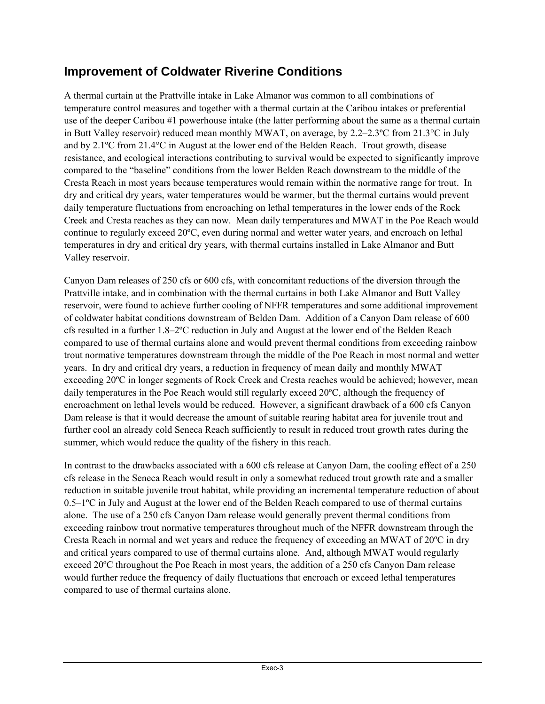#### **Improvement of Coldwater Riverine Conditions**

A thermal curtain at the Prattville intake in Lake Almanor was common to all combinations of temperature control measures and together with a thermal curtain at the Caribou intakes or preferential use of the deeper Caribou #1 powerhouse intake (the latter performing about the same as a thermal curtain in Butt Valley reservoir) reduced mean monthly MWAT, on average, by 2.2–2.3ºC from 21.3°C in July and by 2.1ºC from 21.4°C in August at the lower end of the Belden Reach. Trout growth, disease resistance, and ecological interactions contributing to survival would be expected to significantly improve compared to the "baseline" conditions from the lower Belden Reach downstream to the middle of the Cresta Reach in most years because temperatures would remain within the normative range for trout. In dry and critical dry years, water temperatures would be warmer, but the thermal curtains would prevent daily temperature fluctuations from encroaching on lethal temperatures in the lower ends of the Rock Creek and Cresta reaches as they can now. Mean daily temperatures and MWAT in the Poe Reach would continue to regularly exceed 20ºC, even during normal and wetter water years, and encroach on lethal temperatures in dry and critical dry years, with thermal curtains installed in Lake Almanor and Butt Valley reservoir.

Canyon Dam releases of 250 cfs or 600 cfs, with concomitant reductions of the diversion through the Prattville intake, and in combination with the thermal curtains in both Lake Almanor and Butt Valley reservoir, were found to achieve further cooling of NFFR temperatures and some additional improvement of coldwater habitat conditions downstream of Belden Dam. Addition of a Canyon Dam release of 600 cfs resulted in a further 1.8–2ºC reduction in July and August at the lower end of the Belden Reach compared to use of thermal curtains alone and would prevent thermal conditions from exceeding rainbow trout normative temperatures downstream through the middle of the Poe Reach in most normal and wetter years. In dry and critical dry years, a reduction in frequency of mean daily and monthly MWAT exceeding 20ºC in longer segments of Rock Creek and Cresta reaches would be achieved; however, mean daily temperatures in the Poe Reach would still regularly exceed 20ºC, although the frequency of encroachment on lethal levels would be reduced. However, a significant drawback of a 600 cfs Canyon Dam release is that it would decrease the amount of suitable rearing habitat area for juvenile trout and further cool an already cold Seneca Reach sufficiently to result in reduced trout growth rates during the summer, which would reduce the quality of the fishery in this reach.

In contrast to the drawbacks associated with a 600 cfs release at Canyon Dam, the cooling effect of a 250 cfs release in the Seneca Reach would result in only a somewhat reduced trout growth rate and a smaller reduction in suitable juvenile trout habitat, while providing an incremental temperature reduction of about  $0.5-1$ <sup>o</sup>C in July and August at the lower end of the Belden Reach compared to use of thermal curtains alone. The use of a 250 cfs Canyon Dam release would generally prevent thermal conditions from exceeding rainbow trout normative temperatures throughout much of the NFFR downstream through the Cresta Reach in normal and wet years and reduce the frequency of exceeding an MWAT of 20ºC in dry and critical years compared to use of thermal curtains alone. And, although MWAT would regularly exceed 20ºC throughout the Poe Reach in most years, the addition of a 250 cfs Canyon Dam release would further reduce the frequency of daily fluctuations that encroach or exceed lethal temperatures compared to use of thermal curtains alone.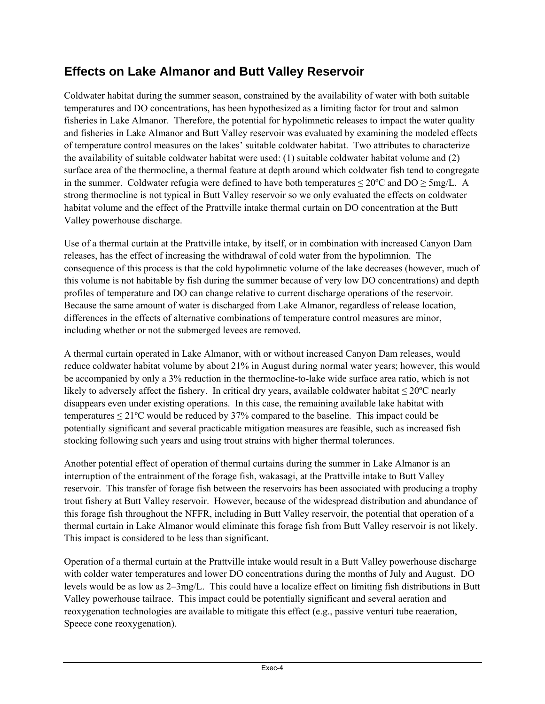### **Effects on Lake Almanor and Butt Valley Reservoir**

Coldwater habitat during the summer season, constrained by the availability of water with both suitable temperatures and DO concentrations, has been hypothesized as a limiting factor for trout and salmon fisheries in Lake Almanor. Therefore, the potential for hypolimnetic releases to impact the water quality and fisheries in Lake Almanor and Butt Valley reservoir was evaluated by examining the modeled effects of temperature control measures on the lakes' suitable coldwater habitat. Two attributes to characterize the availability of suitable coldwater habitat were used: (1) suitable coldwater habitat volume and (2) surface area of the thermocline, a thermal feature at depth around which coldwater fish tend to congregate in the summer. Coldwater refugia were defined to have both temperatures  $\leq 20^{\circ}$ C and DO  $\geq 5$ mg/L. A strong thermocline is not typical in Butt Valley reservoir so we only evaluated the effects on coldwater habitat volume and the effect of the Prattville intake thermal curtain on DO concentration at the Butt Valley powerhouse discharge.

Use of a thermal curtain at the Prattville intake, by itself, or in combination with increased Canyon Dam releases, has the effect of increasing the withdrawal of cold water from the hypolimnion. The consequence of this process is that the cold hypolimnetic volume of the lake decreases (however, much of this volume is not habitable by fish during the summer because of very low DO concentrations) and depth profiles of temperature and DO can change relative to current discharge operations of the reservoir. Because the same amount of water is discharged from Lake Almanor, regardless of release location, differences in the effects of alternative combinations of temperature control measures are minor, including whether or not the submerged levees are removed.

A thermal curtain operated in Lake Almanor, with or without increased Canyon Dam releases, would reduce coldwater habitat volume by about 21% in August during normal water years; however, this would be accompanied by only a 3% reduction in the thermocline-to-lake wide surface area ratio, which is not likely to adversely affect the fishery. In critical dry years, available coldwater habitat  $\leq 20^{\circ}$ C nearly disappears even under existing operations. In this case, the remaining available lake habitat with temperatures  $\leq$  21°C would be reduced by 37% compared to the baseline. This impact could be potentially significant and several practicable mitigation measures are feasible, such as increased fish stocking following such years and using trout strains with higher thermal tolerances.

Another potential effect of operation of thermal curtains during the summer in Lake Almanor is an interruption of the entrainment of the forage fish, wakasagi, at the Prattville intake to Butt Valley reservoir. This transfer of forage fish between the reservoirs has been associated with producing a trophy trout fishery at Butt Valley reservoir. However, because of the widespread distribution and abundance of this forage fish throughout the NFFR, including in Butt Valley reservoir, the potential that operation of a thermal curtain in Lake Almanor would eliminate this forage fish from Butt Valley reservoir is not likely. This impact is considered to be less than significant.

Operation of a thermal curtain at the Prattville intake would result in a Butt Valley powerhouse discharge with colder water temperatures and lower DO concentrations during the months of July and August. DO levels would be as low as 2–3mg/L. This could have a localize effect on limiting fish distributions in Butt Valley powerhouse tailrace. This impact could be potentially significant and several aeration and reoxygenation technologies are available to mitigate this effect (e.g., passive venturi tube reaeration, Speece cone reoxygenation).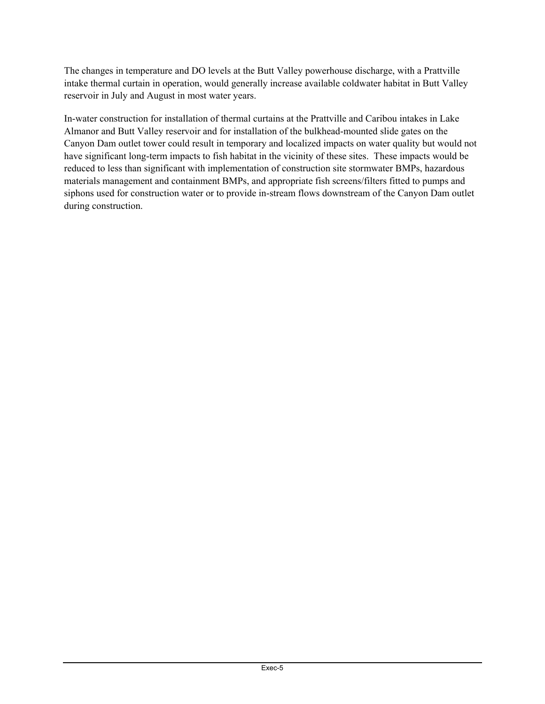The changes in temperature and DO levels at the Butt Valley powerhouse discharge, with a Prattville intake thermal curtain in operation, would generally increase available coldwater habitat in Butt Valley reservoir in July and August in most water years.

In-water construction for installation of thermal curtains at the Prattville and Caribou intakes in Lake Almanor and Butt Valley reservoir and for installation of the bulkhead-mounted slide gates on the Canyon Dam outlet tower could result in temporary and localized impacts on water quality but would not have significant long-term impacts to fish habitat in the vicinity of these sites. These impacts would be reduced to less than significant with implementation of construction site stormwater BMPs, hazardous materials management and containment BMPs, and appropriate fish screens/filters fitted to pumps and siphons used for construction water or to provide in-stream flows downstream of the Canyon Dam outlet during construction.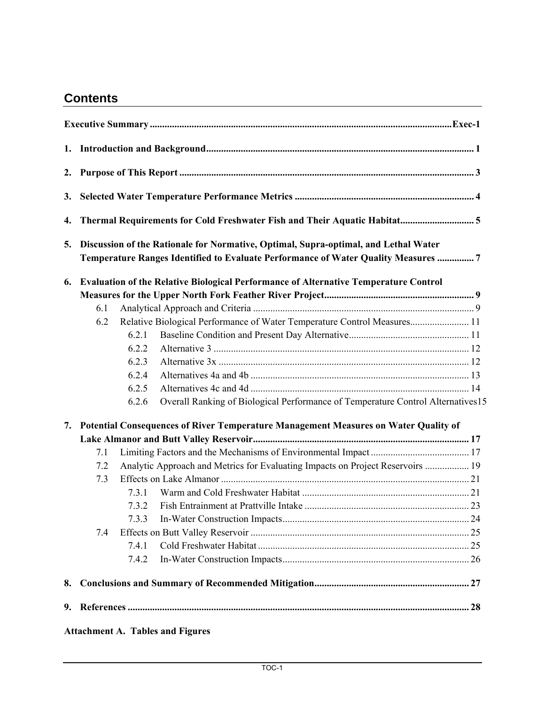### **Contents**

| 2. |     |       |                                                                                                                                                                          |  |
|----|-----|-------|--------------------------------------------------------------------------------------------------------------------------------------------------------------------------|--|
| 3. |     |       |                                                                                                                                                                          |  |
| 4. |     |       |                                                                                                                                                                          |  |
| 5. |     |       | Discussion of the Rationale for Normative, Optimal, Supra-optimal, and Lethal Water<br>Temperature Ranges Identified to Evaluate Performance of Water Quality Measures 7 |  |
| 6. |     |       | Evaluation of the Relative Biological Performance of Alternative Temperature Control                                                                                     |  |
|    |     |       |                                                                                                                                                                          |  |
|    | 6.1 |       |                                                                                                                                                                          |  |
|    | 6.2 | 6.2.1 | Relative Biological Performance of Water Temperature Control Measures 11                                                                                                 |  |
|    |     | 6.2.2 |                                                                                                                                                                          |  |
|    |     | 6.2.3 |                                                                                                                                                                          |  |
|    |     | 6.2.4 |                                                                                                                                                                          |  |
|    |     | 6.2.5 |                                                                                                                                                                          |  |
|    |     | 6.2.6 | Overall Ranking of Biological Performance of Temperature Control Alternatives15                                                                                          |  |
| 7. |     |       | Potential Consequences of River Temperature Management Measures on Water Quality of                                                                                      |  |
|    |     |       |                                                                                                                                                                          |  |
|    | 7.1 |       |                                                                                                                                                                          |  |
|    | 7.2 |       | Analytic Approach and Metrics for Evaluating Impacts on Project Reservoirs  19                                                                                           |  |
|    | 7.3 |       |                                                                                                                                                                          |  |
|    |     | 731   |                                                                                                                                                                          |  |
|    |     | 7.3.2 |                                                                                                                                                                          |  |
|    |     | 7.3.3 |                                                                                                                                                                          |  |
|    | 7.4 |       |                                                                                                                                                                          |  |
|    |     | 7.4.1 |                                                                                                                                                                          |  |
|    |     | 7.4.2 |                                                                                                                                                                          |  |
| 8. |     |       |                                                                                                                                                                          |  |
| 9. |     |       |                                                                                                                                                                          |  |
|    |     |       | <b>Attachment A. Tables and Figures</b>                                                                                                                                  |  |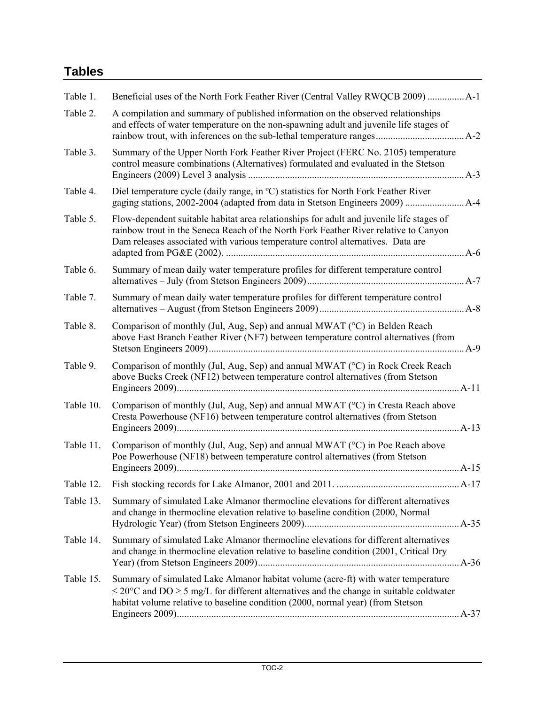### **Tables**

| A compilation and summary of published information on the observed relationships<br>Table 2.<br>and effects of water temperature on the non-spawning adult and juvenile life stages of<br>Summary of the Upper North Fork Feather River Project (FERC No. 2105) temperature<br>Table 3.<br>control measure combinations (Alternatives) formulated and evaluated in the Stetson<br>Diel temperature cycle (daily range, in °C) statistics for North Fork Feather River<br>Table 4.<br>Table 5.<br>Flow-dependent suitable habitat area relationships for adult and juvenile life stages of<br>rainbow trout in the Seneca Reach of the North Fork Feather River relative to Canyon<br>Dam releases associated with various temperature control alternatives. Data are<br>Summary of mean daily water temperature profiles for different temperature control<br>Table 6.<br>Summary of mean daily water temperature profiles for different temperature control<br>Table 7.<br>Comparison of monthly (Jul, Aug, Sep) and annual MWAT (°C) in Belden Reach<br>Table 8.<br>above East Branch Feather River (NF7) between temperature control alternatives (from<br>Comparison of monthly (Jul, Aug, Sep) and annual MWAT (°C) in Rock Creek Reach<br>Table 9.<br>above Bucks Creek (NF12) between temperature control alternatives (from Stetson<br>Comparison of monthly (Jul, Aug, Sep) and annual MWAT ( $\degree$ C) in Cresta Reach above<br>Table 10.<br>Cresta Powerhouse (NF16) between temperature control alternatives (from Stetson<br>Comparison of monthly (Jul, Aug, Sep) and annual MWAT (°C) in Poe Reach above<br>Table 11.<br>Poe Powerhouse (NF18) between temperature control alternatives (from Stetson<br>Table 12.<br>Table 13.<br>Summary of simulated Lake Almanor thermocline elevations for different alternatives<br>and change in thermocline elevation relative to baseline condition (2000, Normal | Beneficial uses of the North Fork Feather River (Central Valley RWQCB 2009)  A-1 |
|------------------------------------------------------------------------------------------------------------------------------------------------------------------------------------------------------------------------------------------------------------------------------------------------------------------------------------------------------------------------------------------------------------------------------------------------------------------------------------------------------------------------------------------------------------------------------------------------------------------------------------------------------------------------------------------------------------------------------------------------------------------------------------------------------------------------------------------------------------------------------------------------------------------------------------------------------------------------------------------------------------------------------------------------------------------------------------------------------------------------------------------------------------------------------------------------------------------------------------------------------------------------------------------------------------------------------------------------------------------------------------------------------------------------------------------------------------------------------------------------------------------------------------------------------------------------------------------------------------------------------------------------------------------------------------------------------------------------------------------------------------------------------------------------------------------------------------------------------------------------------------------------------------------------------|----------------------------------------------------------------------------------|
|                                                                                                                                                                                                                                                                                                                                                                                                                                                                                                                                                                                                                                                                                                                                                                                                                                                                                                                                                                                                                                                                                                                                                                                                                                                                                                                                                                                                                                                                                                                                                                                                                                                                                                                                                                                                                                                                                                                              |                                                                                  |
|                                                                                                                                                                                                                                                                                                                                                                                                                                                                                                                                                                                                                                                                                                                                                                                                                                                                                                                                                                                                                                                                                                                                                                                                                                                                                                                                                                                                                                                                                                                                                                                                                                                                                                                                                                                                                                                                                                                              |                                                                                  |
|                                                                                                                                                                                                                                                                                                                                                                                                                                                                                                                                                                                                                                                                                                                                                                                                                                                                                                                                                                                                                                                                                                                                                                                                                                                                                                                                                                                                                                                                                                                                                                                                                                                                                                                                                                                                                                                                                                                              |                                                                                  |
|                                                                                                                                                                                                                                                                                                                                                                                                                                                                                                                                                                                                                                                                                                                                                                                                                                                                                                                                                                                                                                                                                                                                                                                                                                                                                                                                                                                                                                                                                                                                                                                                                                                                                                                                                                                                                                                                                                                              | $A-6$                                                                            |
|                                                                                                                                                                                                                                                                                                                                                                                                                                                                                                                                                                                                                                                                                                                                                                                                                                                                                                                                                                                                                                                                                                                                                                                                                                                                                                                                                                                                                                                                                                                                                                                                                                                                                                                                                                                                                                                                                                                              |                                                                                  |
|                                                                                                                                                                                                                                                                                                                                                                                                                                                                                                                                                                                                                                                                                                                                                                                                                                                                                                                                                                                                                                                                                                                                                                                                                                                                                                                                                                                                                                                                                                                                                                                                                                                                                                                                                                                                                                                                                                                              |                                                                                  |
|                                                                                                                                                                                                                                                                                                                                                                                                                                                                                                                                                                                                                                                                                                                                                                                                                                                                                                                                                                                                                                                                                                                                                                                                                                                                                                                                                                                                                                                                                                                                                                                                                                                                                                                                                                                                                                                                                                                              |                                                                                  |
|                                                                                                                                                                                                                                                                                                                                                                                                                                                                                                                                                                                                                                                                                                                                                                                                                                                                                                                                                                                                                                                                                                                                                                                                                                                                                                                                                                                                                                                                                                                                                                                                                                                                                                                                                                                                                                                                                                                              |                                                                                  |
|                                                                                                                                                                                                                                                                                                                                                                                                                                                                                                                                                                                                                                                                                                                                                                                                                                                                                                                                                                                                                                                                                                                                                                                                                                                                                                                                                                                                                                                                                                                                                                                                                                                                                                                                                                                                                                                                                                                              |                                                                                  |
|                                                                                                                                                                                                                                                                                                                                                                                                                                                                                                                                                                                                                                                                                                                                                                                                                                                                                                                                                                                                                                                                                                                                                                                                                                                                                                                                                                                                                                                                                                                                                                                                                                                                                                                                                                                                                                                                                                                              |                                                                                  |
|                                                                                                                                                                                                                                                                                                                                                                                                                                                                                                                                                                                                                                                                                                                                                                                                                                                                                                                                                                                                                                                                                                                                                                                                                                                                                                                                                                                                                                                                                                                                                                                                                                                                                                                                                                                                                                                                                                                              |                                                                                  |
|                                                                                                                                                                                                                                                                                                                                                                                                                                                                                                                                                                                                                                                                                                                                                                                                                                                                                                                                                                                                                                                                                                                                                                                                                                                                                                                                                                                                                                                                                                                                                                                                                                                                                                                                                                                                                                                                                                                              |                                                                                  |
| Summary of simulated Lake Almanor thermocline elevations for different alternatives<br>Table 14.<br>and change in thermocline elevation relative to baseline condition (2001, Critical Dry                                                                                                                                                                                                                                                                                                                                                                                                                                                                                                                                                                                                                                                                                                                                                                                                                                                                                                                                                                                                                                                                                                                                                                                                                                                                                                                                                                                                                                                                                                                                                                                                                                                                                                                                   |                                                                                  |
| Summary of simulated Lake Almanor habitat volume (acre-ft) with water temperature<br>Table 15.<br>$\leq$ 20°C and DO $\geq$ 5 mg/L for different alternatives and the change in suitable coldwater<br>habitat volume relative to baseline condition (2000, normal year) (from Stetson                                                                                                                                                                                                                                                                                                                                                                                                                                                                                                                                                                                                                                                                                                                                                                                                                                                                                                                                                                                                                                                                                                                                                                                                                                                                                                                                                                                                                                                                                                                                                                                                                                        |                                                                                  |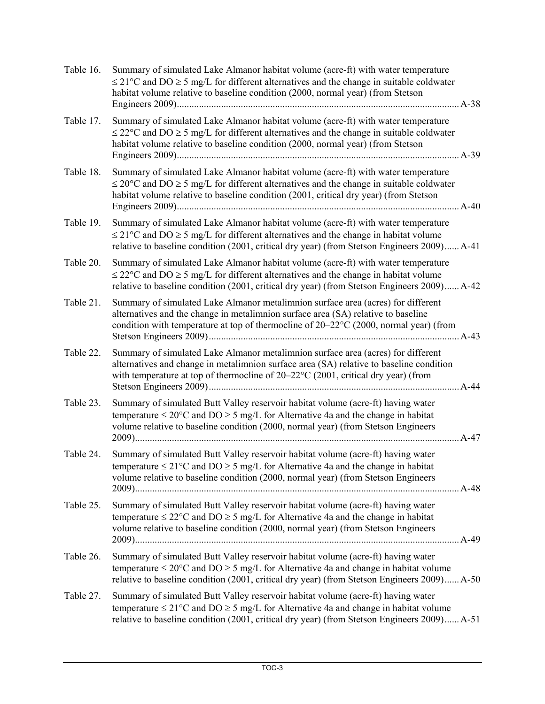| Table 16. | Summary of simulated Lake Almanor habitat volume (acre-ft) with water temperature<br>$\leq$ 21 °C and DO $\geq$ 5 mg/L for different alternatives and the change in suitable coldwater<br>habitat volume relative to baseline condition (2000, normal year) (from Stetson                |  |
|-----------|------------------------------------------------------------------------------------------------------------------------------------------------------------------------------------------------------------------------------------------------------------------------------------------|--|
| Table 17. | Summary of simulated Lake Almanor habitat volume (acre-ft) with water temperature<br>$\leq$ 22°C and DO $\geq$ 5 mg/L for different alternatives and the change in suitable coldwater<br>habitat volume relative to baseline condition (2000, normal year) (from Stetson                 |  |
| Table 18. | Summary of simulated Lake Almanor habitat volume (acre-ft) with water temperature<br>$\leq$ 20°C and DO $\geq$ 5 mg/L for different alternatives and the change in suitable coldwater<br>habitat volume relative to baseline condition (2001, critical dry year) (from Stetson<br>$A-40$ |  |
| Table 19. | Summary of simulated Lake Almanor habitat volume (acre-ft) with water temperature<br>$\leq$ 21°C and DO $\geq$ 5 mg/L for different alternatives and the change in habitat volume<br>relative to baseline condition (2001, critical dry year) (from Stetson Engineers 2009) A-41         |  |
| Table 20. | Summary of simulated Lake Almanor habitat volume (acre-ft) with water temperature<br>$\leq$ 22°C and DO $\geq$ 5 mg/L for different alternatives and the change in habitat volume<br>relative to baseline condition (2001, critical dry year) (from Stetson Engineers 2009) A-42         |  |
| Table 21. | Summary of simulated Lake Almanor metalimnion surface area (acres) for different<br>alternatives and the change in metalimnion surface area (SA) relative to baseline<br>condition with temperature at top of thermocline of 20–22°C (2000, normal year) (from                           |  |
| Table 22. | Summary of simulated Lake Almanor metalimnion surface area (acres) for different<br>alternatives and change in metalimnion surface area (SA) relative to baseline condition<br>with temperature at top of thermocline of $20-22$ °C (2001, critical dry year) (from<br>$A-44$            |  |
| Table 23. | Summary of simulated Butt Valley reservoir habitat volume (acre-ft) having water<br>temperature $\leq 20^{\circ}$ C and DO $\geq 5$ mg/L for Alternative 4a and the change in habitat<br>volume relative to baseline condition (2000, normal year) (from Stetson Engineers<br>$A-47$     |  |
| Table 24. | Summary of simulated Butt Valley reservoir habitat volume (acre-ft) having water<br>temperature $\leq$ 21°C and DO $\geq$ 5 mg/L for Alternative 4a and the change in habitat<br>volume relative to baseline condition (2000, normal year) (from Stetson Engineers                       |  |
| Table 25. | Summary of simulated Butt Valley reservoir habitat volume (acre-ft) having water<br>temperature $\leq$ 22°C and DO $\geq$ 5 mg/L for Alternative 4a and the change in habitat<br>volume relative to baseline condition (2000, normal year) (from Stetson Engineers<br>A-49               |  |
| Table 26. | Summary of simulated Butt Valley reservoir habitat volume (acre-ft) having water<br>temperature $\leq 20^{\circ}$ C and DO $\geq 5$ mg/L for Alternative 4a and change in habitat volume<br>relative to baseline condition (2001, critical dry year) (from Stetson Engineers 2009) A-50  |  |
| Table 27. | Summary of simulated Butt Valley reservoir habitat volume (acre-ft) having water<br>temperature $\leq$ 21°C and DO $\geq$ 5 mg/L for Alternative 4a and change in habitat volume<br>relative to baseline condition (2001, critical dry year) (from Stetson Engineers 2009) A-51          |  |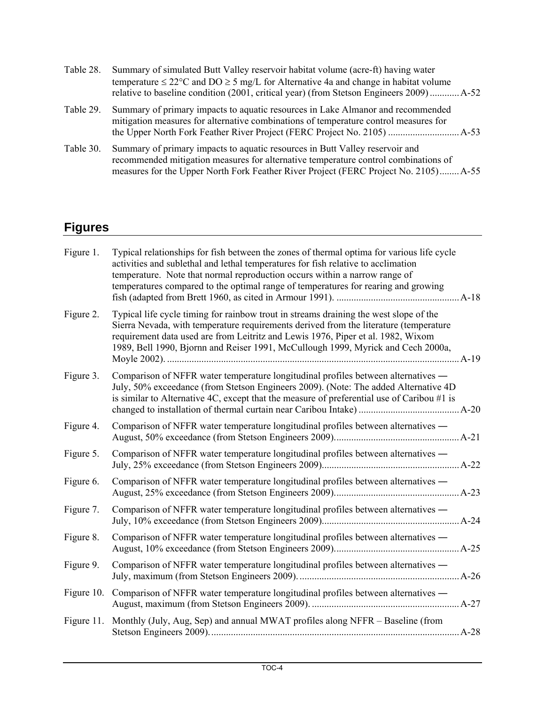| Table 28. | Summary of simulated Butt Valley reservoir habitat volume (acre-ft) having water<br>temperature $\leq 22^{\circ}$ C and DO $\geq 5$ mg/L for Alternative 4a and change in habitat volume<br>relative to baseline condition (2001, critical year) (from Stetson Engineers 2009) A-52 |
|-----------|-------------------------------------------------------------------------------------------------------------------------------------------------------------------------------------------------------------------------------------------------------------------------------------|
| Table 29. | Summary of primary impacts to aquatic resources in Lake Almanor and recommended<br>mitigation measures for alternative combinations of temperature control measures for                                                                                                             |
| Table 30. | Summary of primary impacts to aquatic resources in Butt Valley reservoir and<br>recommended mitigation measures for alternative temperature control combinations of<br>measures for the Upper North Fork Feather River Project (FERC Project No. 2105) A-55                         |

### **Figures**

| Figure 1.  | Typical relationships for fish between the zones of thermal optima for various life cycle<br>activities and sublethal and lethal temperatures for fish relative to acclimation<br>temperature. Note that normal reproduction occurs within a narrow range of<br>temperatures compared to the optimal range of temperatures for rearing and growing     |
|------------|--------------------------------------------------------------------------------------------------------------------------------------------------------------------------------------------------------------------------------------------------------------------------------------------------------------------------------------------------------|
| Figure 2.  | Typical life cycle timing for rainbow trout in streams draining the west slope of the<br>Sierra Nevada, with temperature requirements derived from the literature (temperature<br>requirement data used are from Leitritz and Lewis 1976, Piper et al. 1982, Wixom<br>1989, Bell 1990, Bjornn and Reiser 1991, McCullough 1999, Myrick and Cech 2000a, |
| Figure 3.  | Comparison of NFFR water temperature longitudinal profiles between alternatives —<br>July, 50% exceedance (from Stetson Engineers 2009). (Note: The added Alternative 4D<br>is similar to Alternative 4C, except that the measure of preferential use of Caribou $#1$ is                                                                               |
| Figure 4.  | Comparison of NFFR water temperature longitudinal profiles between alternatives —                                                                                                                                                                                                                                                                      |
| Figure 5.  | Comparison of NFFR water temperature longitudinal profiles between alternatives -                                                                                                                                                                                                                                                                      |
| Figure 6.  | Comparison of NFFR water temperature longitudinal profiles between alternatives —                                                                                                                                                                                                                                                                      |
| Figure 7.  | Comparison of NFFR water temperature longitudinal profiles between alternatives —                                                                                                                                                                                                                                                                      |
| Figure 8.  | Comparison of NFFR water temperature longitudinal profiles between alternatives —                                                                                                                                                                                                                                                                      |
| Figure 9.  | Comparison of NFFR water temperature longitudinal profiles between alternatives —                                                                                                                                                                                                                                                                      |
| Figure 10. | Comparison of NFFR water temperature longitudinal profiles between alternatives —                                                                                                                                                                                                                                                                      |
| Figure 11. | Monthly (July, Aug, Sep) and annual MWAT profiles along NFFR – Baseline (from                                                                                                                                                                                                                                                                          |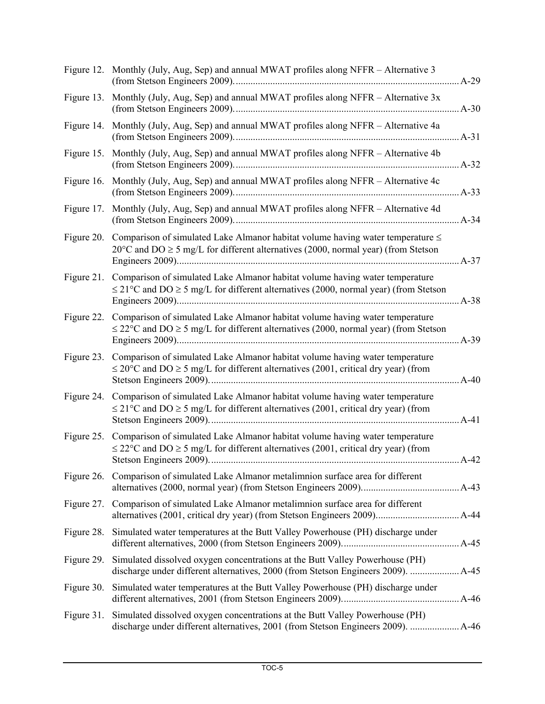|            | Figure 12. Monthly (July, Aug, Sep) and annual MWAT profiles along NFFR - Alternative 3                                                                                                                | $A-29$ |
|------------|--------------------------------------------------------------------------------------------------------------------------------------------------------------------------------------------------------|--------|
|            | Figure 13. Monthly (July, Aug, Sep) and annual MWAT profiles along NFFR - Alternative 3x                                                                                                               |        |
|            | Figure 14. Monthly (July, Aug, Sep) and annual MWAT profiles along NFFR - Alternative 4a                                                                                                               |        |
|            | Figure 15. Monthly (July, Aug, Sep) and annual MWAT profiles along NFFR - Alternative 4b                                                                                                               | $A-32$ |
|            | Figure 16. Monthly (July, Aug, Sep) and annual MWAT profiles along NFFR - Alternative 4c                                                                                                               |        |
| Figure 17. | Monthly (July, Aug, Sep) and annual MWAT profiles along NFFR - Alternative 4d                                                                                                                          |        |
| Figure 20. | Comparison of simulated Lake Almanor habitat volume having water temperature $\leq$<br>$20^{\circ}$ C and DO $\geq$ 5 mg/L for different alternatives (2000, normal year) (from Stetson                |        |
| Figure 21. | Comparison of simulated Lake Almanor habitat volume having water temperature<br>$\leq$ 21°C and DO $\geq$ 5 mg/L for different alternatives (2000, normal year) (from Stetson                          |        |
| Figure 22. | Comparison of simulated Lake Almanor habitat volume having water temperature<br>$\leq$ 22°C and DO $\geq$ 5 mg/L for different alternatives (2000, normal year) (from Stetson                          |        |
| Figure 23. | Comparison of simulated Lake Almanor habitat volume having water temperature<br>$\leq$ 20°C and DO $\geq$ 5 mg/L for different alternatives (2001, critical dry year) (from                            |        |
| Figure 24. | Comparison of simulated Lake Almanor habitat volume having water temperature<br>$\leq$ 21°C and DO $\geq$ 5 mg/L for different alternatives (2001, critical dry year) (from                            |        |
| Figure 25. | Comparison of simulated Lake Almanor habitat volume having water temperature<br>$\leq$ 22°C and DO $\geq$ 5 mg/L for different alternatives (2001, critical dry year) (from<br>Stetson Engineers 2009) | $A-42$ |
|            | Figure 26. Comparison of simulated Lake Almanor metalimnion surface area for different                                                                                                                 |        |
| Figure 27. | Comparison of simulated Lake Almanor metalimnion surface area for different                                                                                                                            |        |
| Figure 28. | Simulated water temperatures at the Butt Valley Powerhouse (PH) discharge under                                                                                                                        |        |
| Figure 29. | Simulated dissolved oxygen concentrations at the Butt Valley Powerhouse (PH)<br>discharge under different alternatives, 2000 (from Stetson Engineers 2009).  A-45                                      |        |
| Figure 30. | Simulated water temperatures at the Butt Valley Powerhouse (PH) discharge under                                                                                                                        |        |
| Figure 31. | Simulated dissolved oxygen concentrations at the Butt Valley Powerhouse (PH)<br>discharge under different alternatives, 2001 (from Stetson Engineers 2009).  A-46                                      |        |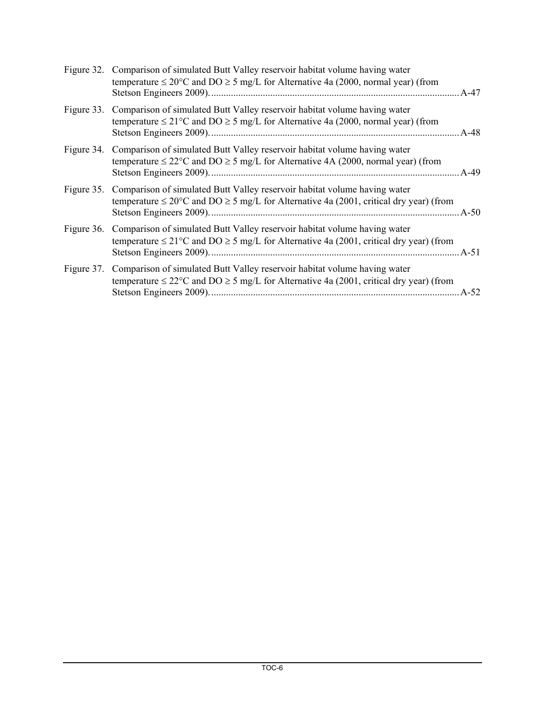|            | Figure 32. Comparison of simulated Butt Valley reservoir habitat volume having water<br>temperature $\leq 20^{\circ}$ C and DO $\geq 5$ mg/L for Alternative 4a (2000, normal year) (from<br>A-47 |
|------------|---------------------------------------------------------------------------------------------------------------------------------------------------------------------------------------------------|
| Figure 33. | Comparison of simulated Butt Valley reservoir habitat volume having water<br>temperature $\leq$ 21°C and DO $\geq$ 5 mg/L for Alternative 4a (2000, normal year) (from                            |
| Figure 34. | Comparison of simulated Butt Valley reservoir habitat volume having water<br>temperature $\leq$ 22°C and DO $\geq$ 5 mg/L for Alternative 4A (2000, normal year) (from                            |
| Figure 35. | Comparison of simulated Butt Valley reservoir habitat volume having water<br>temperature $\leq 20^{\circ}$ C and DO $\geq 5$ mg/L for Alternative 4a (2001, critical dry year) (from<br>$A - 50$  |
| Figure 36. | Comparison of simulated Butt Valley reservoir habitat volume having water<br>temperature $\leq$ 21°C and DO $\geq$ 5 mg/L for Alternative 4a (2001, critical dry year) (from                      |
| Figure 37. | Comparison of simulated Butt Valley reservoir habitat volume having water<br>temperature $\leq$ 22°C and DO $\geq$ 5 mg/L for Alternative 4a (2001, critical dry year) (from<br>$A-52$            |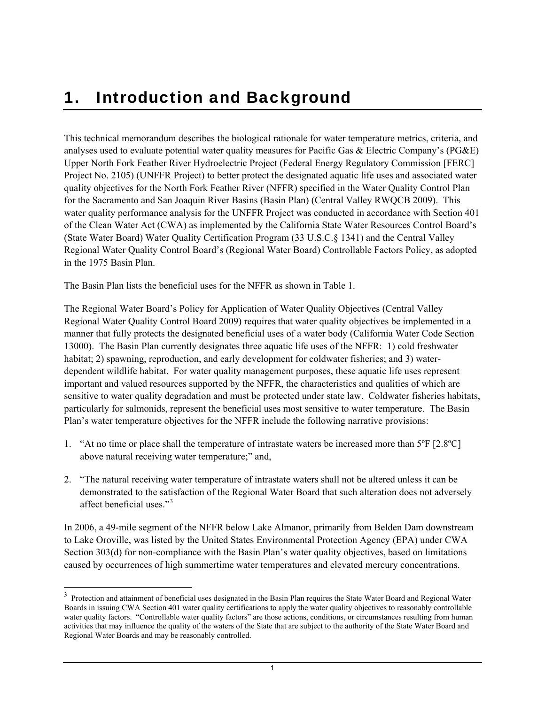# <span id="page-15-1"></span><span id="page-15-0"></span>1. Introduction and Background

This technical memorandum describes the biological rationale for water temperature metrics, criteria, and analyses used to evaluate potential water quality measures for Pacific Gas & Electric Company's (PG&E) Upper North Fork Feather River Hydroelectric Project (Federal Energy Regulatory Commission [FERC] Project No. 2105) (UNFFR Project) to better protect the designated aquatic life uses and associated water quality objectives for the North Fork Feather River (NFFR) specified in the Water Quality Control Plan for the Sacramento and San Joaquin River Basins (Basin Plan) (Central Valley RWQCB 2009). This water quality performance analysis for the UNFFR Project was conducted in accordance with Section 401 of the Clean Water Act (CWA) as implemented by the California State Water Resources Control Board's (State Water Board) Water Quality Certification Program (33 U.S.C.§ 1341) and the Central Valley Regional Water Quality Control Board's (Regional Water Board) Controllable Factors Policy, as adopted in the 1975 Basin Plan.

The Basin Plan lists the beneficial uses for the NFFR as shown in Table 1.

1

The Regional Water Board's Policy for Application of Water Quality Objectives (Central Valley Regional Water Quality Control Board 2009) requires that water quality objectives be implemented in a manner that fully protects the designated beneficial uses of a water body (California Water Code Section 13000). The Basin Plan currently designates three aquatic life uses of the NFFR: 1) cold freshwater habitat; 2) spawning, reproduction, and early development for coldwater fisheries; and 3) waterdependent wildlife habitat. For water quality management purposes, these aquatic life uses represent important and valued resources supported by the NFFR, the characteristics and qualities of which are sensitive to water quality degradation and must be protected under state law. Coldwater fisheries habitats, particularly for salmonids, represent the beneficial uses most sensitive to water temperature. The Basin Plan's water temperature objectives for the NFFR include the following narrative provisions:

- 1. "At no time or place shall the temperature of intrastate waters be increased more than 5ºF [2.8ºC] above natural receiving water temperature;" and,
- 2. "The natural receiving water temperature of intrastate waters shall not be altered unless it can be demonstrated to the satisfaction of the Regional Water Board that such alteration does not adversely affect beneficial uses."<sup>[3](#page-15-0)</sup>

In 2006, a 49-mile segment of the NFFR below Lake Almanor, primarily from Belden Dam downstream to Lake Oroville, was listed by the United States Environmental Protection Agency (EPA) under CWA Section 303(d) for non-compliance with the Basin Plan's water quality objectives, based on limitations caused by occurrences of high summertime water temperatures and elevated mercury concentrations.

 $3$  Protection and attainment of beneficial uses designated in the Basin Plan requires the State Water Board and Regional Water Boards in issuing CWA Section 401 water quality certifications to apply the water quality objectives to reasonably controllable water quality factors. "Controllable water quality factors" are those actions, conditions, or circumstances resulting from human activities that may influence the quality of the waters of the State that are subject to the authority of the State Water Board and Regional Water Boards and may be reasonably controlled.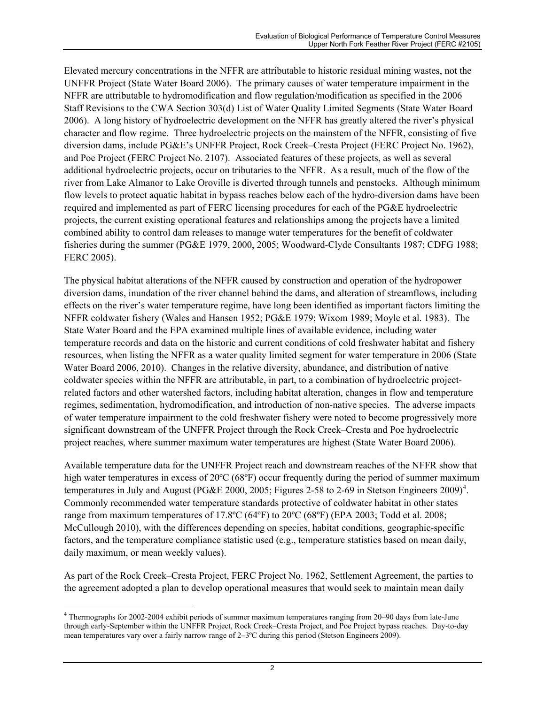<span id="page-16-0"></span>Elevated mercury concentrations in the NFFR are attributable to historic residual mining wastes, not the UNFFR Project (State Water Board 2006). The primary causes of water temperature impairment in the NFFR are attributable to hydromodification and flow regulation/modification as specified in the 2006 Staff Revisions to the CWA Section 303(d) List of Water Quality Limited Segments (State Water Board 2006). A long history of hydroelectric development on the NFFR has greatly altered the river's physical character and flow regime. Three hydroelectric projects on the mainstem of the NFFR, consisting of five diversion dams, include PG&E's UNFFR Project, Rock Creek–Cresta Project (FERC Project No. 1962), and Poe Project (FERC Project No. 2107). Associated features of these projects, as well as several additional hydroelectric projects, occur on tributaries to the NFFR. As a result, much of the flow of the river from Lake Almanor to Lake Oroville is diverted through tunnels and penstocks. Although minimum flow levels to protect aquatic habitat in bypass reaches below each of the hydro-diversion dams have been required and implemented as part of FERC licensing procedures for each of the PG&E hydroelectric projects, the current existing operational features and relationships among the projects have a limited combined ability to control dam releases to manage water temperatures for the benefit of coldwater fisheries during the summer (PG&E 1979, 2000, 2005; Woodward-Clyde Consultants 1987; CDFG 1988; FERC 2005).

The physical habitat alterations of the NFFR caused by construction and operation of the hydropower diversion dams, inundation of the river channel behind the dams, and alteration of streamflows, including effects on the river's water temperature regime, have long been identified as important factors limiting the NFFR coldwater fishery (Wales and Hansen 1952; PG&E 1979; Wixom 1989; Moyle et al. 1983). The State Water Board and the EPA examined multiple lines of available evidence, including water temperature records and data on the historic and current conditions of cold freshwater habitat and fishery resources, when listing the NFFR as a water quality limited segment for water temperature in 2006 (State Water Board 2006, 2010). Changes in the relative diversity, abundance, and distribution of native coldwater species within the NFFR are attributable, in part, to a combination of hydroelectric projectrelated factors and other watershed factors, including habitat alteration, changes in flow and temperature regimes, sedimentation, hydromodification, and introduction of non-native species. The adverse impacts of water temperature impairment to the cold freshwater fishery were noted to become progressively more significant downstream of the UNFFR Project through the Rock Creek–Cresta and Poe hydroelectric project reaches, where summer maximum water temperatures are highest (State Water Board 2006).

Available temperature data for the UNFFR Project reach and downstream reaches of the NFFR show that high water temperatures in excess of 20°C (68°F) occur frequently during the period of summer maximum temperatures in July and August (PG&E 2000, 2005; Figures 2-58 to 2-69 in Stetson Engineers 2009)<sup>[4](#page-16-0)</sup>. Commonly recommended water temperature standards protective of coldwater habitat in other states range from maximum temperatures of 17.8ºC (64ºF) to 20ºC (68ºF) (EPA 2003; Todd et al. 2008; McCullough 2010), with the differences depending on species, habitat conditions, geographic-specific factors, and the temperature compliance statistic used (e.g., temperature statistics based on mean daily, daily maximum, or mean weekly values).

As part of the Rock Creek–Cresta Project, FERC Project No. 1962, Settlement Agreement, the parties to the agreement adopted a plan to develop operational measures that would seek to maintain mean daily

 4 Thermographs for 2002-2004 exhibit periods of summer maximum temperatures ranging from 20–90 days from late-June through early-September within the UNFFR Project, Rock Creek–Cresta Project, and Poe Project bypass reaches. Day-to-day mean temperatures vary over a fairly narrow range of 2–3ºC during this period (Stetson Engineers 2009).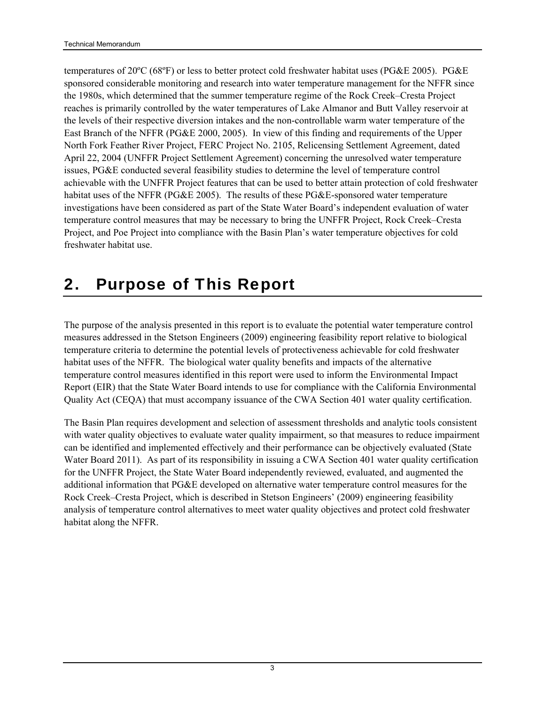<span id="page-17-0"></span>temperatures of 20ºC (68ºF) or less to better protect cold freshwater habitat uses (PG&E 2005). PG&E sponsored considerable monitoring and research into water temperature management for the NFFR since the 1980s, which determined that the summer temperature regime of the Rock Creek–Cresta Project reaches is primarily controlled by the water temperatures of Lake Almanor and Butt Valley reservoir at the levels of their respective diversion intakes and the non-controllable warm water temperature of the East Branch of the NFFR (PG&E 2000, 2005). In view of this finding and requirements of the Upper North Fork Feather River Project, FERC Project No. 2105, Relicensing Settlement Agreement, dated April 22, 2004 (UNFFR Project Settlement Agreement) concerning the unresolved water temperature issues, PG&E conducted several feasibility studies to determine the level of temperature control achievable with the UNFFR Project features that can be used to better attain protection of cold freshwater habitat uses of the NFFR (PG&E 2005). The results of these PG&E-sponsored water temperature investigations have been considered as part of the State Water Board's independent evaluation of water temperature control measures that may be necessary to bring the UNFFR Project, Rock Creek–Cresta Project, and Poe Project into compliance with the Basin Plan's water temperature objectives for cold freshwater habitat use.

## <span id="page-17-1"></span>2. Purpose of This Report

The purpose of the analysis presented in this report is to evaluate the potential water temperature control measures addressed in the Stetson Engineers (2009) engineering feasibility report relative to biological temperature criteria to determine the potential levels of protectiveness achievable for cold freshwater habitat uses of the NFFR. The biological water quality benefits and impacts of the alternative temperature control measures identified in this report were used to inform the Environmental Impact Report (EIR) that the State Water Board intends to use for compliance with the California Environmental Quality Act (CEQA) that must accompany issuance of the CWA Section 401 water quality certification.

The Basin Plan requires development and selection of assessment thresholds and analytic tools consistent with water quality objectives to evaluate water quality impairment, so that measures to reduce impairment can be identified and implemented effectively and their performance can be objectively evaluated (State Water Board 2011). As part of its responsibility in issuing a CWA Section 401 water quality certification for the UNFFR Project, the State Water Board independently reviewed, evaluated, and augmented the additional information that PG&E developed on alternative water temperature control measures for the Rock Creek–Cresta Project, which is described in Stetson Engineers' (2009) engineering feasibility analysis of temperature control alternatives to meet water quality objectives and protect cold freshwater habitat along the NFFR.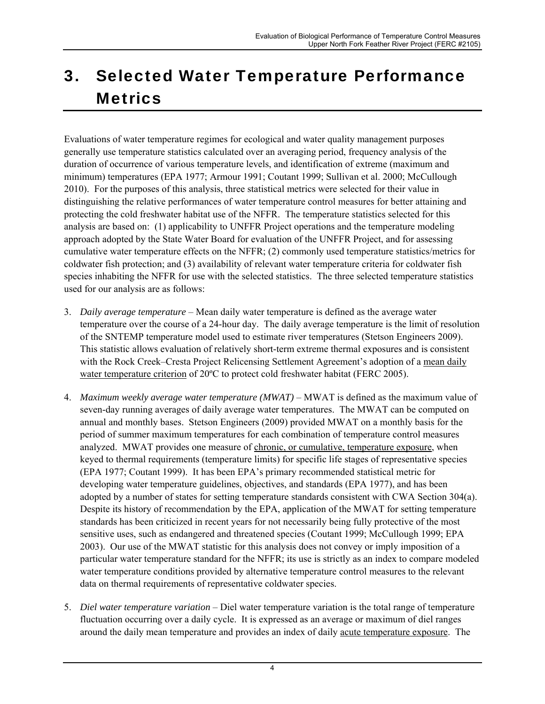# <span id="page-18-1"></span><span id="page-18-0"></span>3. Selected Water Temperature Performance **Metrics**

Evaluations of water temperature regimes for ecological and water quality management purposes generally use temperature statistics calculated over an averaging period, frequency analysis of the duration of occurrence of various temperature levels, and identification of extreme (maximum and minimum) temperatures (EPA 1977; Armour 1991; Coutant 1999; Sullivan et al. 2000; McCullough 2010). For the purposes of this analysis, three statistical metrics were selected for their value in distinguishing the relative performances of water temperature control measures for better attaining and protecting the cold freshwater habitat use of the NFFR. The temperature statistics selected for this analysis are based on: (1) applicability to UNFFR Project operations and the temperature modeling approach adopted by the State Water Board for evaluation of the UNFFR Project, and for assessing cumulative water temperature effects on the NFFR; (2) commonly used temperature statistics/metrics for coldwater fish protection; and (3) availability of relevant water temperature criteria for coldwater fish species inhabiting the NFFR for use with the selected statistics. The three selected temperature statistics used for our analysis are as follows:

- 3. *Daily average temperature* Mean daily water temperature is defined as the average water temperature over the course of a 24-hour day. The daily average temperature is the limit of resolution of the SNTEMP temperature model used to estimate river temperatures (Stetson Engineers 2009). This statistic allows evaluation of relatively short-term extreme thermal exposures and is consistent with the Rock Creek–Cresta Project Relicensing Settlement Agreement's adoption of a mean daily water temperature criterion of 20°C to protect cold freshwater habitat (FERC 2005).
- 4. *Maximum weekly average water temperature (MWAT)* MWAT is defined as the maximum value of seven-day running averages of daily average water temperatures. The MWAT can be computed on annual and monthly bases. Stetson Engineers (2009) provided MWAT on a monthly basis for the period of summer maximum temperatures for each combination of temperature control measures analyzed. MWAT provides one measure of chronic, or cumulative, temperature exposure, when keyed to thermal requirements (temperature limits) for specific life stages of representative species (EPA 1977; Coutant 1999). It has been EPA's primary recommended statistical metric for developing water temperature guidelines, objectives, and standards (EPA 1977), and has been adopted by a number of states for setting temperature standards consistent with CWA Section 304(a). Despite its history of recommendation by the EPA, application of the MWAT for setting temperature standards has been criticized in recent years for not necessarily being fully protective of the most sensitive uses, such as endangered and threatened species (Coutant 1999; McCullough 1999; EPA 2003). Our use of the MWAT statistic for this analysis does not convey or imply imposition of a particular water temperature standard for the NFFR; its use is strictly as an index to compare modeled water temperature conditions provided by alternative temperature control measures to the relevant data on thermal requirements of representative coldwater species.
- 5. *Diel water temperature variation* Diel water temperature variation is the total range of temperature fluctuation occurring over a daily cycle. It is expressed as an average or maximum of diel ranges around the daily mean temperature and provides an index of daily acute temperature exposure. The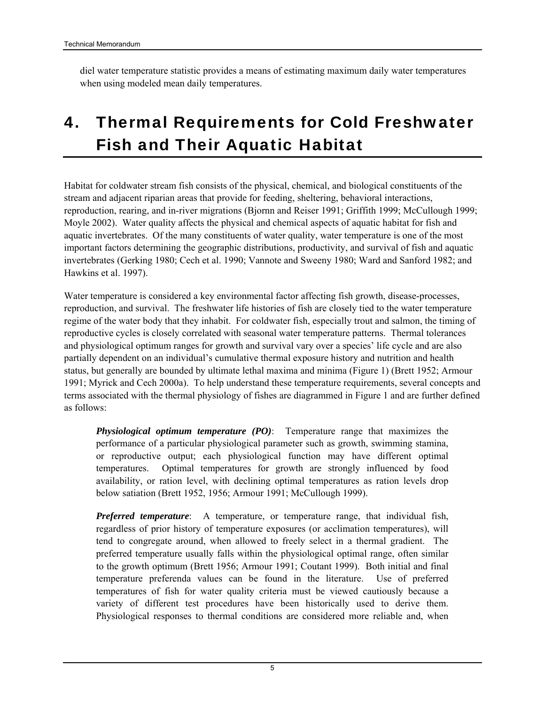<span id="page-19-0"></span>diel water temperature statistic provides a means of estimating maximum daily water temperatures when using modeled mean daily temperatures.

# <span id="page-19-1"></span>4. Thermal Requirements for Cold Freshwater Fish and Their Aquatic Habitat

Habitat for coldwater stream fish consists of the physical, chemical, and biological constituents of the stream and adjacent riparian areas that provide for feeding, sheltering, behavioral interactions, reproduction, rearing, and in-river migrations (Bjornn and Reiser 1991; Griffith 1999; McCullough 1999; Moyle 2002). Water quality affects the physical and chemical aspects of aquatic habitat for fish and aquatic invertebrates. Of the many constituents of water quality, water temperature is one of the most important factors determining the geographic distributions, productivity, and survival of fish and aquatic invertebrates (Gerking 1980; Cech et al. 1990; Vannote and Sweeny 1980; Ward and Sanford 1982; and Hawkins et al. 1997).

Water temperature is considered a key environmental factor affecting fish growth, disease-processes, reproduction, and survival. The freshwater life histories of fish are closely tied to the water temperature regime of the water body that they inhabit. For coldwater fish, especially trout and salmon, the timing of reproductive cycles is closely correlated with seasonal water temperature patterns. Thermal tolerances and physiological optimum ranges for growth and survival vary over a species' life cycle and are also partially dependent on an individual's cumulative thermal exposure history and nutrition and health status, but generally are bounded by ultimate lethal maxima and minima (Figure 1) (Brett 1952; Armour 1991; Myrick and Cech 2000a). To help understand these temperature requirements, several concepts and terms associated with the thermal physiology of fishes are diagrammed in Figure 1 and are further defined as follows:

*Physiological optimum temperature (PO)*: Temperature range that maximizes the performance of a particular physiological parameter such as growth, swimming stamina, or reproductive output; each physiological function may have different optimal temperatures. Optimal temperatures for growth are strongly influenced by food availability, or ration level, with declining optimal temperatures as ration levels drop below satiation (Brett 1952, 1956; Armour 1991; McCullough 1999).

*Preferred temperature*: A temperature, or temperature range, that individual fish, regardless of prior history of temperature exposures (or acclimation temperatures), will tend to congregate around, when allowed to freely select in a thermal gradient. The preferred temperature usually falls within the physiological optimal range, often similar to the growth optimum (Brett 1956; Armour 1991; Coutant 1999). Both initial and final temperature preferenda values can be found in the literature. Use of preferred temperatures of fish for water quality criteria must be viewed cautiously because a variety of different test procedures have been historically used to derive them. Physiological responses to thermal conditions are considered more reliable and, when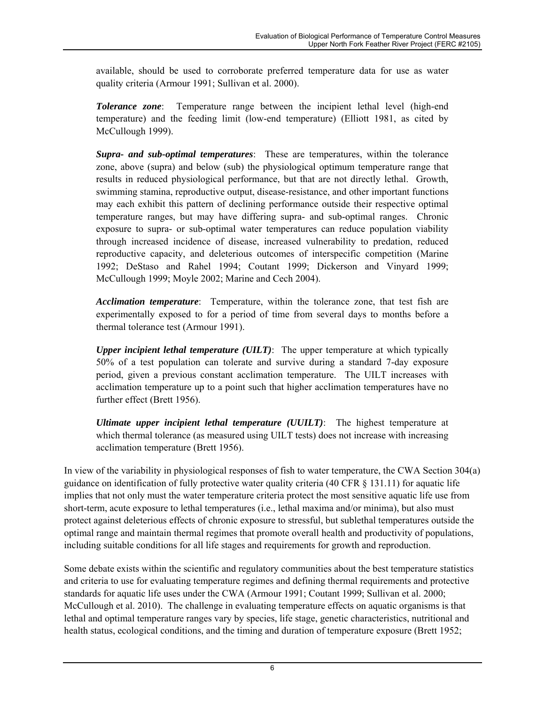available, should be used to corroborate preferred temperature data for use as water quality criteria (Armour 1991; Sullivan et al. 2000).

*Tolerance zone*: Temperature range between the incipient lethal level (high-end temperature) and the feeding limit (low-end temperature) (Elliott 1981, as cited by McCullough 1999).

*Supra- and sub-optimal temperatures*: These are temperatures, within the tolerance zone, above (supra) and below (sub) the physiological optimum temperature range that results in reduced physiological performance, but that are not directly lethal. Growth, swimming stamina, reproductive output, disease-resistance, and other important functions may each exhibit this pattern of declining performance outside their respective optimal temperature ranges, but may have differing supra- and sub-optimal ranges. Chronic exposure to supra- or sub-optimal water temperatures can reduce population viability through increased incidence of disease, increased vulnerability to predation, reduced reproductive capacity, and deleterious outcomes of interspecific competition (Marine 1992; DeStaso and Rahel 1994; Coutant 1999; Dickerson and Vinyard 1999; McCullough 1999; Moyle 2002; Marine and Cech 2004).

*Acclimation temperature*: Temperature, within the tolerance zone, that test fish are experimentally exposed to for a period of time from several days to months before a thermal tolerance test (Armour 1991).

*Upper incipient lethal temperature (UILT)*: The upper temperature at which typically 50% of a test population can tolerate and survive during a standard 7-day exposure period, given a previous constant acclimation temperature. The UILT increases with acclimation temperature up to a point such that higher acclimation temperatures have no further effect (Brett 1956).

*Ultimate upper incipient lethal temperature (UUILT)*: The highest temperature at which thermal tolerance (as measured using UILT tests) does not increase with increasing acclimation temperature (Brett 1956).

In view of the variability in physiological responses of fish to water temperature, the CWA Section 304(a) guidance on identification of fully protective water quality criteria (40 CFR  $\S$  131.11) for aquatic life implies that not only must the water temperature criteria protect the most sensitive aquatic life use from short-term, acute exposure to lethal temperatures (i.e., lethal maxima and/or minima), but also must protect against deleterious effects of chronic exposure to stressful, but sublethal temperatures outside the optimal range and maintain thermal regimes that promote overall health and productivity of populations, including suitable conditions for all life stages and requirements for growth and reproduction.

Some debate exists within the scientific and regulatory communities about the best temperature statistics and criteria to use for evaluating temperature regimes and defining thermal requirements and protective standards for aquatic life uses under the CWA (Armour 1991; Coutant 1999; Sullivan et al. 2000; McCullough et al. 2010). The challenge in evaluating temperature effects on aquatic organisms is that lethal and optimal temperature ranges vary by species, life stage, genetic characteristics, nutritional and health status, ecological conditions, and the timing and duration of temperature exposure (Brett 1952;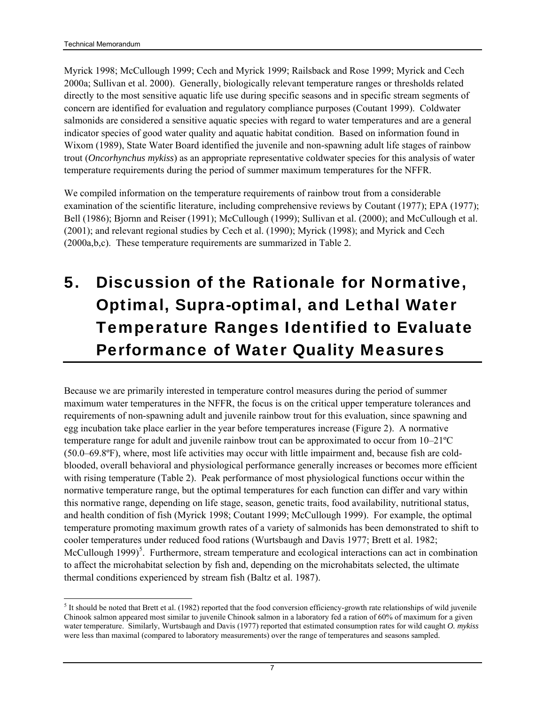<span id="page-21-0"></span>Myrick 1998; McCullough 1999; Cech and Myrick 1999; Railsback and Rose 1999; Myrick and Cech 2000a; Sullivan et al. 2000). Generally, biologically relevant temperature ranges or thresholds related directly to the most sensitive aquatic life use during specific seasons and in specific stream segments of concern are identified for evaluation and regulatory compliance purposes (Coutant 1999). Coldwater salmonids are considered a sensitive aquatic species with regard to water temperatures and are a general indicator species of good water quality and aquatic habitat condition. Based on information found in Wixom (1989), State Water Board identified the juvenile and non-spawning adult life stages of rainbow trout (*Oncorhynchus mykiss*) as an appropriate representative coldwater species for this analysis of water temperature requirements during the period of summer maximum temperatures for the NFFR.

We compiled information on the temperature requirements of rainbow trout from a considerable examination of the scientific literature, including comprehensive reviews by Coutant (1977); EPA (1977); Bell (1986); Bjornn and Reiser (1991); McCullough (1999); Sullivan et al. (2000); and McCullough et al. (2001); and relevant regional studies by Cech et al. (1990); Myrick (1998); and Myrick and Cech (2000a,b,c). These temperature requirements are summarized in Table 2.

# <span id="page-21-1"></span>5. Discussion of the Rationale for Normative, Optimal, Supra-optimal, and Lethal Water Temperature Ranges Identified to Evaluate Performance of Water Quality Measures

Because we are primarily interested in temperature control measures during the period of summer maximum water temperatures in the NFFR, the focus is on the critical upper temperature tolerances and requirements of non-spawning adult and juvenile rainbow trout for this evaluation, since spawning and egg incubation take place earlier in the year before temperatures increase (Figure 2). A normative temperature range for adult and juvenile rainbow trout can be approximated to occur from 10–21ºC (50.0–69.8ºF), where, most life activities may occur with little impairment and, because fish are coldblooded, overall behavioral and physiological performance generally increases or becomes more efficient with rising temperature (Table 2). Peak performance of most physiological functions occur within the normative temperature range, but the optimal temperatures for each function can differ and vary within this normative range, depending on life stage, season, genetic traits, food availability, nutritional status, and health condition of fish (Myrick 1998; Coutant 1999; McCullough 1999). For example, the optimal temperature promoting maximum growth rates of a variety of salmonids has been demonstrated to shift to cooler temperatures under reduced food rations (Wurtsbaugh and Davis 1977; Brett et al. 1982; McCullough 1999)<sup>[5](#page-21-0)</sup>. Furthermore, stream temperature and ecological interactions can act in combination to affect the microhabitat selection by fish and, depending on the microhabitats selected, the ultimate thermal conditions experienced by stream fish (Baltz et al. 1987).

<sup>1</sup>  $<sup>5</sup>$  It should be noted that Brett et al. (1982) reported that the food conversion efficiency-growth rate relationships of wild juvenile</sup> Chinook salmon appeared most similar to juvenile Chinook salmon in a laboratory fed a ration of 60% of maximum for a given water temperature. Similarly, Wurtsbaugh and Davis (1977) reported that estimated consumption rates for wild caught *O. mykiss* were less than maximal (compared to laboratory measurements) over the range of temperatures and seasons sampled.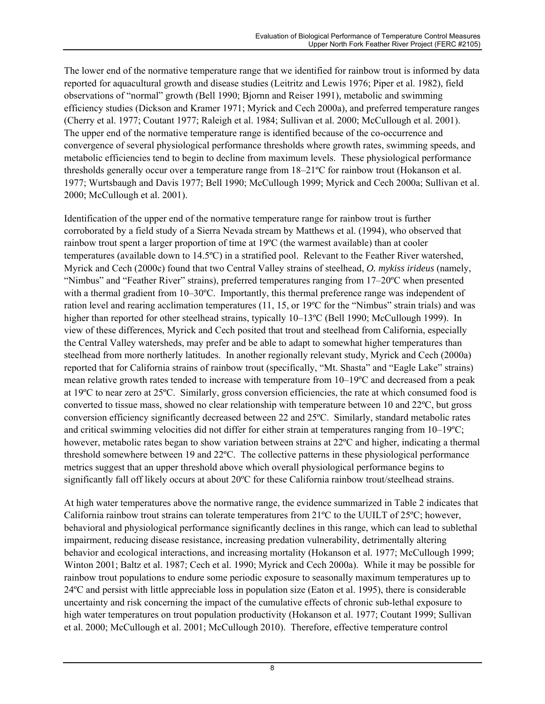The lower end of the normative temperature range that we identified for rainbow trout is informed by data reported for aquacultural growth and disease studies (Leitritz and Lewis 1976; Piper et al. 1982), field observations of "normal" growth (Bell 1990; Bjornn and Reiser 1991), metabolic and swimming efficiency studies (Dickson and Kramer 1971; Myrick and Cech 2000a), and preferred temperature ranges (Cherry et al. 1977; Coutant 1977; Raleigh et al. 1984; Sullivan et al. 2000; McCullough et al. 2001). The upper end of the normative temperature range is identified because of the co-occurrence and convergence of several physiological performance thresholds where growth rates, swimming speeds, and metabolic efficiencies tend to begin to decline from maximum levels. These physiological performance thresholds generally occur over a temperature range from 18–21ºC for rainbow trout (Hokanson et al. 1977; Wurtsbaugh and Davis 1977; Bell 1990; McCullough 1999; Myrick and Cech 2000a; Sullivan et al. 2000; McCullough et al. 2001).

Identification of the upper end of the normative temperature range for rainbow trout is further corroborated by a field study of a Sierra Nevada stream by Matthews et al. (1994), who observed that rainbow trout spent a larger proportion of time at 19ºC (the warmest available) than at cooler temperatures (available down to 14.5ºC) in a stratified pool. Relevant to the Feather River watershed, Myrick and Cech (2000c) found that two Central Valley strains of steelhead, *O. mykiss irideus* (namely, "Nimbus" and "Feather River" strains), preferred temperatures ranging from 17–20ºC when presented with a thermal gradient from 10–30°C. Importantly, this thermal preference range was independent of ration level and rearing acclimation temperatures (11, 15, or 19ºC for the "Nimbus" strain trials) and was higher than reported for other steelhead strains, typically 10–13°C (Bell 1990; McCullough 1999). In view of these differences, Myrick and Cech posited that trout and steelhead from California, especially the Central Valley watersheds, may prefer and be able to adapt to somewhat higher temperatures than steelhead from more northerly latitudes. In another regionally relevant study, Myrick and Cech (2000a) reported that for California strains of rainbow trout (specifically, "Mt. Shasta" and "Eagle Lake" strains) mean relative growth rates tended to increase with temperature from 10–19ºC and decreased from a peak at 19ºC to near zero at 25ºC. Similarly, gross conversion efficiencies, the rate at which consumed food is converted to tissue mass, showed no clear relationship with temperature between 10 and 22ºC, but gross conversion efficiency significantly decreased between 22 and 25ºC. Similarly, standard metabolic rates and critical swimming velocities did not differ for either strain at temperatures ranging from 10–19ºC; however, metabolic rates began to show variation between strains at 22ºC and higher, indicating a thermal threshold somewhere between 19 and 22ºC. The collective patterns in these physiological performance metrics suggest that an upper threshold above which overall physiological performance begins to significantly fall off likely occurs at about 20ºC for these California rainbow trout/steelhead strains.

At high water temperatures above the normative range, the evidence summarized in Table 2 indicates that California rainbow trout strains can tolerate temperatures from  $21^{\circ}$ C to the UUILT of  $25^{\circ}$ C; however, behavioral and physiological performance significantly declines in this range, which can lead to sublethal impairment, reducing disease resistance, increasing predation vulnerability, detrimentally altering behavior and ecological interactions, and increasing mortality (Hokanson et al. 1977; McCullough 1999; Winton 2001; Baltz et al. 1987; Cech et al. 1990; Myrick and Cech 2000a). While it may be possible for rainbow trout populations to endure some periodic exposure to seasonally maximum temperatures up to 24ºC and persist with little appreciable loss in population size (Eaton et al. 1995), there is considerable uncertainty and risk concerning the impact of the cumulative effects of chronic sub-lethal exposure to high water temperatures on trout population productivity (Hokanson et al. 1977; Coutant 1999; Sullivan et al. 2000; McCullough et al. 2001; McCullough 2010). Therefore, effective temperature control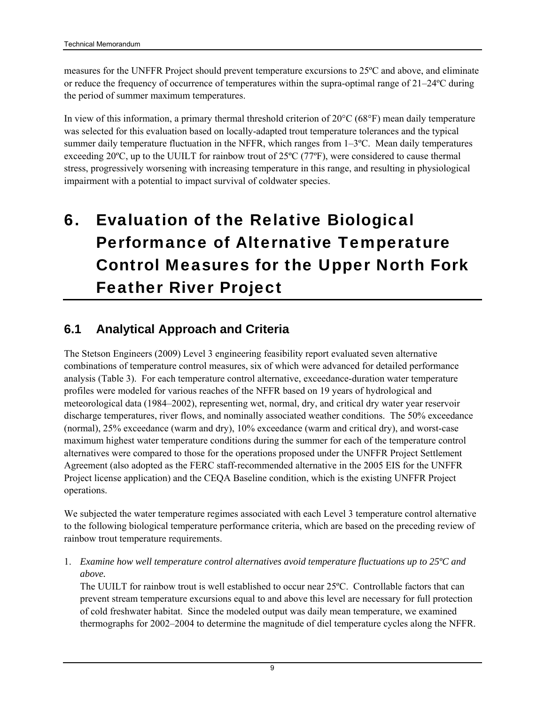<span id="page-23-0"></span>measures for the UNFFR Project should prevent temperature excursions to 25ºC and above, and eliminate or reduce the frequency of occurrence of temperatures within the supra-optimal range of 21–24ºC during the period of summer maximum temperatures.

In view of this information, a primary thermal threshold criterion of 20°C (68°F) mean daily temperature was selected for this evaluation based on locally-adapted trout temperature tolerances and the typical summer daily temperature fluctuation in the NFFR, which ranges from 1–3ºC. Mean daily temperatures exceeding 20ºC, up to the UUILT for rainbow trout of 25ºC (77ºF), were considered to cause thermal stress, progressively worsening with increasing temperature in this range, and resulting in physiological impairment with a potential to impact survival of coldwater species.

# <span id="page-23-1"></span>6. Evaluation of the Relative Biological Performance of Alternative Temperature Control Measures for the Upper North Fork Feather River Project

#### <span id="page-23-2"></span>**6.1 Analytical Approach and Criteria**

The Stetson Engineers (2009) Level 3 engineering feasibility report evaluated seven alternative combinations of temperature control measures, six of which were advanced for detailed performance analysis (Table 3). For each temperature control alternative, exceedance-duration water temperature profiles were modeled for various reaches of the NFFR based on 19 years of hydrological and meteorological data (1984–2002), representing wet, normal, dry, and critical dry water year reservoir discharge temperatures, river flows, and nominally associated weather conditions. The 50% exceedance (normal), 25% exceedance (warm and dry), 10% exceedance (warm and critical dry), and worst-case maximum highest water temperature conditions during the summer for each of the temperature control alternatives were compared to those for the operations proposed under the UNFFR Project Settlement Agreement (also adopted as the FERC staff-recommended alternative in the 2005 EIS for the UNFFR Project license application) and the CEQA Baseline condition, which is the existing UNFFR Project operations.

We subjected the water temperature regimes associated with each Level 3 temperature control alternative to the following biological temperature performance criteria, which are based on the preceding review of rainbow trout temperature requirements.

1. *Examine how well temperature control alternatives avoid temperature fluctuations up to 25ºC and above.* 

The UUILT for rainbow trout is well established to occur near 25ºC. Controllable factors that can prevent stream temperature excursions equal to and above this level are necessary for full protection of cold freshwater habitat. Since the modeled output was daily mean temperature, we examined thermographs for 2002–2004 to determine the magnitude of diel temperature cycles along the NFFR.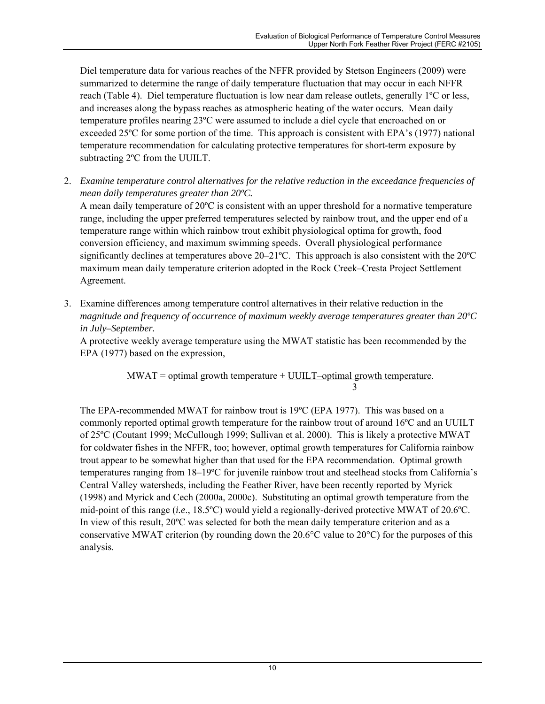Diel temperature data for various reaches of the NFFR provided by Stetson Engineers (2009) were summarized to determine the range of daily temperature fluctuation that may occur in each NFFR reach (Table 4). Diel temperature fluctuation is low near dam release outlets, generally 1ºC or less, and increases along the bypass reaches as atmospheric heating of the water occurs. Mean daily temperature profiles nearing 23ºC were assumed to include a diel cycle that encroached on or exceeded 25ºC for some portion of the time. This approach is consistent with EPA's (1977) national temperature recommendation for calculating protective temperatures for short-term exposure by subtracting 2ºC from the UUILT.

2. *Examine temperature control alternatives for the relative reduction in the exceedance frequencies of mean daily temperatures greater than 20ºC.* 

A mean daily temperature of 20ºC is consistent with an upper threshold for a normative temperature range, including the upper preferred temperatures selected by rainbow trout, and the upper end of a temperature range within which rainbow trout exhibit physiological optima for growth, food conversion efficiency, and maximum swimming speeds. Overall physiological performance significantly declines at temperatures above  $20-21$ °C. This approach is also consistent with the  $20^{\circ}$ C maximum mean daily temperature criterion adopted in the Rock Creek–Cresta Project Settlement Agreement.

3. Examine differences among temperature control alternatives in their relative reduction in the *magnitude and frequency of occurrence of maximum weekly average temperatures greater than 20ºC in July–September.*

A protective weekly average temperature using the MWAT statistic has been recommended by the EPA (1977) based on the expression,

 $MWAT =$  optimal growth temperature + UUILT–optimal growth temperature. 3

The EPA-recommended MWAT for rainbow trout is 19ºC (EPA 1977). This was based on a commonly reported optimal growth temperature for the rainbow trout of around 16ºC and an UUILT of 25ºC (Coutant 1999; McCullough 1999; Sullivan et al. 2000). This is likely a protective MWAT for coldwater fishes in the NFFR, too; however, optimal growth temperatures for California rainbow trout appear to be somewhat higher than that used for the EPA recommendation. Optimal growth temperatures ranging from 18–19ºC for juvenile rainbow trout and steelhead stocks from California's Central Valley watersheds, including the Feather River, have been recently reported by Myrick (1998) and Myrick and Cech (2000a, 2000c). Substituting an optimal growth temperature from the mid-point of this range (*i.e*., 18.5ºC) would yield a regionally-derived protective MWAT of 20.6ºC. In view of this result, 20ºC was selected for both the mean daily temperature criterion and as a conservative MWAT criterion (by rounding down the 20.6 $\degree$ C value to 20 $\degree$ C) for the purposes of this analysis.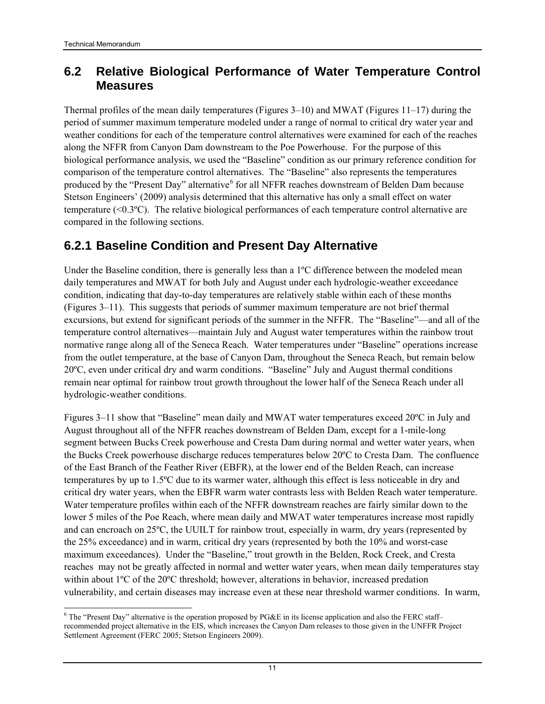#### <span id="page-25-1"></span><span id="page-25-0"></span>**6.2 Relative Biological Performance of Water Temperature Control Measures**

Thermal profiles of the mean daily temperatures (Figures 3–10) and MWAT (Figures 11–17) during the period of summer maximum temperature modeled under a range of normal to critical dry water year and weather conditions for each of the temperature control alternatives were examined for each of the reaches along the NFFR from Canyon Dam downstream to the Poe Powerhouse. For the purpose of this biological performance analysis, we used the "Baseline" condition as our primary reference condition for comparison of the temperature control alternatives. The "Baseline" also represents the temperatures produced by the "Present Day" alternative <sup>[6](#page-25-0)</sup> for all NFFR reaches downstream of Belden Dam because Stetson Engineers' (2009) analysis determined that this alternative has only a small effect on water temperature (<0.3ºC). The relative biological performances of each temperature control alternative are compared in the following sections.

### <span id="page-25-2"></span>**6.2.1 Baseline Condition and Present Day Alternative**

Under the Baseline condition, there is generally less than a 1<sup>o</sup>C difference between the modeled mean daily temperatures and MWAT for both July and August under each hydrologic-weather exceedance condition, indicating that day-to-day temperatures are relatively stable within each of these months (Figures 3–11). This suggests that periods of summer maximum temperature are not brief thermal excursions, but extend for significant periods of the summer in the NFFR. The "Baseline"—and all of the temperature control alternatives—maintain July and August water temperatures within the rainbow trout normative range along all of the Seneca Reach. Water temperatures under "Baseline" operations increase from the outlet temperature, at the base of Canyon Dam, throughout the Seneca Reach, but remain below 20ºC, even under critical dry and warm conditions. "Baseline" July and August thermal conditions remain near optimal for rainbow trout growth throughout the lower half of the Seneca Reach under all hydrologic-weather conditions.

Figures 3–11 show that "Baseline" mean daily and MWAT water temperatures exceed 20ºC in July and August throughout all of the NFFR reaches downstream of Belden Dam, except for a 1-mile-long segment between Bucks Creek powerhouse and Cresta Dam during normal and wetter water years, when the Bucks Creek powerhouse discharge reduces temperatures below 20ºC to Cresta Dam. The confluence of the East Branch of the Feather River (EBFR), at the lower end of the Belden Reach, can increase temperatures by up to 1.5ºC due to its warmer water, although this effect is less noticeable in dry and critical dry water years, when the EBFR warm water contrasts less with Belden Reach water temperature. Water temperature profiles within each of the NFFR downstream reaches are fairly similar down to the lower 5 miles of the Poe Reach, where mean daily and MWAT water temperatures increase most rapidly and can encroach on 25ºC, the UUILT for rainbow trout, especially in warm, dry years (represented by the 25% exceedance) and in warm, critical dry years (represented by both the 10% and worst-case maximum exceedances). Under the "Baseline," trout growth in the Belden, Rock Creek, and Cresta reaches may not be greatly affected in normal and wetter water years, when mean daily temperatures stay within about 1<sup>o</sup>C of the 20<sup>o</sup>C threshold; however, alterations in behavior, increased predation vulnerability, and certain diseases may increase even at these near threshold warmer conditions. In warm,

 $\overline{\phantom{a}}$  $6$  The "Present Day" alternative is the operation proposed by PG&E in its license application and also the FERC staff– recommended project alternative in the EIS, which increases the Canyon Dam releases to those given in the UNFFR Project Settlement Agreement (FERC 2005; Stetson Engineers 2009).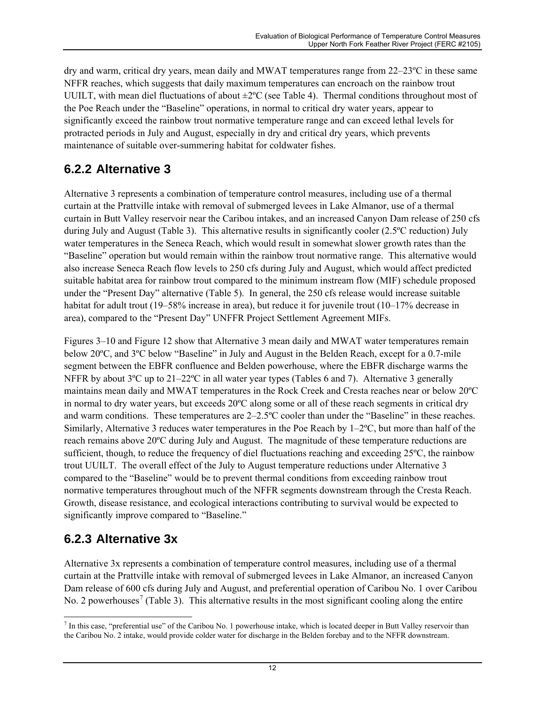<span id="page-26-0"></span>dry and warm, critical dry years, mean daily and MWAT temperatures range from 22–23ºC in these same NFFR reaches, which suggests that daily maximum temperatures can encroach on the rainbow trout UUILT, with mean diel fluctuations of about ±2ºC (see Table 4). Thermal conditions throughout most of the Poe Reach under the "Baseline" operations, in normal to critical dry water years, appear to significantly exceed the rainbow trout normative temperature range and can exceed lethal levels for protracted periods in July and August, especially in dry and critical dry years, which prevents maintenance of suitable over-summering habitat for coldwater fishes.

### <span id="page-26-1"></span>**6.2.2 Alternative 3**

Alternative 3 represents a combination of temperature control measures, including use of a thermal curtain at the Prattville intake with removal of submerged levees in Lake Almanor, use of a thermal curtain in Butt Valley reservoir near the Caribou intakes, and an increased Canyon Dam release of 250 cfs during July and August (Table 3). This alternative results in significantly cooler (2.5ºC reduction) July water temperatures in the Seneca Reach, which would result in somewhat slower growth rates than the "Baseline" operation but would remain within the rainbow trout normative range. This alternative would also increase Seneca Reach flow levels to 250 cfs during July and August, which would affect predicted suitable habitat area for rainbow trout compared to the minimum instream flow (MIF) schedule proposed under the "Present Day" alternative (Table 5). In general, the 250 cfs release would increase suitable habitat for adult trout (19–58% increase in area), but reduce it for juvenile trout (10–17% decrease in area), compared to the "Present Day" UNFFR Project Settlement Agreement MIFs.

Figures 3–10 and Figure 12 show that Alternative 3 mean daily and MWAT water temperatures remain below 20ºC, and 3ºC below "Baseline" in July and August in the Belden Reach, except for a 0.7-mile segment between the EBFR confluence and Belden powerhouse, where the EBFR discharge warms the NFFR by about  $3^{\circ}$ C up to  $21-22^{\circ}$ C in all water year types (Tables 6 and 7). Alternative 3 generally maintains mean daily and MWAT temperatures in the Rock Creek and Cresta reaches near or below 20ºC in normal to dry water years, but exceeds 20ºC along some or all of these reach segments in critical dry and warm conditions. These temperatures are 2–2.5ºC cooler than under the "Baseline" in these reaches. Similarly, Alternative 3 reduces water temperatures in the Poe Reach by 1–2ºC, but more than half of the reach remains above 20ºC during July and August. The magnitude of these temperature reductions are sufficient, though, to reduce the frequency of diel fluctuations reaching and exceeding 25ºC, the rainbow trout UUILT. The overall effect of the July to August temperature reductions under Alternative 3 compared to the "Baseline" would be to prevent thermal conditions from exceeding rainbow trout normative temperatures throughout much of the NFFR segments downstream through the Cresta Reach. Growth, disease resistance, and ecological interactions contributing to survival would be expected to significantly improve compared to "Baseline."

### <span id="page-26-2"></span>**6.2.3 Alternative 3x**

Alternative 3x represents a combination of temperature control measures, including use of a thermal curtain at the Prattville intake with removal of submerged levees in Lake Almanor, an increased Canyon Dam release of 600 cfs during July and August, and preferential operation of Caribou No. 1 over Caribou No. 2 powerhouses<sup>[7](#page-26-0)</sup> (Table 3). This alternative results in the most significant cooling along the entire

The state of the Caribou No. 1 powerhouse intake, which is located deeper in Butt Valley reservoir than the Caribou No. 2 intake, would provide colder water for discharge in the Belden forebay and to the NFFR downstream.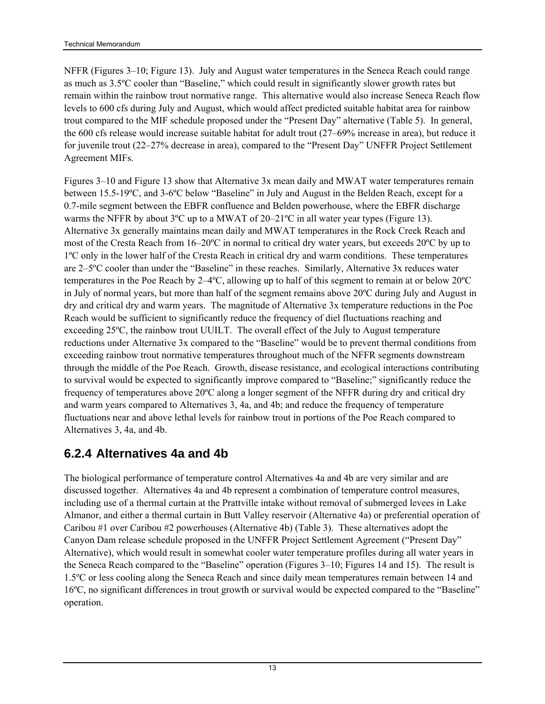<span id="page-27-0"></span>NFFR (Figures 3–10; Figure 13). July and August water temperatures in the Seneca Reach could range as much as 3.5ºC cooler than "Baseline," which could result in significantly slower growth rates but remain within the rainbow trout normative range. This alternative would also increase Seneca Reach flow levels to 600 cfs during July and August, which would affect predicted suitable habitat area for rainbow trout compared to the MIF schedule proposed under the "Present Day" alternative (Table 5). In general, the 600 cfs release would increase suitable habitat for adult trout (27–69% increase in area), but reduce it for juvenile trout (22–27% decrease in area), compared to the "Present Day" UNFFR Project Settlement Agreement MIFs.

Figures 3–10 and Figure 13 show that Alternative 3x mean daily and MWAT water temperatures remain between 15.5-19ºC, and 3-6ºC below "Baseline" in July and August in the Belden Reach, except for a 0.7-mile segment between the EBFR confluence and Belden powerhouse, where the EBFR discharge warms the NFFR by about  $3^{\circ}$ C up to a MWAT of  $20-21^{\circ}$ C in all water year types (Figure 13). Alternative 3x generally maintains mean daily and MWAT temperatures in the Rock Creek Reach and most of the Cresta Reach from 16–20ºC in normal to critical dry water years, but exceeds 20ºC by up to 1ºC only in the lower half of the Cresta Reach in critical dry and warm conditions. These temperatures are 2–5ºC cooler than under the "Baseline" in these reaches. Similarly, Alternative 3x reduces water temperatures in the Poe Reach by 2–4ºC, allowing up to half of this segment to remain at or below 20ºC in July of normal years, but more than half of the segment remains above 20ºC during July and August in dry and critical dry and warm years. The magnitude of Alternative 3x temperature reductions in the Poe Reach would be sufficient to significantly reduce the frequency of diel fluctuations reaching and exceeding 25ºC, the rainbow trout UUILT. The overall effect of the July to August temperature reductions under Alternative 3x compared to the "Baseline" would be to prevent thermal conditions from exceeding rainbow trout normative temperatures throughout much of the NFFR segments downstream through the middle of the Poe Reach. Growth, disease resistance, and ecological interactions contributing to survival would be expected to significantly improve compared to "Baseline;" significantly reduce the frequency of temperatures above 20ºC along a longer segment of the NFFR during dry and critical dry and warm years compared to Alternatives 3, 4a, and 4b; and reduce the frequency of temperature fluctuations near and above lethal levels for rainbow trout in portions of the Poe Reach compared to Alternatives 3, 4a, and 4b.

### <span id="page-27-1"></span>**6.2.4 Alternatives 4a and 4b**

The biological performance of temperature control Alternatives 4a and 4b are very similar and are discussed together. Alternatives 4a and 4b represent a combination of temperature control measures, including use of a thermal curtain at the Prattville intake without removal of submerged levees in Lake Almanor, and either a thermal curtain in Butt Valley reservoir (Alternative 4a) or preferential operation of Caribou #1 over Caribou #2 powerhouses (Alternative 4b) (Table 3). These alternatives adopt the Canyon Dam release schedule proposed in the UNFFR Project Settlement Agreement ("Present Day" Alternative), which would result in somewhat cooler water temperature profiles during all water years in the Seneca Reach compared to the "Baseline" operation (Figures 3–10; Figures 14 and 15). The result is 1.5ºC or less cooling along the Seneca Reach and since daily mean temperatures remain between 14 and 16ºC, no significant differences in trout growth or survival would be expected compared to the "Baseline" operation.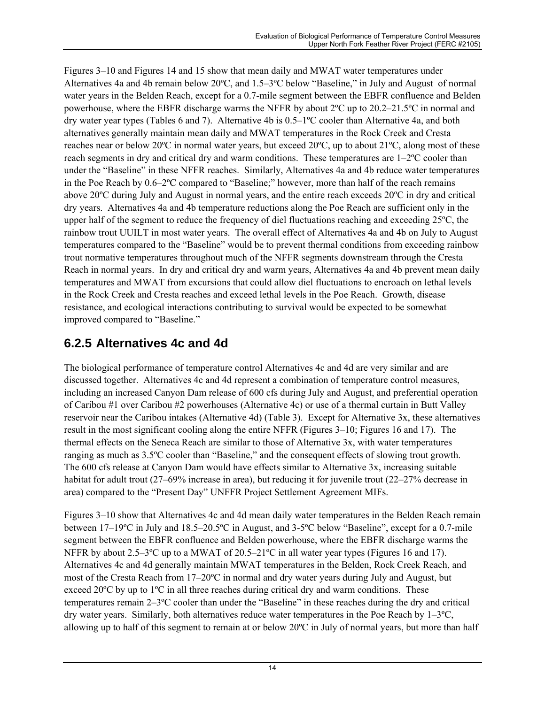<span id="page-28-0"></span>Figures 3–10 and Figures 14 and 15 show that mean daily and MWAT water temperatures under Alternatives 4a and 4b remain below 20ºC, and 1.5–3ºC below "Baseline," in July and August of normal water years in the Belden Reach, except for a 0.7-mile segment between the EBFR confluence and Belden powerhouse, where the EBFR discharge warms the NFFR by about 2ºC up to 20.2–21.5ºC in normal and dry water year types (Tables 6 and 7). Alternative 4b is 0.5–1ºC cooler than Alternative 4a, and both alternatives generally maintain mean daily and MWAT temperatures in the Rock Creek and Cresta reaches near or below 20ºC in normal water years, but exceed 20ºC, up to about 21ºC, along most of these reach segments in dry and critical dry and warm conditions. These temperatures are 1–2ºC cooler than under the "Baseline" in these NFFR reaches. Similarly, Alternatives 4a and 4b reduce water temperatures in the Poe Reach by 0.6–2ºC compared to "Baseline;" however, more than half of the reach remains above 20ºC during July and August in normal years, and the entire reach exceeds 20ºC in dry and critical dry years. Alternatives 4a and 4b temperature reductions along the Poe Reach are sufficient only in the upper half of the segment to reduce the frequency of diel fluctuations reaching and exceeding 25ºC, the rainbow trout UUILT in most water years. The overall effect of Alternatives 4a and 4b on July to August temperatures compared to the "Baseline" would be to prevent thermal conditions from exceeding rainbow trout normative temperatures throughout much of the NFFR segments downstream through the Cresta Reach in normal years. In dry and critical dry and warm years, Alternatives 4a and 4b prevent mean daily temperatures and MWAT from excursions that could allow diel fluctuations to encroach on lethal levels in the Rock Creek and Cresta reaches and exceed lethal levels in the Poe Reach. Growth, disease resistance, and ecological interactions contributing to survival would be expected to be somewhat improved compared to "Baseline."

### <span id="page-28-1"></span>**6.2.5 Alternatives 4c and 4d**

The biological performance of temperature control Alternatives 4c and 4d are very similar and are discussed together. Alternatives 4c and 4d represent a combination of temperature control measures, including an increased Canyon Dam release of 600 cfs during July and August, and preferential operation of Caribou #1 over Caribou #2 powerhouses (Alternative 4c) or use of a thermal curtain in Butt Valley reservoir near the Caribou intakes (Alternative 4d) (Table 3). Except for Alternative 3x, these alternatives result in the most significant cooling along the entire NFFR (Figures 3–10; Figures 16 and 17). The thermal effects on the Seneca Reach are similar to those of Alternative 3x, with water temperatures ranging as much as 3.5ºC cooler than "Baseline," and the consequent effects of slowing trout growth. The 600 cfs release at Canyon Dam would have effects similar to Alternative 3x, increasing suitable habitat for adult trout (27–69% increase in area), but reducing it for juvenile trout (22–27% decrease in area) compared to the "Present Day" UNFFR Project Settlement Agreement MIFs.

Figures 3–10 show that Alternatives 4c and 4d mean daily water temperatures in the Belden Reach remain between 17–19ºC in July and 18.5–20.5ºC in August, and 3-5ºC below "Baseline", except for a 0.7-mile segment between the EBFR confluence and Belden powerhouse, where the EBFR discharge warms the NFFR by about 2.5–3°C up to a MWAT of 20.5–21°C in all water year types (Figures 16 and 17). Alternatives 4c and 4d generally maintain MWAT temperatures in the Belden, Rock Creek Reach, and most of the Cresta Reach from 17–20ºC in normal and dry water years during July and August, but exceed 20 $\degree$ C by up to 1 $\degree$ C in all three reaches during critical dry and warm conditions. These temperatures remain 2–3ºC cooler than under the "Baseline" in these reaches during the dry and critical dry water years. Similarly, both alternatives reduce water temperatures in the Poe Reach by  $1-3^{\circ}C$ , allowing up to half of this segment to remain at or below  $20^{\circ}$ C in July of normal years, but more than half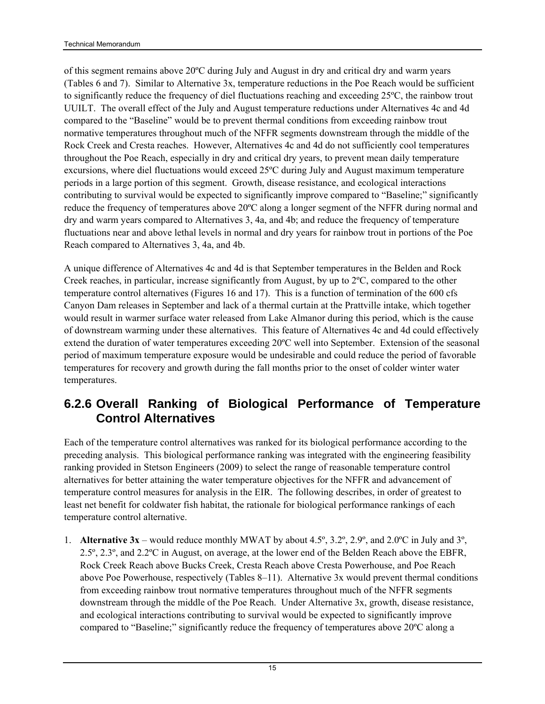<span id="page-29-0"></span>of this segment remains above 20ºC during July and August in dry and critical dry and warm years (Tables 6 and 7). Similar to Alternative 3x, temperature reductions in the Poe Reach would be sufficient to significantly reduce the frequency of diel fluctuations reaching and exceeding 25ºC, the rainbow trout UUILT. The overall effect of the July and August temperature reductions under Alternatives 4c and 4d compared to the "Baseline" would be to prevent thermal conditions from exceeding rainbow trout normative temperatures throughout much of the NFFR segments downstream through the middle of the Rock Creek and Cresta reaches. However, Alternatives 4c and 4d do not sufficiently cool temperatures throughout the Poe Reach, especially in dry and critical dry years, to prevent mean daily temperature excursions, where diel fluctuations would exceed 25ºC during July and August maximum temperature periods in a large portion of this segment. Growth, disease resistance, and ecological interactions contributing to survival would be expected to significantly improve compared to "Baseline;" significantly reduce the frequency of temperatures above 20ºC along a longer segment of the NFFR during normal and dry and warm years compared to Alternatives 3, 4a, and 4b; and reduce the frequency of temperature fluctuations near and above lethal levels in normal and dry years for rainbow trout in portions of the Poe Reach compared to Alternatives 3, 4a, and 4b.

A unique difference of Alternatives 4c and 4d is that September temperatures in the Belden and Rock Creek reaches, in particular, increase significantly from August, by up to 2ºC, compared to the other temperature control alternatives (Figures 16 and 17). This is a function of termination of the 600 cfs Canyon Dam releases in September and lack of a thermal curtain at the Prattville intake, which together would result in warmer surface water released from Lake Almanor during this period, which is the cause of downstream warming under these alternatives. This feature of Alternatives 4c and 4d could effectively extend the duration of water temperatures exceeding 20ºC well into September. Extension of the seasonal period of maximum temperature exposure would be undesirable and could reduce the period of favorable temperatures for recovery and growth during the fall months prior to the onset of colder winter water temperatures.

#### <span id="page-29-1"></span>**6.2.6 Overall Ranking of Biological Performance of Temperature Control Alternatives**

Each of the temperature control alternatives was ranked for its biological performance according to the preceding analysis. This biological performance ranking was integrated with the engineering feasibility ranking provided in Stetson Engineers (2009) to select the range of reasonable temperature control alternatives for better attaining the water temperature objectives for the NFFR and advancement of temperature control measures for analysis in the EIR. The following describes, in order of greatest to least net benefit for coldwater fish habitat, the rationale for biological performance rankings of each temperature control alternative.

1. **Alternative 3x** – would reduce monthly MWAT by about 4.5º, 3.2º, 2.9º, and 2.0ºC in July and 3º, 2.5º, 2.3º, and 2.2ºC in August, on average, at the lower end of the Belden Reach above the EBFR, Rock Creek Reach above Bucks Creek, Cresta Reach above Cresta Powerhouse, and Poe Reach above Poe Powerhouse, respectively (Tables 8–11). Alternative 3x would prevent thermal conditions from exceeding rainbow trout normative temperatures throughout much of the NFFR segments downstream through the middle of the Poe Reach. Under Alternative 3x, growth, disease resistance, and ecological interactions contributing to survival would be expected to significantly improve compared to "Baseline;" significantly reduce the frequency of temperatures above 20ºC along a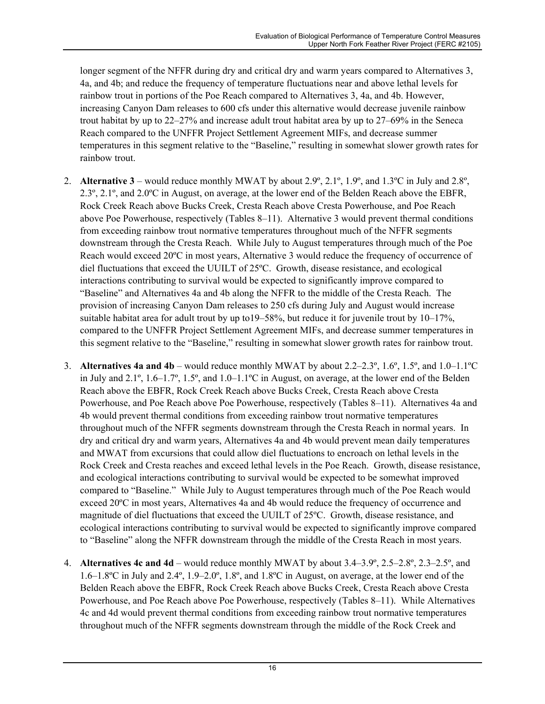longer segment of the NFFR during dry and critical dry and warm years compared to Alternatives 3, 4a, and 4b; and reduce the frequency of temperature fluctuations near and above lethal levels for rainbow trout in portions of the Poe Reach compared to Alternatives 3, 4a, and 4b. However, increasing Canyon Dam releases to 600 cfs under this alternative would decrease juvenile rainbow trout habitat by up to 22–27% and increase adult trout habitat area by up to 27–69% in the Seneca Reach compared to the UNFFR Project Settlement Agreement MIFs, and decrease summer temperatures in this segment relative to the "Baseline," resulting in somewhat slower growth rates for rainbow trout.

- 2. **Alternative 3** would reduce monthly MWAT by about 2.9º, 2.1º, 1.9º, and 1.3ºC in July and 2.8º, 2.3º, 2.1º, and 2.0ºC in August, on average, at the lower end of the Belden Reach above the EBFR, Rock Creek Reach above Bucks Creek, Cresta Reach above Cresta Powerhouse, and Poe Reach above Poe Powerhouse, respectively (Tables 8–11). Alternative 3 would prevent thermal conditions from exceeding rainbow trout normative temperatures throughout much of the NFFR segments downstream through the Cresta Reach. While July to August temperatures through much of the Poe Reach would exceed 20ºC in most years, Alternative 3 would reduce the frequency of occurrence of diel fluctuations that exceed the UUILT of 25ºC. Growth, disease resistance, and ecological interactions contributing to survival would be expected to significantly improve compared to "Baseline" and Alternatives 4a and 4b along the NFFR to the middle of the Cresta Reach. The provision of increasing Canyon Dam releases to 250 cfs during July and August would increase suitable habitat area for adult trout by up to19–58%, but reduce it for juvenile trout by 10–17%, compared to the UNFFR Project Settlement Agreement MIFs, and decrease summer temperatures in this segment relative to the "Baseline," resulting in somewhat slower growth rates for rainbow trout.
- 3. **Alternatives 4a and 4b** would reduce monthly MWAT by about 2.2–2.3º, 1.6º, 1.5º, and 1.0–1.1ºC in July and  $2.1^\circ$ ,  $1.6-1.7^\circ$ ,  $1.5^\circ$ , and  $1.0-1.1^\circ$ C in August, on average, at the lower end of the Belden Reach above the EBFR, Rock Creek Reach above Bucks Creek, Cresta Reach above Cresta Powerhouse, and Poe Reach above Poe Powerhouse, respectively (Tables 8–11). Alternatives 4a and 4b would prevent thermal conditions from exceeding rainbow trout normative temperatures throughout much of the NFFR segments downstream through the Cresta Reach in normal years. In dry and critical dry and warm years, Alternatives 4a and 4b would prevent mean daily temperatures and MWAT from excursions that could allow diel fluctuations to encroach on lethal levels in the Rock Creek and Cresta reaches and exceed lethal levels in the Poe Reach. Growth, disease resistance, and ecological interactions contributing to survival would be expected to be somewhat improved compared to "Baseline." While July to August temperatures through much of the Poe Reach would exceed 20ºC in most years, Alternatives 4a and 4b would reduce the frequency of occurrence and magnitude of diel fluctuations that exceed the UUILT of 25ºC. Growth, disease resistance, and ecological interactions contributing to survival would be expected to significantly improve compared to "Baseline" along the NFFR downstream through the middle of the Cresta Reach in most years.
- 4. **Alternatives 4c and 4d**  would reduce monthly MWAT by about 3.4–3.9º, 2.5–2.8º, 2.3–2.5º, and 1.6–1.8ºC in July and 2.4º, 1.9–2.0º, 1.8º, and 1.8ºC in August, on average, at the lower end of the Belden Reach above the EBFR, Rock Creek Reach above Bucks Creek, Cresta Reach above Cresta Powerhouse, and Poe Reach above Poe Powerhouse, respectively (Tables 8–11). While Alternatives 4c and 4d would prevent thermal conditions from exceeding rainbow trout normative temperatures throughout much of the NFFR segments downstream through the middle of the Rock Creek and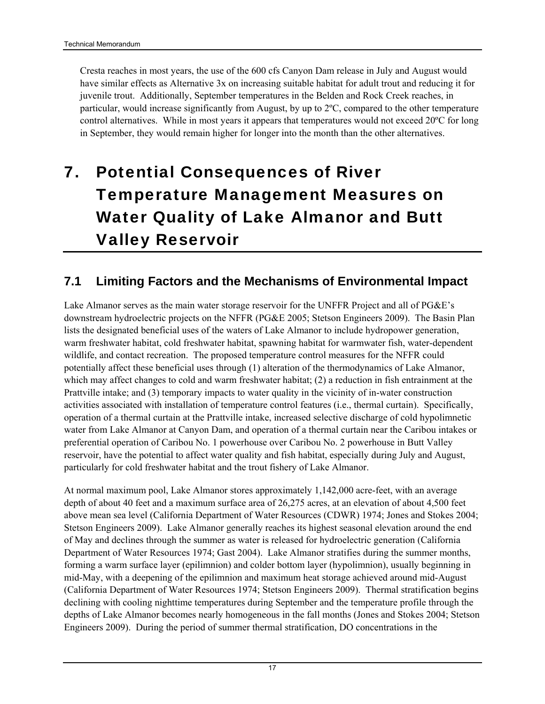<span id="page-31-0"></span>Cresta reaches in most years, the use of the 600 cfs Canyon Dam release in July and August would have similar effects as Alternative 3x on increasing suitable habitat for adult trout and reducing it for juvenile trout. Additionally, September temperatures in the Belden and Rock Creek reaches, in particular, would increase significantly from August, by up to 2ºC, compared to the other temperature control alternatives. While in most years it appears that temperatures would not exceed 20ºC for long in September, they would remain higher for longer into the month than the other alternatives.

# <span id="page-31-1"></span>7. Potential Consequences of River Temperature Management Measures on Water Quality of Lake Almanor and Butt Valley Reservoir

#### <span id="page-31-2"></span>**7.1 Limiting Factors and the Mechanisms of Environmental Impact**

Lake Almanor serves as the main water storage reservoir for the UNFFR Project and all of PG&E's downstream hydroelectric projects on the NFFR (PG&E 2005; Stetson Engineers 2009). The Basin Plan lists the designated beneficial uses of the waters of Lake Almanor to include hydropower generation, warm freshwater habitat, cold freshwater habitat, spawning habitat for warmwater fish, water-dependent wildlife, and contact recreation. The proposed temperature control measures for the NFFR could potentially affect these beneficial uses through (1) alteration of the thermodynamics of Lake Almanor, which may affect changes to cold and warm freshwater habitat; (2) a reduction in fish entrainment at the Prattville intake; and (3) temporary impacts to water quality in the vicinity of in-water construction activities associated with installation of temperature control features (i.e., thermal curtain). Specifically, operation of a thermal curtain at the Prattville intake, increased selective discharge of cold hypolimnetic water from Lake Almanor at Canyon Dam, and operation of a thermal curtain near the Caribou intakes or preferential operation of Caribou No. 1 powerhouse over Caribou No. 2 powerhouse in Butt Valley reservoir, have the potential to affect water quality and fish habitat, especially during July and August, particularly for cold freshwater habitat and the trout fishery of Lake Almanor.

At normal maximum pool, Lake Almanor stores approximately 1,142,000 acre-feet, with an average depth of about 40 feet and a maximum surface area of 26,275 acres, at an elevation of about 4,500 feet above mean sea level (California Department of Water Resources (CDWR) 1974; Jones and Stokes 2004; Stetson Engineers 2009). Lake Almanor generally reaches its highest seasonal elevation around the end of May and declines through the summer as water is released for hydroelectric generation (California Department of Water Resources 1974; Gast 2004). Lake Almanor stratifies during the summer months, forming a warm surface layer (epilimnion) and colder bottom layer (hypolimnion), usually beginning in mid-May, with a deepening of the epilimnion and maximum heat storage achieved around mid-August (California Department of Water Resources 1974; Stetson Engineers 2009). Thermal stratification begins declining with cooling nighttime temperatures during September and the temperature profile through the depths of Lake Almanor becomes nearly homogeneous in the fall months (Jones and Stokes 2004; Stetson Engineers 2009). During the period of summer thermal stratification, DO concentrations in the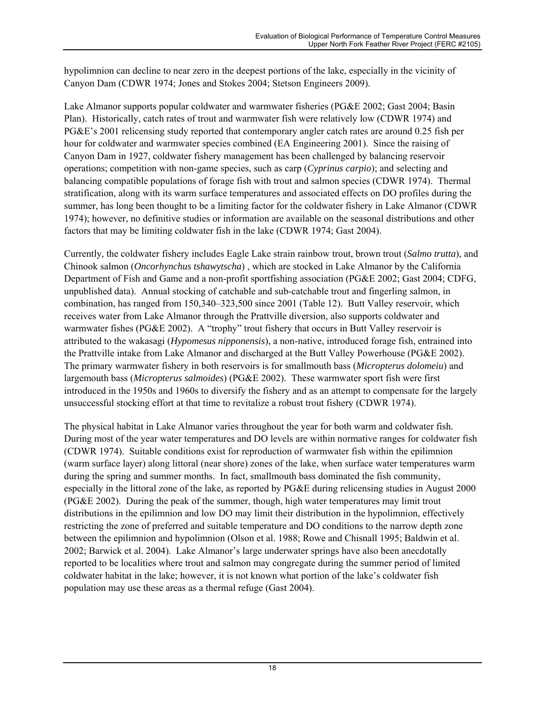hypolimnion can decline to near zero in the deepest portions of the lake, especially in the vicinity of Canyon Dam (CDWR 1974; Jones and Stokes 2004; Stetson Engineers 2009).

Lake Almanor supports popular coldwater and warmwater fisheries (PG&E 2002; Gast 2004; Basin Plan). Historically, catch rates of trout and warmwater fish were relatively low (CDWR 1974) and PG&E's 2001 relicensing study reported that contemporary angler catch rates are around 0.25 fish per hour for coldwater and warmwater species combined (EA Engineering 2001). Since the raising of Canyon Dam in 1927, coldwater fishery management has been challenged by balancing reservoir operations; competition with non-game species, such as carp (*Cyprinus carpio*); and selecting and balancing compatible populations of forage fish with trout and salmon species (CDWR 1974). Thermal stratification, along with its warm surface temperatures and associated effects on DO profiles during the summer, has long been thought to be a limiting factor for the coldwater fishery in Lake Almanor (CDWR 1974); however, no definitive studies or information are available on the seasonal distributions and other factors that may be limiting coldwater fish in the lake (CDWR 1974; Gast 2004).

Currently, the coldwater fishery includes Eagle Lake strain rainbow trout, brown trout (*Salmo trutta*), and Chinook salmon (*Oncorhynchus tshawytscha*) , which are stocked in Lake Almanor by the California Department of Fish and Game and a non-profit sportfishing association (PG&E 2002; Gast 2004; CDFG, unpublished data). Annual stocking of catchable and sub-catchable trout and fingerling salmon, in combination, has ranged from 150,340–323,500 since 2001 (Table 12). Butt Valley reservoir, which receives water from Lake Almanor through the Prattville diversion, also supports coldwater and warmwater fishes (PG&E 2002). A "trophy" trout fishery that occurs in Butt Valley reservoir is attributed to the wakasagi (*Hypomesus nipponensis*), a non-native, introduced forage fish, entrained into the Prattville intake from Lake Almanor and discharged at the Butt Valley Powerhouse (PG&E 2002). The primary warmwater fishery in both reservoirs is for smallmouth bass (*Micropterus dolomeiu*) and largemouth bass (*Micropterus salmoides*) (PG&E 2002). These warmwater sport fish were first introduced in the 1950s and 1960s to diversify the fishery and as an attempt to compensate for the largely unsuccessful stocking effort at that time to revitalize a robust trout fishery (CDWR 1974).

The physical habitat in Lake Almanor varies throughout the year for both warm and coldwater fish. During most of the year water temperatures and DO levels are within normative ranges for coldwater fish (CDWR 1974). Suitable conditions exist for reproduction of warmwater fish within the epilimnion (warm surface layer) along littoral (near shore) zones of the lake, when surface water temperatures warm during the spring and summer months. In fact, smallmouth bass dominated the fish community, especially in the littoral zone of the lake, as reported by PG&E during relicensing studies in August 2000 (PG&E 2002). During the peak of the summer, though, high water temperatures may limit trout distributions in the epilimnion and low DO may limit their distribution in the hypolimnion, effectively restricting the zone of preferred and suitable temperature and DO conditions to the narrow depth zone between the epilimnion and hypolimnion (Olson et al. 1988; Rowe and Chisnall 1995; Baldwin et al. 2002; Barwick et al. 2004). Lake Almanor's large underwater springs have also been anecdotally reported to be localities where trout and salmon may congregate during the summer period of limited coldwater habitat in the lake; however, it is not known what portion of the lake's coldwater fish population may use these areas as a thermal refuge (Gast 2004).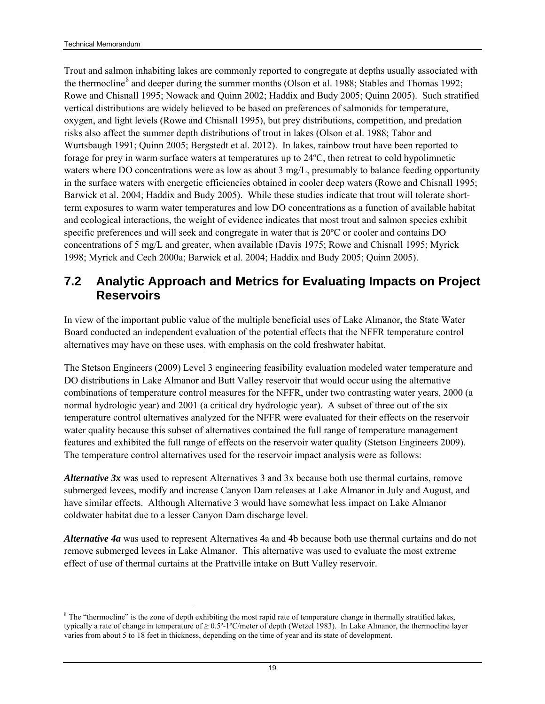l

<span id="page-33-0"></span>Trout and salmon inhabiting lakes are commonly reported to congregate at depths usually associated with the thermocline<sup>[8](#page-33-0)</sup> and deeper during the summer months (Olson et al. 1988; Stables and Thomas 1992; Rowe and Chisnall 1995; Nowack and Quinn 2002; Haddix and Budy 2005; Quinn 2005). Such stratified vertical distributions are widely believed to be based on preferences of salmonids for temperature, oxygen, and light levels (Rowe and Chisnall 1995), but prey distributions, competition, and predation risks also affect the summer depth distributions of trout in lakes (Olson et al. 1988; Tabor and Wurtsbaugh 1991; Quinn 2005; Bergstedt et al. 2012). In lakes, rainbow trout have been reported to forage for prey in warm surface waters at temperatures up to 24ºC, then retreat to cold hypolimnetic waters where DO concentrations were as low as about 3 mg/L, presumably to balance feeding opportunity in the surface waters with energetic efficiencies obtained in cooler deep waters (Rowe and Chisnall 1995; Barwick et al. 2004; Haddix and Budy 2005). While these studies indicate that trout will tolerate shortterm exposures to warm water temperatures and low DO concentrations as a function of available habitat and ecological interactions, the weight of evidence indicates that most trout and salmon species exhibit specific preferences and will seek and congregate in water that is 20ºC or cooler and contains DO concentrations of 5 mg/L and greater, when available (Davis 1975; Rowe and Chisnall 1995; Myrick 1998; Myrick and Cech 2000a; Barwick et al. 2004; Haddix and Budy 2005; Quinn 2005).

#### <span id="page-33-1"></span>**7.2 Analytic Approach and Metrics for Evaluating Impacts on Project Reservoirs**

In view of the important public value of the multiple beneficial uses of Lake Almanor, the State Water Board conducted an independent evaluation of the potential effects that the NFFR temperature control alternatives may have on these uses, with emphasis on the cold freshwater habitat.

The Stetson Engineers (2009) Level 3 engineering feasibility evaluation modeled water temperature and DO distributions in Lake Almanor and Butt Valley reservoir that would occur using the alternative combinations of temperature control measures for the NFFR, under two contrasting water years, 2000 (a normal hydrologic year) and 2001 (a critical dry hydrologic year). A subset of three out of the six temperature control alternatives analyzed for the NFFR were evaluated for their effects on the reservoir water quality because this subset of alternatives contained the full range of temperature management features and exhibited the full range of effects on the reservoir water quality (Stetson Engineers 2009). The temperature control alternatives used for the reservoir impact analysis were as follows:

*Alternative 3x* was used to represent Alternatives 3 and 3x because both use thermal curtains, remove submerged levees, modify and increase Canyon Dam releases at Lake Almanor in July and August, and have similar effects. Although Alternative 3 would have somewhat less impact on Lake Almanor coldwater habitat due to a lesser Canyon Dam discharge level.

*Alternative 4a* was used to represent Alternatives 4a and 4b because both use thermal curtains and do not remove submerged levees in Lake Almanor. This alternative was used to evaluate the most extreme effect of use of thermal curtains at the Prattville intake on Butt Valley reservoir.

 $8$  The "thermocline" is the zone of depth exhibiting the most rapid rate of temperature change in thermally stratified lakes, typically a rate of change in temperature of  $\geq 0.5^{\circ}$ -1°C/meter of depth (Wetzel 1983). In Lake Almanor, the thermocline layer varies from about 5 to 18 feet in thickness, depending on the time of year and its state of development.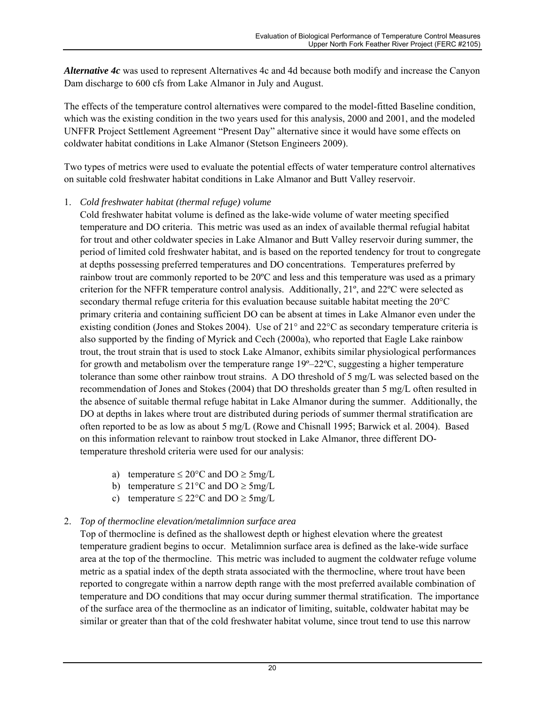*Alternative 4c* was used to represent Alternatives 4c and 4d because both modify and increase the Canyon Dam discharge to 600 cfs from Lake Almanor in July and August.

The effects of the temperature control alternatives were compared to the model-fitted Baseline condition, which was the existing condition in the two years used for this analysis, 2000 and 2001, and the modeled UNFFR Project Settlement Agreement "Present Day" alternative since it would have some effects on coldwater habitat conditions in Lake Almanor (Stetson Engineers 2009).

Two types of metrics were used to evaluate the potential effects of water temperature control alternatives on suitable cold freshwater habitat conditions in Lake Almanor and Butt Valley reservoir.

#### 1. *Cold freshwater habitat (thermal refuge) volume*

Cold freshwater habitat volume is defined as the lake-wide volume of water meeting specified temperature and DO criteria. This metric was used as an index of available thermal refugial habitat for trout and other coldwater species in Lake Almanor and Butt Valley reservoir during summer, the period of limited cold freshwater habitat, and is based on the reported tendency for trout to congregate at depths possessing preferred temperatures and DO concentrations. Temperatures preferred by rainbow trout are commonly reported to be 20ºC and less and this temperature was used as a primary criterion for the NFFR temperature control analysis. Additionally, 21º, and 22ºC were selected as secondary thermal refuge criteria for this evaluation because suitable habitat meeting the 20°C primary criteria and containing sufficient DO can be absent at times in Lake Almanor even under the existing condition (Jones and Stokes 2004). Use of 21° and 22°C as secondary temperature criteria is also supported by the finding of Myrick and Cech (2000a), who reported that Eagle Lake rainbow trout, the trout strain that is used to stock Lake Almanor, exhibits similar physiological performances for growth and metabolism over the temperature range  $19^{\circ} - 22^{\circ}$ C, suggesting a higher temperature tolerance than some other rainbow trout strains. A DO threshold of 5 mg/L was selected based on the recommendation of Jones and Stokes (2004) that DO thresholds greater than 5 mg/L often resulted in the absence of suitable thermal refuge habitat in Lake Almanor during the summer. Additionally, the DO at depths in lakes where trout are distributed during periods of summer thermal stratification are often reported to be as low as about 5 mg/L (Rowe and Chisnall 1995; Barwick et al. 2004). Based on this information relevant to rainbow trout stocked in Lake Almanor, three different DOtemperature threshold criteria were used for our analysis:

- a) temperature  $\leq 20^{\circ}$ C and DO  $\geq 5$ mg/L
- b) temperature  $\leq 21^{\circ}$ C and DO  $\geq 5$ mg/L
- c) temperature  $\leq 22^{\circ}$ C and DO  $\geq 5$ mg/L

#### 2. *Top of thermocline elevation/metalimnion surface area*

Top of thermocline is defined as the shallowest depth or highest elevation where the greatest temperature gradient begins to occur. Metalimnion surface area is defined as the lake-wide surface area at the top of the thermocline. This metric was included to augment the coldwater refuge volume metric as a spatial index of the depth strata associated with the thermocline, where trout have been reported to congregate within a narrow depth range with the most preferred available combination of temperature and DO conditions that may occur during summer thermal stratification. The importance of the surface area of the thermocline as an indicator of limiting, suitable, coldwater habitat may be similar or greater than that of the cold freshwater habitat volume, since trout tend to use this narrow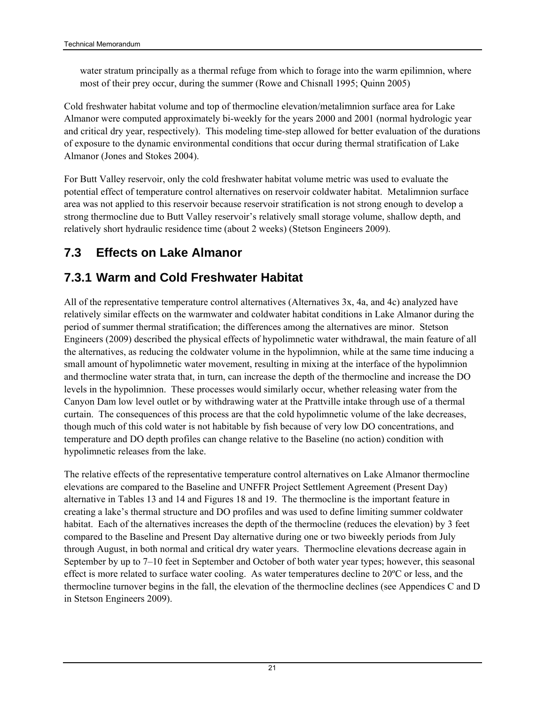<span id="page-35-0"></span>water stratum principally as a thermal refuge from which to forage into the warm epilimnion, where most of their prey occur, during the summer (Rowe and Chisnall 1995; Quinn 2005)

Cold freshwater habitat volume and top of thermocline elevation/metalimnion surface area for Lake Almanor were computed approximately bi-weekly for the years 2000 and 2001 (normal hydrologic year and critical dry year, respectively). This modeling time-step allowed for better evaluation of the durations of exposure to the dynamic environmental conditions that occur during thermal stratification of Lake Almanor (Jones and Stokes 2004).

For Butt Valley reservoir, only the cold freshwater habitat volume metric was used to evaluate the potential effect of temperature control alternatives on reservoir coldwater habitat. Metalimnion surface area was not applied to this reservoir because reservoir stratification is not strong enough to develop a strong thermocline due to Butt Valley reservoir's relatively small storage volume, shallow depth, and relatively short hydraulic residence time (about 2 weeks) (Stetson Engineers 2009).

### <span id="page-35-1"></span>**7.3 Effects on Lake Almanor**

### <span id="page-35-2"></span>**7.3.1 Warm and Cold Freshwater Habitat**

All of the representative temperature control alternatives (Alternatives 3x, 4a, and 4c) analyzed have relatively similar effects on the warmwater and coldwater habitat conditions in Lake Almanor during the period of summer thermal stratification; the differences among the alternatives are minor. Stetson Engineers (2009) described the physical effects of hypolimnetic water withdrawal, the main feature of all the alternatives, as reducing the coldwater volume in the hypolimnion, while at the same time inducing a small amount of hypolimnetic water movement, resulting in mixing at the interface of the hypolimnion and thermocline water strata that, in turn, can increase the depth of the thermocline and increase the DO levels in the hypolimnion. These processes would similarly occur, whether releasing water from the Canyon Dam low level outlet or by withdrawing water at the Prattville intake through use of a thermal curtain. The consequences of this process are that the cold hypolimnetic volume of the lake decreases, though much of this cold water is not habitable by fish because of very low DO concentrations, and temperature and DO depth profiles can change relative to the Baseline (no action) condition with hypolimnetic releases from the lake.

The relative effects of the representative temperature control alternatives on Lake Almanor thermocline elevations are compared to the Baseline and UNFFR Project Settlement Agreement (Present Day) alternative in Tables 13 and 14 and Figures 18 and 19. The thermocline is the important feature in creating a lake's thermal structure and DO profiles and was used to define limiting summer coldwater habitat. Each of the alternatives increases the depth of the thermocline (reduces the elevation) by 3 feet compared to the Baseline and Present Day alternative during one or two biweekly periods from July through August, in both normal and critical dry water years. Thermocline elevations decrease again in September by up to 7–10 feet in September and October of both water year types; however, this seasonal effect is more related to surface water cooling. As water temperatures decline to 20ºC or less, and the thermocline turnover begins in the fall, the elevation of the thermocline declines (see Appendices C and D in Stetson Engineers 2009).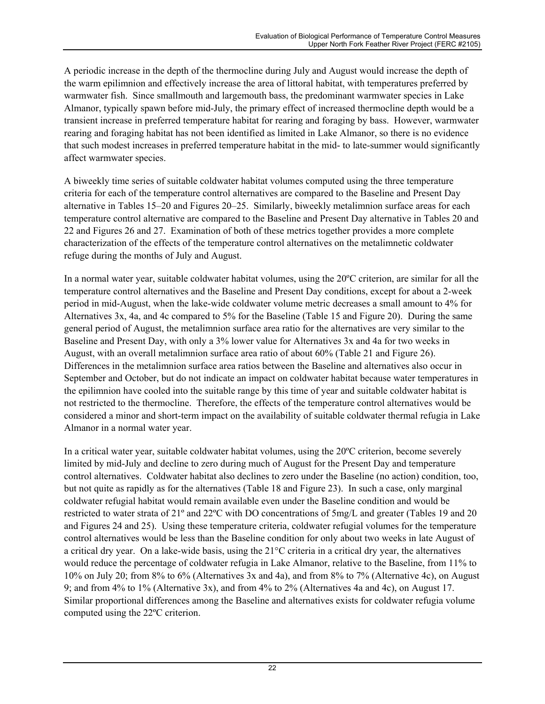A periodic increase in the depth of the thermocline during July and August would increase the depth of the warm epilimnion and effectively increase the area of littoral habitat, with temperatures preferred by warmwater fish. Since smallmouth and largemouth bass, the predominant warmwater species in Lake Almanor, typically spawn before mid-July, the primary effect of increased thermocline depth would be a transient increase in preferred temperature habitat for rearing and foraging by bass. However, warmwater rearing and foraging habitat has not been identified as limited in Lake Almanor, so there is no evidence that such modest increases in preferred temperature habitat in the mid- to late-summer would significantly affect warmwater species.

A biweekly time series of suitable coldwater habitat volumes computed using the three temperature criteria for each of the temperature control alternatives are compared to the Baseline and Present Day alternative in Tables 15–20 and Figures 20–25. Similarly, biweekly metalimnion surface areas for each temperature control alternative are compared to the Baseline and Present Day alternative in Tables 20 and 22 and Figures 26 and 27. Examination of both of these metrics together provides a more complete characterization of the effects of the temperature control alternatives on the metalimnetic coldwater refuge during the months of July and August.

In a normal water year, suitable coldwater habitat volumes, using the 20ºC criterion, are similar for all the temperature control alternatives and the Baseline and Present Day conditions, except for about a 2-week period in mid-August, when the lake-wide coldwater volume metric decreases a small amount to 4% for Alternatives 3x, 4a, and 4c compared to 5% for the Baseline (Table 15 and Figure 20). During the same general period of August, the metalimnion surface area ratio for the alternatives are very similar to the Baseline and Present Day, with only a 3% lower value for Alternatives 3x and 4a for two weeks in August, with an overall metalimnion surface area ratio of about 60% (Table 21 and Figure 26). Differences in the metalimnion surface area ratios between the Baseline and alternatives also occur in September and October, but do not indicate an impact on coldwater habitat because water temperatures in the epilimnion have cooled into the suitable range by this time of year and suitable coldwater habitat is not restricted to the thermocline. Therefore, the effects of the temperature control alternatives would be considered a minor and short-term impact on the availability of suitable coldwater thermal refugia in Lake Almanor in a normal water year.

In a critical water year, suitable coldwater habitat volumes, using the 20ºC criterion, become severely limited by mid-July and decline to zero during much of August for the Present Day and temperature control alternatives. Coldwater habitat also declines to zero under the Baseline (no action) condition, too, but not quite as rapidly as for the alternatives (Table 18 and Figure 23). In such a case, only marginal coldwater refugial habitat would remain available even under the Baseline condition and would be restricted to water strata of 21º and 22ºC with DO concentrations of 5mg/L and greater (Tables 19 and 20 and Figures 24 and 25). Using these temperature criteria, coldwater refugial volumes for the temperature control alternatives would be less than the Baseline condition for only about two weeks in late August of a critical dry year. On a lake-wide basis, using the 21°C criteria in a critical dry year, the alternatives would reduce the percentage of coldwater refugia in Lake Almanor, relative to the Baseline, from 11% to 10% on July 20; from 8% to 6% (Alternatives 3x and 4a), and from 8% to 7% (Alternative 4c), on August 9; and from 4% to 1% (Alternative 3x), and from 4% to 2% (Alternatives 4a and 4c), on August 17. Similar proportional differences among the Baseline and alternatives exists for coldwater refugia volume computed using the 22ºC criterion.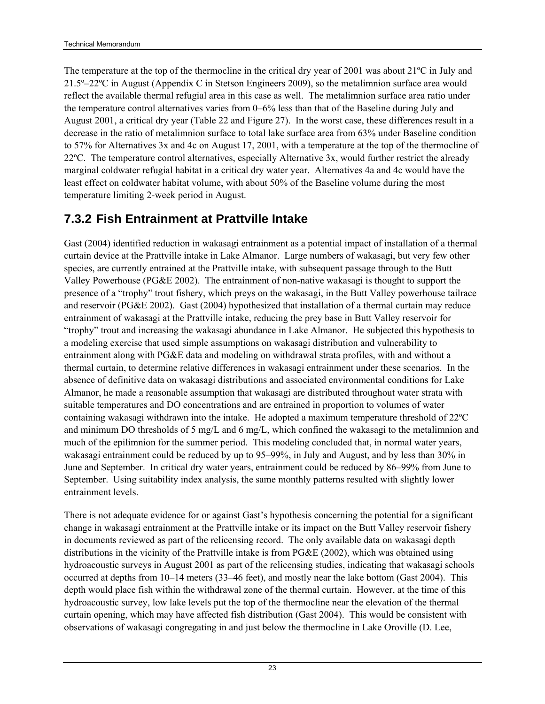The temperature at the top of the thermocline in the critical dry year of 2001 was about 21ºC in July and 21.5º–22ºC in August (Appendix C in Stetson Engineers 2009), so the metalimnion surface area would reflect the available thermal refugial area in this case as well. The metalimnion surface area ratio under the temperature control alternatives varies from 0–6% less than that of the Baseline during July and August 2001, a critical dry year (Table 22 and Figure 27). In the worst case, these differences result in a decrease in the ratio of metalimnion surface to total lake surface area from 63% under Baseline condition to 57% for Alternatives 3x and 4c on August 17, 2001, with a temperature at the top of the thermocline of 22ºC. The temperature control alternatives, especially Alternative 3x, would further restrict the already marginal coldwater refugial habitat in a critical dry water year. Alternatives 4a and 4c would have the least effect on coldwater habitat volume, with about 50% of the Baseline volume during the most temperature limiting 2-week period in August.

## **7.3.2 Fish Entrainment at Prattville Intake**

Gast (2004) identified reduction in wakasagi entrainment as a potential impact of installation of a thermal curtain device at the Prattville intake in Lake Almanor. Large numbers of wakasagi, but very few other species, are currently entrained at the Prattville intake, with subsequent passage through to the Butt Valley Powerhouse (PG&E 2002). The entrainment of non-native wakasagi is thought to support the presence of a "trophy" trout fishery, which preys on the wakasagi, in the Butt Valley powerhouse tailrace and reservoir (PG&E 2002). Gast (2004) hypothesized that installation of a thermal curtain may reduce entrainment of wakasagi at the Prattville intake, reducing the prey base in Butt Valley reservoir for "trophy" trout and increasing the wakasagi abundance in Lake Almanor. He subjected this hypothesis to a modeling exercise that used simple assumptions on wakasagi distribution and vulnerability to entrainment along with PG&E data and modeling on withdrawal strata profiles, with and without a thermal curtain, to determine relative differences in wakasagi entrainment under these scenarios. In the absence of definitive data on wakasagi distributions and associated environmental conditions for Lake Almanor, he made a reasonable assumption that wakasagi are distributed throughout water strata with suitable temperatures and DO concentrations and are entrained in proportion to volumes of water containing wakasagi withdrawn into the intake. He adopted a maximum temperature threshold of 22ºC and minimum DO thresholds of 5 mg/L and 6 mg/L, which confined the wakasagi to the metalimnion and much of the epilimnion for the summer period. This modeling concluded that, in normal water years, wakasagi entrainment could be reduced by up to 95–99%, in July and August, and by less than 30% in June and September. In critical dry water years, entrainment could be reduced by 86–99% from June to September. Using suitability index analysis, the same monthly patterns resulted with slightly lower entrainment levels.

There is not adequate evidence for or against Gast's hypothesis concerning the potential for a significant change in wakasagi entrainment at the Prattville intake or its impact on the Butt Valley reservoir fishery in documents reviewed as part of the relicensing record. The only available data on wakasagi depth distributions in the vicinity of the Prattville intake is from PG&E (2002), which was obtained using hydroacoustic surveys in August 2001 as part of the relicensing studies, indicating that wakasagi schools occurred at depths from 10–14 meters (33–46 feet), and mostly near the lake bottom (Gast 2004). This depth would place fish within the withdrawal zone of the thermal curtain. However, at the time of this hydroacoustic survey, low lake levels put the top of the thermocline near the elevation of the thermal curtain opening, which may have affected fish distribution (Gast 2004). This would be consistent with observations of wakasagi congregating in and just below the thermocline in Lake Oroville (D. Lee,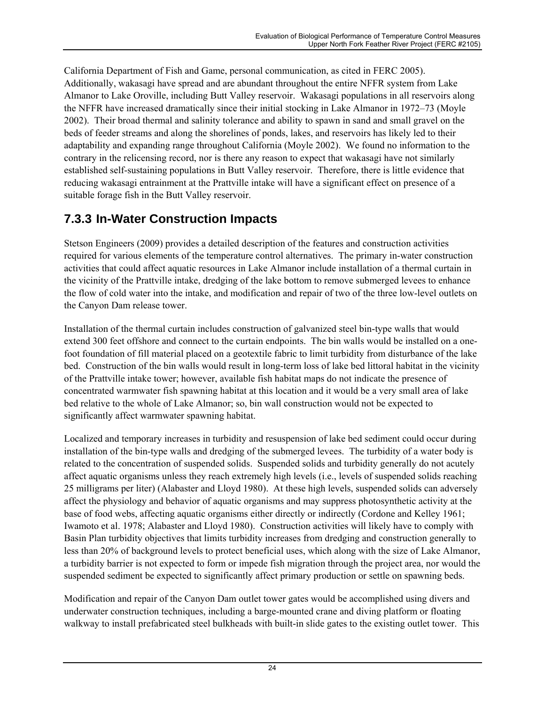California Department of Fish and Game, personal communication, as cited in FERC 2005). Additionally, wakasagi have spread and are abundant throughout the entire NFFR system from Lake Almanor to Lake Oroville, including Butt Valley reservoir. Wakasagi populations in all reservoirs along the NFFR have increased dramatically since their initial stocking in Lake Almanor in 1972–73 (Moyle 2002). Their broad thermal and salinity tolerance and ability to spawn in sand and small gravel on the beds of feeder streams and along the shorelines of ponds, lakes, and reservoirs has likely led to their adaptability and expanding range throughout California (Moyle 2002). We found no information to the contrary in the relicensing record, nor is there any reason to expect that wakasagi have not similarly established self-sustaining populations in Butt Valley reservoir. Therefore, there is little evidence that reducing wakasagi entrainment at the Prattville intake will have a significant effect on presence of a suitable forage fish in the Butt Valley reservoir.

## **7.3.3 In-Water Construction Impacts**

Stetson Engineers (2009) provides a detailed description of the features and construction activities required for various elements of the temperature control alternatives. The primary in-water construction activities that could affect aquatic resources in Lake Almanor include installation of a thermal curtain in the vicinity of the Prattville intake, dredging of the lake bottom to remove submerged levees to enhance the flow of cold water into the intake, and modification and repair of two of the three low-level outlets on the Canyon Dam release tower.

Installation of the thermal curtain includes construction of galvanized steel bin-type walls that would extend 300 feet offshore and connect to the curtain endpoints. The bin walls would be installed on a onefoot foundation of fill material placed on a geotextile fabric to limit turbidity from disturbance of the lake bed. Construction of the bin walls would result in long-term loss of lake bed littoral habitat in the vicinity of the Prattville intake tower; however, available fish habitat maps do not indicate the presence of concentrated warmwater fish spawning habitat at this location and it would be a very small area of lake bed relative to the whole of Lake Almanor; so, bin wall construction would not be expected to significantly affect warmwater spawning habitat.

Localized and temporary increases in turbidity and resuspension of lake bed sediment could occur during installation of the bin-type walls and dredging of the submerged levees. The turbidity of a water body is related to the concentration of suspended solids. Suspended solids and turbidity generally do not acutely affect aquatic organisms unless they reach extremely high levels (i.e., levels of suspended solids reaching 25 milligrams per liter) (Alabaster and Lloyd 1980). At these high levels, suspended solids can adversely affect the physiology and behavior of aquatic organisms and may suppress photosynthetic activity at the base of food webs, affecting aquatic organisms either directly or indirectly (Cordone and Kelley 1961; Iwamoto et al. 1978; Alabaster and Lloyd 1980). Construction activities will likely have to comply with Basin Plan turbidity objectives that limits turbidity increases from dredging and construction generally to less than 20% of background levels to protect beneficial uses, which along with the size of Lake Almanor, a turbidity barrier is not expected to form or impede fish migration through the project area, nor would the suspended sediment be expected to significantly affect primary production or settle on spawning beds.

Modification and repair of the Canyon Dam outlet tower gates would be accomplished using divers and underwater construction techniques, including a barge-mounted crane and diving platform or floating walkway to install prefabricated steel bulkheads with built-in slide gates to the existing outlet tower. This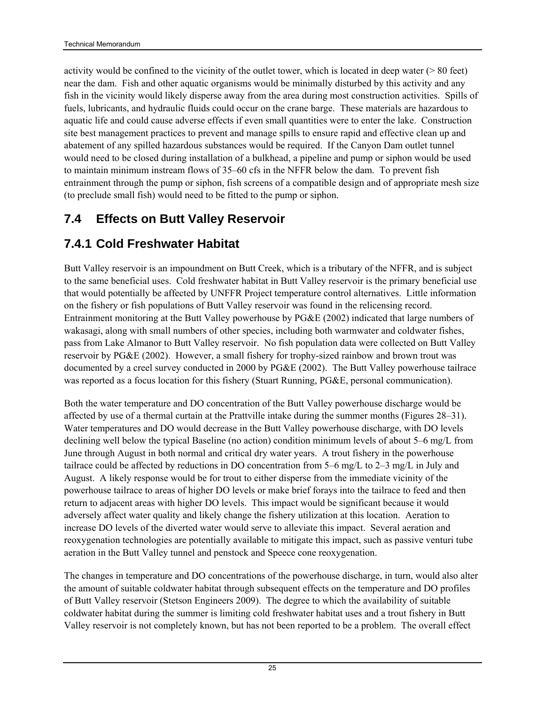activity would be confined to the vicinity of the outlet tower, which is located in deep water ( $> 80$  feet) near the dam. Fish and other aquatic organisms would be minimally disturbed by this activity and any fish in the vicinity would likely disperse away from the area during most construction activities. Spills of fuels, lubricants, and hydraulic fluids could occur on the crane barge. These materials are hazardous to aquatic life and could cause adverse effects if even small quantities were to enter the lake. Construction site best management practices to prevent and manage spills to ensure rapid and effective clean up and abatement of any spilled hazardous substances would be required. If the Canyon Dam outlet tunnel would need to be closed during installation of a bulkhead, a pipeline and pump or siphon would be used to maintain minimum instream flows of 35–60 cfs in the NFFR below the dam. To prevent fish entrainment through the pump or siphon, fish screens of a compatible design and of appropriate mesh size (to preclude small fish) would need to be fitted to the pump or siphon.

## **7.4 Effects on Butt Valley Reservoir**

## **7.4.1 Cold Freshwater Habitat**

Butt Valley reservoir is an impoundment on Butt Creek, which is a tributary of the NFFR, and is subject to the same beneficial uses. Cold freshwater habitat in Butt Valley reservoir is the primary beneficial use that would potentially be affected by UNFFR Project temperature control alternatives. Little information on the fishery or fish populations of Butt Valley reservoir was found in the relicensing record. Entrainment monitoring at the Butt Valley powerhouse by PG&E (2002) indicated that large numbers of wakasagi, along with small numbers of other species, including both warmwater and coldwater fishes, pass from Lake Almanor to Butt Valley reservoir. No fish population data were collected on Butt Valley reservoir by PG&E (2002). However, a small fishery for trophy-sized rainbow and brown trout was documented by a creel survey conducted in 2000 by PG&E (2002). The Butt Valley powerhouse tailrace was reported as a focus location for this fishery (Stuart Running, PG&E, personal communication).

Both the water temperature and DO concentration of the Butt Valley powerhouse discharge would be affected by use of a thermal curtain at the Prattville intake during the summer months (Figures 28–31). Water temperatures and DO would decrease in the Butt Valley powerhouse discharge, with DO levels declining well below the typical Baseline (no action) condition minimum levels of about 5–6 mg/L from June through August in both normal and critical dry water years. A trout fishery in the powerhouse tailrace could be affected by reductions in DO concentration from 5–6 mg/L to 2–3 mg/L in July and August. A likely response would be for trout to either disperse from the immediate vicinity of the powerhouse tailrace to areas of higher DO levels or make brief forays into the tailrace to feed and then return to adjacent areas with higher DO levels. This impact would be significant because it would adversely affect water quality and likely change the fishery utilization at this location. Aeration to increase DO levels of the diverted water would serve to alleviate this impact. Several aeration and reoxygenation technologies are potentially available to mitigate this impact, such as passive venturi tube aeration in the Butt Valley tunnel and penstock and Speece cone reoxygenation.

The changes in temperature and DO concentrations of the powerhouse discharge, in turn, would also alter the amount of suitable coldwater habitat through subsequent effects on the temperature and DO profiles of Butt Valley reservoir (Stetson Engineers 2009). The degree to which the availability of suitable coldwater habitat during the summer is limiting cold freshwater habitat uses and a trout fishery in Butt Valley reservoir is not completely known, but has not been reported to be a problem. The overall effect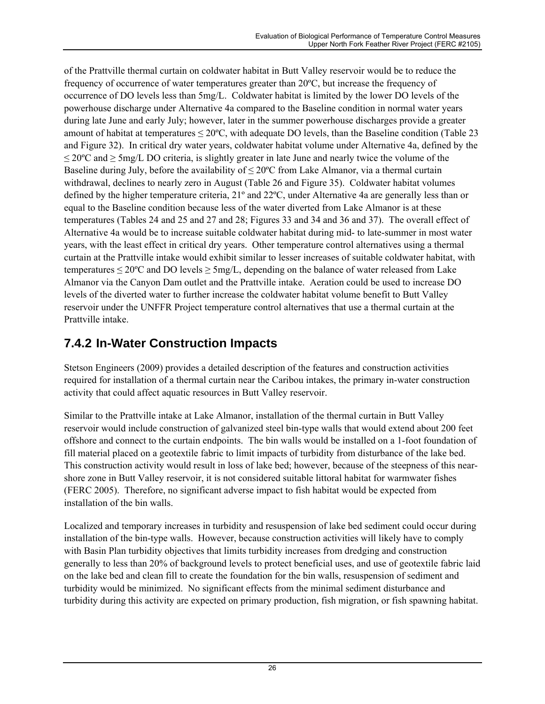of the Prattville thermal curtain on coldwater habitat in Butt Valley reservoir would be to reduce the frequency of occurrence of water temperatures greater than 20ºC, but increase the frequency of occurrence of DO levels less than 5mg/L. Coldwater habitat is limited by the lower DO levels of the powerhouse discharge under Alternative 4a compared to the Baseline condition in normal water years during late June and early July; however, later in the summer powerhouse discharges provide a greater amount of habitat at temperatures ≤ 20ºC, with adequate DO levels, than the Baseline condition (Table 23 and Figure 32). In critical dry water years, coldwater habitat volume under Alternative 4a, defined by the  $≤ 20$ <sup>o</sup>C and  $≥ 5$ mg/L DO criteria, is slightly greater in late June and nearly twice the volume of the Baseline during July, before the availability of  $\leq 20^{\circ}$ C from Lake Almanor, via a thermal curtain withdrawal, declines to nearly zero in August (Table 26 and Figure 35). Coldwater habitat volumes defined by the higher temperature criteria, 21º and 22ºC, under Alternative 4a are generally less than or equal to the Baseline condition because less of the water diverted from Lake Almanor is at these temperatures (Tables 24 and 25 and 27 and 28; Figures 33 and 34 and 36 and 37). The overall effect of Alternative 4a would be to increase suitable coldwater habitat during mid- to late-summer in most water years, with the least effect in critical dry years. Other temperature control alternatives using a thermal curtain at the Prattville intake would exhibit similar to lesser increases of suitable coldwater habitat, with temperatures  $\leq 20^{\circ}$ C and DO levels  $\geq 5$ mg/L, depending on the balance of water released from Lake Almanor via the Canyon Dam outlet and the Prattville intake. Aeration could be used to increase DO levels of the diverted water to further increase the coldwater habitat volume benefit to Butt Valley reservoir under the UNFFR Project temperature control alternatives that use a thermal curtain at the Prattville intake.

## **7.4.2 In-Water Construction Impacts**

Stetson Engineers (2009) provides a detailed description of the features and construction activities required for installation of a thermal curtain near the Caribou intakes, the primary in-water construction activity that could affect aquatic resources in Butt Valley reservoir.

Similar to the Prattville intake at Lake Almanor, installation of the thermal curtain in Butt Valley reservoir would include construction of galvanized steel bin-type walls that would extend about 200 feet offshore and connect to the curtain endpoints. The bin walls would be installed on a 1-foot foundation of fill material placed on a geotextile fabric to limit impacts of turbidity from disturbance of the lake bed. This construction activity would result in loss of lake bed; however, because of the steepness of this nearshore zone in Butt Valley reservoir, it is not considered suitable littoral habitat for warmwater fishes (FERC 2005). Therefore, no significant adverse impact to fish habitat would be expected from installation of the bin walls.

Localized and temporary increases in turbidity and resuspension of lake bed sediment could occur during installation of the bin-type walls. However, because construction activities will likely have to comply with Basin Plan turbidity objectives that limits turbidity increases from dredging and construction generally to less than 20% of background levels to protect beneficial uses, and use of geotextile fabric laid on the lake bed and clean fill to create the foundation for the bin walls, resuspension of sediment and turbidity would be minimized. No significant effects from the minimal sediment disturbance and turbidity during this activity are expected on primary production, fish migration, or fish spawning habitat.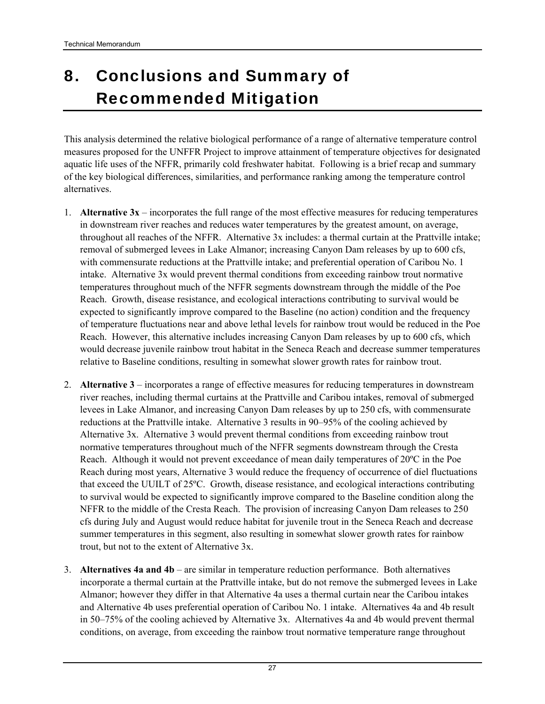# 8. Conclusions and Summary of Recommended Mitigation

This analysis determined the relative biological performance of a range of alternative temperature control measures proposed for the UNFFR Project to improve attainment of temperature objectives for designated aquatic life uses of the NFFR, primarily cold freshwater habitat. Following is a brief recap and summary of the key biological differences, similarities, and performance ranking among the temperature control alternatives.

- 1. **Alternative 3x** incorporates the full range of the most effective measures for reducing temperatures in downstream river reaches and reduces water temperatures by the greatest amount, on average, throughout all reaches of the NFFR. Alternative 3x includes: a thermal curtain at the Prattville intake; removal of submerged levees in Lake Almanor; increasing Canyon Dam releases by up to 600 cfs, with commensurate reductions at the Prattville intake; and preferential operation of Caribou No. 1 intake. Alternative 3x would prevent thermal conditions from exceeding rainbow trout normative temperatures throughout much of the NFFR segments downstream through the middle of the Poe Reach. Growth, disease resistance, and ecological interactions contributing to survival would be expected to significantly improve compared to the Baseline (no action) condition and the frequency of temperature fluctuations near and above lethal levels for rainbow trout would be reduced in the Poe Reach. However, this alternative includes increasing Canyon Dam releases by up to 600 cfs, which would decrease juvenile rainbow trout habitat in the Seneca Reach and decrease summer temperatures relative to Baseline conditions, resulting in somewhat slower growth rates for rainbow trout.
- 2. **Alternative 3** incorporates a range of effective measures for reducing temperatures in downstream river reaches, including thermal curtains at the Prattville and Caribou intakes, removal of submerged levees in Lake Almanor, and increasing Canyon Dam releases by up to 250 cfs, with commensurate reductions at the Prattville intake. Alternative 3 results in 90–95% of the cooling achieved by Alternative 3x. Alternative 3 would prevent thermal conditions from exceeding rainbow trout normative temperatures throughout much of the NFFR segments downstream through the Cresta Reach. Although it would not prevent exceedance of mean daily temperatures of 20ºC in the Poe Reach during most years, Alternative 3 would reduce the frequency of occurrence of diel fluctuations that exceed the UUILT of 25ºC. Growth, disease resistance, and ecological interactions contributing to survival would be expected to significantly improve compared to the Baseline condition along the NFFR to the middle of the Cresta Reach. The provision of increasing Canyon Dam releases to 250 cfs during July and August would reduce habitat for juvenile trout in the Seneca Reach and decrease summer temperatures in this segment, also resulting in somewhat slower growth rates for rainbow trout, but not to the extent of Alternative 3x.
- 3. **Alternatives 4a and 4b** are similar in temperature reduction performance. Both alternatives incorporate a thermal curtain at the Prattville intake, but do not remove the submerged levees in Lake Almanor; however they differ in that Alternative 4a uses a thermal curtain near the Caribou intakes and Alternative 4b uses preferential operation of Caribou No. 1 intake. Alternatives 4a and 4b result in 50–75% of the cooling achieved by Alternative 3x. Alternatives 4a and 4b would prevent thermal conditions, on average, from exceeding the rainbow trout normative temperature range throughout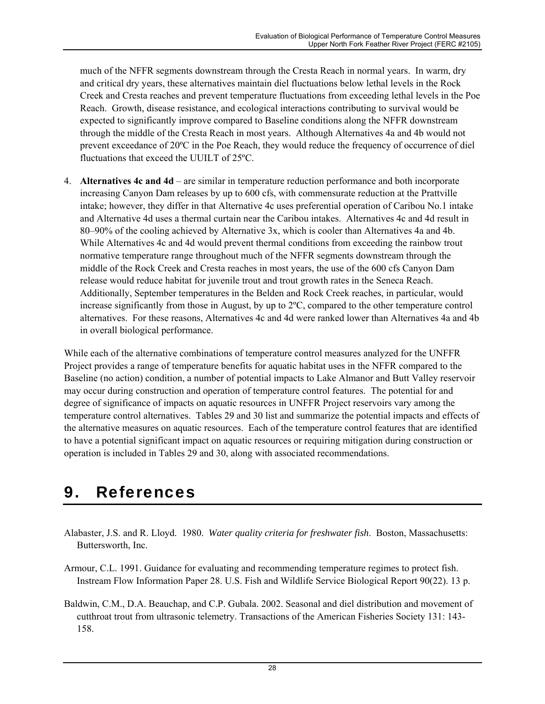much of the NFFR segments downstream through the Cresta Reach in normal years. In warm, dry and critical dry years, these alternatives maintain diel fluctuations below lethal levels in the Rock Creek and Cresta reaches and prevent temperature fluctuations from exceeding lethal levels in the Poe Reach. Growth, disease resistance, and ecological interactions contributing to survival would be expected to significantly improve compared to Baseline conditions along the NFFR downstream through the middle of the Cresta Reach in most years. Although Alternatives 4a and 4b would not prevent exceedance of 20ºC in the Poe Reach, they would reduce the frequency of occurrence of diel fluctuations that exceed the UUILT of 25ºC.

4. **Alternatives 4c and 4d** – are similar in temperature reduction performance and both incorporate increasing Canyon Dam releases by up to 600 cfs, with commensurate reduction at the Prattville intake; however, they differ in that Alternative 4c uses preferential operation of Caribou No.1 intake and Alternative 4d uses a thermal curtain near the Caribou intakes. Alternatives 4c and 4d result in 80–90% of the cooling achieved by Alternative 3x, which is cooler than Alternatives 4a and 4b. While Alternatives 4c and 4d would prevent thermal conditions from exceeding the rainbow trout normative temperature range throughout much of the NFFR segments downstream through the middle of the Rock Creek and Cresta reaches in most years, the use of the 600 cfs Canyon Dam release would reduce habitat for juvenile trout and trout growth rates in the Seneca Reach. Additionally, September temperatures in the Belden and Rock Creek reaches, in particular, would increase significantly from those in August, by up to 2ºC, compared to the other temperature control alternatives. For these reasons, Alternatives 4c and 4d were ranked lower than Alternatives 4a and 4b in overall biological performance.

While each of the alternative combinations of temperature control measures analyzed for the UNFFR Project provides a range of temperature benefits for aquatic habitat uses in the NFFR compared to the Baseline (no action) condition, a number of potential impacts to Lake Almanor and Butt Valley reservoir may occur during construction and operation of temperature control features. The potential for and degree of significance of impacts on aquatic resources in UNFFR Project reservoirs vary among the temperature control alternatives. Tables 29 and 30 list and summarize the potential impacts and effects of the alternative measures on aquatic resources. Each of the temperature control features that are identified to have a potential significant impact on aquatic resources or requiring mitigation during construction or operation is included in Tables 29 and 30, along with associated recommendations.

## 9. References

- Alabaster, J.S. and R. Lloyd. 1980. *Water quality criteria for freshwater fish*. Boston, Massachusetts: Buttersworth, Inc.
- Armour, C.L. 1991. Guidance for evaluating and recommending temperature regimes to protect fish. Instream Flow Information Paper 28. U.S. Fish and Wildlife Service Biological Report 90(22). 13 p.
- Baldwin, C.M., D.A. Beauchap, and C.P. Gubala. 2002. Seasonal and diel distribution and movement of cutthroat trout from ultrasonic telemetry. Transactions of the American Fisheries Society 131: 143- 158.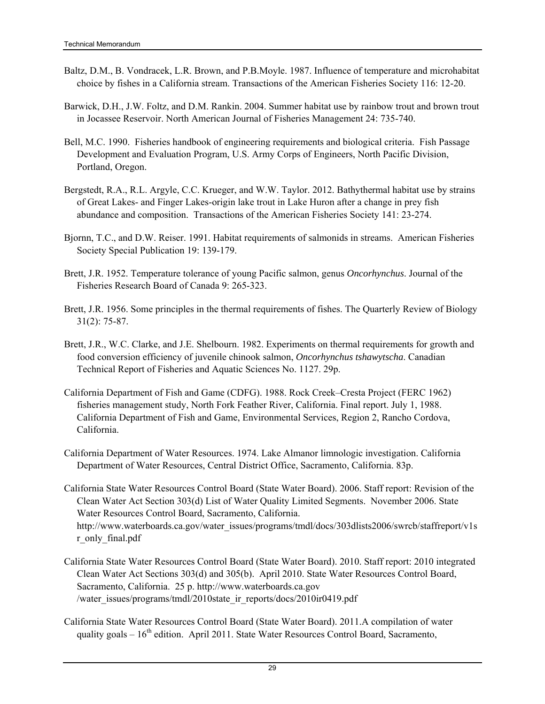- Baltz, D.M., B. Vondracek, L.R. Brown, and P.B.Moyle. 1987. Influence of temperature and microhabitat choice by fishes in a California stream. Transactions of the American Fisheries Society 116: 12-20.
- Barwick, D.H., J.W. Foltz, and D.M. Rankin. 2004. Summer habitat use by rainbow trout and brown trout in Jocassee Reservoir. North American Journal of Fisheries Management 24: 735-740.
- Bell, M.C. 1990. Fisheries handbook of engineering requirements and biological criteria. Fish Passage Development and Evaluation Program, U.S. Army Corps of Engineers, North Pacific Division, Portland, Oregon.
- Bergstedt, R.A., R.L. Argyle, C.C. Krueger, and W.W. Taylor. 2012. Bathythermal habitat use by strains of Great Lakes- and Finger Lakes-origin lake trout in Lake Huron after a change in prey fish abundance and composition. Transactions of the American Fisheries Society 141: 23-274.
- Bjornn, T.C., and D.W. Reiser. 1991. Habitat requirements of salmonids in streams. American Fisheries Society Special Publication 19: 139-179.
- Brett, J.R. 1952. Temperature tolerance of young Pacific salmon, genus *Oncorhynchus*. Journal of the Fisheries Research Board of Canada 9: 265-323.
- Brett, J.R. 1956. Some principles in the thermal requirements of fishes. The Quarterly Review of Biology 31(2): 75-87.
- Brett, J.R., W.C. Clarke, and J.E. Shelbourn. 1982. Experiments on thermal requirements for growth and food conversion efficiency of juvenile chinook salmon, *Oncorhynchus tshawytscha*. Canadian Technical Report of Fisheries and Aquatic Sciences No. 1127. 29p.
- California Department of Fish and Game (CDFG). 1988. Rock Creek–Cresta Project (FERC 1962) fisheries management study, North Fork Feather River, California. Final report. July 1, 1988. California Department of Fish and Game, Environmental Services, Region 2, Rancho Cordova, California.
- California Department of Water Resources. 1974. Lake Almanor limnologic investigation. California Department of Water Resources, Central District Office, Sacramento, California. 83p.
- California State Water Resources Control Board (State Water Board). 2006. Staff report: Revision of the Clean Water Act Section 303(d) List of Water Quality Limited Segments. November 2006. State Water Resources Control Board, Sacramento, California. http://www.waterboards.ca.gov/water\_issues/programs/tmdl/docs/303dlists2006/swrcb/staffreport/v1s r\_only\_final.pdf
- California State Water Resources Control Board (State Water Board). 2010. Staff report: 2010 integrated Clean Water Act Sections 303(d) and 305(b). April 2010. State Water Resources Control Board, Sacramento, California. 25 p. http://www.waterboards.ca.gov /water\_issues/programs/tmdl/2010state\_ir\_reports/docs/2010ir0419.pdf
- California State Water Resources Control Board (State Water Board). 2011.A compilation of water quality goals  $-16^{th}$  edition. April 2011. State Water Resources Control Board, Sacramento,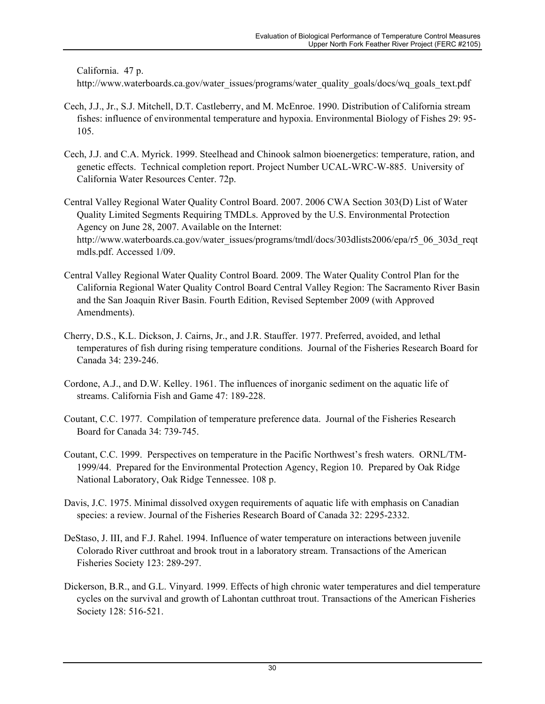California. 47 p.

http://www.waterboards.ca.gov/water\_issues/programs/water\_quality\_goals/docs/wq\_goals\_text.pdf

- Cech, J.J., Jr., S.J. Mitchell, D.T. Castleberry, and M. McEnroe. 1990. Distribution of California stream fishes: influence of environmental temperature and hypoxia. Environmental Biology of Fishes 29: 95- 105.
- Cech, J.J. and C.A. Myrick. 1999. Steelhead and Chinook salmon bioenergetics: temperature, ration, and genetic effects. Technical completion report. Project Number UCAL-WRC-W-885. University of California Water Resources Center. 72p.
- Central Valley Regional Water Quality Control Board. 2007. 2006 CWA Section 303(D) List of Water Quality Limited Segments Requiring TMDLs. Approved by the U.S. Environmental Protection Agency on June 28, 2007. Available on the Internet: http://www.waterboards.ca.gov/water\_issues/programs/tmdl/docs/303dlists2006/epa/r5\_06\_303d\_reqt mdls.pdf. Accessed 1/09.
- Central Valley Regional Water Quality Control Board. 2009. The Water Quality Control Plan for the California Regional Water Quality Control Board Central Valley Region: The Sacramento River Basin and the San Joaquin River Basin. Fourth Edition, Revised September 2009 (with Approved Amendments).
- Cherry, D.S., K.L. Dickson, J. Cairns, Jr., and J.R. Stauffer. 1977. Preferred, avoided, and lethal temperatures of fish during rising temperature conditions. Journal of the Fisheries Research Board for Canada 34: 239-246.
- Cordone, A.J., and D.W. Kelley. 1961. The influences of inorganic sediment on the aquatic life of streams. California Fish and Game 47: 189-228.
- Coutant, C.C. 1977. Compilation of temperature preference data. Journal of the Fisheries Research Board for Canada 34: 739-745.
- Coutant, C.C. 1999. Perspectives on temperature in the Pacific Northwest's fresh waters. ORNL/TM-1999/44. Prepared for the Environmental Protection Agency, Region 10. Prepared by Oak Ridge National Laboratory, Oak Ridge Tennessee. 108 p.
- Davis, J.C. 1975. Minimal dissolved oxygen requirements of aquatic life with emphasis on Canadian species: a review. Journal of the Fisheries Research Board of Canada 32: 2295-2332.
- DeStaso, J. III, and F.J. Rahel. 1994. Influence of water temperature on interactions between juvenile Colorado River cutthroat and brook trout in a laboratory stream. Transactions of the American Fisheries Society 123: 289-297.
- Dickerson, B.R., and G.L. Vinyard. 1999. Effects of high chronic water temperatures and diel temperature cycles on the survival and growth of Lahontan cutthroat trout. Transactions of the American Fisheries Society 128: 516-521.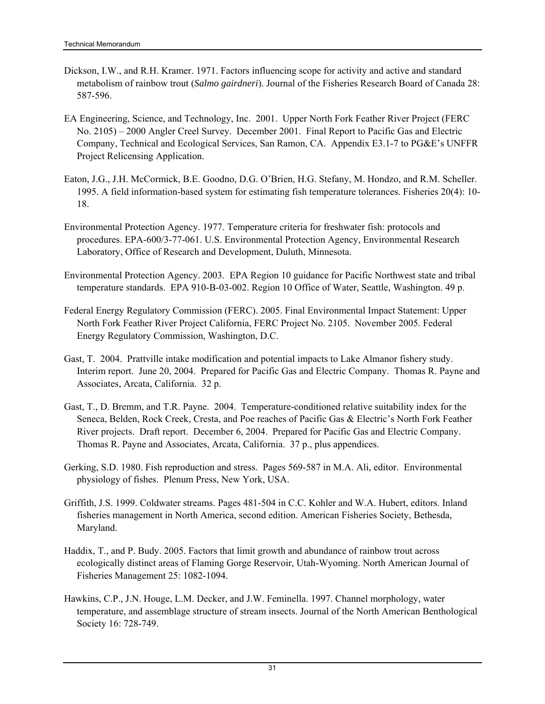- Dickson, I.W., and R.H. Kramer. 1971. Factors influencing scope for activity and active and standard metabolism of rainbow trout (*Salmo gairdneri*). Journal of the Fisheries Research Board of Canada 28: 587-596.
- EA Engineering, Science, and Technology, Inc. 2001. Upper North Fork Feather River Project (FERC No. 2105) – 2000 Angler Creel Survey. December 2001. Final Report to Pacific Gas and Electric Company, Technical and Ecological Services, San Ramon, CA. Appendix E3.1-7 to PG&E's UNFFR Project Relicensing Application.
- Eaton, J.G., J.H. McCormick, B.E. Goodno, D.G. O'Brien, H.G. Stefany, M. Hondzo, and R.M. Scheller. 1995. A field information-based system for estimating fish temperature tolerances. Fisheries 20(4): 10- 18.
- Environmental Protection Agency. 1977. Temperature criteria for freshwater fish: protocols and procedures. EPA-600/3-77-061. U.S. Environmental Protection Agency, Environmental Research Laboratory, Office of Research and Development, Duluth, Minnesota.
- Environmental Protection Agency. 2003. EPA Region 10 guidance for Pacific Northwest state and tribal temperature standards. EPA 910-B-03-002. Region 10 Office of Water, Seattle, Washington. 49 p.
- Federal Energy Regulatory Commission (FERC). 2005. Final Environmental Impact Statement: Upper North Fork Feather River Project California, FERC Project No. 2105. November 2005. Federal Energy Regulatory Commission, Washington, D.C.
- Gast, T. 2004. Prattville intake modification and potential impacts to Lake Almanor fishery study. Interim report. June 20, 2004. Prepared for Pacific Gas and Electric Company. Thomas R. Payne and Associates, Arcata, California. 32 p.
- Gast, T., D. Bremm, and T.R. Payne. 2004. Temperature-conditioned relative suitability index for the Seneca, Belden, Rock Creek, Cresta, and Poe reaches of Pacific Gas & Electric's North Fork Feather River projects. Draft report. December 6, 2004. Prepared for Pacific Gas and Electric Company. Thomas R. Payne and Associates, Arcata, California. 37 p., plus appendices.
- Gerking, S.D. 1980. Fish reproduction and stress. Pages 569-587 in M.A. Ali, editor. Environmental physiology of fishes. Plenum Press, New York, USA.
- Griffith, J.S. 1999. Coldwater streams. Pages 481-504 in C.C. Kohler and W.A. Hubert, editors. Inland fisheries management in North America, second edition. American Fisheries Society, Bethesda, Maryland.
- Haddix, T., and P. Budy. 2005. Factors that limit growth and abundance of rainbow trout across ecologically distinct areas of Flaming Gorge Reservoir, Utah-Wyoming. North American Journal of Fisheries Management 25: 1082-1094.
- Hawkins, C.P., J.N. Houge, L.M. Decker, and J.W. Feminella. 1997. Channel morphology, water temperature, and assemblage structure of stream insects. Journal of the North American Benthological Society 16: 728-749.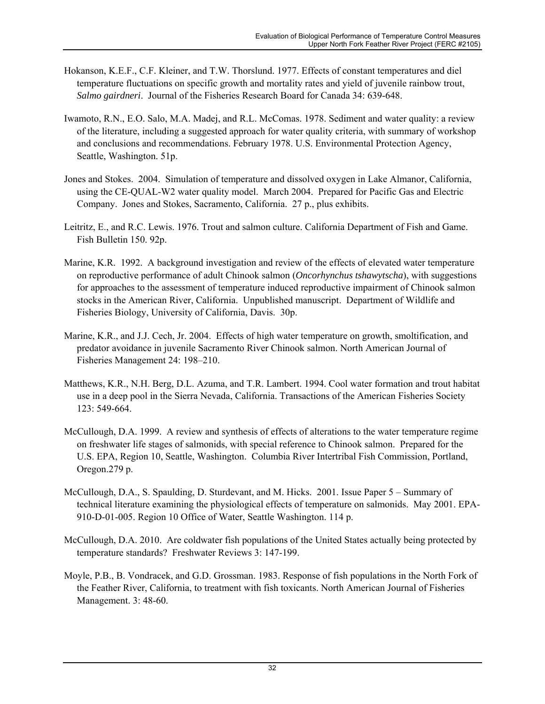- Hokanson, K.E.F., C.F. Kleiner, and T.W. Thorslund. 1977. Effects of constant temperatures and diel temperature fluctuations on specific growth and mortality rates and yield of juvenile rainbow trout, *Salmo gairdneri*. Journal of the Fisheries Research Board for Canada 34: 639-648.
- Iwamoto, R.N., E.O. Salo, M.A. Madej, and R.L. McComas. 1978. Sediment and water quality: a review of the literature, including a suggested approach for water quality criteria, with summary of workshop and conclusions and recommendations. February 1978. U.S. Environmental Protection Agency, Seattle, Washington. 51p.
- Jones and Stokes. 2004. Simulation of temperature and dissolved oxygen in Lake Almanor, California, using the CE-QUAL-W2 water quality model. March 2004. Prepared for Pacific Gas and Electric Company. Jones and Stokes, Sacramento, California. 27 p., plus exhibits.
- Leitritz, E., and R.C. Lewis. 1976. Trout and salmon culture. California Department of Fish and Game. Fish Bulletin 150. 92p.
- Marine, K.R. 1992. A background investigation and review of the effects of elevated water temperature on reproductive performance of adult Chinook salmon (*Oncorhynchus tshawytscha*), with suggestions for approaches to the assessment of temperature induced reproductive impairment of Chinook salmon stocks in the American River, California. Unpublished manuscript. Department of Wildlife and Fisheries Biology, University of California, Davis. 30p.
- Marine, K.R., and J.J. Cech, Jr. 2004. Effects of high water temperature on growth, smoltification, and predator avoidance in juvenile Sacramento River Chinook salmon. North American Journal of Fisheries Management 24: 198–210.
- Matthews, K.R., N.H. Berg, D.L. Azuma, and T.R. Lambert. 1994. Cool water formation and trout habitat use in a deep pool in the Sierra Nevada, California. Transactions of the American Fisheries Society 123: 549-664.
- McCullough, D.A. 1999. A review and synthesis of effects of alterations to the water temperature regime on freshwater life stages of salmonids, with special reference to Chinook salmon. Prepared for the U.S. EPA, Region 10, Seattle, Washington. Columbia River Intertribal Fish Commission, Portland, Oregon.279 p.
- McCullough, D.A., S. Spaulding, D. Sturdevant, and M. Hicks. 2001. Issue Paper 5 Summary of technical literature examining the physiological effects of temperature on salmonids. May 2001. EPA-910-D-01-005. Region 10 Office of Water, Seattle Washington. 114 p.
- McCullough, D.A. 2010. Are coldwater fish populations of the United States actually being protected by temperature standards? Freshwater Reviews 3: 147-199.
- Moyle, P.B., B. Vondracek, and G.D. Grossman. 1983. Response of fish populations in the North Fork of the Feather River, California, to treatment with fish toxicants. North American Journal of Fisheries Management. 3: 48-60.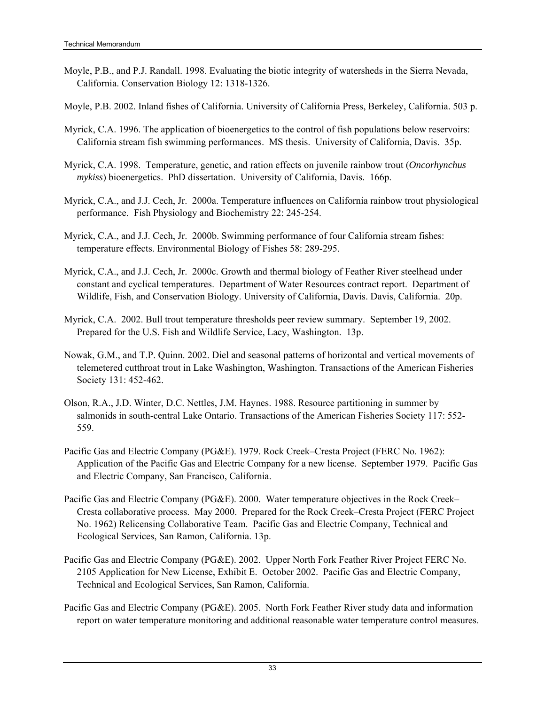- Moyle, P.B., and P.J. Randall. 1998. Evaluating the biotic integrity of watersheds in the Sierra Nevada, California. Conservation Biology 12: 1318-1326.
- Moyle, P.B. 2002. Inland fishes of California. University of California Press, Berkeley, California. 503 p.
- Myrick, C.A. 1996. The application of bioenergetics to the control of fish populations below reservoirs: California stream fish swimming performances. MS thesis. University of California, Davis. 35p.
- Myrick, C.A. 1998. Temperature, genetic, and ration effects on juvenile rainbow trout (*Oncorhynchus mykiss*) bioenergetics. PhD dissertation. University of California, Davis. 166p.
- Myrick, C.A., and J.J. Cech, Jr. 2000a. Temperature influences on California rainbow trout physiological performance. Fish Physiology and Biochemistry 22: 245-254.
- Myrick, C.A., and J.J. Cech, Jr. 2000b. Swimming performance of four California stream fishes: temperature effects. Environmental Biology of Fishes 58: 289-295.
- Myrick, C.A., and J.J. Cech, Jr. 2000c. Growth and thermal biology of Feather River steelhead under constant and cyclical temperatures. Department of Water Resources contract report. Department of Wildlife, Fish, and Conservation Biology. University of California, Davis. Davis, California. 20p.
- Myrick, C.A. 2002. Bull trout temperature thresholds peer review summary. September 19, 2002. Prepared for the U.S. Fish and Wildlife Service, Lacy, Washington. 13p.
- Nowak, G.M., and T.P. Quinn. 2002. Diel and seasonal patterns of horizontal and vertical movements of telemetered cutthroat trout in Lake Washington, Washington. Transactions of the American Fisheries Society 131: 452-462.
- Olson, R.A., J.D. Winter, D.C. Nettles, J.M. Haynes. 1988. Resource partitioning in summer by salmonids in south-central Lake Ontario. Transactions of the American Fisheries Society 117: 552- 559.
- Pacific Gas and Electric Company (PG&E). 1979. Rock Creek–Cresta Project (FERC No. 1962): Application of the Pacific Gas and Electric Company for a new license. September 1979. Pacific Gas and Electric Company, San Francisco, California.
- Pacific Gas and Electric Company (PG&E). 2000. Water temperature objectives in the Rock Creek– Cresta collaborative process. May 2000. Prepared for the Rock Creek–Cresta Project (FERC Project No. 1962) Relicensing Collaborative Team. Pacific Gas and Electric Company, Technical and Ecological Services, San Ramon, California. 13p.
- Pacific Gas and Electric Company (PG&E). 2002. Upper North Fork Feather River Project FERC No. 2105 Application for New License, Exhibit E. October 2002. Pacific Gas and Electric Company, Technical and Ecological Services, San Ramon, California.
- Pacific Gas and Electric Company (PG&E). 2005. North Fork Feather River study data and information report on water temperature monitoring and additional reasonable water temperature control measures.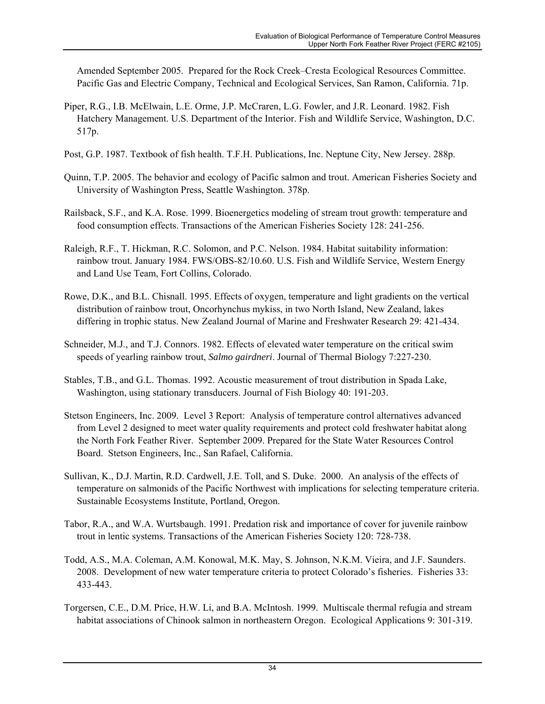Amended September 2005. Prepared for the Rock Creek–Cresta Ecological Resources Committee. Pacific Gas and Electric Company, Technical and Ecological Services, San Ramon, California. 71p.

- Piper, R.G., I.B. McElwain, L.E. Orme, J.P. McCraren, L.G. Fowler, and J.R. Leonard. 1982. Fish Hatchery Management. U.S. Department of the Interior. Fish and Wildlife Service, Washington, D.C. 517p.
- Post, G.P. 1987. Textbook of fish health. T.F.H. Publications, Inc. Neptune City, New Jersey. 288p.
- Quinn, T.P. 2005. The behavior and ecology of Pacific salmon and trout. American Fisheries Society and University of Washington Press, Seattle Washington. 378p.
- Railsback, S.F., and K.A. Rose. 1999. Bioenergetics modeling of stream trout growth: temperature and food consumption effects. Transactions of the American Fisheries Society 128: 241-256.
- Raleigh, R.F., T. Hickman, R.C. Solomon, and P.C. Nelson. 1984. Habitat suitability information: rainbow trout. January 1984. FWS/OBS-82/10.60. U.S. Fish and Wildlife Service, Western Energy and Land Use Team, Fort Collins, Colorado.
- Rowe, D.K., and B.L. Chisnall. 1995. Effects of oxygen, temperature and light gradients on the vertical distribution of rainbow trout, Oncorhynchus mykiss, in two North Island, New Zealand, lakes differing in trophic status. New Zealand Journal of Marine and Freshwater Research 29: 421-434.
- Schneider, M.J., and T.J. Connors. 1982. Effects of elevated water temperature on the critical swim speeds of yearling rainbow trout, *Salmo gairdneri*. Journal of Thermal Biology 7:227-230.
- Stables, T.B., and G.L. Thomas. 1992. Acoustic measurement of trout distribution in Spada Lake, Washington, using stationary transducers. Journal of Fish Biology 40: 191-203.
- Stetson Engineers, Inc. 2009. Level 3 Report: Analysis of temperature control alternatives advanced from Level 2 designed to meet water quality requirements and protect cold freshwater habitat along the North Fork Feather River. September 2009. Prepared for the State Water Resources Control Board. Stetson Engineers, Inc., San Rafael, California.
- Sullivan, K., D.J. Martin, R.D. Cardwell, J.E. Toll, and S. Duke. 2000. An analysis of the effects of temperature on salmonids of the Pacific Northwest with implications for selecting temperature criteria. Sustainable Ecosystems Institute, Portland, Oregon.
- Tabor, R.A., and W.A. Wurtsbaugh. 1991. Predation risk and importance of cover for juvenile rainbow trout in lentic systems. Transactions of the American Fisheries Society 120: 728-738.
- Todd, A.S., M.A. Coleman, A.M. Konowal, M.K. May, S. Johnson, N.K.M. Vieira, and J.F. Saunders. 2008. Development of new water temperature criteria to protect Colorado's fisheries. Fisheries 33: 433-443.
- Torgersen, C.E., D.M. Price, H.W. Li, and B.A. McIntosh. 1999. Multiscale thermal refugia and stream habitat associations of Chinook salmon in northeastern Oregon. Ecological Applications 9: 301-319.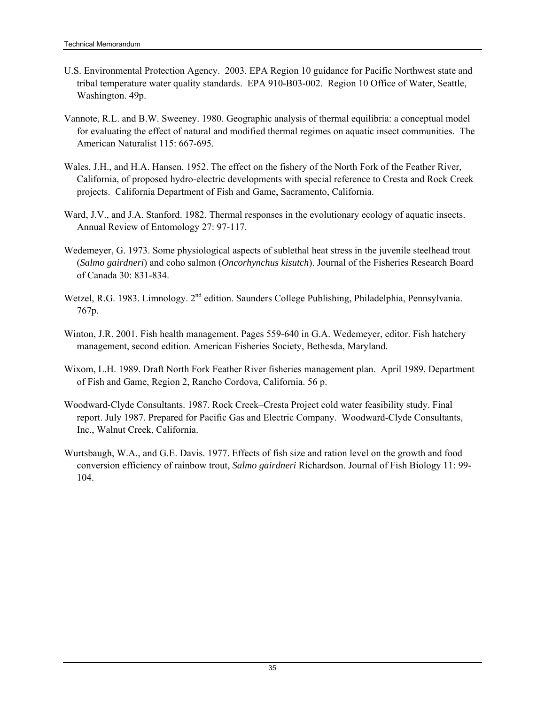- U.S. Environmental Protection Agency. 2003. EPA Region 10 guidance for Pacific Northwest state and tribal temperature water quality standards. EPA 910-B03-002. Region 10 Office of Water, Seattle, Washington. 49p.
- Vannote, R.L. and B.W. Sweeney. 1980. Geographic analysis of thermal equilibria: a conceptual model for evaluating the effect of natural and modified thermal regimes on aquatic insect communities. The American Naturalist 115: 667-695.
- Wales, J.H., and H.A. Hansen. 1952. The effect on the fishery of the North Fork of the Feather River, California, of proposed hydro-electric developments with special reference to Cresta and Rock Creek projects. California Department of Fish and Game, Sacramento, California.
- Ward, J.V., and J.A. Stanford. 1982. Thermal responses in the evolutionary ecology of aquatic insects. Annual Review of Entomology 27: 97-117.
- Wedemeyer, G. 1973. Some physiological aspects of sublethal heat stress in the juvenile steelhead trout (*Salmo gairdneri*) and coho salmon (*Oncorhynchus kisutch*). Journal of the Fisheries Research Board of Canada 30: 831-834.
- Wetzel, R.G. 1983. Limnology. 2<sup>nd</sup> edition. Saunders College Publishing, Philadelphia, Pennsylvania. 767p.
- Winton, J.R. 2001. Fish health management. Pages 559-640 in G.A. Wedemeyer, editor. Fish hatchery management, second edition. American Fisheries Society, Bethesda, Maryland.
- Wixom, L.H. 1989. Draft North Fork Feather River fisheries management plan. April 1989. Department of Fish and Game, Region 2, Rancho Cordova, California. 56 p.
- Woodward-Clyde Consultants. 1987. Rock Creek–Cresta Project cold water feasibility study. Final report. July 1987. Prepared for Pacific Gas and Electric Company. Woodward-Clyde Consultants, Inc., Walnut Creek, California.
- Wurtsbaugh, W.A., and G.E. Davis. 1977. Effects of fish size and ration level on the growth and food conversion efficiency of rainbow trout, *Salmo gairdneri* Richardson. Journal of Fish Biology 11: 99- 104.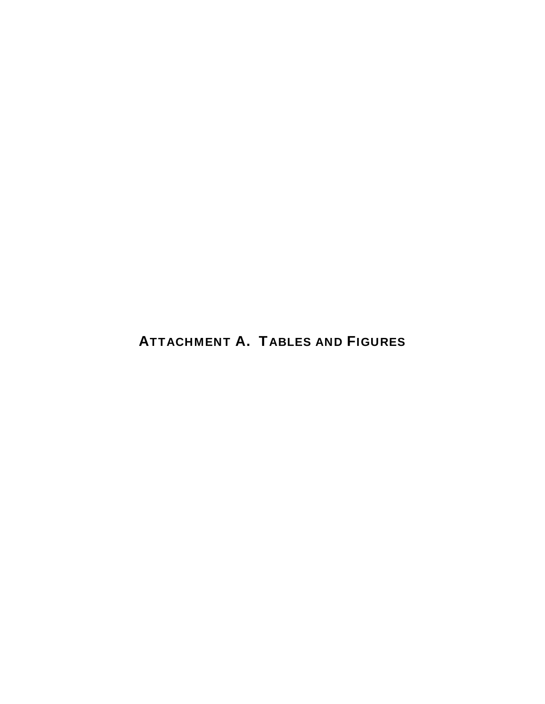## ATTACHMENT A. TABLES AND FIGURES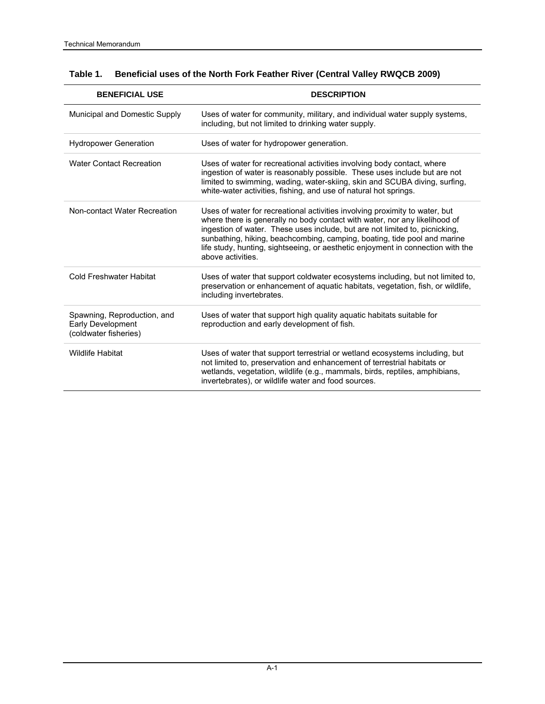| <b>BENEFICIAL USE</b>                                                     | <b>DESCRIPTION</b>                                                                                                                                                                                                                                                                                                                                                                                                           |
|---------------------------------------------------------------------------|------------------------------------------------------------------------------------------------------------------------------------------------------------------------------------------------------------------------------------------------------------------------------------------------------------------------------------------------------------------------------------------------------------------------------|
| Municipal and Domestic Supply                                             | Uses of water for community, military, and individual water supply systems,<br>including, but not limited to drinking water supply.                                                                                                                                                                                                                                                                                          |
| <b>Hydropower Generation</b>                                              | Uses of water for hydropower generation.                                                                                                                                                                                                                                                                                                                                                                                     |
| <b>Water Contact Recreation</b>                                           | Uses of water for recreational activities involving body contact, where<br>ingestion of water is reasonably possible. These uses include but are not<br>limited to swimming, wading, water-skiing, skin and SCUBA diving, surfing,<br>white-water activities, fishing, and use of natural hot springs.                                                                                                                       |
| Non-contact Water Recreation                                              | Uses of water for recreational activities involving proximity to water, but<br>where there is generally no body contact with water, nor any likelihood of<br>ingestion of water. These uses include, but are not limited to, picnicking,<br>sunbathing, hiking, beachcombing, camping, boating, tide pool and marine<br>life study, hunting, sightseeing, or aesthetic enjoyment in connection with the<br>above activities. |
| <b>Cold Freshwater Habitat</b>                                            | Uses of water that support coldwater ecosystems including, but not limited to,<br>preservation or enhancement of aquatic habitats, vegetation, fish, or wildlife,<br>including invertebrates.                                                                                                                                                                                                                                |
| Spawning, Reproduction, and<br>Early Development<br>(coldwater fisheries) | Uses of water that support high quality aquatic habitats suitable for<br>reproduction and early development of fish.                                                                                                                                                                                                                                                                                                         |
| <b>Wildlife Habitat</b>                                                   | Uses of water that support terrestrial or wetland ecosystems including, but<br>not limited to, preservation and enhancement of terrestrial habitats or<br>wetlands, vegetation, wildlife (e.g., mammals, birds, reptiles, amphibians,<br>invertebrates), or wildlife water and food sources.                                                                                                                                 |

### **Table 1. Beneficial uses of the North Fork Feather River (Central Valley RWQCB 2009)**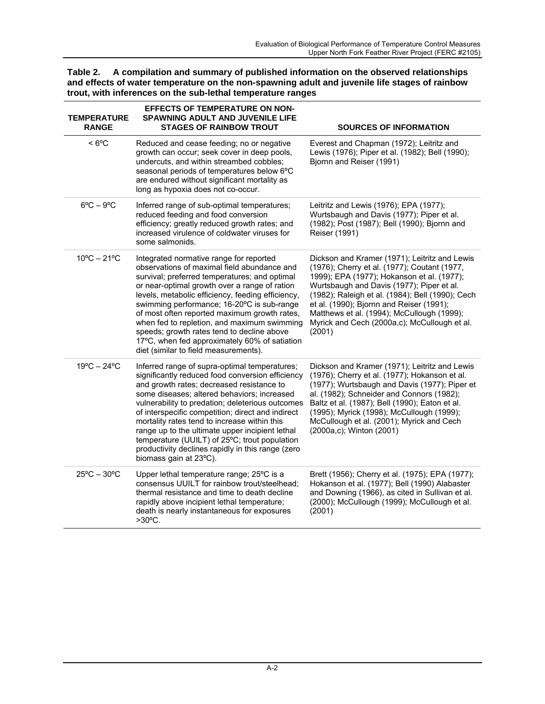| Table 2. A compilation and summary of published information on the observed relationships      |
|------------------------------------------------------------------------------------------------|
| and effects of water temperature on the non-spawning adult and juvenile life stages of rainbow |
| trout, with inferences on the sub-lethal temperature ranges                                    |

| <b>TEMPERATURE</b><br><b>RANGE</b> | <b>EFFECTS OF TEMPERATURE ON NON-</b><br><b>SPAWNING ADULT AND JUVENILE LIFE</b><br><b>STAGES OF RAINBOW TROUT</b>                                                                                                                                                                                                                                                                                                                                                                                                                        | <b>SOURCES OF INFORMATION</b>                                                                                                                                                                                                                                                                                                                                                                    |
|------------------------------------|-------------------------------------------------------------------------------------------------------------------------------------------------------------------------------------------------------------------------------------------------------------------------------------------------------------------------------------------------------------------------------------------------------------------------------------------------------------------------------------------------------------------------------------------|--------------------------------------------------------------------------------------------------------------------------------------------------------------------------------------------------------------------------------------------------------------------------------------------------------------------------------------------------------------------------------------------------|
| $< 6^{\circ}$ C                    | Reduced and cease feeding; no or negative<br>growth can occur; seek cover in deep pools,<br>undercuts, and within streambed cobbles;<br>seasonal periods of temperatures below 6°C<br>are endured without significant mortality as<br>long as hypoxia does not co-occur.                                                                                                                                                                                                                                                                  | Everest and Chapman (1972); Leitritz and<br>Lewis (1976); Piper et al. (1982); Bell (1990);<br>Bjornn and Reiser (1991)                                                                                                                                                                                                                                                                          |
| $6^{\circ}$ C – $9^{\circ}$ C      | Inferred range of sub-optimal temperatures;<br>reduced feeding and food conversion<br>efficiency; greatly reduced growth rates; and<br>increased virulence of coldwater viruses for<br>some salmonids.                                                                                                                                                                                                                                                                                                                                    | Leitritz and Lewis (1976); EPA (1977);<br>Wurtsbaugh and Davis (1977); Piper et al.<br>(1982); Post (1987); Bell (1990); Bjornn and<br>Reiser (1991)                                                                                                                                                                                                                                             |
| $10^{\circ}$ C – 21 $^{\circ}$ C   | Integrated normative range for reported<br>observations of maximal field abundance and<br>survival; preferred temperatures; and optimal<br>or near-optimal growth over a range of ration<br>levels, metabolic efficiency, feeding efficiency,<br>swimming performance; 16-20°C is sub-range<br>of most often reported maximum growth rates,<br>when fed to repletion, and maximum swimming<br>speeds; growth rates tend to decline above<br>17°C, when fed approximately 60% of satiation<br>diet (similar to field measurements).        | Dickson and Kramer (1971); Leitritz and Lewis<br>(1976); Cherry et al. (1977); Coutant (1977,<br>1999); EPA (1977); Hokanson et al. (1977);<br>Wurtsbaugh and Davis (1977); Piper et al.<br>(1982); Raleigh et al. (1984); Bell (1990); Cech<br>et al. (1990); Bjornn and Reiser (1991);<br>Matthews et al. (1994); McCullough (1999);<br>Myrick and Cech (2000a,c); McCullough et al.<br>(2001) |
| $19^{\circ}$ C - 24 $^{\circ}$ C   | Inferred range of supra-optimal temperatures;<br>significantly reduced food conversion efficiency<br>and growth rates; decreased resistance to<br>some diseases; altered behaviors; increased<br>vulnerability to predation; deleterious outcomes<br>of interspecific competition; direct and indirect<br>mortality rates tend to increase within this<br>range up to the ultimate upper incipient lethal<br>temperature (UUILT) of 25°C; trout population<br>productivity declines rapidly in this range (zero<br>biomass gain at 23°C). | Dickson and Kramer (1971); Leitritz and Lewis<br>(1976); Cherry et al. (1977); Hokanson et al.<br>(1977); Wurtsbaugh and Davis (1977); Piper et<br>al. (1982); Schneider and Connors (1982);<br>Baltz et al. (1987); Bell (1990); Eaton et al.<br>(1995); Myrick (1998); McCullough (1999);<br>McCullough et al. (2001); Myrick and Cech<br>(2000a,c); Winton (2001)                             |
| $25^{\circ}$ C - $30^{\circ}$ C    | Upper lethal temperature range; 25°C is a<br>consensus UUILT for rainbow trout/steelhead;<br>thermal resistance and time to death decline<br>rapidly above incipient lethal temperature;<br>death is nearly instantaneous for exposures<br>$>30^{\circ}$ C.                                                                                                                                                                                                                                                                               | Brett (1956); Cherry et al. (1975); EPA (1977);<br>Hokanson et al. (1977); Bell (1990) Alabaster<br>and Downing (1966), as cited in Sullivan et al.<br>(2000); McCullough (1999); McCullough et al.<br>(2001)                                                                                                                                                                                    |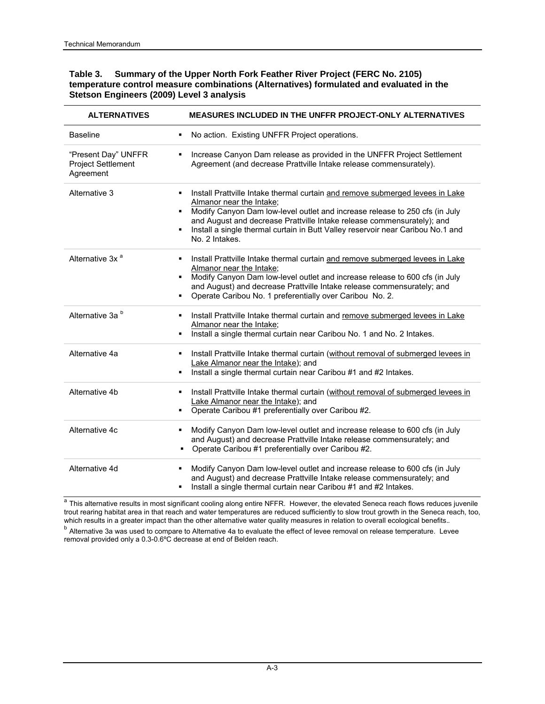#### **Table 3. Summary of the Upper North Fork Feather River Project (FERC No. 2105) temperature control measure combinations (Alternatives) formulated and evaluated in the Stetson Engineers (2009) Level 3 analysis**

| <b>ALTERNATIVES</b>                                    | MEASURES INCLUDED IN THE UNFFR PROJECT-ONLY ALTERNATIVES                                                                                                                                                                                                                                                                                                                |
|--------------------------------------------------------|-------------------------------------------------------------------------------------------------------------------------------------------------------------------------------------------------------------------------------------------------------------------------------------------------------------------------------------------------------------------------|
| <b>Baseline</b>                                        | No action. Existing UNFFR Project operations.<br>٠                                                                                                                                                                                                                                                                                                                      |
| "Present Day" UNFFR<br>Project Settlement<br>Agreement | Increase Canyon Dam release as provided in the UNFFR Project Settlement<br>Agreement (and decrease Prattville Intake release commensurately).                                                                                                                                                                                                                           |
| Alternative 3                                          | Install Prattville Intake thermal curtain and remove submerged levees in Lake<br>Almanor near the Intake;<br>Modify Canyon Dam low-level outlet and increase release to 250 cfs (in July<br>and August and decrease Prattville Intake release commensurately); and<br>Install a single thermal curtain in Butt Valley reservoir near Caribou No.1 and<br>No. 2 Intakes. |
| Alternative 3x <sup>a</sup>                            | Install Prattville Intake thermal curtain and remove submerged levees in Lake<br>Almanor near the Intake;<br>Modify Canyon Dam low-level outlet and increase release to 600 cfs (in July<br>٠.<br>and August) and decrease Prattville Intake release commensurately; and<br>Operate Caribou No. 1 preferentially over Caribou No. 2.                                    |
| Alternative 3a <sup>b</sup>                            | Install Prattville Intake thermal curtain and remove submerged levees in Lake<br>Almanor near the Intake;<br>Install a single thermal curtain near Caribou No. 1 and No. 2 Intakes.<br>٠                                                                                                                                                                                |
| Alternative 4a                                         | Install Prattville Intake thermal curtain (without removal of submerged levees in<br>Lake Almanor near the Intake); and<br>Install a single thermal curtain near Caribou #1 and #2 Intakes.<br>٠                                                                                                                                                                        |
| Alternative 4b                                         | Install Prattville Intake thermal curtain (without removal of submerged levees in<br>٠<br>Lake Almanor near the Intake); and<br>Operate Caribou #1 preferentially over Caribou #2.                                                                                                                                                                                      |
| Alternative 4c                                         | Modify Canyon Dam low-level outlet and increase release to 600 cfs (in July<br>and August) and decrease Prattville Intake release commensurately; and<br>Operate Caribou #1 preferentially over Caribou #2.<br>٠                                                                                                                                                        |
| Alternative 4d                                         | Modify Canyon Dam low-level outlet and increase release to 600 cfs (in July<br>٠<br>and August) and decrease Prattville Intake release commensurately; and<br>Install a single thermal curtain near Caribou #1 and #2 Intakes.<br>٠                                                                                                                                     |

a This alternative results in most significant cooling along entire NFFR. However, the elevated Seneca reach flows reduces juvenile trout rearing habitat area in that reach and water temperatures are reduced sufficiently to slow trout growth in the Seneca reach, too, which results in a greater impact than the other alternative water quality measures in relation to overall ecological benefits.*.*

<sup>b</sup> Alternative 3a was used to compare to Alternative 4a to evaluate the effect of levee removal on release temperature. Levee removal provided only a 0.3-0.6ºC decrease at end of Belden reach.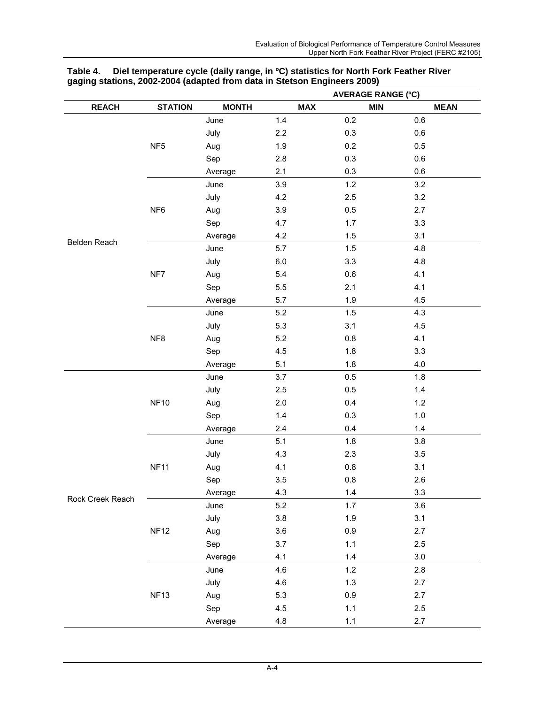|                  |                 |              | <b>AVERAGE RANGE (°C)</b> |            |             |
|------------------|-----------------|--------------|---------------------------|------------|-------------|
| <b>REACH</b>     | <b>STATION</b>  | <b>MONTH</b> | <b>MAX</b>                | <b>MIN</b> | <b>MEAN</b> |
|                  |                 | June         | 1.4                       | 0.2        | 0.6         |
|                  |                 | July         | 2.2                       | 0.3        | 0.6         |
|                  | NF <sub>5</sub> | Aug          | 1.9                       | 0.2        | 0.5         |
|                  |                 | Sep          | 2.8                       | 0.3        | 0.6         |
|                  |                 | Average      | 2.1                       | 0.3        | 0.6         |
|                  |                 | June         | 3.9                       | 1.2        | 3.2         |
|                  |                 | July         | 4.2                       | 2.5        | 3.2         |
|                  | NF <sub>6</sub> | Aug          | 3.9                       | 0.5        | 2.7         |
|                  |                 | Sep          | 4.7                       | 1.7        | 3.3         |
| Belden Reach     |                 | Average      | 4.2                       | 1.5        | 3.1         |
|                  |                 | June         | 5.7                       | 1.5        | 4.8         |
|                  |                 | July         | $6.0\,$                   | 3.3        | 4.8         |
|                  | NF7             | Aug          | 5.4                       | 0.6        | 4.1         |
|                  |                 | Sep          | $5.5\,$                   | 2.1        | 4.1         |
|                  |                 | Average      | 5.7                       | 1.9        | 4.5         |
|                  |                 | June         | 5.2                       | 1.5        | 4.3         |
|                  |                 | July         | 5.3                       | 3.1        | 4.5         |
|                  | NF8             | Aug          | 5.2                       | 0.8        | 4.1         |
|                  |                 | Sep          | 4.5                       | 1.8        | 3.3         |
|                  |                 | Average      | 5.1                       | 1.8        | 4.0         |
|                  |                 | June         | 3.7                       | 0.5        | 1.8         |
|                  |                 | July         | 2.5                       | 0.5        | $1.4$       |
|                  | <b>NF10</b>     | Aug          | 2.0                       | 0.4        | 1.2         |
|                  |                 | Sep          | $1.4$                     | 0.3        | 1.0         |
|                  |                 | Average      | 2.4                       | 0.4        | 1.4         |
|                  |                 | June         | 5.1                       | 1.8        | 3.8         |
|                  |                 | July         | 4.3                       | $2.3\,$    | 3.5         |
|                  | <b>NF11</b>     | Aug          | 4.1                       | 0.8        | 3.1         |
|                  |                 | Sep          | 3.5                       | $0.8\,$    | 2.6         |
| Rock Creek Reach |                 | Average      | 4.3                       | 1.4        | 3.3         |
|                  |                 | June         | 5.2                       | 1.7        | 3.6         |
|                  |                 | July         | 3.8                       | 1.9        | 3.1         |
|                  | <b>NF12</b>     | Aug          | 3.6                       | 0.9        | 2.7         |
|                  |                 | Sep          | 3.7                       | 1.1        | 2.5         |
|                  |                 | Average      | 4.1                       | 1.4        | 3.0         |
|                  |                 | June         | 4.6                       | 1.2        | 2.8         |
|                  |                 | July         | 4.6                       | $1.3$      | 2.7         |
|                  | <b>NF13</b>     | Aug          | 5.3                       | 0.9        | 2.7         |
|                  |                 | Sep          | 4.5                       | 1.1        | 2.5         |
|                  |                 | Average      | $4.8\,$                   | 1.1        | 2.7         |

#### **Table 4. Diel temperature cycle (daily range, in ºC) statistics for North Fork Feather River gaging stations, 2002-2004 (adapted from data in Stetson Engineers 2009)**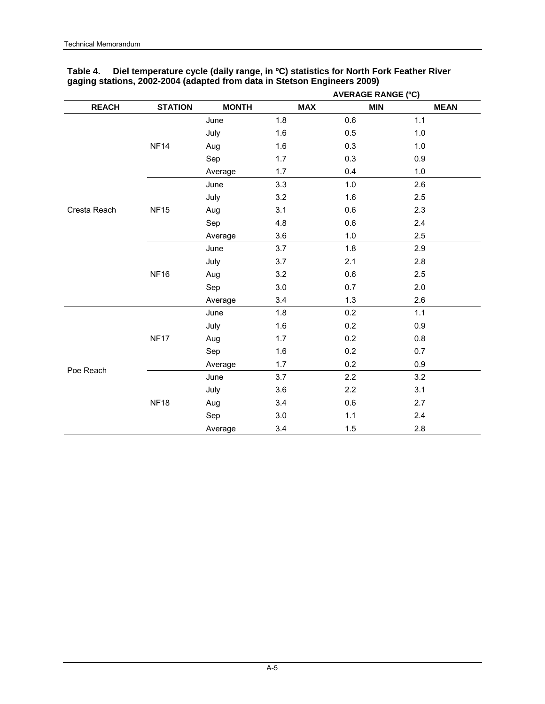|              |                |              | <b>AVERAGE RANGE (°C)</b> |            |             |  |  |  |
|--------------|----------------|--------------|---------------------------|------------|-------------|--|--|--|
| <b>REACH</b> | <b>STATION</b> | <b>MONTH</b> | <b>MAX</b>                | <b>MIN</b> | <b>MEAN</b> |  |  |  |
|              |                | June         | 1.8                       | 0.6        | 1.1         |  |  |  |
|              |                | July         | 1.6                       | 0.5        | 1.0         |  |  |  |
|              | <b>NF14</b>    | Aug          | 1.6                       | 0.3        | 1.0         |  |  |  |
|              |                | Sep          | 1.7                       | 0.3        | 0.9         |  |  |  |
|              |                | Average      | 1.7                       | 0.4        | 1.0         |  |  |  |
|              |                | June         | 3.3                       | 1.0        | 2.6         |  |  |  |
|              |                | July         | 3.2                       | 1.6        | 2.5         |  |  |  |
| Cresta Reach | <b>NF15</b>    | Aug          | 3.1                       | 0.6        | 2.3         |  |  |  |
|              |                | Sep          | 4.8                       | 0.6        | 2.4         |  |  |  |
|              |                | Average      | 3.6                       | 1.0        | 2.5         |  |  |  |
|              | <b>NF16</b>    | June         | 3.7                       | 1.8        | 2.9         |  |  |  |
|              |                | July         | 3.7                       | 2.1        | 2.8         |  |  |  |
|              |                | Aug          | 3.2                       | 0.6        | 2.5         |  |  |  |
|              |                | Sep          | 3.0                       | 0.7        | 2.0         |  |  |  |
|              |                | Average      | 3.4                       | 1.3        | 2.6         |  |  |  |
|              |                | June         | 1.8                       | 0.2        | 1.1         |  |  |  |
|              |                | July         | 1.6                       | 0.2        | 0.9         |  |  |  |
|              | <b>NF17</b>    | Aug          | 1.7                       | 0.2        | 0.8         |  |  |  |
|              |                | Sep          | 1.6                       | 0.2        | 0.7         |  |  |  |
|              |                | Average      | 1.7                       | 0.2        | 0.9         |  |  |  |
| Poe Reach    |                | June         | 3.7                       | 2.2        | 3.2         |  |  |  |
|              |                | July         | 3.6                       | 2.2        | 3.1         |  |  |  |
|              | <b>NF18</b>    | Aug          | 3.4                       | 0.6        | 2.7         |  |  |  |
|              |                | Sep          | 3.0                       | 1.1        | 2.4         |  |  |  |
|              |                | Average      | 3.4                       | 1.5        | 2.8         |  |  |  |

### **Table 4. Diel temperature cycle (daily range, in ºC) statistics for North Fork Feather River gaging stations, 2002-2004 (adapted from data in Stetson Engineers 2009)**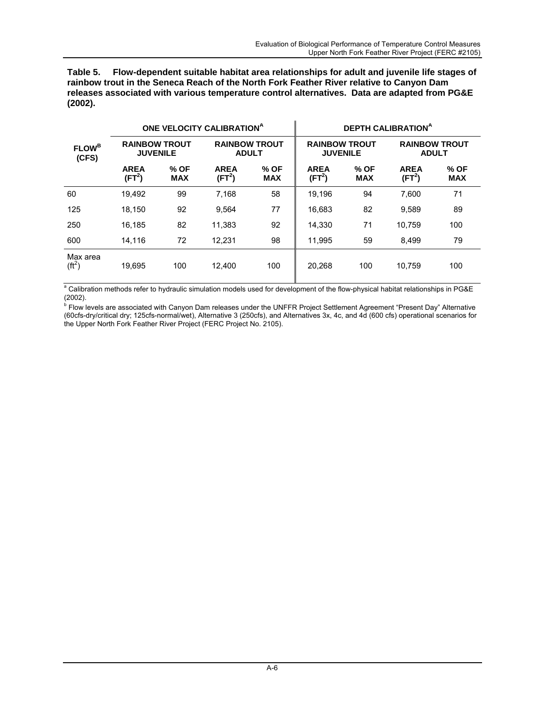**Table 5. Flow-dependent suitable habitat area relationships for adult and juvenile life stages of rainbow trout in the Seneca Reach of the North Fork Feather River relative to Canyon Dam releases associated with various temperature control alternatives. Data are adapted from PG&E (2002).** 

| <b>FLOW</b> <sup>B</sup><br>(CFS) |                                         |                    | ONE VELOCITY CALIBRATION <sup>A</sup> |                    | <b>DEPTH CALIBRATIONA</b>               |                    |        |                                      |  |  |  |
|-----------------------------------|-----------------------------------------|--------------------|---------------------------------------|--------------------|-----------------------------------------|--------------------|--------|--------------------------------------|--|--|--|
|                                   | <b>RAINBOW TROUT</b><br><b>JUVENILE</b> |                    | <b>RAINBOW TROUT</b><br><b>ADULT</b>  |                    | <b>RAINBOW TROUT</b><br><b>JUVENILE</b> |                    |        | <b>RAINBOW TROUT</b><br><b>ADULT</b> |  |  |  |
|                                   | <b>AREA</b><br>(FT <sup>2</sup> )       | % OF<br><b>MAX</b> | <b>AREA</b><br>(FT <sup>2</sup> )     | % OF<br><b>MAX</b> | <b>AREA</b><br>(FT <sup>2</sup> )       | % OF<br><b>MAX</b> |        | % OF<br><b>MAX</b>                   |  |  |  |
| 60                                | 19,492                                  | 99                 | 7,168                                 | 58                 | 19,196                                  | 94                 | 7.600  | 71                                   |  |  |  |
| 125                               | 18.150                                  | 92                 | 9.564                                 | 77                 | 16,683                                  | 82                 | 9,589  | 89                                   |  |  |  |
| 250                               | 16,185                                  | 82                 | 11.383                                | 92                 | 71<br>14.330                            |                    | 10.759 | 100                                  |  |  |  |
| 600                               | 14,116                                  | 72                 | 12,231                                | 98                 | 11.995                                  | 59                 | 8,499  | 79                                   |  |  |  |
| Max area<br>( <sup>ft</sup> )     | 19.695                                  | 100                | 12.400                                | 100                | 20.268                                  | 100                | 10.759 | 100                                  |  |  |  |

<sup>a</sup> Calibration methods refer to hydraulic simulation models used for development of the flow-physical habitat relationships in PG&E (2002).

<sup>b</sup> Flow levels are associated with Canyon Dam releases under the UNFFR Project Settlement Agreement "Present Day" Alternative (60cfs-dry/critical dry; 125cfs-normal/wet), Alternative 3 (250cfs), and Alternatives 3x, 4c, and 4d (600 cfs) operational scenarios for the Upper North Fork Feather River Project (FERC Project No. 2105).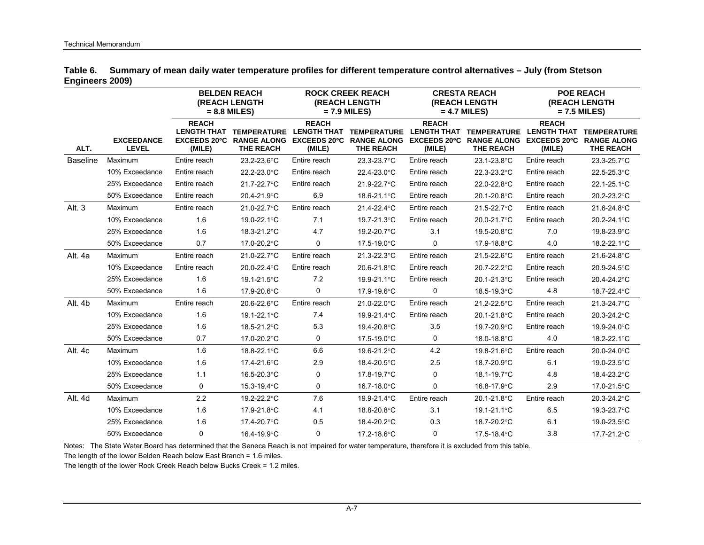|                 | Table 6. Summary of mean daily water temperature profiles for different temperature control alternatives - July (from Stetson |
|-----------------|-------------------------------------------------------------------------------------------------------------------------------|
| Engineers 2009) |                                                                                                                               |

|                 |                                   |                        | <b>BELDEN REACH</b><br><b>(REACH LENGTH</b><br>$= 8.8$ MILES)                  |                        | <b>ROCK CREEK REACH</b><br><b>(REACH LENGTH</b><br>$= 7.9$ MILES)       |                        | <b>CRESTA REACH</b><br><b>(REACH LENGTH</b><br>$= 4.7$ MILES)                        | <b>POE REACH</b><br><b>(REACH LENGTH</b><br>$= 7.5$ MILES) |                                                              |  |
|-----------------|-----------------------------------|------------------------|--------------------------------------------------------------------------------|------------------------|-------------------------------------------------------------------------|------------------------|--------------------------------------------------------------------------------------|------------------------------------------------------------|--------------------------------------------------------------|--|
| ALT.            | <b>EXCEEDANCE</b><br><b>LEVEL</b> | <b>REACH</b><br>(MILE) | LENGTH THAT TEMPERATURE<br><b>EXCEEDS 20°C RANGE ALONG</b><br><b>THE REACH</b> | <b>REACH</b><br>(MILE) | LENGTH THAT TEMPERATURE<br>EXCEEDS 20°C RANGE ALONG<br><b>THE REACH</b> | <b>REACH</b><br>(MILE) | LENGTH THAT TEMPERATURE<br>EXCEEDS 20°C RANGE ALONG EXCEEDS 20°C<br><b>THE REACH</b> | <b>REACH</b><br><b>LENGTH THAT</b><br>(MILE)               | <b>TEMPERATURE</b><br><b>RANGE ALONG</b><br><b>THE REACH</b> |  |
| <b>Baseline</b> | Maximum                           | Entire reach           | 23.2-23.6°C                                                                    | Entire reach           | 23.3-23.7°C                                                             | Entire reach           | 23.1-23.8°C                                                                          | Entire reach                                               | 23.3-25.7°C                                                  |  |
|                 | 10% Exceedance                    | Entire reach           | 22.2-23.0°C                                                                    | Entire reach           | 22.4-23.0°C                                                             | Entire reach           | 22.3-23.2°C                                                                          | Entire reach                                               | 22.5-25.3°C                                                  |  |
|                 | 25% Exceedance                    | Entire reach           | 21.7-22.7°C                                                                    | Entire reach           | 21.9-22.7°C                                                             | Entire reach           | 22.0-22.8°C                                                                          | Entire reach                                               | 22.1-25.1°C                                                  |  |
|                 | 50% Exceedance                    | Entire reach           | 20.4-21.9°C                                                                    | 6.9                    | 18.6-21.1°C                                                             | Entire reach           | 20.1-20.8°C                                                                          | Entire reach                                               | 20.2-23.2°C                                                  |  |
| Alt. 3          | Maximum                           | Entire reach           | 21.0-22.7°C                                                                    | Entire reach           | 21.4-22.4°C                                                             | Entire reach           | 21.5-22.7°C                                                                          | Entire reach                                               | 21.6-24.8°C                                                  |  |
|                 | 10% Exceedance                    | 1.6                    | 19.0-22.1°C                                                                    | 7.1                    | 19.7-21.3°C                                                             | Entire reach           | 20.0-21.7°C                                                                          | Entire reach                                               | 20.2-24.1°C                                                  |  |
|                 | 25% Exceedance                    | 1.6                    | 18.3-21.2°C                                                                    | 4.7                    | 19.2-20.7°C                                                             | 3.1                    | 19.5-20.8°C                                                                          | 7.0                                                        | 19.8-23.9°C                                                  |  |
|                 | 50% Exceedance                    | 0.7                    | 17.0-20.2°C                                                                    | 0                      | 17.5-19.0°C                                                             | 0                      | 17.9-18.8°C                                                                          | 4.0                                                        | 18.2-22.1°C                                                  |  |
| Alt. 4a         | Maximum                           | Entire reach           | 21.0-22.7°C                                                                    | Entire reach           | 21.3-22.3°C                                                             | Entire reach           | 21.5-22.6°C                                                                          | Entire reach                                               | 21.6-24.8°C                                                  |  |
|                 | 10% Exceedance                    | Entire reach           | 20.0-22.4°C                                                                    | Entire reach           | 20.6-21.8°C                                                             | Entire reach           | 20.7-22.2°C                                                                          | Entire reach                                               | 20.9-24.5°C                                                  |  |
|                 | 25% Exceedance                    | 1.6                    | 19.1-21.5°C                                                                    | 7.2                    | 19.9-21.1°C                                                             | Entire reach           | 20.1-21.3°C                                                                          | Entire reach                                               | 20.4-24.2°C                                                  |  |
|                 | 50% Exceedance                    | 1.6                    | 17.9-20.6°C                                                                    | 0                      | 17.9-19.6°C                                                             | 0                      | 18.5-19.3°C                                                                          | 4.8                                                        | 18.7-22.4°C                                                  |  |
| Alt. 4b         | Maximum                           | Entire reach           | 20.6-22.6°C                                                                    | Entire reach           | 21.0-22.0°C                                                             | Entire reach           | 21.2-22.5°C                                                                          | Entire reach                                               | 21.3-24.7°C                                                  |  |
|                 | 10% Exceedance                    | 1.6                    | 19.1-22.1°C                                                                    | 7.4                    | 19.9-21.4°C                                                             | Entire reach           | 20.1-21.8°C                                                                          | Entire reach                                               | 20.3-24.2°C                                                  |  |
|                 | 25% Exceedance                    | 1.6                    | 18.5-21.2°C                                                                    | 5.3                    | 19.4-20.8°C                                                             | 3.5                    | 19.7-20.9°C                                                                          | Entire reach                                               | 19.9-24.0°C                                                  |  |
|                 | 50% Exceedance                    | 0.7                    | 17.0-20.2°C                                                                    | 0                      | 17.5-19.0°C                                                             | 0                      | 18.0-18.8°C                                                                          | 4.0                                                        | 18.2-22.1°C                                                  |  |
| Alt. 4c         | Maximum                           | 1.6                    | 18.8-22.1°C                                                                    | 6.6                    | 19.6-21.2°C                                                             | 4.2                    | 19.8-21.6°C                                                                          | Entire reach                                               | 20.0-24.0°C                                                  |  |
|                 | 10% Exceedance                    | 1.6                    | 17.4-21.6°C                                                                    | 2.9                    | 18.4-20.5°C                                                             | 2.5                    | 18.7-20.9°C                                                                          | 6.1                                                        | 19.0-23.5°C                                                  |  |
|                 | 25% Exceedance                    | 1.1                    | 16.5-20.3°C                                                                    | 0                      | 17.8-19.7°C                                                             | $\mathbf 0$            | 18.1-19.7°C                                                                          | 4.8                                                        | 18.4-23.2°C                                                  |  |
|                 | 50% Exceedance                    | 0                      | 15.3-19.4°C                                                                    | 0                      | 16.7-18.0°C                                                             | $\mathbf 0$            | 16.8-17.9°C                                                                          | 2.9                                                        | 17.0-21.5°C                                                  |  |
| Alt. 4d         | Maximum                           | 2.2                    | 19.2-22.2°C                                                                    | 7.6                    | 19.9-21.4°C                                                             | Entire reach           | 20.1-21.8°C                                                                          | Entire reach                                               | 20.3-24.2°C                                                  |  |
|                 | 10% Exceedance                    | 1.6                    | 17.9-21.8°C                                                                    | 4.1                    | 18.8-20.8°C                                                             | 3.1                    | 19.1-21.1°C                                                                          | 6.5                                                        | 19.3-23.7°C                                                  |  |
|                 | 25% Exceedance                    | 1.6                    | 17.4-20.7°C                                                                    | 0.5                    | 18.4-20.2°C                                                             | 0.3                    | 18.7-20.2°C                                                                          | 6.1                                                        | 19.0-23.5°C                                                  |  |
|                 | 50% Exceedance                    | $\Omega$               | 16.4-19.9°C                                                                    | 0                      | 17.2-18.6°C                                                             | 0                      | 17.5-18.4°C                                                                          | 3.8                                                        | 17.7-21.2°C                                                  |  |

Notes: The State Water Board has determined that the Seneca Reach is not impaired for water temperature, therefore it is excluded from this table.

The length of the lower Belden Reach below East Branch = 1.6 miles.

The length of the lower Rock Creek Reach below Bucks Creek = 1.2 miles.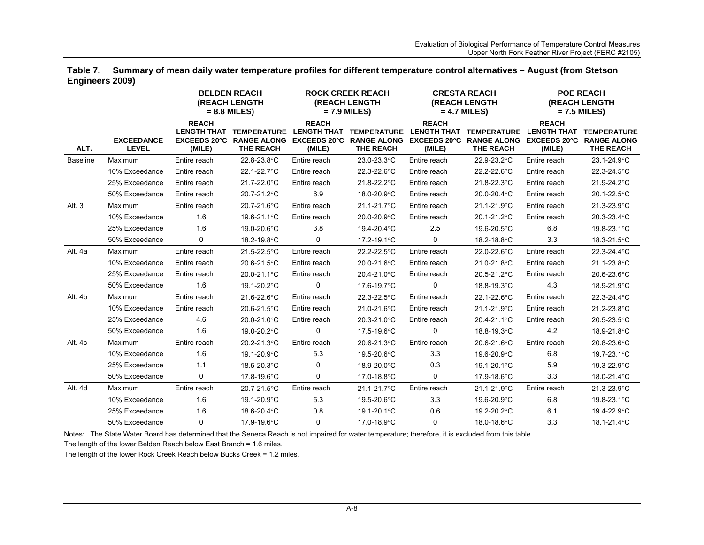|                 | Table 7. Summary of mean daily water temperature profiles for different temperature control alternatives - August (from Stetson |
|-----------------|---------------------------------------------------------------------------------------------------------------------------------|
| Engineers 2009) |                                                                                                                                 |

|                 |                                                                                                                                                                                          |              | <b>BELDEN REACH</b><br>(REACH LENGTH<br>$= 8.8$ MILES) |                             | <b>ROCK CREEK REACH</b><br>(REACH LENGTH<br>$= 7.9$ MILES) |                             | <b>CRESTA REACH</b><br>(REACH LENGTH<br>$= 4.7$ MILES) | <b>POE REACH</b><br>(REACH LENGTH<br>$= 7.5$ MILES) |                                        |  |
|-----------------|------------------------------------------------------------------------------------------------------------------------------------------------------------------------------------------|--------------|--------------------------------------------------------|-----------------------------|------------------------------------------------------------|-----------------------------|--------------------------------------------------------|-----------------------------------------------------|----------------------------------------|--|
| ALT.            | <b>REACH</b><br><b>LENGTH THAT</b><br><b>EXCEEDANCE</b><br>EXCEEDS 20°C RANGE ALONG EXCEEDS 20°C RANGE ALONG EXCEEDS 20°C RANGE ALONG EXCEEDS 20°C RANGE ALONG<br><b>LEVEL</b><br>(MILE) |              | <b>TEMPERATURE</b><br><b>THE REACH</b>                 | <b>REACH</b><br>(MILE)      | LENGTH THAT TEMPERATURE<br><b>THE REACH</b>                | <b>REACH</b><br>(MILE)      | LENGTH THAT TEMPERATURE<br><b>THE REACH</b>            | <b>REACH</b><br><b>LENGTH THAT</b><br>(MILE)        | <b>TEMPERATURE</b><br><b>THE REACH</b> |  |
| <b>Baseline</b> | Maximum                                                                                                                                                                                  | Entire reach | 22.8-23.8°C                                            | Entire reach                | 23.0-23.3°C                                                | Entire reach                | 22.9-23.2°C                                            | Entire reach                                        | 23.1-24.9°C                            |  |
|                 | 10% Exceedance                                                                                                                                                                           | Entire reach | 22.1-22.7°C                                            | Entire reach                | 22.3-22.6°C                                                | Entire reach                | 22.2-22.6°C                                            | Entire reach                                        | 22.3-24.5°C                            |  |
|                 | 25% Exceedance                                                                                                                                                                           | Entire reach | 21.7-22.0°C                                            | Entire reach                | 21.8-22.2°C                                                | Entire reach                | 21.8-22.3°C                                            | Entire reach                                        | 21.9-24.2°C                            |  |
|                 | 50% Exceedance                                                                                                                                                                           | Entire reach | 20.7-21.2°C                                            | 6.9                         | 18.0-20.9°C                                                | Entire reach                | 20.0-20.4°C                                            | Entire reach                                        | 20.1-22.5°C                            |  |
| Alt. 3          | Maximum                                                                                                                                                                                  | Entire reach | 20.7-21.6°C                                            | Entire reach                | 21.1-21.7°C                                                | Entire reach                | 21.1-21.9°C                                            | Entire reach                                        | 21.3-23.9°C                            |  |
|                 | 10% Exceedance                                                                                                                                                                           | 1.6          | 19.6-21.1°C                                            | Entire reach                | 20.0-20.9°C                                                | Entire reach                | 20.1-21.2°C                                            | Entire reach                                        | 20.3-23.4°C                            |  |
|                 | 25% Exceedance                                                                                                                                                                           | 1.6          | 19.0-20.6°C                                            | 3.8                         | 19.4-20.4°C                                                | 2.5                         | 19.6-20.5°C                                            | 6.8                                                 | 19.8-23.1°C                            |  |
|                 | 50% Exceedance                                                                                                                                                                           | 0            | 18.2-19.8°C                                            | 0                           | 17.2-19.1°C                                                | 0                           | 18.2-18.8°C                                            | 3.3                                                 | 18.3-21.5°C                            |  |
| Alt. 4a         | Maximum                                                                                                                                                                                  | Entire reach | 21.5-22.5°C                                            | Entire reach                | 22.2-22.5°C                                                | Entire reach                | 22.0-22.6°C                                            | Entire reach                                        | 22.3-24.4°C                            |  |
|                 | 10% Exceedance                                                                                                                                                                           | Entire reach | 20.6-21.5°C                                            | Entire reach                | 20.0-21.6°C                                                | Entire reach                | 21.0-21.8°C                                            | Entire reach                                        | 21.1-23.8°C                            |  |
|                 | 25% Exceedance                                                                                                                                                                           | Entire reach | 20.0-21.1°C                                            | Entire reach                | 20.4-21.0°C                                                | Entire reach<br>20.5-21.2°C |                                                        | Entire reach                                        | 20.6-23.6°C                            |  |
|                 | 50% Exceedance                                                                                                                                                                           | 1.6          | 19.1-20.2°C                                            | 0                           | 17.6-19.7°C                                                | 0                           | 18.8-19.3°C                                            | 4.3                                                 | 18.9-21.9°C                            |  |
| Alt. 4b         | Maximum                                                                                                                                                                                  | Entire reach | 21.6-22.6°C                                            | Entire reach                | 22.3-22.5°C                                                | Entire reach                | 22.1-22.6°C                                            | Entire reach                                        | 22.3-24.4°C                            |  |
|                 | 10% Exceedance                                                                                                                                                                           | Entire reach | 20.6-21.5°C                                            | 21.0-21.6°C<br>Entire reach |                                                            | 21.1-21.9°C<br>Entire reach |                                                        | Entire reach                                        | 21.2-23.8°C                            |  |
|                 | 25% Exceedance                                                                                                                                                                           | 4.6          | 20.0-21.0°C                                            | Entire reach                | 20.3-21.0°C                                                | Entire reach                | 20.4-21.1°C                                            | Entire reach                                        | 20.5-23.5°C                            |  |
|                 | 50% Exceedance                                                                                                                                                                           | 1.6          | 19.0-20.2°C                                            | 0                           | 17.5-19.6°C                                                | 0                           | 18.8-19.3°C                                            | 4.2                                                 | 18.9-21.8°C                            |  |
| Alt. 4c         | Maximum                                                                                                                                                                                  | Entire reach | 20.2-21.3°C                                            | Entire reach                | 20.6-21.3°C                                                | Entire reach                | 20.6-21.6°C                                            | Entire reach                                        | 20.8-23.6°C                            |  |
|                 | 10% Exceedance                                                                                                                                                                           | 1.6          | 19.1-20.9°C                                            | 5.3                         | 19.5-20.6°C                                                | 3.3                         | 19.6-20.9°C                                            | 6.8                                                 | 19.7-23.1°C                            |  |
|                 | 25% Exceedance                                                                                                                                                                           | 1.1          | 18.5-20.3°C                                            | $\mathbf 0$                 | 18.9-20.0°C                                                | 0.3                         | 19.1-20.1°C                                            | 5.9                                                 | 19.3-22.9°C                            |  |
|                 | 50% Exceedance                                                                                                                                                                           | 0            | 17.8-19.6°C                                            | 0                           | 17.0-18.8°C                                                | 0                           | 17.9-18.6°C                                            | 3.3                                                 | 18.0-21.4°C                            |  |
| Alt. 4d         | Maximum                                                                                                                                                                                  | Entire reach | 20.7-21.5°C                                            | Entire reach                | 21.1-21.7°C                                                | Entire reach                | 21.1-21.9°C                                            | Entire reach                                        | 21.3-23.9°C                            |  |
|                 | 10% Exceedance                                                                                                                                                                           | 1.6          | 19.1-20.9°C                                            | 5.3                         | 19.5-20.6°C                                                | 3.3                         | 19.6-20.9°C                                            | 6.8                                                 | 19.8-23.1°C                            |  |
|                 | 25% Exceedance                                                                                                                                                                           | 1.6          | 18.6-20.4°C                                            | 0.8                         | 19.1-20.1°C                                                | 0.6                         | 19.2-20.2°C                                            | 6.1                                                 | 19.4-22.9°C                            |  |
|                 | 50% Exceedance                                                                                                                                                                           | 0            | 17.9-19.6°C                                            | $\Omega$                    | 17.0-18.9°C                                                | 0                           | 18.0-18.6°C                                            | 3.3                                                 | 18.1-21.4°C                            |  |

Notes: The State Water Board has determined that the Seneca Reach is not impaired for water temperature; therefore, it is excluded from this table.

The length of the lower Belden Reach below East Branch = 1.6 miles.

The length of the lower Rock Creek Reach below Bucks Creek = 1.2 miles.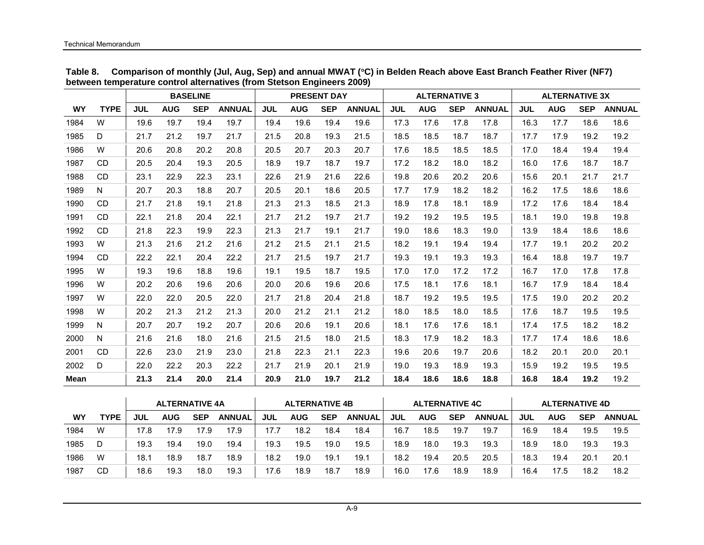|           |              | <b>BASELINE</b> |            |            |               | <b>PRESENT DAY</b> |            |            | <b>ALTERNATIVE 3</b> |            |            |            | <b>ALTERNATIVE 3X</b> |            |            |            |               |
|-----------|--------------|-----------------|------------|------------|---------------|--------------------|------------|------------|----------------------|------------|------------|------------|-----------------------|------------|------------|------------|---------------|
| <b>WY</b> | <b>TYPE</b>  | <b>JUL</b>      | <b>AUG</b> | <b>SEP</b> | <b>ANNUAL</b> | <b>JUL</b>         | <b>AUG</b> | <b>SEP</b> | <b>ANNUAL</b>        | <b>JUL</b> | <b>AUG</b> | <b>SEP</b> | <b>ANNUAL</b>         | <b>JUL</b> | <b>AUG</b> | <b>SEP</b> | <b>ANNUAL</b> |
| 1984      | W            | 19.6            | 19.7       | 19.4       | 19.7          | 19.4               | 19.6       | 19.4       | 19.6                 | 17.3       | 17.6       | 17.8       | 17.8                  | 16.3       | 17.7       | 18.6       | 18.6          |
| 1985      | D            | 21.7            | 21.2       | 19.7       | 21.7          | 21.5               | 20.8       | 19.3       | 21.5                 | 18.5       | 18.5       | 18.7       | 18.7                  | 17.7       | 17.9       | 19.2       | 19.2          |
| 1986      | W            | 20.6            | 20.8       | 20.2       | 20.8          | 20.5               | 20.7       | 20.3       | 20.7                 | 17.6       | 18.5       | 18.5       | 18.5                  | 17.0       | 18.4       | 19.4       | 19.4          |
| 1987      | <b>CD</b>    | 20.5            | 20.4       | 19.3       | 20.5          | 18.9               | 19.7       | 18.7       | 19.7                 | 17.2       | 18.2       | 18.0       | 18.2                  | 16.0       | 17.6       | 18.7       | 18.7          |
| 1988      | <b>CD</b>    | 23.1            | 22.9       | 22.3       | 23.1          | 22.6               | 21.9       | 21.6       | 22.6                 | 19.8       | 20.6       | 20.2       | 20.6                  | 15.6       | 20.1       | 21.7       | 21.7          |
| 1989      | N            | 20.7            | 20.3       | 18.8       | 20.7          | 20.5               | 20.1       | 18.6       | 20.5                 | 17.7       | 17.9       | 18.2       | 18.2                  | 16.2       | 17.5       | 18.6       | 18.6          |
| 1990      | <b>CD</b>    | 21.7            | 21.8       | 19.1       | 21.8          | 21.3               | 21.3       | 18.5       | 21.3                 | 18.9       | 17.8       | 18.1       | 18.9                  | 17.2       | 17.6       | 18.4       | 18.4          |
| 1991      | <b>CD</b>    | 22.1            | 21.8       | 20.4       | 22.1          | 21.7               | 21.2       | 19.7       | 21.7                 | 19.2       | 19.2       | 19.5       | 19.5                  | 18.1       | 19.0       | 19.8       | 19.8          |
| 1992      | <b>CD</b>    | 21.8            | 22.3       | 19.9       | 22.3          | 21.3               | 21.7       | 19.1       | 21.7                 | 19.0       | 18.6       | 18.3       | 19.0                  | 13.9       | 18.4       | 18.6       | 18.6          |
| 1993      | W            | 21.3            | 21.6       | 21.2       | 21.6          | 21.2               | 21.5       | 21.1       | 21.5                 | 18.2       | 19.1       | 19.4       | 19.4                  | 17.7       | 19.1       | 20.2       | 20.2          |
| 1994      | <b>CD</b>    | 22.2            | 22.1       | 20.4       | 22.2          | 21.7               | 21.5       | 19.7       | 21.7                 | 19.3       | 19.1       | 19.3       | 19.3                  | 16.4       | 18.8       | 19.7       | 19.7          |
| 1995      | W            | 19.3            | 19.6       | 18.8       | 19.6          | 19.1               | 19.5       | 18.7       | 19.5                 | 17.0       | 17.0       | 17.2       | 17.2                  | 16.7       | 17.0       | 17.8       | 17.8          |
| 1996      | W            | 20.2            | 20.6       | 19.6       | 20.6          | 20.0               | 20.6       | 19.6       | 20.6                 | 17.5       | 18.1       | 17.6       | 18.1                  | 16.7       | 17.9       | 18.4       | 18.4          |
| 1997      | W            | 22.0            | 22.0       | 20.5       | 22.0          | 21.7               | 21.8       | 20.4       | 21.8                 | 18.7       | 19.2       | 19.5       | 19.5                  | 17.5       | 19.0       | 20.2       | 20.2          |
| 1998      | W            | 20.2            | 21.3       | 21.2       | 21.3          | 20.0               | 21.2       | 21.1       | 21.2                 | 18.0       | 18.5       | 18.0       | 18.5                  | 17.6       | 18.7       | 19.5       | 19.5          |
| 1999      | N            | 20.7            | 20.7       | 19.2       | 20.7          | 20.6               | 20.6       | 19.1       | 20.6                 | 18.1       | 17.6       | 17.6       | 18.1                  | 17.4       | 17.5       | 18.2       | 18.2          |
| 2000      | $\mathsf{N}$ | 21.6            | 21.6       | 18.0       | 21.6          | 21.5               | 21.5       | 18.0       | 21.5                 | 18.3       | 17.9       | 18.2       | 18.3                  | 17.7       | 17.4       | 18.6       | 18.6          |
| 2001      | <b>CD</b>    | 22.6            | 23.0       | 21.9       | 23.0          | 21.8               | 22.3       | 21.1       | 22.3                 | 19.6       | 20.6       | 19.7       | 20.6                  | 18.2       | 20.1       | 20.0       | 20.1          |
| 2002      | D            | 22.0            | 22.2       | 20.3       | 22.2          | 21.7               | 21.9       | 20.1       | 21.9                 | 19.0       | 19.3       | 18.9       | 19.3                  | 15.9       | 19.2       | 19.5       | 19.5          |
| Mean      |              | 21.3            | 21.4       | 20.0       | 21.4          | 20.9               | 21.0       | 19.7       | 21.2                 | 18.4       | 18.6       | 18.6       | 18.8                  | 16.8       | 18.4       | 19.2       | 19.2          |

**Table 8. Comparison of monthly (Jul, Aug, Sep) and annual MWAT (**°**C) in Belden Reach above East Branch Feather River (NF7) between temperature control alternatives (from Stetson Engineers 2009)** 

|      |      |      | <b>ALTERNATIVE 4A</b> |            |               |      | <b>ALTERNATIVE 4B</b> |            |               |      | <b>ALTERNATIVE 4C</b> |            |               |      | <b>ALTERNATIVE 4D</b> |            |               |
|------|------|------|-----------------------|------------|---------------|------|-----------------------|------------|---------------|------|-----------------------|------------|---------------|------|-----------------------|------------|---------------|
| WY   | TYPE | JUL  | AUG                   | <b>SEP</b> | <b>ANNUAL</b> | JUL  | <b>AUG</b>            | <b>SEP</b> | <b>ANNUAL</b> | JUL  | <b>AUG</b>            | <b>SEP</b> | <b>ANNUAL</b> | JUL  | <b>AUG</b>            | <b>SEP</b> | <b>ANNUAL</b> |
| 1984 | W    | 17.8 | 17.9                  | 17.9       | 17.9          | 17.7 | 18.2                  | 18.4       | 18.4          | 16.7 | 18.5                  | 19.7       | 19.7          | 16.9 | 18.4                  | 19.5       | 19.5          |
| 1985 | D    | 19.3 | 19.4                  | 19.0       | 19.4          | 19.3 | 19.5                  | 19.0       | 19.5          | 18.9 | 18.0                  | 19.3       | 19.3          | 18.9 | 18.0                  | 19.3       | 19.3          |
| 1986 | W    | 18.1 | 18.9                  | 18.7       | 18.9          | 18.2 | 19.0                  | 19.1       | 19.1          | 18.2 | 19.4                  | 20.5       | 20.5          | 18.3 | 19.4                  | 20.1       | 20.1          |
| 1987 | CD   | 18.6 | 19.3                  | 18.0       | 19.3          | 17.6 | 18.9                  | 18.7       | 18.9          | 16.0 | 17.6                  | 18.9       | 18.9          | 16.4 | 17.5                  | 18.2       | 18.2          |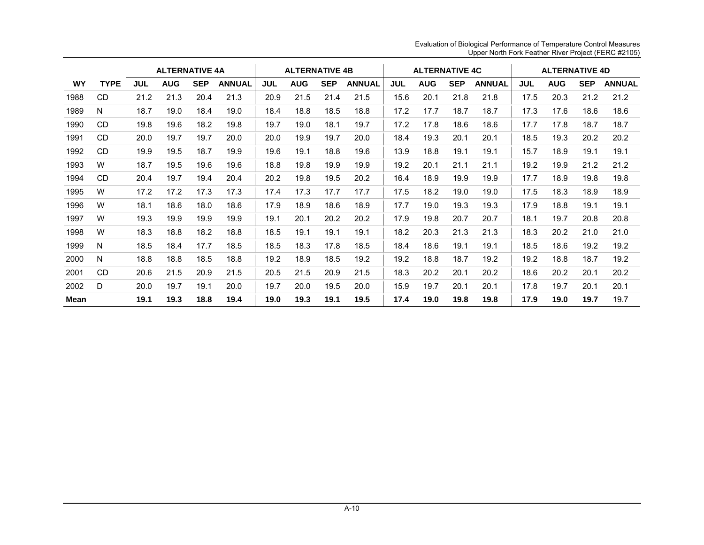|           |             |            | <b>ALTERNATIVE 4A</b> |            |               |            | <b>ALTERNATIVE 4B</b> |            |               |            | <b>ALTERNATIVE 4C</b> |            |               |            | <b>ALTERNATIVE 4D</b> |            |               |
|-----------|-------------|------------|-----------------------|------------|---------------|------------|-----------------------|------------|---------------|------------|-----------------------|------------|---------------|------------|-----------------------|------------|---------------|
| <b>WY</b> | <b>TYPE</b> | <b>JUL</b> | <b>AUG</b>            | <b>SEP</b> | <b>ANNUAL</b> | <b>JUL</b> | <b>AUG</b>            | <b>SEP</b> | <b>ANNUAL</b> | <b>JUL</b> | <b>AUG</b>            | <b>SEP</b> | <b>ANNUAL</b> | <b>JUL</b> | <b>AUG</b>            | <b>SEP</b> | <b>ANNUAL</b> |
| 1988      | <b>CD</b>   | 21.2       | 21.3                  | 20.4       | 21.3          | 20.9       | 21.5                  | 21.4       | 21.5          | 15.6       | 20.1                  | 21.8       | 21.8          | 17.5       | 20.3                  | 21.2       | 21.2          |
| 1989      | N           | 18.7       | 19.0                  | 18.4       | 19.0          | 18.4       | 18.8                  | 18.5       | 18.8          | 17.2       | 17.7                  | 18.7       | 18.7          | 17.3       | 17.6                  | 18.6       | 18.6          |
| 1990      | <b>CD</b>   | 19.8       | 19.6                  | 18.2       | 19.8          | 19.7       | 19.0                  | 18.1       | 19.7          | 17.2       | 17.8                  | 18.6       | 18.6          | 17.7       | 17.8                  | 18.7       | 18.7          |
| 1991      | CD          | 20.0       | 19.7                  | 19.7       | 20.0          | 20.0       | 19.9                  | 19.7       | 20.0          | 18.4       | 19.3                  | 20.1       | 20.1          | 18.5       | 19.3                  | 20.2       | 20.2          |
| 1992      | CD.         | 19.9       | 19.5                  | 18.7       | 19.9          | 19.6       | 19.1                  | 18.8       | 19.6          | 13.9       | 18.8                  | 19.1       | 19.1          | 15.7       | 18.9                  | 19.1       | 19.1          |
| 1993      | W           | 18.7       | 19.5                  | 19.6       | 19.6          | 18.8       | 19.8                  | 19.9       | 19.9          | 19.2       | 20.1                  | 21.1       | 21.1          | 19.2       | 19.9                  | 21.2       | 21.2          |
| 1994      | <b>CD</b>   | 20.4       | 19.7                  | 19.4       | 20.4          | 20.2       | 19.8                  | 19.5       | 20.2          | 16.4       | 18.9                  | 19.9       | 19.9          | 17.7       | 18.9                  | 19.8       | 19.8          |
| 1995      | W           | 17.2       | 17.2                  | 17.3       | 17.3          | 17.4       | 17.3                  | 17.7       | 17.7          | 17.5       | 18.2                  | 19.0       | 19.0          | 17.5       | 18.3                  | 18.9       | 18.9          |
| 1996      | W           | 18.1       | 18.6                  | 18.0       | 18.6          | 17.9       | 18.9                  | 18.6       | 18.9          | 17.7       | 19.0                  | 19.3       | 19.3          | 17.9       | 18.8                  | 19.1       | 19.1          |
| 1997      | W           | 19.3       | 19.9                  | 19.9       | 19.9          | 19.1       | 20.1                  | 20.2       | 20.2          | 17.9       | 19.8                  | 20.7       | 20.7          | 18.1       | 19.7                  | 20.8       | 20.8          |
| 1998      | W           | 18.3       | 18.8                  | 18.2       | 18.8          | 18.5       | 19.1                  | 19.1       | 19.1          | 18.2       | 20.3                  | 21.3       | 21.3          | 18.3       | 20.2                  | 21.0       | 21.0          |
| 1999      | N           | 18.5       | 18.4                  | 17.7       | 18.5          | 18.5       | 18.3                  | 17.8       | 18.5          | 18.4       | 18.6                  | 19.1       | 19.1          | 18.5       | 18.6                  | 19.2       | 19.2          |
| 2000      | N           | 18.8       | 18.8                  | 18.5       | 18.8          | 19.2       | 18.9                  | 18.5       | 19.2          | 19.2       | 18.8                  | 18.7       | 19.2          | 19.2       | 18.8                  | 18.7       | 19.2          |
| 2001      | CD.         | 20.6       | 21.5                  | 20.9       | 21.5          | 20.5       | 21.5                  | 20.9       | 21.5          | 18.3       | 20.2                  | 20.1       | 20.2          | 18.6       | 20.2                  | 20.1       | 20.2          |
| 2002      | D           | 20.0       | 19.7                  | 19.1       | 20.0          | 19.7       | 20.0                  | 19.5       | 20.0          | 15.9       | 19.7                  | 20.1       | 20.1          | 17.8       | 19.7                  | 20.1       | 20.1          |
| Mean      |             | 19.1       | 19.3                  | 18.8       | 19.4          | 19.0       | 19.3                  | 19.1       | 19.5          | 17.4       | 19.0                  | 19.8       | 19.8          | 17.9       | 19.0                  | 19.7       | 19.7          |

Evaluation of Biological Performance of Temperature Control Measures Upper North Fork Feather River Project (FERC #2105)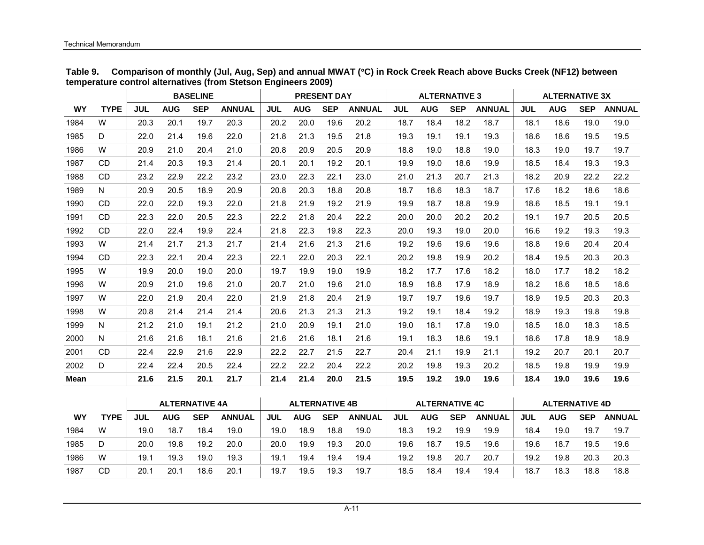|           |             |            |            | <b>BASELINE</b> |               |            |            | <b>PRESENT DAY</b> |               |            | <b>ALTERNATIVE 3</b> |            |               |            | <b>ALTERNATIVE 3X</b> |            |               |
|-----------|-------------|------------|------------|-----------------|---------------|------------|------------|--------------------|---------------|------------|----------------------|------------|---------------|------------|-----------------------|------------|---------------|
| <b>WY</b> | <b>TYPE</b> | <b>JUL</b> | <b>AUG</b> | <b>SEP</b>      | <b>ANNUAL</b> | <b>JUL</b> | <b>AUG</b> | <b>SEP</b>         | <b>ANNUAL</b> | <b>JUL</b> | <b>AUG</b>           | <b>SEP</b> | <b>ANNUAL</b> | <b>JUL</b> | <b>AUG</b>            | <b>SEP</b> | <b>ANNUAL</b> |
| 1984      | W           | 20.3       | 20.1       | 19.7            | 20.3          | 20.2       | 20.0       | 19.6               | 20.2          | 18.7       | 18.4                 | 18.2       | 18.7          | 18.1       | 18.6                  | 19.0       | 19.0          |
| 1985      | D           | 22.0       | 21.4       | 19.6            | 22.0          | 21.8       | 21.3       | 19.5               | 21.8          | 19.3       | 19.1                 | 19.1       | 19.3          | 18.6       | 18.6                  | 19.5       | 19.5          |
| 1986      | W           | 20.9       | 21.0       | 20.4            | 21.0          | 20.8       | 20.9       | 20.5               | 20.9          | 18.8       | 19.0                 | 18.8       | 19.0          | 18.3       | 19.0                  | 19.7       | 19.7          |
| 1987      | CD.         | 21.4       | 20.3       | 19.3            | 21.4          | 20.1       | 20.1       | 19.2               | 20.1          | 19.9       | 19.0                 | 18.6       | 19.9          | 18.5       | 18.4                  | 19.3       | 19.3          |
| 1988      | CD.         | 23.2       | 22.9       | 22.2            | 23.2          | 23.0       | 22.3       | 22.1               | 23.0          | 21.0       | 21.3                 | 20.7       | 21.3          | 18.2       | 20.9                  | 22.2       | 22.2          |
| 1989      | N           | 20.9       | 20.5       | 18.9            | 20.9          | 20.8       | 20.3       | 18.8               | 20.8          | 18.7       | 18.6                 | 18.3       | 18.7          | 17.6       | 18.2                  | 18.6       | 18.6          |
| 1990      | <b>CD</b>   | 22.0       | 22.0       | 19.3            | 22.0          | 21.8       | 21.9       | 19.2               | 21.9          | 19.9       | 18.7                 | 18.8       | 19.9          | 18.6       | 18.5                  | 19.1       | 19.1          |
| 1991      | CD.         | 22.3       | 22.0       | 20.5            | 22.3          | 22.2       | 21.8       | 20.4               | 22.2          | 20.0       | 20.0                 | 20.2       | 20.2          | 19.1       | 19.7                  | 20.5       | 20.5          |
| 1992      | CD.         | 22.0       | 22.4       | 19.9            | 22.4          | 21.8       | 22.3       | 19.8               | 22.3          | 20.0       | 19.3                 | 19.0       | 20.0          | 16.6       | 19.2                  | 19.3       | 19.3          |
| 1993      | W           | 21.4       | 21.7       | 21.3            | 21.7          | 21.4       | 21.6       | 21.3               | 21.6          | 19.2       | 19.6                 | 19.6       | 19.6          | 18.8       | 19.6                  | 20.4       | 20.4          |
| 1994      | <b>CD</b>   | 22.3       | 22.1       | 20.4            | 22.3          | 22.1       | 22.0       | 20.3               | 22.1          | 20.2       | 19.8                 | 19.9       | 20.2          | 18.4       | 19.5                  | 20.3       | 20.3          |
| 1995      | W           | 19.9       | 20.0       | 19.0            | 20.0          | 19.7       | 19.9       | 19.0               | 19.9          | 18.2       | 17.7                 | 17.6       | 18.2          | 18.0       | 17.7                  | 18.2       | 18.2          |
| 1996      | W           | 20.9       | 21.0       | 19.6            | 21.0          | 20.7       | 21.0       | 19.6               | 21.0          | 18.9       | 18.8                 | 17.9       | 18.9          | 18.2       | 18.6                  | 18.5       | 18.6          |
| 1997      | W           | 22.0       | 21.9       | 20.4            | 22.0          | 21.9       | 21.8       | 20.4               | 21.9          | 19.7       | 19.7                 | 19.6       | 19.7          | 18.9       | 19.5                  | 20.3       | 20.3          |
| 1998      | W           | 20.8       | 21.4       | 21.4            | 21.4          | 20.6       | 21.3       | 21.3               | 21.3          | 19.2       | 19.1                 | 18.4       | 19.2          | 18.9       | 19.3                  | 19.8       | 19.8          |
| 1999      | N.          | 21.2       | 21.0       | 19.1            | 21.2          | 21.0       | 20.9       | 19.1               | 21.0          | 19.0       | 18.1                 | 17.8       | 19.0          | 18.5       | 18.0                  | 18.3       | 18.5          |
| 2000      | N           | 21.6       | 21.6       | 18.1            | 21.6          | 21.6       | 21.6       | 18.1               | 21.6          | 19.1       | 18.3                 | 18.6       | 19.1          | 18.6       | 17.8                  | 18.9       | 18.9          |
| 2001      | <b>CD</b>   | 22.4       | 22.9       | 21.6            | 22.9          | 22.2       | 22.7       | 21.5               | 22.7          | 20.4       | 21.1                 | 19.9       | 21.1          | 19.2       | 20.7                  | 20.1       | 20.7          |
| 2002      | D           | 22.4       | 22.4       | 20.5            | 22.4          | 22.2       | 22.2       | 20.4               | 22.2          | 20.2       | 19.8                 | 19.3       | 20.2          | 18.5       | 19.8                  | 19.9       | 19.9          |
| Mean      |             | 21.6       | 21.5       | 20.1            | 21.7          | 21.4       | 21.4       | 20.0               | 21.5          | 19.5       | 19.2                 | 19.0       | 19.6          | 18.4       | 19.0                  | 19.6       | 19.6          |

**Table 9. Comparison of monthly (Jul, Aug, Sep) and annual MWAT (**°**C) in Rock Creek Reach above Bucks Creek (NF12) between temperature control alternatives (from Stetson Engineers 2009)** 

|      |             |      | <b>ALTERNATIVE 4A</b> |            |               |      | <b>ALTERNATIVE 4B</b> |            |               |      | <b>ALTERNATIVE 4C</b> |            |               |      | <b>ALTERNATIVE 4D</b> |            |               |
|------|-------------|------|-----------------------|------------|---------------|------|-----------------------|------------|---------------|------|-----------------------|------------|---------------|------|-----------------------|------------|---------------|
| WY   | <b>TYPE</b> | JUL  | <b>AUG</b>            | <b>SEP</b> | <b>ANNUAL</b> | JUL  | <b>AUG</b>            | <b>SEP</b> | <b>ANNUAL</b> | JUL  | <b>AUG</b>            | <b>SEP</b> | <b>ANNUAL</b> | JUL  | <b>AUG</b>            | <b>SEP</b> | <b>ANNUAL</b> |
| 1984 | W           | 19.0 | 18.7                  | 18.4       | 19.0          | 19.0 | 18.9                  | 18.8       | 19.0          | 18.3 | 19.2                  | 19.9       | 19.9          | 18.4 | 19.0                  | 19.7       | 19.7          |
| 1985 |             | 20.0 | 19.8                  | 19.2       | 20.0          | 20.0 | 19.9                  | 19.3       | 20.0          | 19.6 | 18.7                  | 19.5       | 19.6          | 19.6 | 18.7                  | 19.5       | 19.6          |
| 1986 | W           | 19.1 | 19.3                  | 19.0       | 19.3          | 19.1 | 19.4                  | 19.4       | 19.4          | 19.2 | 19.8                  | 20.7       | 20.7          | 19.2 | 19.8                  | 20.3       | 20.3          |
| 1987 | CD          | 20.1 | 20.1                  | 18.6       | 20.1          | 19.7 | 19.5                  | 19.3       | 19.7          | 18.5 | 18.4                  | 19.4       | 19.4          | 18.7 | 18.3                  | 18.8       | 18.8          |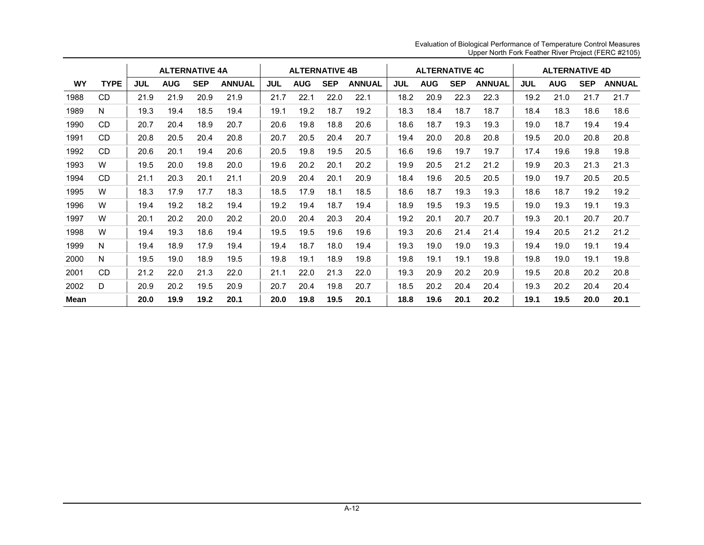|             |             |      |            | <b>ALTERNATIVE 4A</b> |               |            | <b>ALTERNATIVE 4B</b> |            |               |      | <b>ALTERNATIVE 4C</b> |            |               |            | <b>ALTERNATIVE 4D</b> |            |               |
|-------------|-------------|------|------------|-----------------------|---------------|------------|-----------------------|------------|---------------|------|-----------------------|------------|---------------|------------|-----------------------|------------|---------------|
| <b>WY</b>   | <b>TYPE</b> | JUL  | <b>AUG</b> | <b>SEP</b>            | <b>ANNUAL</b> | <b>JUL</b> | <b>AUG</b>            | <b>SEP</b> | <b>ANNUAL</b> | JUL  | <b>AUG</b>            | <b>SEP</b> | <b>ANNUAL</b> | <b>JUL</b> | <b>AUG</b>            | <b>SEP</b> | <b>ANNUAL</b> |
| 1988        | <b>CD</b>   | 21.9 | 21.9       | 20.9                  | 21.9          | 21.7       | 22.1                  | 22.0       | 22.1          | 18.2 | 20.9                  | 22.3       | 22.3          | 19.2       | 21.0                  | 21.7       | 21.7          |
| 1989        | N           | 19.3 | 19.4       | 18.5                  | 19.4          | 19.1       | 19.2                  | 18.7       | 19.2          | 18.3 | 18.4                  | 18.7       | 18.7          | 18.4       | 18.3                  | 18.6       | 18.6          |
| 1990        | <b>CD</b>   | 20.7 | 20.4       | 18.9                  | 20.7          | 20.6       | 19.8                  | 18.8       | 20.6          | 18.6 | 18.7                  | 19.3       | 19.3          | 19.0       | 18.7                  | 19.4       | 19.4          |
| 1991        | CD.         | 20.8 | 20.5       | 20.4                  | 20.8          | 20.7       | 20.5                  | 20.4       | 20.7          | 19.4 | 20.0                  | 20.8       | 20.8          | 19.5       | 20.0                  | 20.8       | 20.8          |
| 1992        | CD          | 20.6 | 20.1       | 19.4                  | 20.6          | 20.5       | 19.8                  | 19.5       | 20.5          | 16.6 | 19.6                  | 19.7       | 19.7          | 17.4       | 19.6                  | 19.8       | 19.8          |
| 1993        | W           | 19.5 | 20.0       | 19.8                  | 20.0          | 19.6       | 20.2                  | 20.1       | 20.2          | 19.9 | 20.5                  | 21.2       | 21.2          | 19.9       | 20.3                  | 21.3       | 21.3          |
| 1994        | <b>CD</b>   | 21.1 | 20.3       | 20.1                  | 21.1          | 20.9       | 20.4                  | 20.1       | 20.9          | 18.4 | 19.6                  | 20.5       | 20.5          | 19.0       | 19.7                  | 20.5       | 20.5          |
| 1995        | W           | 18.3 | 17.9       | 17.7                  | 18.3          | 18.5       | 17.9                  | 18.1       | 18.5          | 18.6 | 18.7                  | 19.3       | 19.3          | 18.6       | 18.7                  | 19.2       | 19.2          |
| 1996        | W           | 19.4 | 19.2       | 18.2                  | 19.4          | 19.2       | 19.4                  | 18.7       | 19.4          | 18.9 | 19.5                  | 19.3       | 19.5          | 19.0       | 19.3                  | 19.1       | 19.3          |
| 1997        | W           | 20.1 | 20.2       | 20.0                  | 20.2          | 20.0       | 20.4                  | 20.3       | 20.4          | 19.2 | 20.1                  | 20.7       | 20.7          | 19.3       | 20.1                  | 20.7       | 20.7          |
| 1998        | W           | 19.4 | 19.3       | 18.6                  | 19.4          | 19.5       | 19.5                  | 19.6       | 19.6          | 19.3 | 20.6                  | 21.4       | 21.4          | 19.4       | 20.5                  | 21.2       | 21.2          |
| 1999        | N           | 19.4 | 18.9       | 17.9                  | 19.4          | 19.4       | 18.7                  | 18.0       | 19.4          | 19.3 | 19.0                  | 19.0       | 19.3          | 19.4       | 19.0                  | 19.1       | 19.4          |
| 2000        | N           | 19.5 | 19.0       | 18.9                  | 19.5          | 19.8       | 19.1                  | 18.9       | 19.8          | 19.8 | 19.1                  | 19.1       | 19.8          | 19.8       | 19.0                  | 19.1       | 19.8          |
| 2001        | CD.         | 21.2 | 22.0       | 21.3                  | 22.0          | 21.1       | 22.0                  | 21.3       | 22.0          | 19.3 | 20.9                  | 20.2       | 20.9          | 19.5       | 20.8                  | 20.2       | 20.8          |
| 2002        | D           | 20.9 | 20.2       | 19.5                  | 20.9          | 20.7       | 20.4                  | 19.8       | 20.7          | 18.5 | 20.2                  | 20.4       | 20.4          | 19.3       | 20.2                  | 20.4       | 20.4          |
| <b>Mean</b> |             | 20.0 | 19.9       | 19.2                  | 20.1          | 20.0       | 19.8                  | 19.5       | 20.1          | 18.8 | 19.6                  | 20.1       | 20.2          | 19.1       | 19.5                  | 20.0       | 20.1          |

Evaluation of Biological Performance of Temperature Control Measures Upper North Fork Feather River Project (FERC #2105)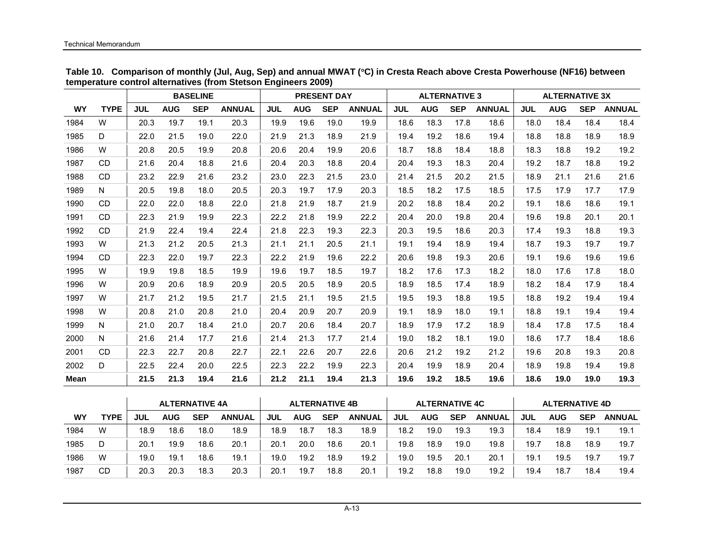|           |             |            |            | <b>BASELINE</b> |               |            |            | <b>PRESENT DAY</b> |               |            | <b>ALTERNATIVE 3</b> |            |               |            | <b>ALTERNATIVE 3X</b> |            |               |
|-----------|-------------|------------|------------|-----------------|---------------|------------|------------|--------------------|---------------|------------|----------------------|------------|---------------|------------|-----------------------|------------|---------------|
| <b>WY</b> | <b>TYPE</b> | <b>JUL</b> | <b>AUG</b> | <b>SEP</b>      | <b>ANNUAL</b> | <b>JUL</b> | <b>AUG</b> | <b>SEP</b>         | <b>ANNUAL</b> | <b>JUL</b> | <b>AUG</b>           | <b>SEP</b> | <b>ANNUAL</b> | <b>JUL</b> | <b>AUG</b>            | <b>SEP</b> | <b>ANNUAL</b> |
| 1984      | W           | 20.3       | 19.7       | 19.1            | 20.3          | 19.9       | 19.6       | 19.0               | 19.9          | 18.6       | 18.3                 | 17.8       | 18.6          | 18.0       | 18.4                  | 18.4       | 18.4          |
| 1985      | D           | 22.0       | 21.5       | 19.0            | 22.0          | 21.9       | 21.3       | 18.9               | 21.9          | 19.4       | 19.2                 | 18.6       | 19.4          | 18.8       | 18.8                  | 18.9       | 18.9          |
| 1986      | W           | 20.8       | 20.5       | 19.9            | 20.8          | 20.6       | 20.4       | 19.9               | 20.6          | 18.7       | 18.8                 | 18.4       | 18.8          | 18.3       | 18.8                  | 19.2       | 19.2          |
| 1987      | CD.         | 21.6       | 20.4       | 18.8            | 21.6          | 20.4       | 20.3       | 18.8               | 20.4          | 20.4       | 19.3                 | 18.3       | 20.4          | 19.2       | 18.7                  | 18.8       | 19.2          |
| 1988      | <b>CD</b>   | 23.2       | 22.9       | 21.6            | 23.2          | 23.0       | 22.3       | 21.5               | 23.0          | 21.4       | 21.5                 | 20.2       | 21.5          | 18.9       | 21.1                  | 21.6       | 21.6          |
| 1989      | N           | 20.5       | 19.8       | 18.0            | 20.5          | 20.3       | 19.7       | 17.9               | 20.3          | 18.5       | 18.2                 | 17.5       | 18.5          | 17.5       | 17.9                  | 17.7       | 17.9          |
| 1990      | <b>CD</b>   | 22.0       | 22.0       | 18.8            | 22.0          | 21.8       | 21.9       | 18.7               | 21.9          | 20.2       | 18.8                 | 18.4       | 20.2          | 19.1       | 18.6                  | 18.6       | 19.1          |
| 1991      | <b>CD</b>   | 22.3       | 21.9       | 19.9            | 22.3          | 22.2       | 21.8       | 19.9               | 22.2          | 20.4       | 20.0                 | 19.8       | 20.4          | 19.6       | 19.8                  | 20.1       | 20.1          |
| 1992      | <b>CD</b>   | 21.9       | 22.4       | 19.4            | 22.4          | 21.8       | 22.3       | 19.3               | 22.3          | 20.3       | 19.5                 | 18.6       | 20.3          | 17.4       | 19.3                  | 18.8       | 19.3          |
| 1993      | W           | 21.3       | 21.2       | 20.5            | 21.3          | 21.1       | 21.1       | 20.5               | 21.1          | 19.1       | 19.4                 | 18.9       | 19.4          | 18.7       | 19.3                  | 19.7       | 19.7          |
| 1994      | <b>CD</b>   | 22.3       | 22.0       | 19.7            | 22.3          | 22.2       | 21.9       | 19.6               | 22.2          | 20.6       | 19.8                 | 19.3       | 20.6          | 19.1       | 19.6                  | 19.6       | 19.6          |
| 1995      | W           | 19.9       | 19.8       | 18.5            | 19.9          | 19.6       | 19.7       | 18.5               | 19.7          | 18.2       | 17.6                 | 17.3       | 18.2          | 18.0       | 17.6                  | 17.8       | 18.0          |
| 1996      | W           | 20.9       | 20.6       | 18.9            | 20.9          | 20.5       | 20.5       | 18.9               | 20.5          | 18.9       | 18.5                 | 17.4       | 18.9          | 18.2       | 18.4                  | 17.9       | 18.4          |
| 1997      | W           | 21.7       | 21.2       | 19.5            | 21.7          | 21.5       | 21.1       | 19.5               | 21.5          | 19.5       | 19.3                 | 18.8       | 19.5          | 18.8       | 19.2                  | 19.4       | 19.4          |
| 1998      | W           | 20.8       | 21.0       | 20.8            | 21.0          | 20.4       | 20.9       | 20.7               | 20.9          | 19.1       | 18.9                 | 18.0       | 19.1          | 18.8       | 19.1                  | 19.4       | 19.4          |
| 1999      | N           | 21.0       | 20.7       | 18.4            | 21.0          | 20.7       | 20.6       | 18.4               | 20.7          | 18.9       | 17.9                 | 17.2       | 18.9          | 18.4       | 17.8                  | 17.5       | 18.4          |
| 2000      | N           | 21.6       | 21.4       | 17.7            | 21.6          | 21.4       | 21.3       | 17.7               | 21.4          | 19.0       | 18.2                 | 18.1       | 19.0          | 18.6       | 17.7                  | 18.4       | 18.6          |
| 2001      | <b>CD</b>   | 22.3       | 22.7       | 20.8            | 22.7          | 22.1       | 22.6       | 20.7               | 22.6          | 20.6       | 21.2                 | 19.2       | 21.2          | 19.6       | 20.8                  | 19.3       | 20.8          |
| 2002      | D           | 22.5       | 22.4       | 20.0            | 22.5          | 22.3       | 22.2       | 19.9               | 22.3          | 20.4       | 19.9                 | 18.9       | 20.4          | 18.9       | 19.8                  | 19.4       | 19.8          |
| Mean      |             | 21.5       | 21.3       | 19.4            | 21.6          | 21.2       | 21.1       | 19.4               | 21.3          | 19.6       | 19.2                 | 18.5       | 19.6          | 18.6       | 19.0                  | 19.0       | 19.3          |

**Table 10. Comparison of monthly (Jul, Aug, Sep) and annual MWAT (**°**C) in Cresta Reach above Cresta Powerhouse (NF16) between temperature control alternatives (from Stetson Engineers 2009)** 

|      |             |      | <b>ALTERNATIVE 4A</b> |            |               |      | <b>ALTERNATIVE 4B</b> |            |               |            | <b>ALTERNATIVE 4C</b> |            |               |      | <b>ALTERNATIVE 4D</b> |            |               |
|------|-------------|------|-----------------------|------------|---------------|------|-----------------------|------------|---------------|------------|-----------------------|------------|---------------|------|-----------------------|------------|---------------|
| WY   | <b>TYPE</b> | JUL  | <b>AUG</b>            | <b>SEP</b> | <b>ANNUAL</b> | JUL  | <b>AUG</b>            | <b>SEP</b> | <b>ANNUAL</b> | <b>JUL</b> | <b>AUG</b>            | <b>SEP</b> | <b>ANNUAL</b> | JUL  | <b>AUG</b>            | <b>SEP</b> | <b>ANNUAL</b> |
| 1984 | W           | 18.9 | 18.6                  | 18.0       | 18.9          | 18.9 | 18.7                  | 18.3       | 18.9          | 18.2       | 19.0                  | 19.3       | 19.3          | 18.4 | 18.9                  | 19.1       | 19.1          |
| 1985 | D           | 20.1 | 19.9                  | 18.6       | 20.1          | 20.1 | 20.0                  | 18.6       | 20.1          | 19.8       | 18.9                  | 19.0       | 19.8          | 19.7 | 18.8                  | 18.9       | 19.7          |
| 1986 | W           | 19.0 | 19.1                  | 18.6       | 19.1          | 19.0 | 19.2                  | 18.9       | 19.2          | 19.0       | 19.5                  | 20.1       | 20.1          | 19.1 | 19.5                  | 19.7       | 19.7          |
| 1987 | <b>CD</b>   | 20.3 | 20.3                  | 18.3       | 20.3          | 20.1 | 19.7                  | 18.8       | 20.1          | 19.2       | 18.8                  | 19.0       | 19.2          | 19.4 | 18.7                  | 18.4       | 19.4          |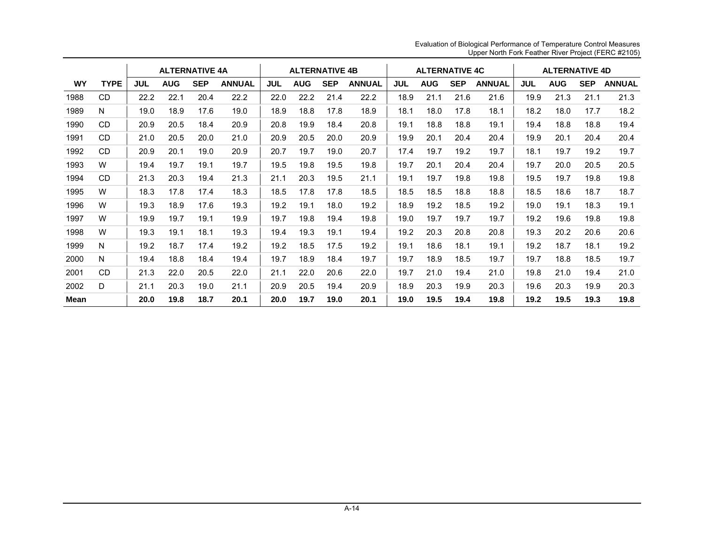|      |             |            | <b>ALTERNATIVE 4A</b> |            |               |            | <b>ALTERNATIVE 4B</b> |            |               |      | <b>ALTERNATIVE 4C</b> |            |               |            | <b>ALTERNATIVE 4D</b> |            |               |
|------|-------------|------------|-----------------------|------------|---------------|------------|-----------------------|------------|---------------|------|-----------------------|------------|---------------|------------|-----------------------|------------|---------------|
| WY   | <b>TYPE</b> | <b>JUL</b> | <b>AUG</b>            | <b>SEP</b> | <b>ANNUAL</b> | <b>JUL</b> | <b>AUG</b>            | <b>SEP</b> | <b>ANNUAL</b> | JUL  | <b>AUG</b>            | <b>SEP</b> | <b>ANNUAL</b> | <b>JUL</b> | <b>AUG</b>            | <b>SEP</b> | <b>ANNUAL</b> |
| 1988 | CD          | 22.2       | 22.1                  | 20.4       | 22.2          | 22.0       | 22.2                  | 21.4       | 22.2          | 18.9 | 21.1                  | 21.6       | 21.6          | 19.9       | 21.3                  | 21.1       | 21.3          |
| 1989 | N           | 19.0       | 18.9                  | 17.6       | 19.0          | 18.9       | 18.8                  | 17.8       | 18.9          | 18.1 | 18.0                  | 17.8       | 18.1          | 18.2       | 18.0                  | 17.7       | 18.2          |
| 1990 | <b>CD</b>   | 20.9       | 20.5                  | 18.4       | 20.9          | 20.8       | 19.9                  | 18.4       | 20.8          | 19.1 | 18.8                  | 18.8       | 19.1          | 19.4       | 18.8                  | 18.8       | 19.4          |
| 1991 | <b>CD</b>   | 21.0       | 20.5                  | 20.0       | 21.0          | 20.9       | 20.5                  | 20.0       | 20.9          | 19.9 | 20.1                  | 20.4       | 20.4          | 19.9       | 20.1                  | 20.4       | 20.4          |
| 1992 | CD.         | 20.9       | 20.1                  | 19.0       | 20.9          | 20.7       | 19.7                  | 19.0       | 20.7          | 17.4 | 19.7                  | 19.2       | 19.7          | 18.1       | 19.7                  | 19.2       | 19.7          |
| 1993 | W           | 19.4       | 19.7                  | 19.1       | 19.7          | 19.5       | 19.8                  | 19.5       | 19.8          | 19.7 | 20.1                  | 20.4       | 20.4          | 19.7       | 20.0                  | 20.5       | 20.5          |
| 1994 | <b>CD</b>   | 21.3       | 20.3                  | 19.4       | 21.3          | 21.1       | 20.3                  | 19.5       | 21.1          | 19.1 | 19.7                  | 19.8       | 19.8          | 19.5       | 19.7                  | 19.8       | 19.8          |
| 1995 | W           | 18.3       | 17.8                  | 17.4       | 18.3          | 18.5       | 17.8                  | 17.8       | 18.5          | 18.5 | 18.5                  | 18.8       | 18.8          | 18.5       | 18.6                  | 18.7       | 18.7          |
| 1996 | W           | 19.3       | 18.9                  | 17.6       | 19.3          | 19.2       | 19.1                  | 18.0       | 19.2          | 18.9 | 19.2                  | 18.5       | 19.2          | 19.0       | 19.1                  | 18.3       | 19.1          |
| 1997 | W           | 19.9       | 19.7                  | 19.1       | 19.9          | 19.7       | 19.8                  | 19.4       | 19.8          | 19.0 | 19.7                  | 19.7       | 19.7          | 19.2       | 19.6                  | 19.8       | 19.8          |
| 1998 | W           | 19.3       | 19.1                  | 18.1       | 19.3          | 19.4       | 19.3                  | 19.1       | 19.4          | 19.2 | 20.3                  | 20.8       | 20.8          | 19.3       | 20.2                  | 20.6       | 20.6          |
| 1999 | N           | 19.2       | 18.7                  | 17.4       | 19.2          | 19.2       | 18.5                  | 17.5       | 19.2          | 19.1 | 18.6                  | 18.1       | 19.1          | 19.2       | 18.7                  | 18.1       | 19.2          |
| 2000 | N           | 19.4       | 18.8                  | 18.4       | 19.4          | 19.7       | 18.9                  | 18.4       | 19.7          | 19.7 | 18.9                  | 18.5       | 19.7          | 19.7       | 18.8                  | 18.5       | 19.7          |
| 2001 | <b>CD</b>   | 21.3       | 22.0                  | 20.5       | 22.0          | 21.1       | 22.0                  | 20.6       | 22.0          | 19.7 | 21.0                  | 19.4       | 21.0          | 19.8       | 21.0                  | 19.4       | 21.0          |
| 2002 | D           | 21.1       | 20.3                  | 19.0       | 21.1          | 20.9       | 20.5                  | 19.4       | 20.9          | 18.9 | 20.3                  | 19.9       | 20.3          | 19.6       | 20.3                  | 19.9       | 20.3          |
| Mean |             | 20.0       | 19.8                  | 18.7       | 20.1          | 20.0       | 19.7                  | 19.0       | 20.1          | 19.0 | 19.5                  | 19.4       | 19.8          | 19.2       | 19.5                  | 19.3       | 19.8          |

Evaluation of Biological Performance of Temperature Control Measures Upper North Fork Feather River Project (FERC #2105)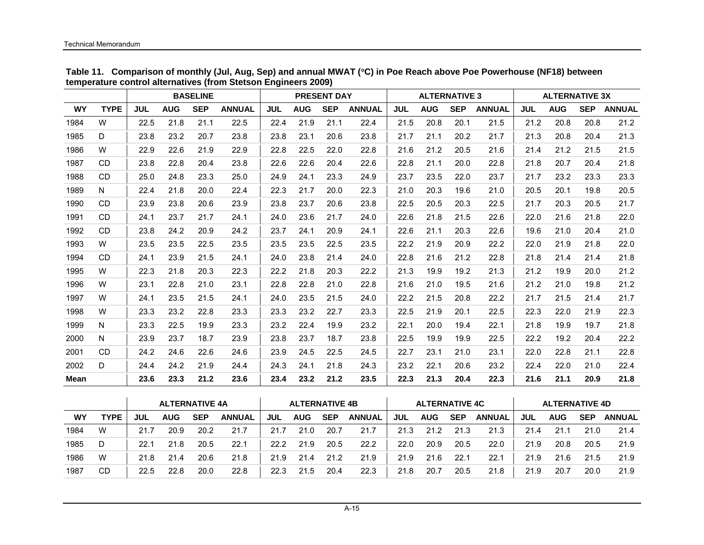|           |             |            |            | <b>BASELINE</b> |               |            |            | <b>PRESENT DAY</b> |               |            | <b>ALTERNATIVE 3</b> |            |               |            | <b>ALTERNATIVE 3X</b> |            |               |
|-----------|-------------|------------|------------|-----------------|---------------|------------|------------|--------------------|---------------|------------|----------------------|------------|---------------|------------|-----------------------|------------|---------------|
| <b>WY</b> | <b>TYPE</b> | <b>JUL</b> | <b>AUG</b> | <b>SEP</b>      | <b>ANNUAL</b> | <b>JUL</b> | <b>AUG</b> | <b>SEP</b>         | <b>ANNUAL</b> | <b>JUL</b> | <b>AUG</b>           | <b>SEP</b> | <b>ANNUAL</b> | <b>JUL</b> | <b>AUG</b>            | <b>SEP</b> | <b>ANNUAL</b> |
| 1984      | W           | 22.5       | 21.8       | 21.1            | 22.5          | 22.4       | 21.9       | 21.1               | 22.4          | 21.5       | 20.8                 | 20.1       | 21.5          | 21.2       | 20.8                  | 20.8       | 21.2          |
| 1985      | D           | 23.8       | 23.2       | 20.7            | 23.8          | 23.8       | 23.1       | 20.6               | 23.8          | 21.7       | 21.1                 | 20.2       | 21.7          | 21.3       | 20.8                  | 20.4       | 21.3          |
| 1986      | W           | 22.9       | 22.6       | 21.9            | 22.9          | 22.8       | 22.5       | 22.0               | 22.8          | 21.6       | 21.2                 | 20.5       | 21.6          | 21.4       | 21.2                  | 21.5       | 21.5          |
| 1987      | <b>CD</b>   | 23.8       | 22.8       | 20.4            | 23.8          | 22.6       | 22.6       | 20.4               | 22.6          | 22.8       | 21.1                 | 20.0       | 22.8          | 21.8       | 20.7                  | 20.4       | 21.8          |
| 1988      | <b>CD</b>   | 25.0       | 24.8       | 23.3            | 25.0          | 24.9       | 24.1       | 23.3               | 24.9          | 23.7       | 23.5                 | 22.0       | 23.7          | 21.7       | 23.2                  | 23.3       | 23.3          |
| 1989      | N           | 22.4       | 21.8       | 20.0            | 22.4          | 22.3       | 21.7       | 20.0               | 22.3          | 21.0       | 20.3                 | 19.6       | 21.0          | 20.5       | 20.1                  | 19.8       | 20.5          |
| 1990      | <b>CD</b>   | 23.9       | 23.8       | 20.6            | 23.9          | 23.8       | 23.7       | 20.6               | 23.8          | 22.5       | 20.5                 | 20.3       | 22.5          | 21.7       | 20.3                  | 20.5       | 21.7          |
| 1991      | <b>CD</b>   | 24.1       | 23.7       | 21.7            | 24.1          | 24.0       | 23.6       | 21.7               | 24.0          | 22.6       | 21.8                 | 21.5       | 22.6          | 22.0       | 21.6                  | 21.8       | 22.0          |
| 1992      | <b>CD</b>   | 23.8       | 24.2       | 20.9            | 24.2          | 23.7       | 24.1       | 20.9               | 24.1          | 22.6       | 21.1                 | 20.3       | 22.6          | 19.6       | 21.0                  | 20.4       | 21.0          |
| 1993      | W           | 23.5       | 23.5       | 22.5            | 23.5          | 23.5       | 23.5       | 22.5               | 23.5          | 22.2       | 21.9                 | 20.9       | 22.2          | 22.0       | 21.9                  | 21.8       | 22.0          |
| 1994      | <b>CD</b>   | 24.1       | 23.9       | 21.5            | 24.1          | 24.0       | 23.8       | 21.4               | 24.0          | 22.8       | 21.6                 | 21.2       | 22.8          | 21.8       | 21.4                  | 21.4       | 21.8          |
| 1995      | W           | 22.3       | 21.8       | 20.3            | 22.3          | 22.2       | 21.8       | 20.3               | 22.2          | 21.3       | 19.9                 | 19.2       | 21.3          | 21.2       | 19.9                  | 20.0       | 21.2          |
| 1996      | W           | 23.1       | 22.8       | 21.0            | 23.1          | 22.8       | 22.8       | 21.0               | 22.8          | 21.6       | 21.0                 | 19.5       | 21.6          | 21.2       | 21.0                  | 19.8       | 21.2          |
| 1997      | W           | 24.1       | 23.5       | 21.5            | 24.1          | 24.0       | 23.5       | 21.5               | 24.0          | 22.2       | 21.5                 | 20.8       | 22.2          | 21.7       | 21.5                  | 21.4       | 21.7          |
| 1998      | W           | 23.3       | 23.2       | 22.8            | 23.3          | 23.3       | 23.2       | 22.7               | 23.3          | 22.5       | 21.9                 | 20.1       | 22.5          | 22.3       | 22.0                  | 21.9       | 22.3          |
| 1999      | N           | 23.3       | 22.5       | 19.9            | 23.3          | 23.2       | 22.4       | 19.9               | 23.2          | 22.1       | 20.0                 | 19.4       | 22.1          | 21.8       | 19.9                  | 19.7       | 21.8          |
| 2000      | N           | 23.9       | 23.7       | 18.7            | 23.9          | 23.8       | 23.7       | 18.7               | 23.8          | 22.5       | 19.9                 | 19.9       | 22.5          | 22.2       | 19.2                  | 20.4       | 22.2          |
| 2001      | CD.         | 24.2       | 24.6       | 22.6            | 24.6          | 23.9       | 24.5       | 22.5               | 24.5          | 22.7       | 23.1                 | 21.0       | 23.1          | 22.0       | 22.8                  | 21.1       | 22.8          |
| 2002      | D           | 24.4       | 24.2       | 21.9            | 24.4          | 24.3       | 24.1       | 21.8               | 24.3          | 23.2       | 22.1                 | 20.6       | 23.2          | 22.4       | 22.0                  | 21.0       | 22.4          |
| Mean      |             | 23.6       | 23.3       | 21.2            | 23.6          | 23.4       | 23.2       | 21.2               | 23.5          | 22.3       | 21.3                 | 20.4       | 22.3          | 21.6       | 21.1                  | 20.9       | 21.8          |

**Table 11. Comparison of monthly (Jul, Aug, Sep) and annual MWAT (**°**C) in Poe Reach above Poe Powerhouse (NF18) between temperature control alternatives (from Stetson Engineers 2009)** 

|           |             |      | <b>ALTERNATIVE 4A</b> |      |               |      | <b>ALTERNATIVE 4B</b> |            |               |            | <b>ALTERNATIVE 4C</b> |            |               |      | <b>ALTERNATIVE 4D</b> |            |               |
|-----------|-------------|------|-----------------------|------|---------------|------|-----------------------|------------|---------------|------------|-----------------------|------------|---------------|------|-----------------------|------------|---------------|
| <b>WY</b> | <b>TYPE</b> | JUL  | AUG                   | SEP  | <b>ANNUAL</b> | JUL  | <b>AUG</b>            | <b>SEP</b> | <b>ANNUAL</b> | <b>JUL</b> | <b>AUG</b>            | <b>SEP</b> | <b>ANNUAL</b> | JUL  | <b>AUG</b>            | <b>SEP</b> | <b>ANNUAL</b> |
| 1984      | W           | 21.7 | 20.9                  | 20.2 | 21.7          | 21.7 | 21.0                  | 20.7       | 21.7          | 21.3       | 21.2                  | 21.3       | 21.3          | 21.4 | 21.1                  | 21.0       | 21.4          |
| 1985      | D           | 22.1 | 21.8                  | 20.5 | 22.1          | 22.2 | 21.9                  | 20.5       | 22.2          | 22.0       | 20.9                  | 20.5       | 22.0          | 21.9 | 20.8                  | 20.5       | 21.9          |
| 1986      | W           | 21.8 | 21.4                  | 20.6 | 21.8          | 21.9 | 21.4                  | 21.2       | 21.9          | 21.9       | 21.6                  | 22.1       | 22.1          | 21.9 | 21.6                  | 21.5       | 21.9          |
| 1987      | CD          | 22.5 | 22.8                  | 20.0 | 22.8          | 22.3 | 21.5                  | 20.4       | 22.3          | 21.8       | 20.7                  | 20.5       | 21.8          | 21.9 | 20.7                  | 20.0       | 21.9          |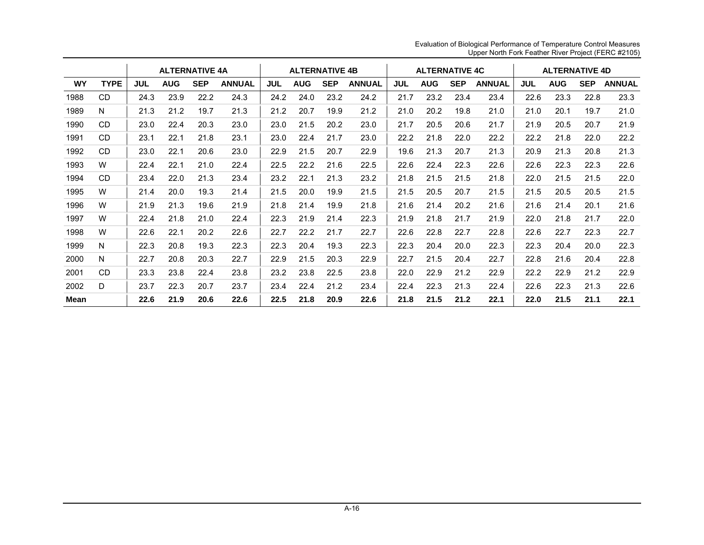|           |             |            | <b>ALTERNATIVE 4A</b> |            |               |            | <b>ALTERNATIVE 4B</b> |            |               |      | <b>ALTERNATIVE 4C</b> |            |               |            | <b>ALTERNATIVE 4D</b> |            |               |
|-----------|-------------|------------|-----------------------|------------|---------------|------------|-----------------------|------------|---------------|------|-----------------------|------------|---------------|------------|-----------------------|------------|---------------|
| <b>WY</b> | <b>TYPE</b> | <b>JUL</b> | <b>AUG</b>            | <b>SEP</b> | <b>ANNUAL</b> | <b>JUL</b> | <b>AUG</b>            | <b>SEP</b> | <b>ANNUAL</b> | JUL  | <b>AUG</b>            | <b>SEP</b> | <b>ANNUAL</b> | <b>JUL</b> | <b>AUG</b>            | <b>SEP</b> | <b>ANNUAL</b> |
| 1988      | CD          | 24.3       | 23.9                  | 22.2       | 24.3          | 24.2       | 24.0                  | 23.2       | 24.2          | 21.7 | 23.2                  | 23.4       | 23.4          | 22.6       | 23.3                  | 22.8       | 23.3          |
| 1989      | N           | 21.3       | 21.2                  | 19.7       | 21.3          | 21.2       | 20.7                  | 19.9       | 21.2          | 21.0 | 20.2                  | 19.8       | 21.0          | 21.0       | 20.1                  | 19.7       | 21.0          |
| 1990      | CD.         | 23.0       | 22.4                  | 20.3       | 23.0          | 23.0       | 21.5                  | 20.2       | 23.0          | 21.7 | 20.5                  | 20.6       | 21.7          | 21.9       | 20.5                  | 20.7       | 21.9          |
| 1991      | CD.         | 23.1       | 22.1                  | 21.8       | 23.1          | 23.0       | 22.4                  | 21.7       | 23.0          | 22.2 | 21.8                  | 22.0       | 22.2          | 22.2       | 21.8                  | 22.0       | 22.2          |
| 1992      | CD          | 23.0       | 22.1                  | 20.6       | 23.0          | 22.9       | 21.5                  | 20.7       | 22.9          | 19.6 | 21.3                  | 20.7       | 21.3          | 20.9       | 21.3                  | 20.8       | 21.3          |
| 1993      | W           | 22.4       | 22.1                  | 21.0       | 22.4          | 22.5       | 22.2                  | 21.6       | 22.5          | 22.6 | 22.4                  | 22.3       | 22.6          | 22.6       | 22.3                  | 22.3       | 22.6          |
| 1994      | CD          | 23.4       | 22.0                  | 21.3       | 23.4          | 23.2       | 22.1                  | 21.3       | 23.2          | 21.8 | 21.5                  | 21.5       | 21.8          | 22.0       | 21.5                  | 21.5       | 22.0          |
| 1995      | W           | 21.4       | 20.0                  | 19.3       | 21.4          | 21.5       | 20.0                  | 19.9       | 21.5          | 21.5 | 20.5                  | 20.7       | 21.5          | 21.5       | 20.5                  | 20.5       | 21.5          |
| 1996      | W           | 21.9       | 21.3                  | 19.6       | 21.9          | 21.8       | 21.4                  | 19.9       | 21.8          | 21.6 | 21.4                  | 20.2       | 21.6          | 21.6       | 21.4                  | 20.1       | 21.6          |
| 1997      | W           | 22.4       | 21.8                  | 21.0       | 22.4          | 22.3       | 21.9                  | 21.4       | 22.3          | 21.9 | 21.8                  | 21.7       | 21.9          | 22.0       | 21.8                  | 21.7       | 22.0          |
| 1998      | W           | 22.6       | 22.1                  | 20.2       | 22.6          | 22.7       | 22.2                  | 21.7       | 22.7          | 22.6 | 22.8                  | 22.7       | 22.8          | 22.6       | 22.7                  | 22.3       | 22.7          |
| 1999      | N           | 22.3       | 20.8                  | 19.3       | 22.3          | 22.3       | 20.4                  | 19.3       | 22.3          | 22.3 | 20.4                  | 20.0       | 22.3          | 22.3       | 20.4                  | 20.0       | 22.3          |
| 2000      | N           | 22.7       | 20.8                  | 20.3       | 22.7          | 22.9       | 21.5                  | 20.3       | 22.9          | 22.7 | 21.5                  | 20.4       | 22.7          | 22.8       | 21.6                  | 20.4       | 22.8          |
| 2001      | CD.         | 23.3       | 23.8                  | 22.4       | 23.8          | 23.2       | 23.8                  | 22.5       | 23.8          | 22.0 | 22.9                  | 21.2       | 22.9          | 22.2       | 22.9                  | 21.2       | 22.9          |
| 2002      | D           | 23.7       | 22.3                  | 20.7       | 23.7          | 23.4       | 22.4                  | 21.2       | 23.4          | 22.4 | 22.3                  | 21.3       | 22.4          | 22.6       | 22.3                  | 21.3       | 22.6          |
| Mean      |             | 22.6       | 21.9                  | 20.6       | 22.6          | 22.5       | 21.8                  | 20.9       | 22.6          | 21.8 | 21.5                  | 21.2       | 22.1          | 22.0       | 21.5                  | 21.1       | 22.1          |

Evaluation of Biological Performance of Temperature Control Measures Upper North Fork Feather River Project (FERC #2105)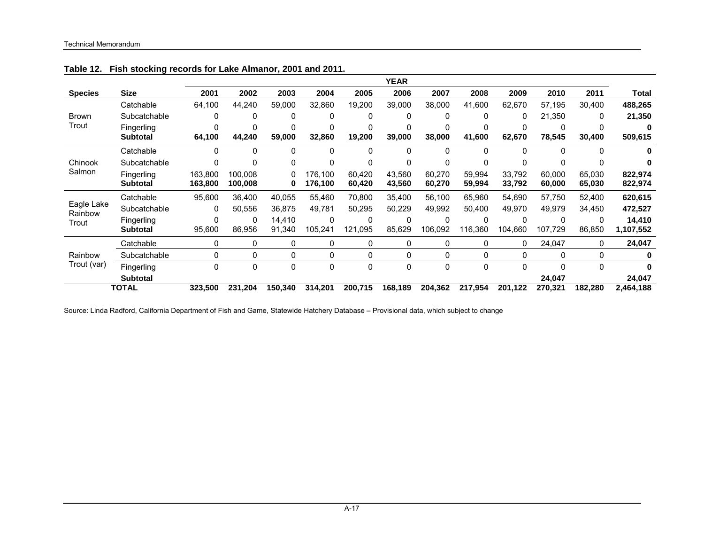|                       |                 |         |         |         |         |         | <b>YEAR</b>  |         |         |         |         |         |           |
|-----------------------|-----------------|---------|---------|---------|---------|---------|--------------|---------|---------|---------|---------|---------|-----------|
| <b>Species</b>        | Size            | 2001    | 2002    | 2003    | 2004    | 2005    | 2006         | 2007    | 2008    | 2009    | 2010    | 2011    | Total     |
|                       | Catchable       | 64,100  | 44,240  | 59.000  | 32.860  | 19,200  | 39.000       | 38.000  | 41.600  | 62,670  | 57,195  | 30.400  | 488,265   |
| <b>Brown</b>          | Subcatchable    | 0       | 0       | 0       |         | 0       | 0            | 0       | 0       | 0       | 21,350  | 0       | 21,350    |
| Trout                 | Fingerling      |         | 0       | 0       |         | 0       |              | 0       |         | 0       |         |         |           |
|                       | <b>Subtotal</b> | 64,100  | 44,240  | 59,000  | 32,860  | 19,200  | 39,000       | 38,000  | 41,600  | 62,670  | 78,545  | 30,400  | 509,615   |
|                       | Catchable       | 0       | 0       | 0       |         | 0       | 0            | 0       | 0       |         |         | 0       |           |
| Chinook               | Subcatchable    | 0       |         | 0       |         | 0       | 0            | 0       | 0       | 0       |         |         |           |
| Salmon                | Fingerling      | 163.800 | 100.008 | 0       | 176.100 | 60.420  | 43.560       | 60,270  | 59.994  | 33,792  | 60.000  | 65,030  | 822,974   |
|                       | <b>Subtotal</b> | 163,800 | 100,008 | 0       | 176,100 | 60,420  | 43,560       | 60,270  | 59,994  | 33,792  | 60,000  | 65,030  | 822,974   |
|                       | Catchable       | 95,600  | 36,400  | 40,055  | 55,460  | 70,800  | 35.400       | 56,100  | 65,960  | 54,690  | 57,750  | 52,400  | 620,615   |
| Eagle Lake<br>Rainbow | Subcatchable    | 0       | 50.556  | 36.875  | 49,781  | 50,295  | 50,229       | 49,992  | 50.400  | 49,970  | 49,979  | 34,450  | 472,527   |
| Trout                 | Fingerling      | 0       | 0       | 14,410  |         | 0       | 0            | 0       |         | 0       | 0       | 0       | 14,410    |
|                       | <b>Subtotal</b> | 95,600  | 86,956  | 91,340  | 105,241 | 121,095 | 85,629       | 106,092 | 116,360 | 104,660 | 107,729 | 86,850  | 1,107,552 |
|                       | Catchable       | 0       | 0       | 0       | 0       | 0       | 0            | 0       | 0       | 0       | 24,047  | 0       | 24,047    |
| Rainbow               | Subcatchable    | 0       | 0       | 0       | 0       | 0       | 0            | 0       | 0       | 0       | 0       | 0       |           |
| Trout (var)           | Fingerling      | 0       | 0       | 0       | 0       | 0       | $\mathbf{0}$ | 0       | 0       | 0       | 0       | 0       |           |
|                       | <b>Subtotal</b> |         |         |         |         |         |              |         |         |         | 24,047  |         | 24,047    |
|                       | <b>TOTAL</b>    | 323,500 | 231,204 | 150,340 | 314,201 | 200,715 | 168,189      | 204,362 | 217,954 | 201,122 | 270,321 | 182,280 | 2,464,188 |

**Table 12. Fish stocking records for Lake Almanor, 2001 and 2011.** 

Source: Linda Radford, California Department of Fish and Game, Statewide Hatchery Database – Provisional data, which subject to change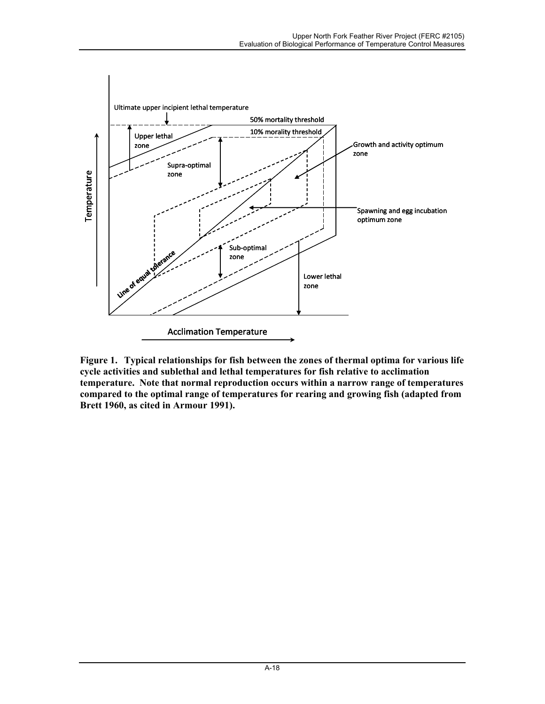

**Figure 1. Typical relationships for fish between the zones of thermal optima for various life cycle activities and sublethal and lethal temperatures for fish relative to acclimation temperature. Note that normal reproduction occurs within a narrow range of temperatures compared to the optimal range of temperatures for rearing and growing fish (adapted from Brett 1960, as cited in Armour 1991).**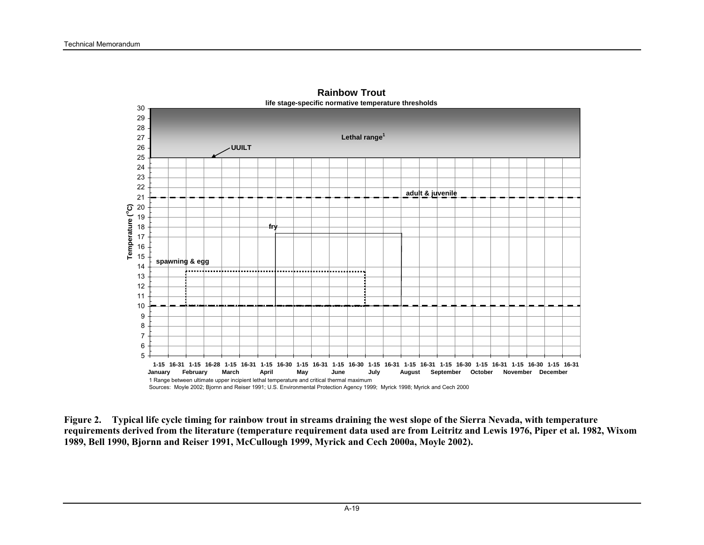

**Rainbow Troutlife stage-specific normative temperature thresholds**

**Figure 2. Typical life cycle timing for rainbow trout in streams draining the west slope of the Sierra Nevada, with temperature requirements derived from the literature (temperature requirement data used are from Leitritz and Lewis 1976, Piper et al. 1982, Wixom 1989, Bell 1990, Bjornn and Reiser 1991, McCullough 1999, Myrick and Cech 2000a, Moyle 2002).**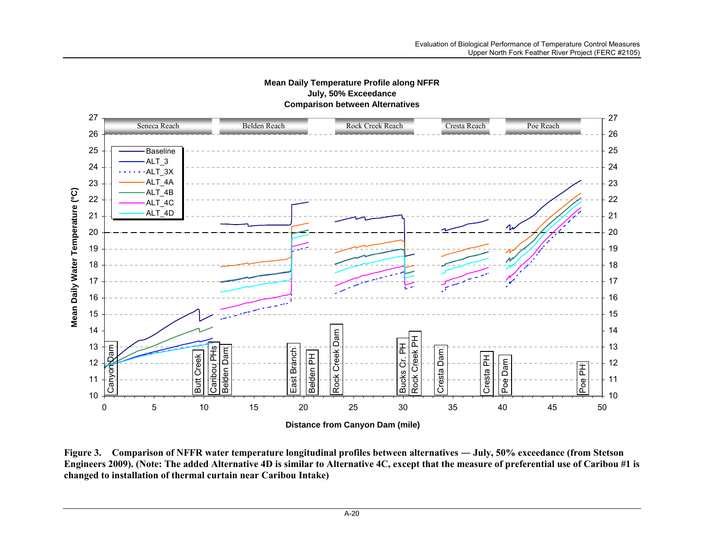

## **Mean Daily Temperature Profile along NFFR July, 50% Exceedance Comparison between Alternatives**

Figure 3. Comparison of NFFR water temperature longitudinal profiles between alternatives — July, 50% exceedance (from Stetson **Engineers 2009). (Note: The added Alternative 4D is similar to Alternative 4C, except that the measure of preferential use of Caribou #1 is changed to installation of thermal curtain near Caribou Intake)**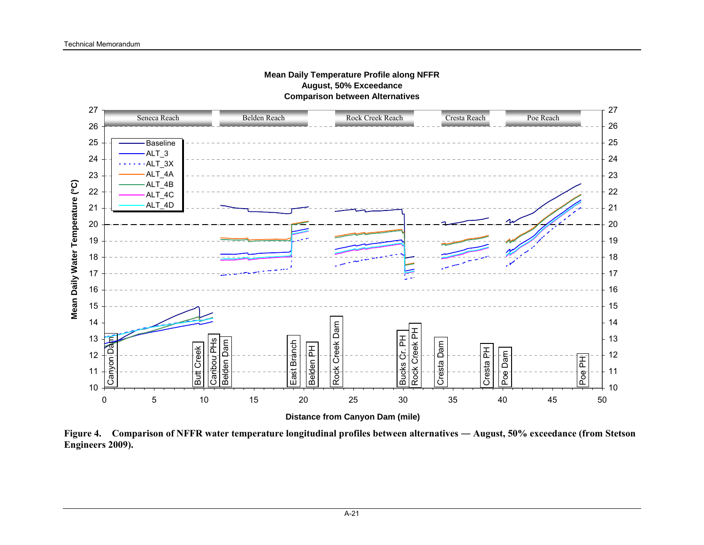

**Figure 4. Comparison of NFFR water temperature longitudinal profiles between alternatives ― August, 50% exceedance (from Stetson Engineers 2009).**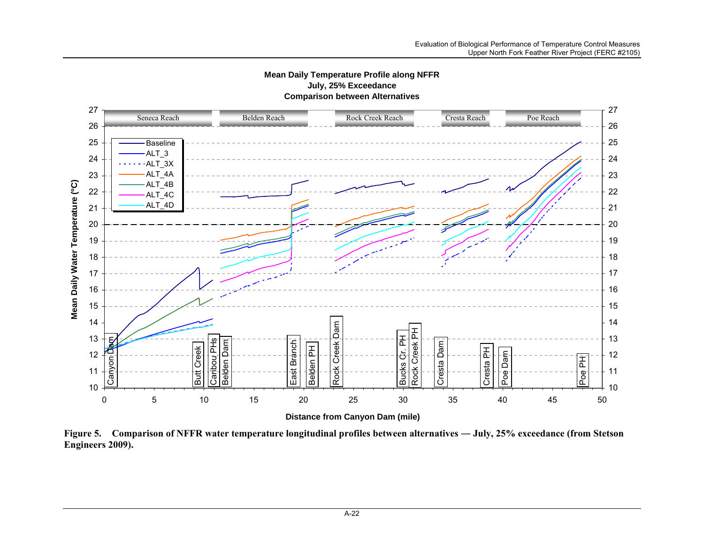

**Mean Daily Temperature Profile along NFFR**

**Figure 5. Comparison of NFFR water temperature longitudinal profiles between alternatives ― July, 25% exceedance (from Stetson Engineers 2009).**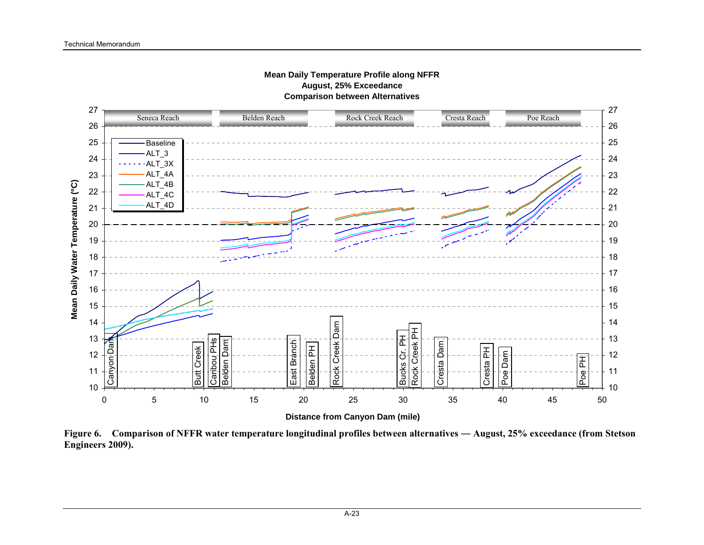

**Figure 6. Comparison of NFFR water temperature longitudinal profiles between alternatives ― August, 25% exceedance (from Stetson Engineers 2009).**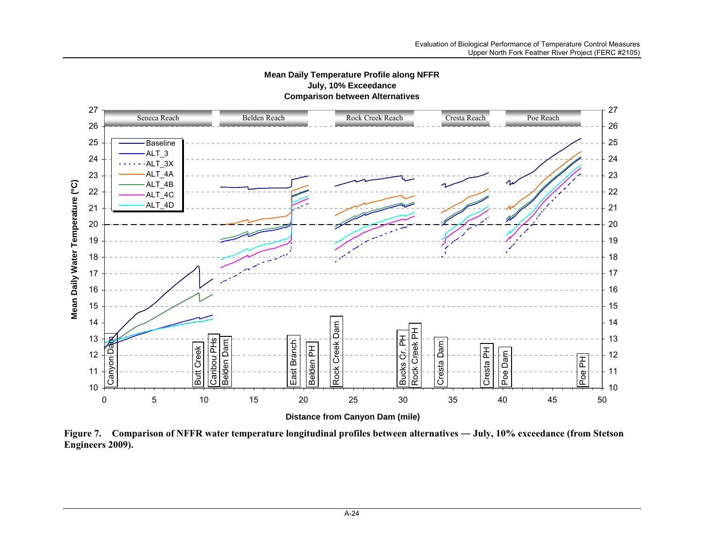

**Mean Daily Temperature Profile along NFFR**

Figure 7. Comparison of NFFR water temperature longitudinal profiles between alternatives — July, 10% exceedance (from Stetson **Engineers 2009).**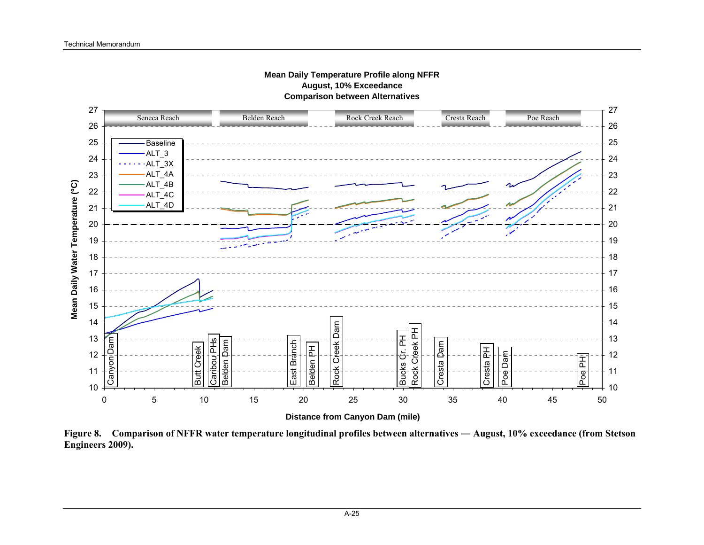

**Figure 8. Comparison of NFFR water temperature longitudinal profiles between alternatives ― August, 10% exceedance (from Stetson Engineers 2009).**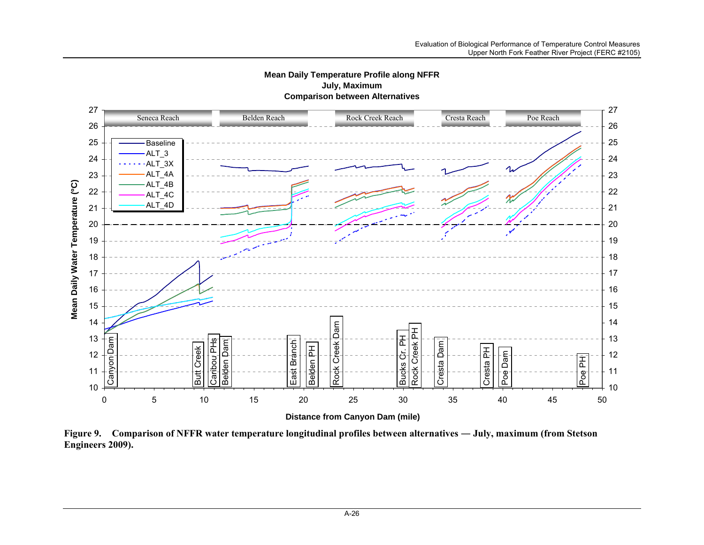

**Mean Daily Temperature Profile along NFFR July, Maximum Comparison between Alternatives**

**Figure 9. Comparison of NFFR water temperature longitudinal profiles between alternatives ― July, maximum (from Stetson Engineers 2009).**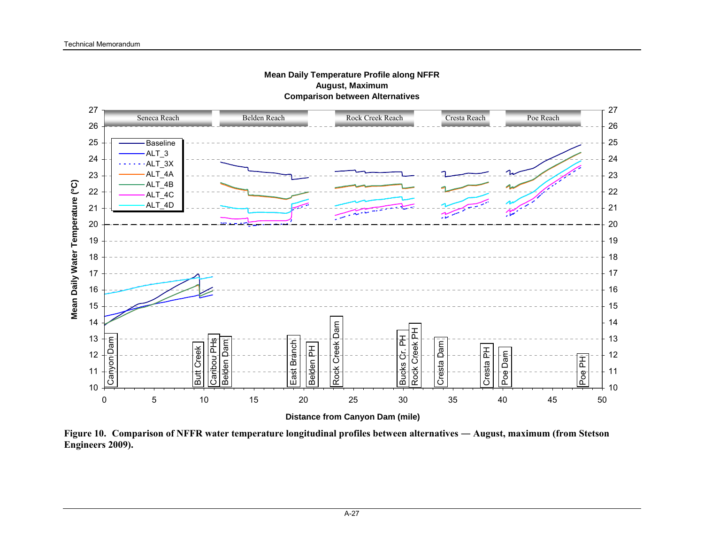

**Mean Daily Temperature Profile along NFFR August, Maximum**

**Figure 10. Comparison of NFFR water temperature longitudinal profiles between alternatives ― August, maximum (from Stetson Engineers 2009).**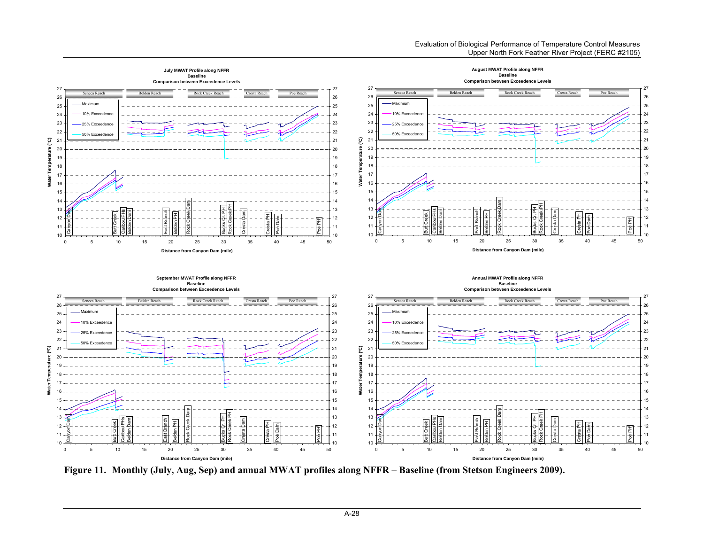

**Figure 11. Monthly (July, Aug, Sep) and annual MWAT profiles along NFFR – Baseline (from Stetson Engineers 2009).**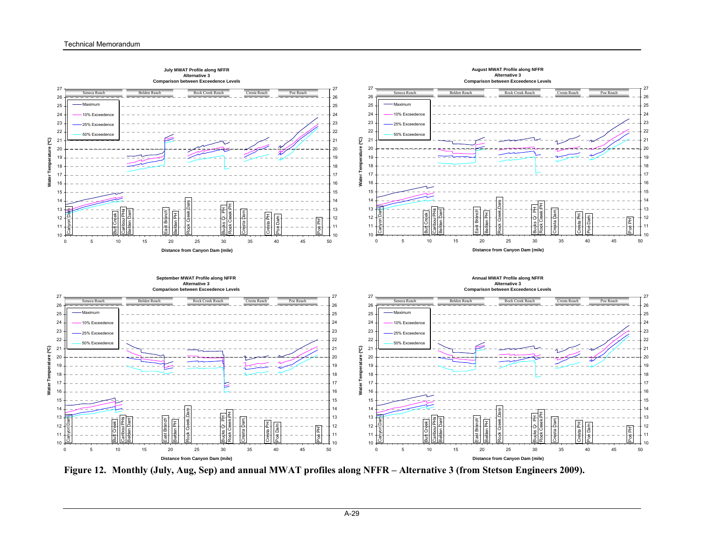

**Figure 12. Monthly (July, Aug, Sep) and annual MWAT profiles along NFFR – Alternative 3 (from Stetson Engineers 2009).**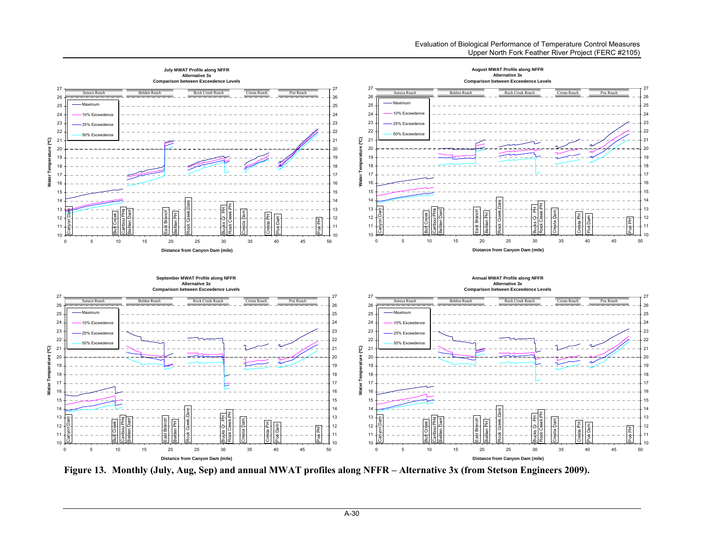

**Figure 13. Monthly (July, Aug, Sep) and annual MWAT profiles along NFFR – Alternative 3x (from Stetson Engineers 2009).**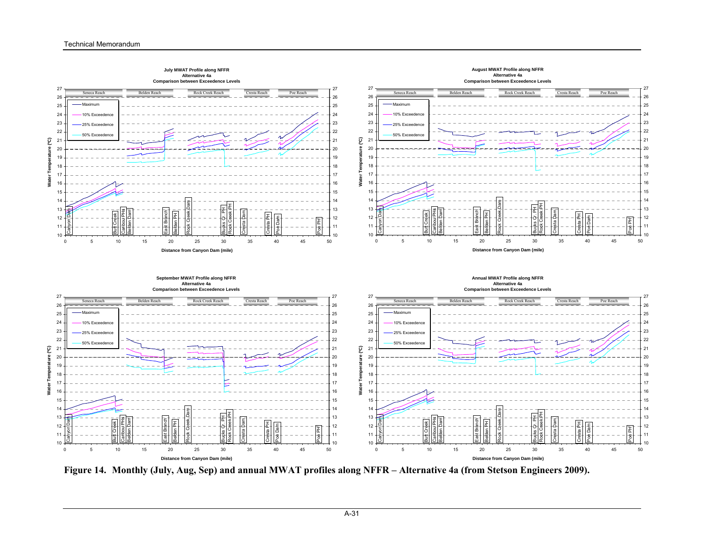

**Figure 14. Monthly (July, Aug, Sep) and annual MWAT profiles along NFFR – Alternative 4a (from Stetson Engineers 2009).**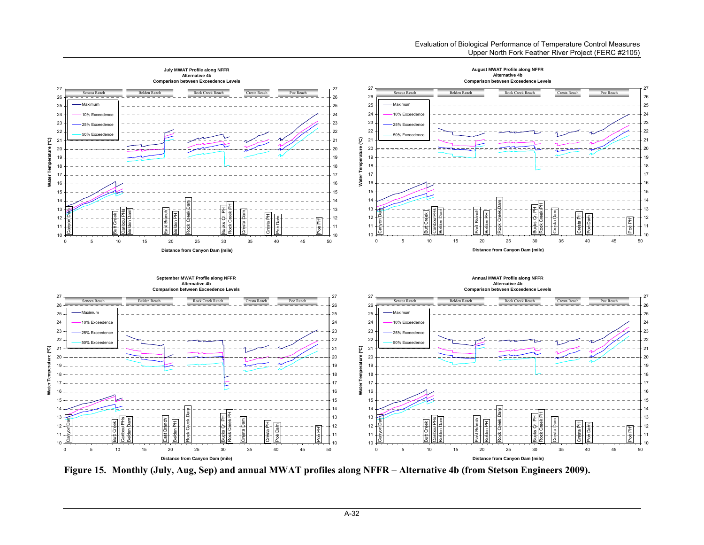

**Figure 15. Monthly (July, Aug, Sep) and annual MWAT profiles along NFFR – Alternative 4b (from Stetson Engineers 2009).**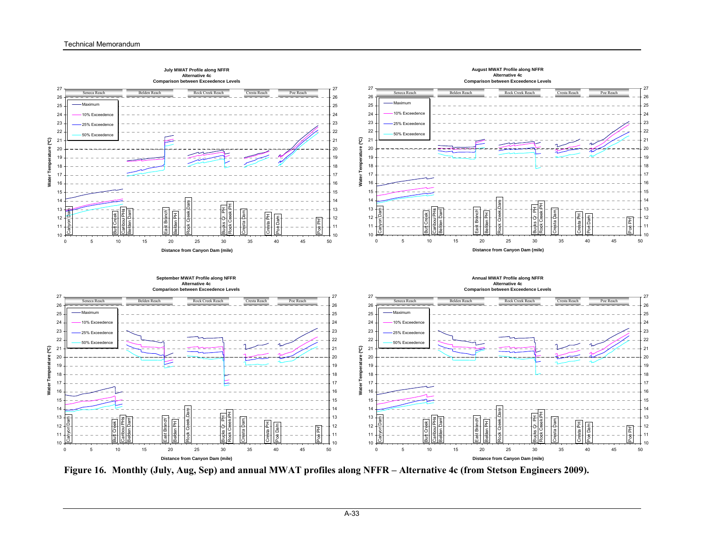

**Figure 16. Monthly (July, Aug, Sep) and annual MWAT profiles along NFFR – Alternative 4c (from Stetson Engineers 2009).**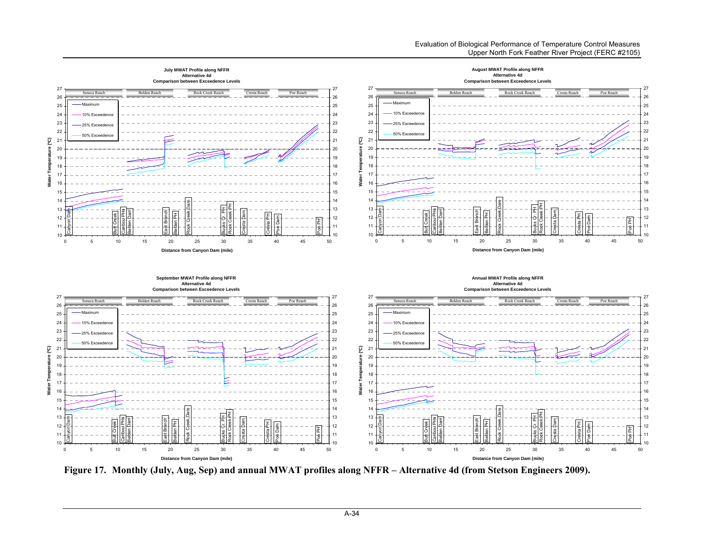

**Figure 17. Monthly (July, Aug, Sep) and annual MWAT profiles along NFFR – Alternative 4d (from Stetson Engineers 2009).**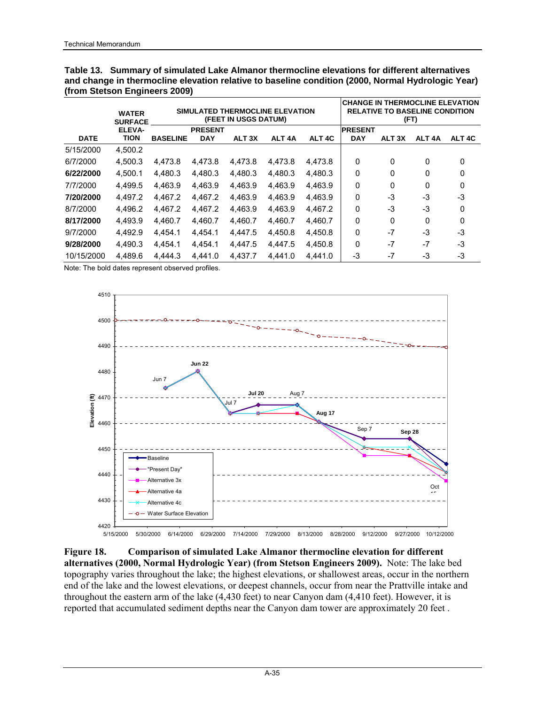|             | <b>WATER</b><br><b>SURFACE</b> |                 |                              | (FEET IN USGS DATUM) | SIMULATED THERMOCLINE ELEVATION |                   | <b>CHANGE IN THERMOCLINE ELEVATION</b> | (FT)              | <b>RELATIVE TO BASELINE CONDITION</b> |        |
|-------------|--------------------------------|-----------------|------------------------------|----------------------|---------------------------------|-------------------|----------------------------------------|-------------------|---------------------------------------|--------|
| <b>DATE</b> | ELEVA-<br>TION                 | <b>BASELINE</b> | <b>PRESENT</b><br><b>DAY</b> | ALT <sub>3X</sub>    | ALT <sub>4</sub> A              | ALT <sub>4C</sub> | <b>PRESENT</b><br><b>DAY</b>           | ALT <sub>3X</sub> | ALT <sub>4</sub> A                    | ALT 4C |
| 5/15/2000   | 4,500.2                        |                 |                              |                      |                                 |                   |                                        |                   |                                       |        |
| 6/7/2000    | 4.500.3                        | 4.473.8         | 4.473.8                      | 4.473.8              | 4.473.8                         | 4,473.8           | 0                                      | 0                 | 0                                     | 0      |
| 6/22/2000   | 4.500.1                        | 4.480.3         | 4.480.3                      | 4.480.3              | 4.480.3                         | 4.480.3           | 0                                      | 0                 | $\Omega$                              | 0      |
| 7/7/2000    | 4.499.5                        | 4.463.9         | 4.463.9                      | 4.463.9              | 4.463.9                         | 4,463.9           | 0                                      | 0                 | $\Omega$                              | 0      |
| 7/20/2000   | 4.497.2                        | 4.467.2         | 4.467.2                      | 4.463.9              | 4.463.9                         | 4.463.9           | 0                                      | -3                | -3                                    | $-3$   |
| 8/7/2000    | 4.496.2                        | 4,467.2         | 4,467.2                      | 4.463.9              | 4.463.9                         | 4.467.2           | 0                                      | $-3$              | -3                                    | 0      |
| 8/17/2000   | 4.493.9                        | 4.460.7         | 4.460.7                      | 4.460.7              | 4,460.7                         | 4,460.7           | 0                                      | 0                 | $\Omega$                              | 0      |
| 9/7/2000    | 4.492.9                        | 4.454.1         | 4.454.1                      | 4.447.5              | 4.450.8                         | 4.450.8           | 0                                      | $-7$              | -3                                    | $-3$   |
| 9/28/2000   | 4.490.3                        | 4.454.1         | 4.454.1                      | 4.447.5              | 4.447.5                         | 4,450.8           | 0                                      | $-7$              | -7                                    | -3     |
| 10/15/2000  | 4.489.6                        | 4.444.3         | 4.441.0                      | 4.437.7              | 4.441.0                         | 4.441.0           | -3                                     | -7                | -3                                    | -3     |

**Table 13. Summary of simulated Lake Almanor thermocline elevations for different alternatives and change in thermocline elevation relative to baseline condition (2000, Normal Hydrologic Year) (from Stetson Engineers 2009)** 



**Figure 18. Comparison of simulated Lake Almanor thermocline elevation for different alternatives (2000, Normal Hydrologic Year) (from Stetson Engineers 2009).** Note: The lake bed topography varies throughout the lake; the highest elevations, or shallowest areas, occur in the northern end of the lake and the lowest elevations, or deepest channels, occur from near the Prattville intake and throughout the eastern arm of the lake (4,430 feet) to near Canyon dam (4,410 feet). However, it is reported that accumulated sediment depths near the Canyon dam tower are approximately 20 feet .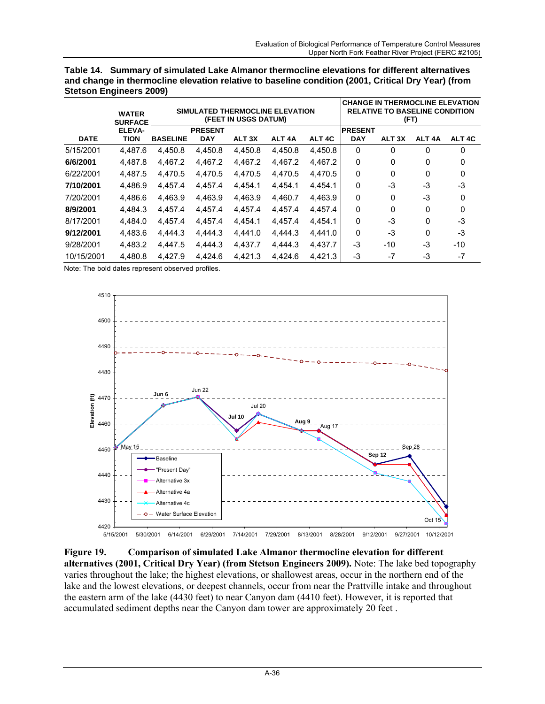|             | <b>WATER</b><br><b>SURFACE</b> |                 |                | <b>SIMULATED THERMOCLINE ELEVATION</b><br>(FEET IN USGS DATUM) |                    |                   | <b>CHANGE IN THERMOCLINE ELEVATION</b><br><b>RELATIVE TO BASELINE CONDITION</b><br>(FT) |                   |                    |                   |  |  |  |  |
|-------------|--------------------------------|-----------------|----------------|----------------------------------------------------------------|--------------------|-------------------|-----------------------------------------------------------------------------------------|-------------------|--------------------|-------------------|--|--|--|--|
|             | ELEVA-                         |                 | <b>PRESENT</b> |                                                                |                    |                   | <b>IPRESENT</b>                                                                         |                   |                    |                   |  |  |  |  |
| <b>DATE</b> | TION                           | <b>BASELINE</b> | <b>DAY</b>     | ALT <sub>3X</sub>                                              | ALT <sub>4</sub> A | ALT <sub>4C</sub> | <b>DAY</b>                                                                              | ALT <sub>3X</sub> | ALT <sub>4</sub> A | ALT <sub>4C</sub> |  |  |  |  |
| 5/15/2001   | 4.487.6                        | 4.450.8         | 4,450.8        | 4.450.8                                                        | 4.450.8            | 4.450.8           | 0                                                                                       | 0                 | 0                  | 0                 |  |  |  |  |
| 6/6/2001    | 4,487.8                        | 4,467.2         | 4,467.2        | 4.467.2                                                        | 4,467.2            | 4.467.2           | 0                                                                                       | 0                 | 0                  | 0                 |  |  |  |  |
| 6/22/2001   | 4.487.5                        | 4.470.5         | 4.470.5        | 4.470.5                                                        | 4.470.5            | 4.470.5           | 0                                                                                       | 0                 | 0                  | $\Omega$          |  |  |  |  |
| 7/10/2001   | 4.486.9                        | 4.457.4         | 4.457.4        | 4.454.1                                                        | 4.454.1            | 4.454.1           | 0                                                                                       | -3                | -3                 | $-3$              |  |  |  |  |
| 7/20/2001   | 4,486.6                        | 4,463.9         | 4,463.9        | 4,463.9                                                        | 4,460.7            | 4,463.9           | 0                                                                                       | 0                 | -3                 | 0                 |  |  |  |  |
| 8/9/2001    | 4.484.3                        | 4,457.4         | 4,457.4        | 4.457.4                                                        | 4,457.4            | 4,457.4           | 0                                                                                       | 0                 | $\Omega$           | $\Omega$          |  |  |  |  |
| 8/17/2001   | 4.484.0                        | 4.457.4         | 4,457.4        | 4.454.1                                                        | 4.457.4            | 4.454.1           | 0                                                                                       | -3                | 0                  | $-3$              |  |  |  |  |
| 9/12/2001   | 4,483.6                        | 4.444.3         | 4,444.3        | 4.441.0                                                        | 4.444.3            | 4.441.0           | 0                                                                                       | -3                | 0                  | $-3$              |  |  |  |  |
| 9/28/2001   | 4,483.2                        | 4.447.5         | 4,444.3        | 4,437.7                                                        | 4.444.3            | 4,437.7           | -3                                                                                      | -10               | -3                 | $-10$             |  |  |  |  |
| 10/15/2001  | 4.480.8                        | 4.427.9         | 4.424.6        | 4.421.3                                                        | 4.424.6            | 4.421.3           | -3                                                                                      | $-7$              | -3                 | -7                |  |  |  |  |

**Table 14. Summary of simulated Lake Almanor thermocline elevations for different alternatives and change in thermocline elevation relative to baseline condition (2001, Critical Dry Year) (from Stetson Engineers 2009)**



**Figure 19. Comparison of simulated Lake Almanor thermocline elevation for different alternatives (2001, Critical Dry Year) (from Stetson Engineers 2009).** Note: The lake bed topography varies throughout the lake; the highest elevations, or shallowest areas, occur in the northern end of the lake and the lowest elevations, or deepest channels, occur from near the Prattville intake and throughout the eastern arm of the lake (4430 feet) to near Canyon dam (4410 feet). However, it is reported that accumulated sediment depths near the Canyon dam tower are approximately 20 feet .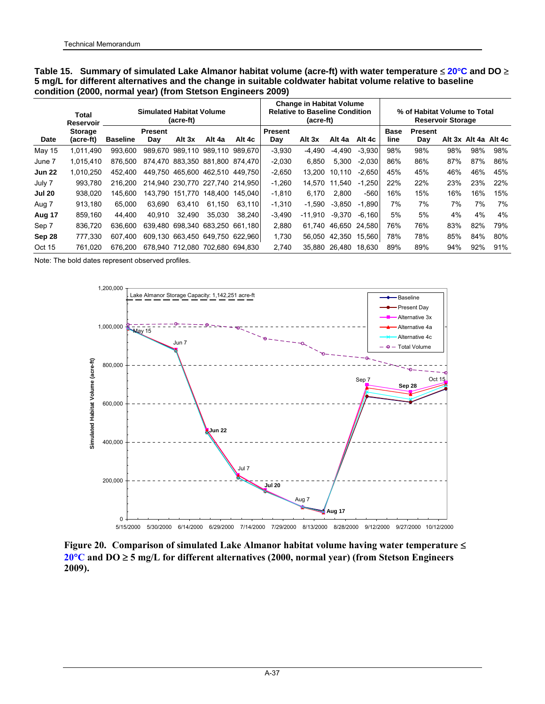|               | Total<br>Reservoir          |                 | Simulated Habitat Volume<br>(acre-ft) | <b>Change in Habitat Volume</b><br><b>Relative to Baseline Condition</b><br>(acre-ft) |                 |         |                       | % of Habitat Volume to Total<br><b>Reservoir Storage</b> |        |          |                     |                       |     |                      |     |
|---------------|-----------------------------|-----------------|---------------------------------------|---------------------------------------------------------------------------------------|-----------------|---------|-----------------------|----------------------------------------------------------|--------|----------|---------------------|-----------------------|-----|----------------------|-----|
| Date          | <b>Storage</b><br>(acre-ft) | <b>Baseline</b> | <b>Present</b><br>Dav                 | Alt 3x                                                                                | Alt 4a          | Alt 4c  | <b>Present</b><br>Day | Alt 3x                                                   | Alt 4a | Alt 4c   | <b>Base</b><br>line | <b>Present</b><br>Day |     | Alt 3x Alt 4a Alt 4c |     |
| May 15        | 1,011,490                   | 993.600         |                                       | 989,670 989,110 989,110                                                               |                 | 989.670 | $-3,930$              | $-4,490$                                                 | -4,490 | $-3,930$ | 98%                 | 98%                   | 98% | 98%                  | 98% |
| June 7        | 1.015.410                   | 876.500         |                                       | 874.470 883.350 881.800 874.470                                                       |                 |         | $-2.030$              | 6.850                                                    | 5,300  | $-2.030$ | 86%                 | 86%                   | 87% | 87%                  | 86% |
| <b>Jun 22</b> | 1.010.250                   | 452.400         |                                       | 449.750 465.600 462.510 449.750                                                       |                 |         | $-2.650$              | 13.200                                                   | 10.110 | $-2.650$ | 45%                 | 45%                   | 46% | 46%                  | 45% |
| July 7        | 993.780                     | 216.200         |                                       | 214.940 230.770 227.740 214.950                                                       |                 |         | $-1.260$              | 14.570                                                   | 11.540 | $-1.250$ | 22%                 | 22%                   | 23% | 23%                  | 22% |
| <b>Jul 20</b> | 938.020                     | 145.600         | 143.790                               | 151.770                                                                               | 148.400         | 145.040 | $-1.810$              | 6.170                                                    | 2.800  | $-560$   | 16%                 | 15%                   | 16% | 16%                  | 15% |
| Aug 7         | 913,180                     | 65.000          | 63.690                                | 63.410                                                                                | 61.150          | 63.110  | $-1.310$              | $-1.590$                                                 | -3.850 | $-1.890$ | 7%                  | 7%                    | 7%  | 7%                   | 7%  |
| Aug 17        | 859.160                     | 44.400          | 40.910                                | 32.490                                                                                | 35.030          | 38.240  | $-3.490$              | $-11.910$                                                | -9.370 | $-6.160$ | 5%                  | 5%                    | 4%  | 4%                   | 4%  |
| Sep 7         | 836.720                     | 636.600         | 639.480                               |                                                                                       | 698.340 683.250 | 661.180 | 2.880                 | 61.740                                                   | 46.650 | 24.580   | 76%                 | 76%                   | 83% | 82%                  | 79% |
| Sep 28        | 777,330                     | 607.400         |                                       | 609,130 663,450 649,750                                                               |                 | 622.960 | 1,730                 | 56.050                                                   | 42,350 | 15,560   | 78%                 | 78%                   | 85% | 84%                  | 80% |
| Oct 15        | 761.020                     | 676.200         |                                       | 678.940 712.080 702.680                                                               |                 | 694.830 | 2.740                 | 35.880                                                   | 26.480 | 18.630   | 89%                 | 89%                   | 94% | 92%                  | 91% |

**Table 15. Summary of simulated Lake Almanor habitat volume (acre-ft) with water temperature** ≤ **20**°**C and DO** ≥ **5 mg/L for different alternatives and the change in suitable coldwater habitat volume relative to baseline condition (2000, normal year) (from Stetson Engineers 2009)** 



**Figure 20. Comparison of simulated Lake Almanor habitat volume having water temperature** ≤ **20**°**C and DO** ≥ **5 mg/L for different alternatives (2000, normal year) (from Stetson Engineers 2009).**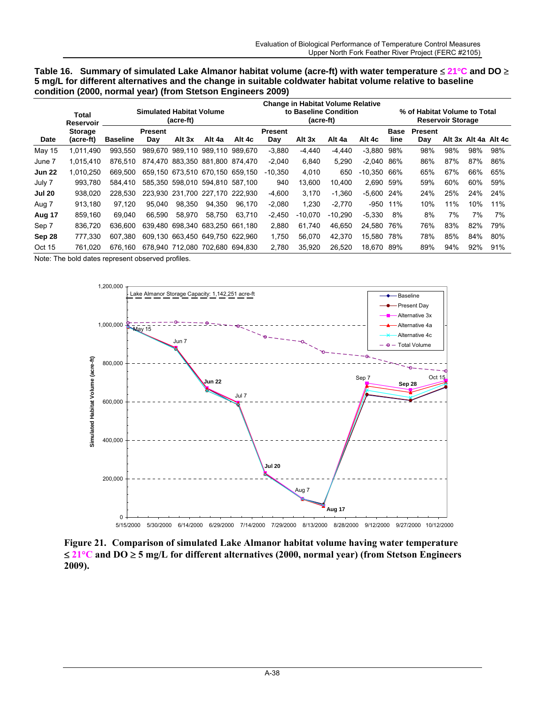| Table 16. Summary of simulated Lake Almanor habitat volume (acre-ft) with water temperature $\leq 21^{\circ}$ C and DO $\geq$ |
|-------------------------------------------------------------------------------------------------------------------------------|
| 5 mg/L for different alternatives and the change in suitable coldwater habitat volume relative to baseline                    |
| condition (2000, normal year) (from Stetson Engineers 2009)                                                                   |

|               | Total<br>Reservoir          |                 | <b>Simulated Habitat Volume</b> | (acre-ft)                       |         |         |                       | <b>Change in Habitat Volume Relative</b><br>to Baseline Condition<br>(acre-ft) |           |              | % of Habitat Volume to Total<br><b>Reservoir Storage</b> |                       |     |                      |     |  |
|---------------|-----------------------------|-----------------|---------------------------------|---------------------------------|---------|---------|-----------------------|--------------------------------------------------------------------------------|-----------|--------------|----------------------------------------------------------|-----------------------|-----|----------------------|-----|--|
| Date          | <b>Storage</b><br>(acre-ft) | <b>Baseline</b> | <b>Present</b><br>Day           | Alt 3x                          | Alt 4a  | Alt 4c  | <b>Present</b><br>Day | Alt 3x                                                                         | Alt 4a    | Alt 4c       | Base<br>line                                             | <b>Present</b><br>Day |     | Alt 3x Alt 4a Alt 4c |     |  |
| May 15        | 1.011.490                   | 993.550         |                                 | 989.670 989.110                 | 989.110 | 989.670 | $-3,880$              | $-4,440$                                                                       | $-4,440$  | $-3,880$     | 98%                                                      | 98%                   | 98% | 98%                  | 98% |  |
| June 7        | 1.015.410                   | 876.510         |                                 | 874.470 883.350 881.800 874.470 |         |         | $-2.040$              | 6.840                                                                          | 5.290     | $-2.040$     | 86%                                                      | 86%                   | 87% | 87%                  | 86% |  |
| <b>Jun 22</b> | 1.010.250                   | 669.500         |                                 | 659.150 673.510 670.150 659.150 |         |         | $-10.350$             | 4.010                                                                          | 650       | $-10.350$    | 66%                                                      | 65%                   | 67% | 66%                  | 65% |  |
| July 7        | 993.780                     | 584.410         |                                 | 585.350 598.010 594.810 587.100 |         |         | 940                   | 13.600                                                                         | 10.400    | 2.690        | 59%                                                      | 59%                   | 60% | 60%                  | 59% |  |
| <b>Jul 20</b> | 938.020                     | 228.530         |                                 | 223,930 231,700 227,170         |         | 222.930 | $-4,600$              | 3.170                                                                          | $-1.360$  | $-5.600$ 24% |                                                          | 24%                   | 25% | 24%                  | 24% |  |
| Aug 7         | 913,180                     | 97.120          | 95.040                          | 98.350                          | 94.350  | 96.170  | $-2,080$              | 1.230                                                                          | $-2.770$  | $-950$       | 11%                                                      | 10%                   | 11% | 10%                  | 11% |  |
| Aug 17        | 859.160                     | 69.040          | 66.590                          | 58.970                          | 58.750  | 63.710  | $-2.450$              | $-10.070$                                                                      | $-10.290$ | $-5.330$     | 8%                                                       | 8%                    | 7%  | 7%                   | 7%  |  |
| Sep 7         | 836.720                     | 636,600         |                                 | 639.480 698.340 683.250 661.180 |         |         | 2.880                 | 61.740                                                                         | 46.650    | 24.580       | 76%                                                      | 76%                   | 83% | 82%                  | 79% |  |
| Sep 28        | 777.330                     | 607.380         |                                 | 609.130 663.450 649.750         |         | 622.960 | 1.750                 | 56.070                                                                         | 42.370    | 15.580       | 78%                                                      | 78%                   | 85% | 84%                  | 80% |  |
| Oct 15        | 761.020                     | 676.160         |                                 | 678,940 712,080 702,680 694,830 |         |         | 2.780                 | 35.920                                                                         | 26.520    | 18.670       | 89%                                                      | 89%                   | 94% | 92%                  | 91% |  |



**Figure 21. Comparison of simulated Lake Almanor habitat volume having water temperature**  ≤ **21**°**C and DO** ≥ **5 mg/L for different alternatives (2000, normal year) (from Stetson Engineers 2009).**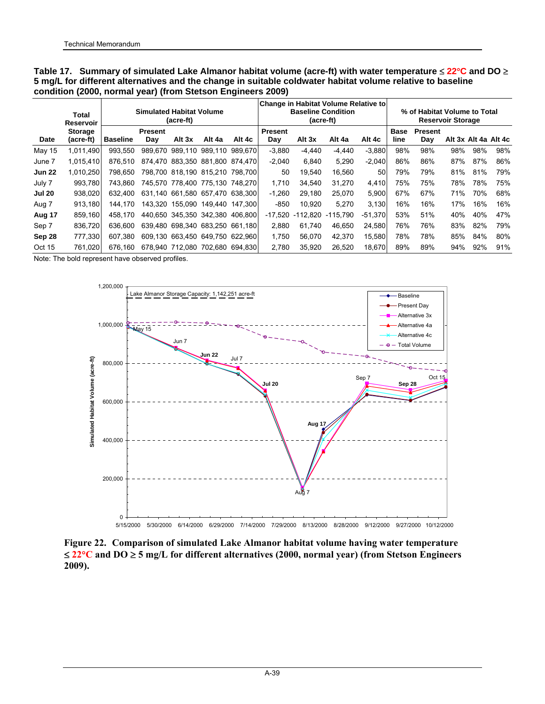|               | Total<br>Reservoir          |                 | <b>Simulated Habitat Volume</b> | (acre-ft) |                                 |         | Change in Habitat Volume Relative to<br><b>Baseline Condition</b><br>(acre-ft) |            |            |           |              | % of Habitat Volume to Total<br><b>Reservoir Storage</b> |     |     |                      |  |  |
|---------------|-----------------------------|-----------------|---------------------------------|-----------|---------------------------------|---------|--------------------------------------------------------------------------------|------------|------------|-----------|--------------|----------------------------------------------------------|-----|-----|----------------------|--|--|
| Date          | <b>Storage</b><br>(acre-ft) | <b>Baseline</b> | <b>Present</b><br>Day           | Alt 3x    | Alt 4a                          | Alt 4c  | <b>Present</b><br>Day                                                          | Alt 3x     | Alt 4a     | Alt 4c    | Base<br>line | <b>Present</b><br>Day                                    |     |     | Alt 3x Alt 4a Alt 4c |  |  |
| May 15        | 1.011.490                   | 993.550         | 989.670                         | 989.110   | 989.110                         | 989.670 | $-3.880$                                                                       | $-4,440$   | -4.440     | $-3.880$  | 98%          | 98%                                                      | 98% | 98% | 98%                  |  |  |
| June 7        | 1.015.410                   | 876.510         |                                 |           | 874.470 883.350 881.800 874.470 |         | $-2.040$                                                                       | 6.840      | 5.290      | $-2.040$  | 86%          | 86%                                                      | 87% | 87% | 86%                  |  |  |
| <b>Jun 22</b> | 1.010.250                   | 798.650         |                                 |           | 798,700 818,190 815,210 798,700 |         | 50                                                                             | 19.540     | 16.560     | 50        | 79%          | 79%                                                      | 81% | 81% | 79%                  |  |  |
| July 7        | 993.780                     | 743.860         |                                 |           | 745.570 778.400 775.130 748.270 |         | 1.710                                                                          | 34.540     | 31.270     | 4.410     | 75%          | 75%                                                      | 78% | 78% | 75%                  |  |  |
|               |                             |                 |                                 |           |                                 |         |                                                                                |            |            |           |              |                                                          |     |     |                      |  |  |
| <b>Jul 20</b> | 938.020                     | 632.400         |                                 |           | 631,140 661,580 657,470 638,300 |         | $-1.260$                                                                       | 29.180     | 25.070     | 5.900     | 67%          | 67%                                                      | 71% | 70% | 68%                  |  |  |
| Aug 7         | 913.180                     | 144.170         |                                 |           | 143.320 155.090 149.440 147.300 |         | $-850$                                                                         | 10.920     | 5,270      | 3.130     | 16%          | 16%                                                      | 17% | 16% | 16%                  |  |  |
| Aug 17        | 859,160                     | 458.170         |                                 |           | 440,650 345,350 342,380 406,800 |         | $-17.520$                                                                      | $-112.820$ | $-115.790$ | $-51,370$ | 53%          | 51%                                                      | 40% | 40% | 47%                  |  |  |
| Sep 7         | 836.720                     | 636,600         |                                 |           | 639.480 698.340 683.250 661.180 |         | 2.880                                                                          | 61.740     | 46.650     | 24.580    | 76%          | 76%                                                      | 83% | 82% | 79%                  |  |  |
| Sep 28        | 777,330                     | 607.380         |                                 |           | 609.130 663.450 649.750 622.960 |         | 1.750                                                                          | 56.070     | 42.370     | 15.580    | 78%          | 78%                                                      | 85% | 84% | 80%                  |  |  |
| Oct 15        | 761.020                     | 676.160         |                                 |           | 678.940 712.080 702.680 694.830 |         | 2.780                                                                          | 35.920     | 26.520     | 18,670    | 89%          | 89%                                                      | 94% | 92% | 91%                  |  |  |

**Table 17. Summary of simulated Lake Almanor habitat volume (acre-ft) with water temperature** ≤ **22**°**C and DO** ≥ **5 mg/L for different alternatives and the change in suitable coldwater habitat volume relative to baseline condition (2000, normal year) (from Stetson Engineers 2009)**

Note: The bold represent have observed profiles.



**Figure 22. Comparison of simulated Lake Almanor habitat volume having water temperature**  ≤ **22**°**C and DO** ≥ **5 mg/L for different alternatives (2000, normal year) (from Stetson Engineers 2009).**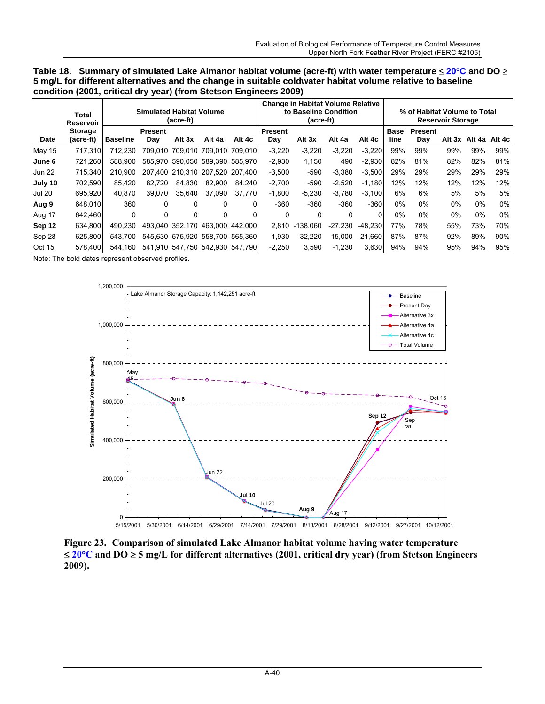| Table 18. Summary of simulated Lake Almanor habitat volume (acre-ft) with water temperature $\leq 20^{\circ}$ C and DO $\geq$ |
|-------------------------------------------------------------------------------------------------------------------------------|
| 5 mg/L for different alternatives and the change in suitable coldwater habitat volume relative to baseline                    |
| condition (2001, critical dry year) (from Stetson Engineers 2009)                                                             |

|               | Total<br>Reservoir          |                 | <b>Simulated Habitat Volume</b> | (acre-ft)       |                                 |          | <b>Change in Habitat Volume Relative</b><br>to Baseline Condition<br>(acre-ft) |            |           |           |                     | % of Habitat Volume to Total<br><b>Reservoir Storage</b> |        |        |        |  |  |
|---------------|-----------------------------|-----------------|---------------------------------|-----------------|---------------------------------|----------|--------------------------------------------------------------------------------|------------|-----------|-----------|---------------------|----------------------------------------------------------|--------|--------|--------|--|--|
| Date          | <b>Storage</b><br>(acre-ft) | <b>Baseline</b> | <b>Present</b><br>Day           | Alt 3x          | Alt 4a                          | Alt 4c   | <b>Present</b><br>Day                                                          | Alt 3x     | Alt 4a    | Alt 4c    | <b>Base</b><br>line | <b>Present</b><br>Dav                                    | Alt 3x | Alt 4a | Alt 4c |  |  |
| May 15        | 717.310                     | 712.230         |                                 |                 | 709,010 709,010 709,010 709,010 |          | $-3,220$                                                                       | $-3,220$   | $-3,220$  | $-3,220$  | 99%                 | 99%                                                      | 99%    | 99%    | 99%    |  |  |
| June 6        | 721.260                     | 588.900         |                                 |                 | 585.970 590.050 589.390 585.970 |          | $-2,930$                                                                       | 1.150      | 490       | $-2.930$  | 82%                 | 81%                                                      | 82%    | 82%    | 81%    |  |  |
| <b>Jun 22</b> | 715.340                     | 210.900         |                                 |                 | 207.400 210.310 207.520 207.400 |          | $-3,500$                                                                       | $-590$     | $-3.380$  | $-3.500$  | 29%                 | 29%                                                      | 29%    | 29%    | 29%    |  |  |
| July 10       | 702.590                     | 85.420          | 82.720                          | 84.830          | 82.900                          | 84.240   | $-2,700$                                                                       | $-590$     | $-2,520$  | $-1,180$  | 12%                 | 12%                                                      | 12%    | 12%    | 12%    |  |  |
| <b>Jul 20</b> | 695.920                     | 40.870          | 39.070                          | 35.640          | 37.090                          | 37.770   | $-1.800$                                                                       | $-5.230$   | $-3.780$  | $-3.100$  | 6%                  | 6%                                                       | 5%     | 5%     | 5%     |  |  |
| Aug 9         | 648.010                     | 360             | 0                               | 0               | 0                               | 0        | $-360$                                                                         | $-360$     | $-360$    | $-360$    | $0\%$               | $0\%$                                                    | $0\%$  | 0%     | $0\%$  |  |  |
| Aug 17        | 642.460                     | $\Omega$        | 0                               | $\Omega$        | 0                               | $\Omega$ | $\Omega$                                                                       | $\Omega$   | 0         | $\Omega$  | $0\%$               | 0%                                                       | $0\%$  | $0\%$  | 0%     |  |  |
| Sep 12        | 634.800                     | 490.230         |                                 | 493.040 352.170 | 463.000                         | 442.000  | 2.810                                                                          | $-138.060$ | $-27,230$ | $-48.230$ | 77%                 | 78%                                                      | 55%    | 73%    | 70%    |  |  |
| Sep 28        | 625.800                     | 543.700         |                                 |                 | 545.630 575.920 558.700 565.360 |          | 1.930                                                                          | 32.220     | 15.000    | 21,660    | 87%                 | 87%                                                      | 92%    | 89%    | 90%    |  |  |
| Oct 15        | 578.400                     | 544.160         |                                 |                 | 541.910 547.750 542.930 547.790 |          | $-2.250$                                                                       | 3.590      | $-1.230$  | 3,630     | 94%                 | 94%                                                      | 95%    | 94%    | 95%    |  |  |



**Figure 23. Comparison of simulated Lake Almanor habitat volume having water temperature**  ≤ **20**°**C and DO** ≥ **5 mg/L for different alternatives (2001, critical dry year) (from Stetson Engineers 2009).**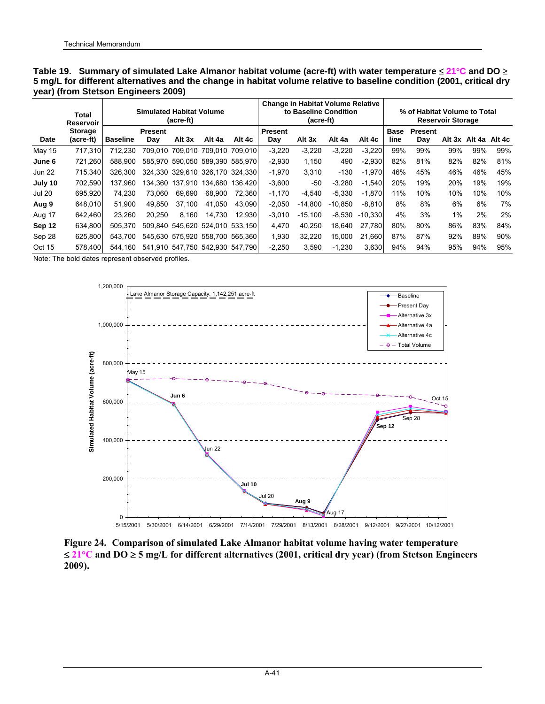|               | Total<br><b>Reservoir</b> |                 | <b>Simulated Habitat Volume</b> | (acre-ft)                       |                 | <b>Change in Habitat Volume Relative</b><br>to Baseline Condition<br>(acre-ft) |                |           |           |           | % of Habitat Volume to Total<br><b>Reservoir Storage</b> |                |     |               |        |  |
|---------------|---------------------------|-----------------|---------------------------------|---------------------------------|-----------------|--------------------------------------------------------------------------------|----------------|-----------|-----------|-----------|----------------------------------------------------------|----------------|-----|---------------|--------|--|
| Date          | Storage<br>(acre-ft)      | <b>Baseline</b> | <b>Present</b>                  | Alt 3x                          | Alt 4a          | Alt 4c                                                                         | <b>Present</b> | Alt 3x    | Alt 4a    | Alt 4c    | <b>Base</b><br>line                                      | <b>Present</b> |     | Alt 3x Alt 4a | Alt 4c |  |
|               |                           |                 | Day                             |                                 |                 |                                                                                | Day            |           |           |           |                                                          | Day            |     |               |        |  |
| May 15        | 717.310                   | 712.230         | 709.010                         | 709.010                         | 709.010 709.010 |                                                                                | $-3,220$       | $-3,220$  | $-3.220$  | $-3,220$  | 99%                                                      | 99%            | 99% | 99%           | 99%    |  |
| June 6        | 721.260                   | 588.900         |                                 | 585.970 590.050 589.390 585.970 |                 |                                                                                | $-2,930$       | 1,150     | 490       | $-2,930$  | 82%                                                      | 81%            | 82% | 82%           | 81%    |  |
| <b>Jun 22</b> | 715.340                   | 326.300         |                                 | 324.330 329.610 326.170 324.330 |                 |                                                                                | $-1,970$       | 3.310     | $-130$    | $-1.970$  | 46%                                                      | 45%            | 46% | 46%           | 45%    |  |
| July 10       | 702.590                   | 137.960         |                                 | 134.360 137.910                 | 134.680         | 136.420                                                                        | $-3,600$       | -50       | $-3,280$  | $-1,540$  | 20%                                                      | 19%            | 20% | 19%           | 19%    |  |
| <b>Jul 20</b> | 695.920                   | 74.230          | 73.060                          | 69,690                          | 68.900          | 72.360                                                                         | $-1,170$       | $-4,540$  | $-5.330$  | $-1,870$  | 11%                                                      | 10%            | 10% | 10%           | 10%    |  |
| Aug 9         | 648,010                   | 51.900          | 49.850                          | 37.100                          | 41.050          | 43.090                                                                         | $-2.050$       | $-14,800$ | $-10.850$ | $-8.810$  | 8%                                                       | 8%             | 6%  | 6%            | 7%     |  |
| Aug 17        | 642.460                   | 23.260          | 20.250                          | 8.160                           | 14.730          | 12.930                                                                         | $-3,010$       | $-15.100$ | $-8.530$  | $-10.330$ | 4%                                                       | 3%             | 1%  | 2%            | 2%     |  |
| Sep 12        | 634,800                   | 505.370         |                                 | 509.840 545.620 524.010 533.150 |                 |                                                                                | 4.470          | 40.250    | 18.640    | 27.780    | 80%                                                      | 80%            | 86% | 83%           | 84%    |  |
| Sep 28        | 625.800                   | 543.700         |                                 | 545.630 575.920 558.700 565.360 |                 |                                                                                | 1,930          | 32.220    | 15.000    | 21.660    | 87%                                                      | 87%            | 92% | 89%           | 90%    |  |
| Oct 15        | 578.400                   | 544.160         |                                 | 541.910 547.750 542.930 547.790 |                 |                                                                                | $-2.250$       | 3.590     | $-1.230$  | 3,630     | 94%                                                      | 94%            | 95% | 94%           | 95%    |  |

**Table 19. Summary of simulated Lake Almanor habitat volume (acre-ft) with water temperature** ≤ **21**°**C and DO** ≥ **5 mg/L for different alternatives and the change in habitat volume relative to baseline condition (2001, critical dry year) (from Stetson Engineers 2009)**



**Figure 24. Comparison of simulated Lake Almanor habitat volume having water temperature**  ≤ **21**°**C and DO** ≥ **5 mg/L for different alternatives (2001, critical dry year) (from Stetson Engineers 2009).**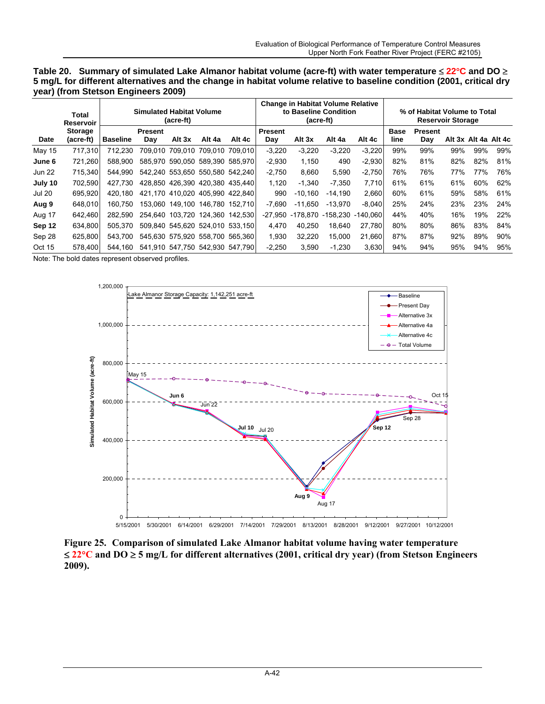| Table 20. Summary of simulated Lake Almanor habitat volume (acre-ft) with water temperature $\leq 22^{\circ}$ C and DO $\geq$ |  |
|-------------------------------------------------------------------------------------------------------------------------------|--|
| 5 mg/L for different alternatives and the change in habitat volume relative to baseline condition (2001, critical dry         |  |
| year) (from Stetson Engineers 2009)                                                                                           |  |

|               | Total<br>Reservoir          |                 | <b>Simulated Habitat Volume</b> | (acre-ft)                       |                         |         |                       | (acre-ft) | <b>Change in Habitat Volume Relative</b><br>to Baseline Condition |          | % of Habitat Volume to Total<br><b>Reservoir Storage</b> |                       |     |     |                      |  |
|---------------|-----------------------------|-----------------|---------------------------------|---------------------------------|-------------------------|---------|-----------------------|-----------|-------------------------------------------------------------------|----------|----------------------------------------------------------|-----------------------|-----|-----|----------------------|--|
| <b>Date</b>   | <b>Storage</b><br>(acre-ft) | <b>Baseline</b> | <b>Present</b><br>Day           | Alt 3x                          | Alt 4a                  | Alt 4c  | <b>Present</b><br>Day | Alt 3x    | Alt 4a                                                            | Alt 4c   | Base<br>line                                             | <b>Present</b><br>Day |     |     | Alt 3x Alt 4a Alt 4c |  |
|               |                             |                 |                                 |                                 |                         |         |                       |           |                                                                   |          |                                                          |                       |     |     |                      |  |
| May 15        | 717.310                     | 712.230         | 709.010                         |                                 | 709.010 709.010 709.010 |         | $-3,220$              | $-3,220$  | $-3,220$                                                          | $-3,220$ | 99%                                                      | 99%                   | 99% | 99% | 99%                  |  |
| June 6        | 721.260                     | 588.900         |                                 | 585.970 590.050 589.390 585.970 |                         |         | $-2.930$              | 1.150     | 490                                                               | $-2,930$ | 82%                                                      | 81%                   | 82% | 82% | 81%                  |  |
| <b>Jun 22</b> | 715.340                     | 544.990         |                                 | 542.240 553.650 550.580 542.240 |                         |         | $-2.750$              | 8.660     | 5.590                                                             | $-2,750$ | 76%                                                      | 76%                   | 77% | 77% | 76%                  |  |
| July 10       | 702.590                     | 427.730         |                                 | 428.850 426.390 420.380 435.440 |                         |         | 1.120                 | $-1.340$  | $-7.350$                                                          | 7.710    | 61%                                                      | 61%                   | 61% | 60% | 62%                  |  |
| <b>Jul 20</b> | 695.920                     | 420.180         |                                 | 421.170 410.020 405.990 422.840 |                         |         | 990                   | $-10.160$ | $-14.190$                                                         | 2,660    | 60%                                                      | 61%                   | 59% | 58% | 61%                  |  |
| Aug 9         | 648.010                     | 160.750         |                                 | 153.060 149.100 146.780 152.710 |                         |         | $-7.690$              | $-11.650$ | $-13.970$                                                         | $-8,040$ | 25%                                                      | 24%                   | 23% | 23% | 24%                  |  |
| Aug 17        | 642.460                     | 282.590         |                                 | 254.640 103.720 124.360         |                         | 142.530 | -27.950               | -178.870  | -158.230                                                          | -140.060 | 44%                                                      | 40%                   | 16% | 19% | 22%                  |  |
| Sep 12        | 634.800                     | 505.370         |                                 | 509.840 545.620 524.010 533.150 |                         |         | 4.470                 | 40.250    | 18.640                                                            | 27.780   | 80%                                                      | 80%                   | 86% | 83% | 84%                  |  |
| Sep 28        | 625.800                     | 543.700         |                                 | 545,630 575,920 558,700 565,360 |                         |         | 1.930                 | 32,220    | 15,000                                                            | 21,660   | 87%                                                      | 87%                   | 92% | 89% | 90%                  |  |
| Oct 15        | 578.400                     | 544.160         |                                 | 541.910 547.750 542.930 547.790 |                         |         | $-2.250$              | 3.590     | $-1.230$                                                          | 3,630    | 94%                                                      | 94%                   | 95% | 94% | 95%                  |  |



**Figure 25. Comparison of simulated Lake Almanor habitat volume having water temperature**  ≤ **22**°**C and DO** ≥ **5 mg/L for different alternatives (2001, critical dry year) (from Stetson Engineers 2009).**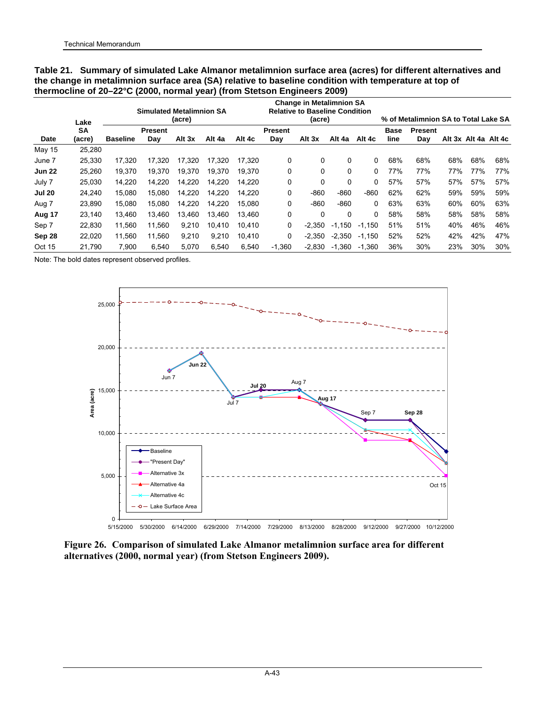|               | thermocline of 20-22°C (2000, normal year) (from Stetson Engineers 2009) |                 |                                 |        |        |        |                       |                                                                                    |          |          |              |                                      |     |     |                      |
|---------------|--------------------------------------------------------------------------|-----------------|---------------------------------|--------|--------|--------|-----------------------|------------------------------------------------------------------------------------|----------|----------|--------------|--------------------------------------|-----|-----|----------------------|
|               | Lake                                                                     |                 | <b>Simulated Metalimnion SA</b> | (acre) |        |        |                       | <b>Change in Metalimnion SA</b><br><b>Relative to Baseline Condition</b><br>(acre) |          |          |              | % of Metalimnion SA to Total Lake SA |     |     |                      |
| Date          | <b>SA</b><br>(acre)                                                      | <b>Baseline</b> | <b>Present</b><br>Day           | Alt 3x | Alt 4a | Alt 4c | <b>Present</b><br>Day | Alt 3x                                                                             | Alt 4a   | Alt 4c   | Base<br>line | <b>Present</b><br>Day                |     |     | Alt 3x Alt 4a Alt 4c |
| May 15        | 25,280                                                                   |                 |                                 |        |        |        |                       |                                                                                    |          |          |              |                                      |     |     |                      |
| June 7        | 25,330                                                                   | 17,320          | 17.320                          | 17.320 | 17.320 | 17.320 | 0                     | 0                                                                                  | 0        | 0        | 68%          | 68%                                  | 68% | 68% | 68%                  |
| <b>Jun 22</b> | 25,260                                                                   | 19.370          | 19.370                          | 19.370 | 19.370 | 19.370 | 0                     | $\Omega$                                                                           | 0        | 0        | 77%          | 77%                                  | 77% | 77% | 77%                  |
| July 7        | 25,030                                                                   | 14.220          | 14.220                          | 14.220 | 14.220 | 14.220 | 0                     | 0                                                                                  | 0        | 0        | 57%          | 57%                                  | 57% | 57% | 57%                  |
| <b>Jul 20</b> | 24,240                                                                   | 15,080          | 15,080                          | 14,220 | 14,220 | 14.220 | 0                     | $-860$                                                                             | $-860$   | $-860$   | 62%          | 62%                                  | 59% | 59% | 59%                  |
| Aug 7         | 23,890                                                                   | 15.080          | 15.080                          | 14,220 | 14,220 | 15.080 | 0                     | $-860$                                                                             | $-860$   | 0        | 63%          | 63%                                  | 60% | 60% | 63%                  |
| Aug 17        | 23,140                                                                   | 13.460          | 13.460                          | 13.460 | 13.460 | 13.460 | 0                     | $\Omega$                                                                           | 0        | 0        | 58%          | 58%                                  | 58% | 58% | 58%                  |
| Sep 7         | 22,830                                                                   | 11,560          | 11.560                          | 9,210  | 10.410 | 10.410 | 0                     | $-2.350$                                                                           | $-1.150$ | $-1,150$ | 51%          | 51%                                  | 40% | 46% | 46%                  |
| Sep 28        | 22.020                                                                   | 11.560          | 11.560                          | 9.210  | 9.210  | 10.410 | 0                     | $-2.350$                                                                           | $-2.350$ | $-1,150$ | 52%          | 52%                                  | 42% | 42% | 47%                  |
| Oct 15        | 21,790                                                                   | 7,900           | 6,540                           | 5,070  | 6,540  | 6,540  | $-1,360$              | -2,830                                                                             | $-1,360$ | $-1,360$ | 36%          | 30%                                  | 23% | 30% | 30%                  |

**Table 21. Summary of simulated Lake Almanor metalimnion surface area (acres) for different alternatives and the change in metalimnion surface area (SA) relative to baseline condition with temperature at top of** 



5/15/2000 5/30/2000 6/14/2000 6/29/2000 7/14/2000 7/29/2000 8/13/2000 8/28/2000 9/12/2000 9/27/2000 10/12/2000

**Figure 26. Comparison of simulated Lake Almanor metalimnion surface area for different alternatives (2000, normal year) (from Stetson Engineers 2009).**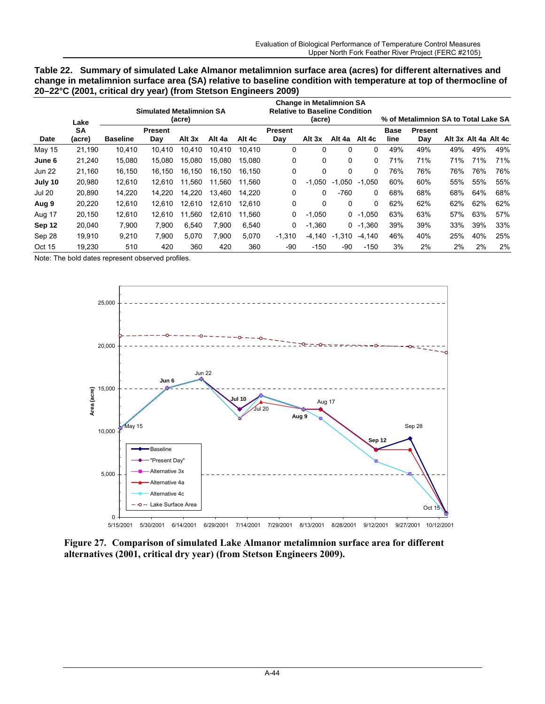| Table 22. Summary of simulated Lake Almanor metalimnion surface area (acres) for different alternatives and      |
|------------------------------------------------------------------------------------------------------------------|
| change in metalimnion surface area (SA) relative to baseline condition with temperature at top of thermocline of |
| 20–22°C (2001, critical dry year) (from Stetson Engineers 2009)                                                  |

|               | Lake                | <b>Simulated Metalimnion SA</b><br>(acre) |                       |        |        | <b>Change in Metalimnion SA</b><br><b>Relative to Baseline Condition</b><br>(acre) |                       |          | % of Metalimnion SA to Total Lake SA |            |              |                       |     |     |                      |
|---------------|---------------------|-------------------------------------------|-----------------------|--------|--------|------------------------------------------------------------------------------------|-----------------------|----------|--------------------------------------|------------|--------------|-----------------------|-----|-----|----------------------|
| Date          | <b>SA</b><br>(acre) | <b>Baseline</b>                           | <b>Present</b><br>Day | Alt 3x | Alt 4a | Alt 4c                                                                             | <b>Present</b><br>Day | Alt 3x   | Alt 4a                               | Alt 4c     | Base<br>line | <b>Present</b><br>Day |     |     | Alt 3x Alt 4a Alt 4c |
| May 15        | 21,190              | 10.410                                    | 10.410                | 10,410 | 10.410 | 10.410                                                                             | 0                     | 0        | 0                                    | 0          | 49%          | 49%                   | 49% | 49% | 49%                  |
| June 6        | 21,240              | 15,080                                    | 15.080                | 15.080 | 15.080 | 15.080                                                                             | 0                     | 0        | 0                                    | 0          | 71%          | 71%                   | 71% | 71% | 71%                  |
| <b>Jun 22</b> | 21,160              | 16.150                                    | 16.150                | 16.150 | 16.150 | 16.150                                                                             | 0                     | 0        | $\Omega$                             | 0          | 76%          | 76%                   | 76% | 76% | 76%                  |
| July 10       | 20,980              | 12.610                                    | 12.610                | 11.560 | 11.560 | 11.560                                                                             | 0                     | $-1.050$ | .050<br>$-1$                         | .050<br>-1 | 60%          | 60%                   | 55% | 55% | 55%                  |
| <b>Jul 20</b> | 20,890              | 14,220                                    | 14.220                | 14.220 | 13.460 | 14.220                                                                             | 0                     | 0        | $-760$                               | 0          | 68%          | 68%                   | 68% | 64% | 68%                  |
| Aug 9         | 20,220              | 12.610                                    | 12.610                | 12.610 | 12.610 | 12.610                                                                             | 0                     | 0        | 0                                    | 0          | 62%          | 62%                   | 62% | 62% | 62%                  |
| Aug 17        | 20,150              | 12,610                                    | 12.610                | 11.560 | 12.610 | 11.560                                                                             | 0                     | $-1,050$ |                                      | $0 -1,050$ | 63%          | 63%                   | 57% | 63% | 57%                  |
| Sep 12        | 20,040              | 7,900                                     | 7.900                 | 6.540  | 7.900  | 6.540                                                                              | 0                     | $-1,360$ | 0                                    | $-1,360$   | 39%          | 39%                   | 33% | 39% | 33%                  |
| Sep 28        | 19.910              | 9.210                                     | 7.900                 | 5.070  | 7.900  | 5.070                                                                              | $-1.310$              | $-4.140$ | $-1.310$                             | -4.140     | 46%          | 40%                   | 25% | 40% | 25%                  |
| Oct 15        | 19,230              | 510                                       | 420                   | 360    | 420    | 360                                                                                | -90                   | $-150$   | -90                                  | $-150$     | 3%           | 2%                    | 2%  | 2%  | 2%                   |



5/15/2001 5/30/2001 6/14/2001 6/29/2001 7/14/2001 7/29/2001 8/13/2001 8/28/2001 9/12/2001 9/27/2001 10/12/2001

**Figure 27. Comparison of simulated Lake Almanor metalimnion surface area for different alternatives (2001, critical dry year) (from Stetson Engineers 2009).**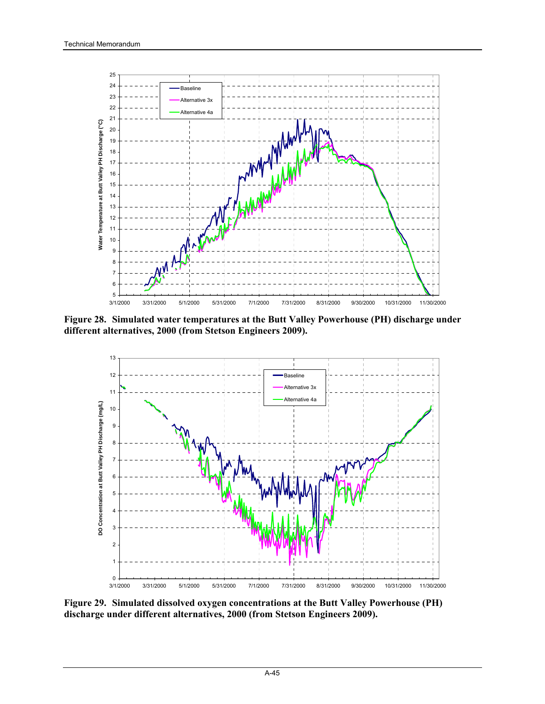

**Figure 28. Simulated water temperatures at the Butt Valley Powerhouse (PH) discharge under different alternatives, 2000 (from Stetson Engineers 2009).** 



**Figure 29. Simulated dissolved oxygen concentrations at the Butt Valley Powerhouse (PH) discharge under different alternatives, 2000 (from Stetson Engineers 2009).**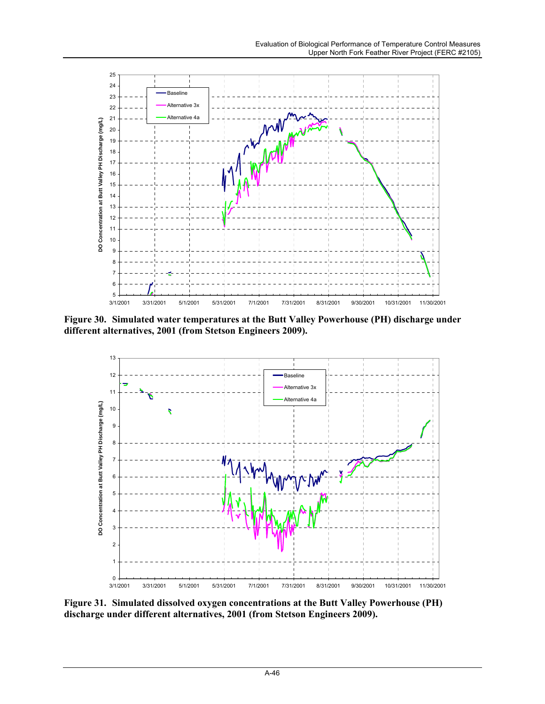

**Figure 30. Simulated water temperatures at the Butt Valley Powerhouse (PH) discharge under different alternatives, 2001 (from Stetson Engineers 2009).** 



**Figure 31. Simulated dissolved oxygen concentrations at the Butt Valley Powerhouse (PH) discharge under different alternatives, 2001 (from Stetson Engineers 2009).**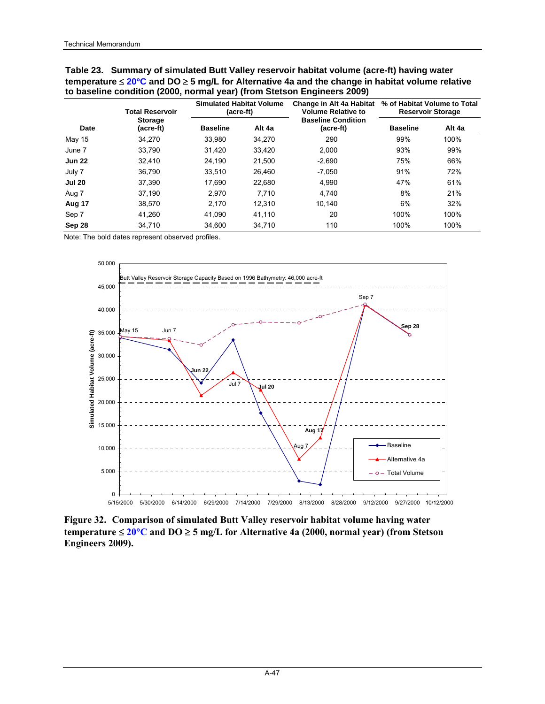| Table 23. Summary of simulated Butt Valley reservoir habitat volume (acre-ft) having water                        |
|-------------------------------------------------------------------------------------------------------------------|
| temperature $\leq 20^{\circ}$ C and DO $\geq 5$ mg/L for Alternative 4a and the change in habitat volume relative |
| to baseline condition (2000, normal year) (from Stetson Engineers 2009)                                           |

|               | <b>Total Reservoir</b>      | <b>Simulated Habitat Volume</b><br>(acre-ft) |        | Change in Alt 4a Habitat<br><b>Volume Relative to</b> | % of Habitat Volume to Total<br><b>Reservoir Storage</b> |        |
|---------------|-----------------------------|----------------------------------------------|--------|-------------------------------------------------------|----------------------------------------------------------|--------|
| Date          | <b>Storage</b><br>(acre-ft) | <b>Baseline</b>                              | Alt 4a | <b>Baseline Condition</b><br>(acre-ft)                | <b>Baseline</b>                                          | Alt 4a |
| May 15        | 34,270                      | 33.980                                       | 34,270 | 290                                                   | 99%                                                      | 100%   |
| June 7        | 33,790                      | 31.420                                       | 33,420 | 2.000                                                 | 93%                                                      | 99%    |
| <b>Jun 22</b> | 32.410                      | 24.190                                       | 21.500 | $-2.690$                                              | 75%                                                      | 66%    |
| July 7        | 36.790                      | 33.510                                       | 26.460 | $-7.050$                                              | 91%                                                      | 72%    |
| <b>Jul 20</b> | 37.390                      | 17.690                                       | 22.680 | 4.990                                                 | 47%                                                      | 61%    |
| Aug 7         | 37,190                      | 2.970                                        | 7.710  | 4,740                                                 | 8%                                                       | 21%    |
| Aug 17        | 38,570                      | 2.170                                        | 12.310 | 10.140                                                | 6%                                                       | 32%    |
| Sep 7         | 41.260                      | 41.090                                       | 41.110 | 20                                                    | 100%                                                     | 100%   |
| Sep 28        | 34.710                      | 34.600                                       | 34.710 | 110                                                   | 100%                                                     | 100%   |



**Figure 32. Comparison of simulated Butt Valley reservoir habitat volume having water temperature** ≤ **20**°**C and DO** ≥ **5 mg/L for Alternative 4a (2000, normal year) (from Stetson Engineers 2009).**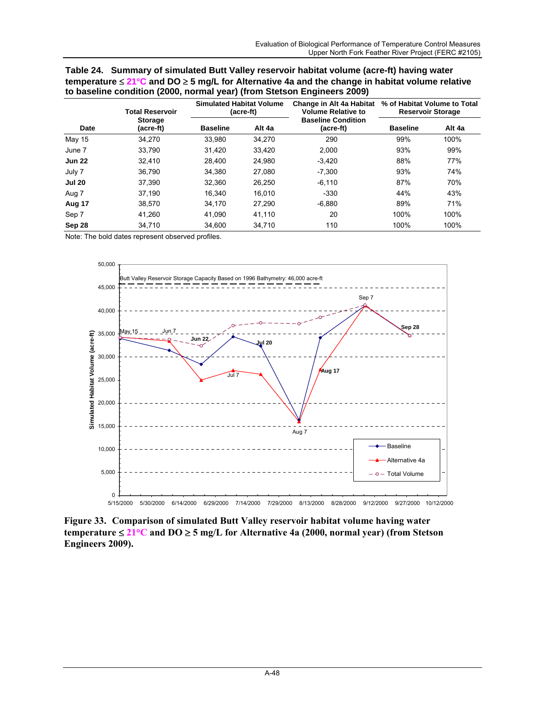| Table 24. Summary of simulated Butt Valley reservoir habitat volume (acre-ft) having water                        |  |
|-------------------------------------------------------------------------------------------------------------------|--|
| temperature $\leq 21^{\circ}$ C and DO $\geq 5$ mg/L for Alternative 4a and the change in habitat volume relative |  |
| to baseline condition (2000, normal year) (from Stetson Engineers 2009)                                           |  |

|               | <b>Total Reservoir</b>      | <b>Simulated Habitat Volume</b> | (acre-ft) | Change in Alt 4a Habitat<br><b>Volume Relative to</b><br><b>Baseline Condition</b><br>(acre-ft) | % of Habitat Volume to Total<br><b>Reservoir Storage</b> |        |  |
|---------------|-----------------------------|---------------------------------|-----------|-------------------------------------------------------------------------------------------------|----------------------------------------------------------|--------|--|
| Date          | <b>Storage</b><br>(acre-ft) | <b>Baseline</b>                 | Alt 4a    |                                                                                                 | <b>Baseline</b>                                          | Alt 4a |  |
| May 15        | 34,270                      | 33.980                          | 34,270    | 290                                                                                             | 99%                                                      | 100%   |  |
| June 7        | 33.790                      | 31.420                          | 33,420    | 2.000                                                                                           | 93%                                                      | 99%    |  |
| <b>Jun 22</b> | 32.410                      | 28.400                          | 24,980    | $-3,420$                                                                                        | 88%                                                      | 77%    |  |
| July 7        | 36.790                      | 34.380                          | 27.080    | $-7.300$                                                                                        | 93%                                                      | 74%    |  |
| <b>Jul 20</b> | 37.390                      | 32.360                          | 26.250    | $-6.110$                                                                                        | 87%                                                      | 70%    |  |
| Aug 7         | 37.190                      | 16.340                          | 16.010    | $-330$                                                                                          | 44%                                                      | 43%    |  |
| Aug 17        | 38.570                      | 34.170                          | 27.290    | $-6.880$                                                                                        | 89%                                                      | 71%    |  |
| Sep 7         | 41.260                      | 41.090                          | 41.110    | 20                                                                                              | 100%                                                     | 100%   |  |
| Sep 28        | 34.710                      | 34.600                          | 34.710    | 110                                                                                             | 100%                                                     | 100%   |  |



**Figure 33. Comparison of simulated Butt Valley reservoir habitat volume having water temperature** ≤ **21**°**C and DO** ≥ **5 mg/L for Alternative 4a (2000, normal year) (from Stetson Engineers 2009).**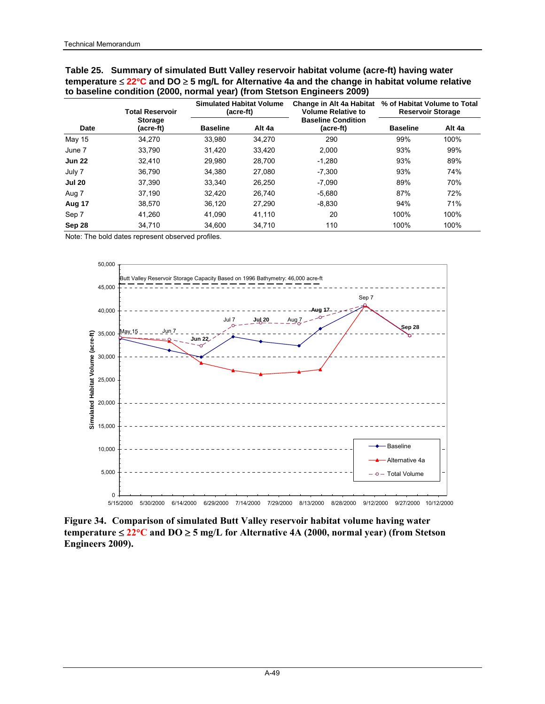| Table 25. Summary of simulated Butt Valley reservoir habitat volume (acre-ft) having water                        |
|-------------------------------------------------------------------------------------------------------------------|
| temperature $\leq 22^{\circ}$ C and DO $\geq 5$ mg/L for Alternative 4a and the change in habitat volume relative |
| to baseline condition (2000, normal year) (from Stetson Engineers 2009)                                           |

|               | <b>Total Reservoir</b>      | <b>Simulated Habitat Volume</b><br>(acre-ft) |        | Change in Alt 4a Habitat<br><b>Volume Relative to</b> | % of Habitat Volume to Total<br><b>Reservoir Storage</b> |        |
|---------------|-----------------------------|----------------------------------------------|--------|-------------------------------------------------------|----------------------------------------------------------|--------|
| Date          | <b>Storage</b><br>(acre-ft) | <b>Baseline</b>                              | Alt 4a | <b>Baseline Condition</b><br>(acre-ft)                | <b>Baseline</b>                                          | Alt 4a |
| May 15        | 34.270                      | 33.980                                       | 34,270 | 290                                                   | 99%                                                      | 100%   |
| June 7        | 33.790                      | 31.420                                       | 33.420 | 2.000                                                 | 93%                                                      | 99%    |
| <b>Jun 22</b> | 32.410                      | 29.980                                       | 28.700 | $-1.280$                                              | 93%                                                      | 89%    |
| July 7        | 36.790                      | 34.380                                       | 27.080 | $-7.300$                                              | 93%                                                      | 74%    |
| <b>Jul 20</b> | 37.390                      | 33.340                                       | 26.250 | $-7.090$                                              | 89%                                                      | 70%    |
| Aug 7         | 37.190                      | 32.420                                       | 26.740 | $-5.680$                                              | 87%                                                      | 72%    |
| Aug 17        | 38.570                      | 36.120                                       | 27.290 | $-8.830$                                              | 94%                                                      | 71%    |
| Sep 7         | 41.260                      | 41.090                                       | 41.110 | 20                                                    | 100%                                                     | 100%   |
| Sep 28        | 34.710                      | 34.600                                       | 34.710 | 110                                                   | 100%                                                     | 100%   |



**Figure 34. Comparison of simulated Butt Valley reservoir habitat volume having water temperature** ≤ **22**°**C and DO** ≥ **5 mg/L for Alternative 4A (2000, normal year) (from Stetson Engineers 2009).**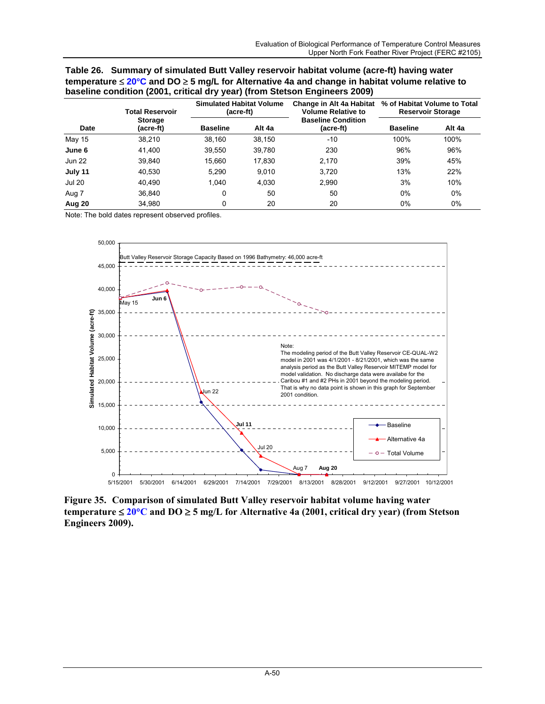| Table 26. Summary of simulated Butt Valley reservoir habitat volume (acre-ft) having water                       |
|------------------------------------------------------------------------------------------------------------------|
| temperature $\leq 20^{\circ}$ C and DO $\geq 5$ mg/L for Alternative 4a and change in habitat volume relative to |
| baseline condition (2001, critical dry year) (from Stetson Engineers 2009)                                       |

|               | <b>Total Reservoir</b>      | <b>Simulated Habitat Volume</b><br>(acre-ft) |        | Change in Alt 4a Habitat<br><b>Volume Relative to</b> | % of Habitat Volume to Total<br><b>Reservoir Storage</b> |        |  |
|---------------|-----------------------------|----------------------------------------------|--------|-------------------------------------------------------|----------------------------------------------------------|--------|--|
| Date          | <b>Storage</b><br>(acre-ft) | <b>Baseline</b>                              | Alt 4a | <b>Baseline Condition</b><br>(acre-ft)                | <b>Baseline</b>                                          | Alt 4a |  |
| May 15        | 38,210                      | 38.160                                       | 38,150 | $-10$                                                 | 100%                                                     | 100%   |  |
| June 6        | 41.400                      | 39.550                                       | 39,780 | 230                                                   | 96%                                                      | 96%    |  |
| <b>Jun 22</b> | 39,840                      | 15,660                                       | 17,830 | 2,170                                                 | 39%                                                      | 45%    |  |
| July 11       | 40,530                      | 5,290                                        | 9,010  | 3,720                                                 | 13%                                                      | 22%    |  |
| <b>Jul 20</b> | 40.490                      | 1.040                                        | 4,030  | 2,990                                                 | 3%                                                       | 10%    |  |
| Aug 7         | 36.840                      | 0                                            | 50     | 50                                                    | 0%                                                       | $0\%$  |  |
| Aug 20        | 34,980                      | 0                                            | 20     | 20                                                    | 0%                                                       | 0%     |  |



**Figure 35. Comparison of simulated Butt Valley reservoir habitat volume having water temperature** ≤ **20**°**C and DO** ≥ **5 mg/L for Alternative 4a (2001, critical dry year) (from Stetson Engineers 2009).**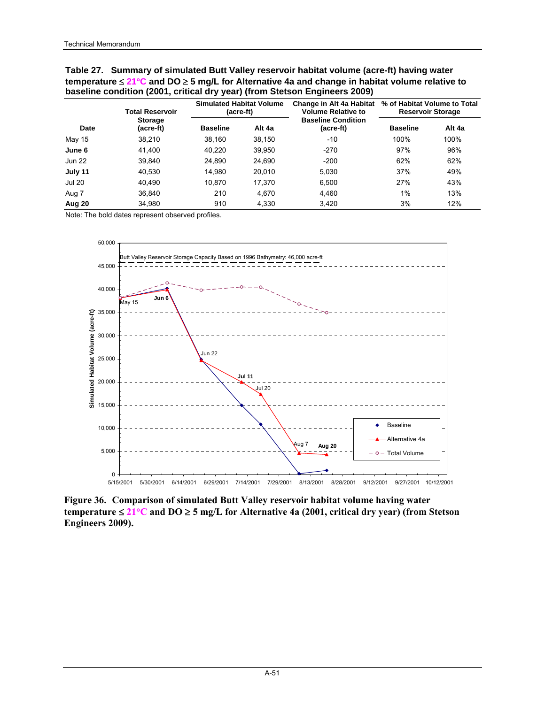## **Table 27. Summary of simulated Butt Valley reservoir habitat volume (acre-ft) having water temperature** ≤ **21**°**C and DO** ≥ **5 mg/L for Alternative 4a and change in habitat volume relative to baseline condition (2001, critical dry year) (from Stetson Engineers 2009)**

|               | <b>Total Reservoir</b>      | <b>Simulated Habitat Volume</b><br>(acre-ft) |        | Change in Alt 4a Habitat<br><b>Volume Relative to</b> | % of Habitat Volume to Total<br><b>Reservoir Storage</b> |        |  |
|---------------|-----------------------------|----------------------------------------------|--------|-------------------------------------------------------|----------------------------------------------------------|--------|--|
| Date          | <b>Storage</b><br>(acre-ft) | <b>Baseline</b>                              | Alt 4a | <b>Baseline Condition</b><br>(acre-ft)                | <b>Baseline</b>                                          | Alt 4a |  |
| May 15        | 38,210                      | 38.160                                       | 38,150 | $-10$                                                 | 100%                                                     | 100%   |  |
| June 6        | 41.400                      | 40.220                                       | 39,950 | $-270$                                                | 97%                                                      | 96%    |  |
| <b>Jun 22</b> | 39.840                      | 24.890                                       | 24,690 | $-200$                                                | 62%                                                      | 62%    |  |
| July 11       | 40,530                      | 14.980                                       | 20.010 | 5.030                                                 | 37%                                                      | 49%    |  |
| <b>Jul 20</b> | 40.490                      | 10.870                                       | 17,370 | 6.500                                                 | 27%                                                      | 43%    |  |
| Aug 7         | 36.840                      | 210                                          | 4.670  | 4,460                                                 | 1%                                                       | 13%    |  |
| Aug 20        | 34,980                      | 910                                          | 4,330  | 3,420                                                 | 3%                                                       | 12%    |  |



**Figure 36. Comparison of simulated Butt Valley reservoir habitat volume having water temperature** ≤ **21**°**C and DO** ≥ **5 mg/L for Alternative 4a (2001, critical dry year) (from Stetson Engineers 2009).**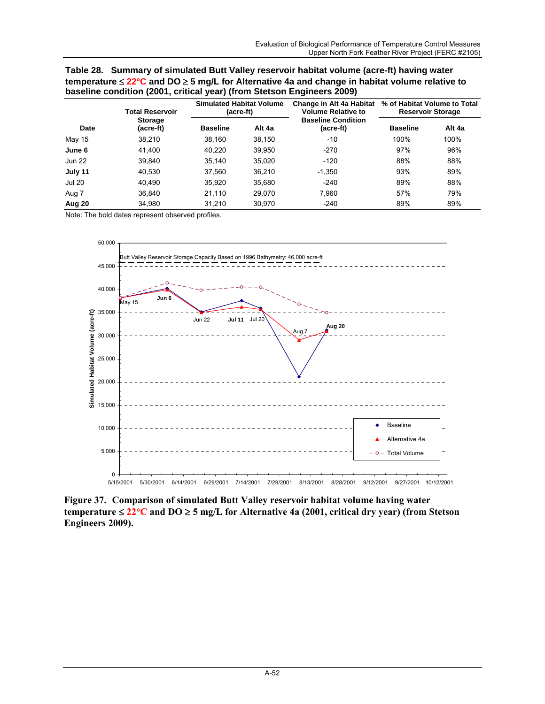| Table 28. Summary of simulated Butt Valley reservoir habitat volume (acre-ft) having water                       |
|------------------------------------------------------------------------------------------------------------------|
| temperature $\leq 22^{\circ}$ C and DO $\geq 5$ mg/L for Alternative 4a and change in habitat volume relative to |
| baseline condition (2001, critical year) (from Stetson Engineers 2009)                                           |

|               | <b>Total Reservoir</b>      | <b>Simulated Habitat Volume</b><br>(acre-ft) |        | Change in Alt 4a Habitat<br><b>Volume Relative to</b> | % of Habitat Volume to Total<br><b>Reservoir Storage</b> |        |
|---------------|-----------------------------|----------------------------------------------|--------|-------------------------------------------------------|----------------------------------------------------------|--------|
| <b>Date</b>   | <b>Storage</b><br>(acre-ft) | <b>Baseline</b>                              | Alt 4a | <b>Baseline Condition</b><br>(acre-ft)                | <b>Baseline</b>                                          | Alt 4a |
| May 15        | 38.210                      | 38,160                                       | 38,150 | $-10$                                                 | 100%                                                     | 100%   |
| June 6        | 41,400                      | 40.220                                       | 39,950 | $-270$                                                | 97%                                                      | 96%    |
| <b>Jun 22</b> | 39.840                      | 35.140                                       | 35,020 | $-120$                                                | 88%                                                      | 88%    |
| July 11       | 40.530                      | 37.560                                       | 36,210 | $-1,350$                                              | 93%                                                      | 89%    |
| <b>Jul 20</b> | 40.490                      | 35.920                                       | 35,680 | $-240$                                                | 89%                                                      | 88%    |
| Aug 7         | 36.840                      | 21.110                                       | 29.070 | 7,960                                                 | 57%                                                      | 79%    |
| Aug 20        | 34,980                      | 31,210                                       | 30,970 | $-240$                                                | 89%                                                      | 89%    |



**Figure 37. Comparison of simulated Butt Valley reservoir habitat volume having water temperature** ≤ **22**°**C and DO** ≥ **5 mg/L for Alternative 4a (2001, critical dry year) (from Stetson Engineers 2009).**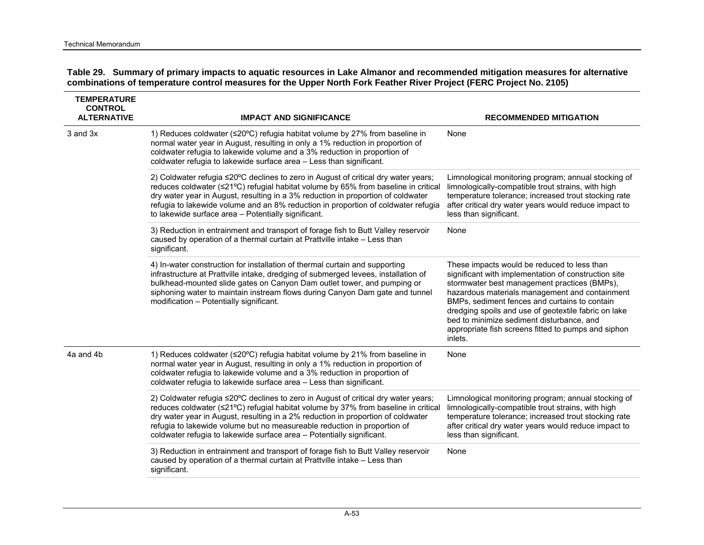| Table 29. Summary of primary impacts to aquatic resources in Lake Almanor and recommended mitigation measures for alternative |
|-------------------------------------------------------------------------------------------------------------------------------|
| combinations of temperature control measures for the Upper North Fork Feather River Project (FERC Project No. 2105)           |

| <b>TEMPERATURE</b><br><b>CONTROL</b><br><b>ALTERNATIVE</b> | <b>IMPACT AND SIGNIFICANCE</b>                                                                                                                                                                                                                                                                                                                                                                                    | <b>RECOMMENDED MITIGATION</b>                                                                                                                                                                                                                                                                                                                                                                                                 |
|------------------------------------------------------------|-------------------------------------------------------------------------------------------------------------------------------------------------------------------------------------------------------------------------------------------------------------------------------------------------------------------------------------------------------------------------------------------------------------------|-------------------------------------------------------------------------------------------------------------------------------------------------------------------------------------------------------------------------------------------------------------------------------------------------------------------------------------------------------------------------------------------------------------------------------|
| 3 and 3x                                                   | 1) Reduces coldwater (≤20°C) refugia habitat volume by 27% from baseline in<br>normal water year in August, resulting in only a 1% reduction in proportion of<br>coldwater refugia to lakewide volume and a 3% reduction in proportion of<br>coldwater refugia to lakewide surface area - Less than significant.                                                                                                  | None                                                                                                                                                                                                                                                                                                                                                                                                                          |
|                                                            | 2) Coldwater refugia ≤20°C declines to zero in August of critical dry water years;<br>reduces coldwater (≤21°C) refugial habitat volume by 65% from baseline in critical<br>dry water year in August, resulting in a 3% reduction in proportion of coldwater<br>refugia to lakewide volume and an 8% reduction in proportion of coldwater refugia<br>to lakewide surface area - Potentially significant.          | Limnological monitoring program; annual stocking of<br>limnologically-compatible trout strains, with high<br>temperature tolerance; increased trout stocking rate<br>after critical dry water years would reduce impact to<br>less than significant.                                                                                                                                                                          |
|                                                            | 3) Reduction in entrainment and transport of forage fish to Butt Valley reservoir<br>caused by operation of a thermal curtain at Prattville intake - Less than<br>significant.                                                                                                                                                                                                                                    | None                                                                                                                                                                                                                                                                                                                                                                                                                          |
|                                                            | 4) In-water construction for installation of thermal curtain and supporting<br>infrastructure at Prattville intake, dredging of submerged levees, installation of<br>bulkhead-mounted slide gates on Canyon Dam outlet tower, and pumping or<br>siphoning water to maintain instream flows during Canyon Dam gate and tunnel<br>modification - Potentially significant.                                           | These impacts would be reduced to less than<br>significant with implementation of construction site<br>stormwater best management practices (BMPs),<br>hazardous materials management and containment<br>BMPs, sediment fences and curtains to contain<br>dredging spoils and use of geotextile fabric on lake<br>bed to minimize sediment disturbance, and<br>appropriate fish screens fitted to pumps and siphon<br>inlets. |
| 4a and 4b                                                  | 1) Reduces coldwater (≤20°C) refugia habitat volume by 21% from baseline in<br>normal water year in August, resulting in only a 1% reduction in proportion of<br>coldwater refugia to lakewide volume and a 3% reduction in proportion of<br>coldwater refugia to lakewide surface area - Less than significant.                                                                                                  | None                                                                                                                                                                                                                                                                                                                                                                                                                          |
|                                                            | 2) Coldwater refugia ≤20°C declines to zero in August of critical dry water years;<br>reduces coldwater (≤21°C) refugial habitat volume by 37% from baseline in critical<br>dry water year in August, resulting in a 2% reduction in proportion of coldwater<br>refugia to lakewide volume but no measureable reduction in proportion of<br>coldwater refugia to lakewide surface area - Potentially significant. | Limnological monitoring program; annual stocking of<br>limnologically-compatible trout strains, with high<br>temperature tolerance; increased trout stocking rate<br>after critical dry water years would reduce impact to<br>less than significant.                                                                                                                                                                          |
|                                                            | 3) Reduction in entrainment and transport of forage fish to Butt Valley reservoir<br>caused by operation of a thermal curtain at Prattville intake - Less than<br>significant.                                                                                                                                                                                                                                    | None                                                                                                                                                                                                                                                                                                                                                                                                                          |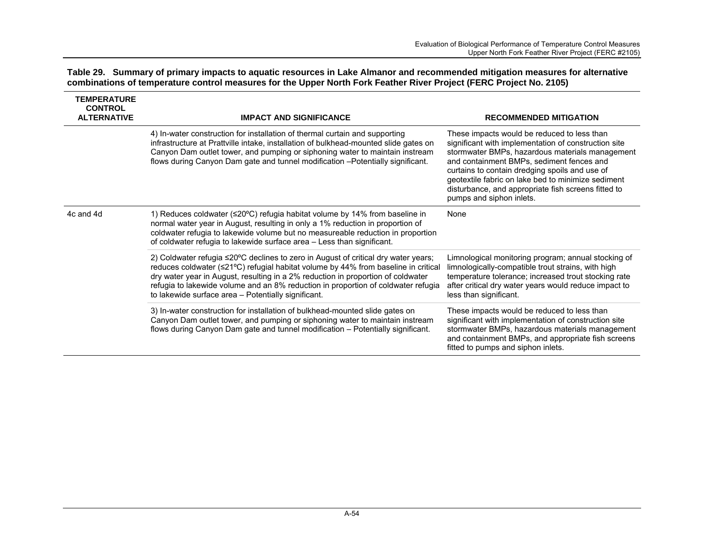| Table 29. Summary of primary impacts to aquatic resources in Lake Almanor and recommended mitigation measures for alternative |  |
|-------------------------------------------------------------------------------------------------------------------------------|--|
| combinations of temperature control measures for the Upper North Fork Feather River Project (FERC Project No. 2105)           |  |

| <b>TEMPERATURE</b><br><b>CONTROL</b><br><b>ALTERNATIVE</b> | <b>IMPACT AND SIGNIFICANCE</b>                                                                                                                                                                                                                                                                                                                                                                                 | <b>RECOMMENDED MITIGATION</b>                                                                                                                                                                                                                                                                                                                                                                  |  |
|------------------------------------------------------------|----------------------------------------------------------------------------------------------------------------------------------------------------------------------------------------------------------------------------------------------------------------------------------------------------------------------------------------------------------------------------------------------------------------|------------------------------------------------------------------------------------------------------------------------------------------------------------------------------------------------------------------------------------------------------------------------------------------------------------------------------------------------------------------------------------------------|--|
|                                                            | 4) In-water construction for installation of thermal curtain and supporting<br>infrastructure at Prattville intake, installation of bulkhead-mounted slide gates on<br>Canyon Dam outlet tower, and pumping or siphoning water to maintain instream<br>flows during Canyon Dam gate and tunnel modification - Potentially significant.                                                                         | These impacts would be reduced to less than<br>significant with implementation of construction site<br>stormwater BMPs, hazardous materials management<br>and containment BMPs, sediment fences and<br>curtains to contain dredging spoils and use of<br>geotextile fabric on lake bed to minimize sediment<br>disturbance, and appropriate fish screens fitted to<br>pumps and siphon inlets. |  |
| 4c and 4d                                                  | 1) Reduces coldwater (≤20°C) refugia habitat volume by 14% from baseline in<br>normal water year in August, resulting in only a 1% reduction in proportion of<br>coldwater refugia to lakewide volume but no measureable reduction in proportion<br>of coldwater refugia to lakewide surface area - Less than significant.                                                                                     | None                                                                                                                                                                                                                                                                                                                                                                                           |  |
|                                                            | 2) Coldwater refugia $\leq$ 20°C declines to zero in August of critical dry water years;<br>reduces coldwater (≤21°C) refugial habitat volume by 44% from baseline in critical<br>dry water year in August, resulting in a 2% reduction in proportion of coldwater<br>refugia to lakewide volume and an 8% reduction in proportion of coldwater refugia<br>to lakewide surface area - Potentially significant. | Limnological monitoring program; annual stocking of<br>limnologically-compatible trout strains, with high<br>temperature tolerance; increased trout stocking rate<br>after critical dry water years would reduce impact to<br>less than significant.                                                                                                                                           |  |
|                                                            | 3) In-water construction for installation of bulkhead-mounted slide gates on<br>Canyon Dam outlet tower, and pumping or siphoning water to maintain instream<br>flows during Canyon Dam gate and tunnel modification - Potentially significant.                                                                                                                                                                | These impacts would be reduced to less than<br>significant with implementation of construction site<br>stormwater BMPs, hazardous materials management<br>and containment BMPs, and appropriate fish screens<br>fitted to pumps and siphon inlets.                                                                                                                                             |  |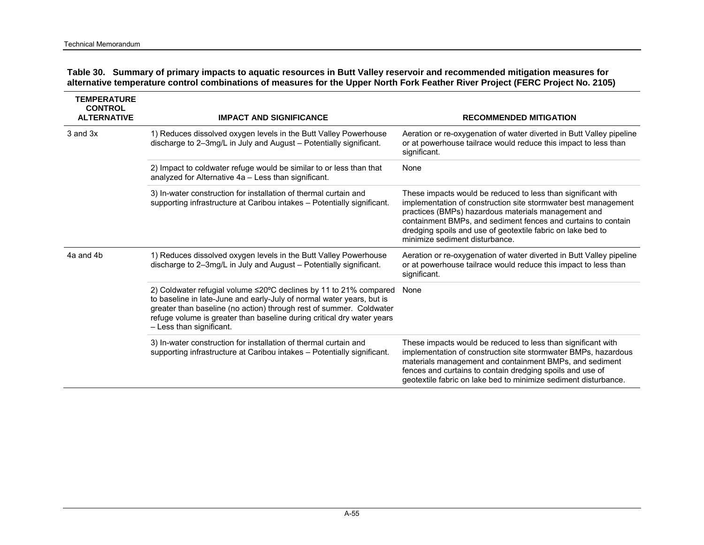| Table 30. Summary of primary impacts to aquatic resources in Butt Valley reservoir and recommended mitigation measures for      |
|---------------------------------------------------------------------------------------------------------------------------------|
| alternative temperature control combinations of measures for the Upper North Fork Feather River Project (FERC Project No. 2105) |

| <b>TEMPERATURE</b><br><b>CONTROL</b><br><b>ALTERNATIVE</b> | <b>IMPACT AND SIGNIFICANCE</b>                                                                                                                                                                                                                                                                                          | <b>RECOMMENDED MITIGATION</b>                                                                                                                                                                                                                                                                                                                           |
|------------------------------------------------------------|-------------------------------------------------------------------------------------------------------------------------------------------------------------------------------------------------------------------------------------------------------------------------------------------------------------------------|---------------------------------------------------------------------------------------------------------------------------------------------------------------------------------------------------------------------------------------------------------------------------------------------------------------------------------------------------------|
| 3 and 3x                                                   | 1) Reduces dissolved oxygen levels in the Butt Valley Powerhouse<br>discharge to 2-3mg/L in July and August - Potentially significant.                                                                                                                                                                                  | Aeration or re-oxygenation of water diverted in Butt Valley pipeline<br>or at powerhouse tailrace would reduce this impact to less than<br>significant.                                                                                                                                                                                                 |
|                                                            | 2) Impact to coldwater refuge would be similar to or less than that<br>analyzed for Alternative 4a - Less than significant.                                                                                                                                                                                             | None                                                                                                                                                                                                                                                                                                                                                    |
|                                                            | 3) In-water construction for installation of thermal curtain and<br>supporting infrastructure at Caribou intakes - Potentially significant.                                                                                                                                                                             | These impacts would be reduced to less than significant with<br>implementation of construction site stormwater best management<br>practices (BMPs) hazardous materials management and<br>containment BMPs, and sediment fences and curtains to contain<br>dredging spoils and use of geotextile fabric on lake bed to<br>minimize sediment disturbance. |
| 4a and 4b                                                  | 1) Reduces dissolved oxygen levels in the Butt Valley Powerhouse<br>discharge to 2–3mg/L in July and August – Potentially significant.                                                                                                                                                                                  | Aeration or re-oxygenation of water diverted in Butt Valley pipeline<br>or at powerhouse tailrace would reduce this impact to less than<br>significant.                                                                                                                                                                                                 |
|                                                            | 2) Coldwater refugial volume ≤20°C declines by 11 to 21% compared<br>to baseline in late-June and early-July of normal water years, but is<br>greater than baseline (no action) through rest of summer. Coldwater<br>refuge volume is greater than baseline during critical dry water years<br>- Less than significant. | None                                                                                                                                                                                                                                                                                                                                                    |
|                                                            | 3) In-water construction for installation of thermal curtain and<br>supporting infrastructure at Caribou intakes - Potentially significant.                                                                                                                                                                             | These impacts would be reduced to less than significant with<br>implementation of construction site stormwater BMPs, hazardous<br>materials management and containment BMPs, and sediment<br>fences and curtains to contain dredging spoils and use of<br>geotextile fabric on lake bed to minimize sediment disturbance.                               |